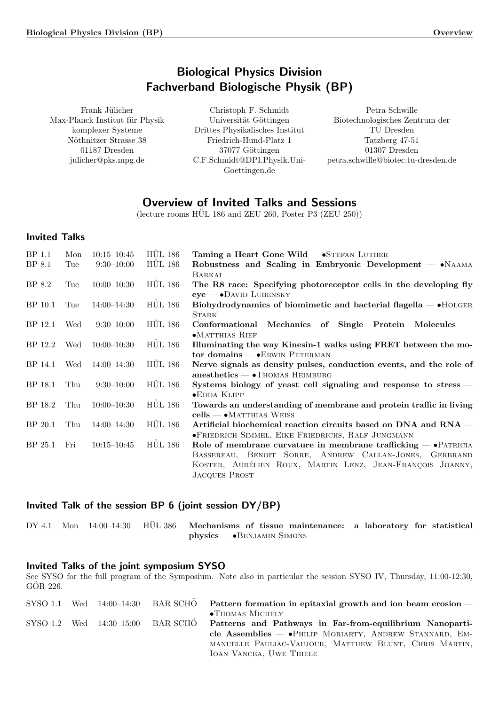# Biological Physics Division Fachverband Biologische Physik (BP)

<span id="page-0-0"></span>Frank Jülicher Max-Planck Institut für Physik komplexer Systeme Nöthnitzer Strasse 38 01187 Dresden julicher@pks.mpg.de

Christoph F. Schmidt Universität Göttingen Drittes Physikalisches Institut Friedrich-Hund-Platz 1 37077 Göttingen C.F.Schmidt@DPI.Physik.Uni-Goettingen.de

Petra Schwille Biotechnologisches Zentrum der TU Dresden Tatzberg 47-51 01307 Dresden petra.schwille@biotec.tu-dresden.de

# Overview of Invited Talks and Sessions

 $(\text{lecture rooms HÜL 186 and ZEU 260, Poster P3 (ZEU 250)})$ 

# Invited Talks

| BP 1.1  | Mon | $10:15 - 10:45$ | <b>HUL 186</b> | Taming a Heart Gone Wild $ \bullet$ STEFAN LUTHER                                |
|---------|-----|-----------------|----------------|----------------------------------------------------------------------------------|
| BP 8.1  | Tue | $9:30 - 10:00$  | <b>HUL 186</b> | Robustness and Scaling in Embryonic Development - • NAAMA                        |
|         |     |                 |                | BARKAI                                                                           |
| BP 8.2  | Tue | $10:00-10:30$   | <b>HUL 186</b> | The R8 race: Specifying photoreceptor cells in the developing fly                |
|         |     |                 |                | $eye$ $\rightarrow$ DAVID LUBENSKY                                               |
| BP 10.1 | Tue | $14:00 - 14:30$ | <b>HÜL 186</b> | Biohydrodynamics of biomimetic and bacterial flagella — • HOLGER<br><b>STARK</b> |
| BP 12.1 | Wed | $9:30-10:00$    | <b>HÜL 186</b> | Conformational Mechanics of Single Protein Molecules –                           |
|         |     |                 |                | $\bullet$ MATTHIAS RIEF                                                          |
| BP 12.2 | Wed | $10:00 - 10:30$ | <b>HUL 186</b> | Illuminating the way Kinesin-1 walks using FRET between the mo-                  |
|         |     |                 |                | tor domains $ \bullet$ ERWIN PETERMAN                                            |
| BP 14.1 | Wed | $14:00-14:30$   | <b>HÜL 186</b> | Nerve signals as density pulses, conduction events, and the role of              |
|         |     |                 |                | $anesthetics - THOMAS HEIMBURG$                                                  |
| BP 18.1 | Thu | $9:30-10:00$    | <b>HÜL 186</b> | Systems biology of yeast cell signaling and response to stress $-$               |
|         |     |                 |                | $\bullet$ EDDA KLIPP                                                             |
| BP 18.2 | Thu | $10:00-10:30$   | <b>HÜL 186</b> | Towards an understanding of membrane and protein traffic in living               |
|         |     |                 |                | $cells \leftarrow \bullet \text{MATTHIAS}$ Weiss                                 |
| BP 20.1 | Thu | $14:00-14:30$   | <b>HÜL 186</b> | Artificial biochemical reaction circuits based on DNA and RNA –                  |
|         |     |                 |                | <b>•FRIEDRICH SIMMEL, EIKE FRIEDRICHS, RALF JUNGMANN</b>                         |
| BP 25.1 | Fri | $10:15 - 10:45$ | <b>HÜL 186</b> | Role of membrane curvature in membrane trafficking $ \bullet$ PATRICIA           |
|         |     |                 |                | BASSEREAU, BENOIT SORRE, ANDREW CALLAN-JONES, GERBRAND                           |
|         |     |                 |                | KOSTER, AURÉLIEN ROUX, MARTIN LENZ, JEAN-FRANÇOIS JOANNY,                        |
|         |     |                 |                | <b>JACQUES PROST</b>                                                             |

## Invited Talk of the session BP 6 (joint session DY/BP)

DY 4.1 Mon 14:00-14:30 HUL 386 [Mechanisms of tissue maintenance: a laboratory for statistical](#page-3-0) physics — •Benjamin Simons

## Invited Talks of the joint symposium SYSO

See SYSO for the full program of the Symposium. Note also in particular the session SYSO IV, Thursday, 11:00-12:30, GÖR 226.

| SYSO 1.1 |  | Wed $14:00-14:30$ BAR SCHO | Pattern formation in epitaxial growth and ion beam erosion $-$  |
|----------|--|----------------------------|-----------------------------------------------------------------|
|          |  |                            | $\bullet$ Thomas Michely                                        |
| SYSO 1.2 |  | Wed $14:30-15:00$ BAR SCHO | Patterns and Pathways in Far-from-equilibrium Nanoparti-        |
|          |  |                            | cle Assemblies $ \bullet$ Philip Moriarty, Andrew Stannard, Em- |
|          |  |                            | MANUELLE PAULIAC-VAUJOUR, MATTHEW BLUNT, CHRIS MARTIN,          |
|          |  |                            | <b>IOAN VANCEA, UWE THIELE</b>                                  |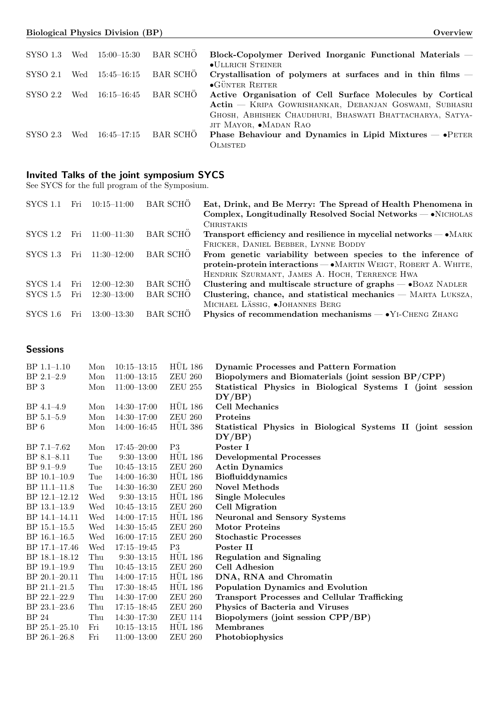| SYSO 1.3 | Wed | $15:00 - 15:30$ | BAR SCHO        | Block-Copolymer Derived Inorganic Functional Materials –           |
|----------|-----|-----------------|-----------------|--------------------------------------------------------------------|
|          |     |                 |                 | $\bullet$ ULLRICH STEINER                                          |
| SYSO 2.1 | Wed | $15:45 - 16:15$ | BAR SCHÖ        | Crystallisation of polymers at surfaces and in thin films $-$      |
|          |     |                 |                 | $\bullet$ GÜNTER REITER                                            |
| SYSO 2.2 | Wed | $16:15 - 16:45$ | <b>BAR SCHO</b> | Active Organisation of Cell Surface Molecules by Cortical          |
|          |     |                 |                 | Actin - KRIPA GOWRISHANKAR, DEBANJAN GOSWAMI, SUBHASRI             |
|          |     |                 |                 | GHOSH, ABHISHEK CHAUDHURI, BHASWATI BHATTACHARYA, SATYA-           |
|          |     |                 |                 | JIT MAYOR, •MADAN RAO                                              |
| SYSO 2.3 | Wed | $16:45 - 17:15$ | <b>BAR SCHO</b> | Phase Behaviour and Dynamics in Lipid Mixtures $\rightarrow$ PETER |
|          |     |                 |                 | OLMSTED                                                            |

## Invited Talks of the joint symposium SYCS

See SYCS for the full program of the Symposium.

| <b>SYCS 1.1</b> | Fri | $10:15 - 11:00$ | <b>BAR SCHO</b> | Eat, Drink, and Be Merry: The Spread of Health Phenomena in<br>Complex, Longitudinally Resolved Social Networks $-\bullet$ NICHOLAS |
|-----------------|-----|-----------------|-----------------|-------------------------------------------------------------------------------------------------------------------------------------|
|                 |     |                 |                 | <b>CHRISTAKIS</b>                                                                                                                   |
| SYCS 1.2        | Fri | $11:00-11:30$   | <b>BAR SCHÖ</b> | Transport efficiency and resilience in mycelial networks $- \bullet$ MARK                                                           |
|                 |     |                 |                 | FRICKER, DANIEL BEBBER, LYNNE BODDY                                                                                                 |
| SYCS 1.3        | Fri | $11:30-12:00$   | <b>BAR SCHO</b> | From genetic variability between species to the inference of                                                                        |
|                 |     |                 |                 | protein-protein interactions — • MARTIN WEIGT, ROBERT A. WHITE,                                                                     |
|                 |     |                 |                 | HENDRIK SZURMANT, JAMES A. HOCH, TERRENCE HWA                                                                                       |
| SYCS 1.4        | Fri | $12:00 - 12:30$ | <b>BAR SCHO</b> | Clustering and multiscale structure of graphs — • BOAZ NADLER                                                                       |
| SYCS 1.5        | Fri | $12:30-13:00$   | <b>BAR SCHO</b> | Clustering, chance, and statistical mechanics - MARTA LUKSZA,                                                                       |
|                 |     |                 |                 | MICHAEL LÄSSIG, .JOHANNES BERG                                                                                                      |
| SYCS 1.6        | Fri | $13:00 - 13:30$ | <b>BAR SCHO</b> | Physics of recommendation mechanisms $-\bullet$ Y <sub>1</sub> -CHENG ZHANG                                                         |

## Sessions

| $BP$ 1.1-1.10    | Mon | $10:15 - 13:15$ | <b>HUL 186</b> | <b>Dynamic Processes and Pattern Formation</b>              |
|------------------|-----|-----------------|----------------|-------------------------------------------------------------|
| $BP$ 2.1-2.9     | Mon | $11:00-13:15$   | <b>ZEU 260</b> | Biopolymers and Biomaterials (joint session BP/CPP)         |
| BP 3             | Mon | $11:00-13:00$   | <b>ZEU 255</b> | Statistical Physics in Biological Systems I (joint session  |
|                  |     |                 |                | DY/BP)                                                      |
| $BP\,4.1-4.9$    | Mon | $14:30 - 17:00$ | <b>HÜL 186</b> | <b>Cell Mechanics</b>                                       |
| $BP 5.1 - 5.9$   | Mon | $14:30-17:00$   | <b>ZEU 260</b> | Proteins                                                    |
| $BP_6$           | Mon | $14:00 - 16:45$ | <b>HUL 386</b> | Statistical Physics in Biological Systems II (joint session |
|                  |     |                 |                | DY/BP)                                                      |
| $BP 7.1 - 7.62$  | Mon | $17:45 - 20:00$ | P <sub>3</sub> | Poster I                                                    |
| $BP 8.1 - 8.11$  | Tue | $9:30-13:00$    | <b>HUL 186</b> | <b>Developmental Processes</b>                              |
| $BP$ 9.1-9.9     | Tue | $10:45 - 13:15$ | <b>ZEU 260</b> | <b>Actin Dynamics</b>                                       |
| $BP$ 10.1-10.9   | Tue | $14:00 - 16:30$ | <b>HÜL 186</b> | <b>Biofluiddynamics</b>                                     |
| BP 11.1-11.8     | Tue | $14:30 - 16:30$ | <b>ZEU 260</b> | <b>Novel Methods</b>                                        |
| BP 12.1-12.12    | Wed | $9:30-13:15$    | <b>HÜL 186</b> | <b>Single Molecules</b>                                     |
| BP 13.1-13.9     | Wed | $10:45 - 13:15$ | <b>ZEU 260</b> | Cell Migration                                              |
| BP 14.1-14.11    | Wed | $14:00 - 17:15$ | <b>HÜL 186</b> | <b>Neuronal and Sensory Systems</b>                         |
| BP 15.1-15.5     | Wed | $14:30-15:45$   | <b>ZEU 260</b> | <b>Motor Proteins</b>                                       |
| $BP$ 16.1–16.5   | Wed | $16:00-17:15$   | <b>ZEU 260</b> | <b>Stochastic Processes</b>                                 |
| BP 17.1-17.46    | Wed | $17:15 - 19:45$ | P3             | Poster II                                                   |
| BP 18.1-18.12    | Thu | $9:30-13:15$    | <b>HUL 186</b> | <b>Regulation and Signaling</b>                             |
| BP 19.1-19.9     | Thu | $10:45 - 13:15$ | <b>ZEU 260</b> | <b>Cell Adhesion</b>                                        |
| BP 20.1-20.11    | Thu | $14:00 - 17:15$ | <b>HÜL 186</b> | DNA, RNA and Chromatin                                      |
| BP 21.1-21.5     | Thu | $17:30 - 18:45$ | <b>HÜL 186</b> | Population Dynamics and Evolution                           |
| $BP 22.1 - 22.9$ | Thu | $14:30 - 17:00$ | <b>ZEU 260</b> | <b>Transport Processes and Cellular Trafficking</b>         |
| $BP$ 23.1-23.6   | Thu | $17:15 - 18:45$ | <b>ZEU 260</b> | Physics of Bacteria and Viruses                             |
| <b>BP</b> 24     | Thu | $14:30-17:30$   | <b>ZEU 114</b> | Biopolymers (joint session CPP/BP)                          |
| $BP$ 25.1–25.10  | Fri | $10:15 - 13:15$ | <b>HÜL 186</b> | <b>Membranes</b>                                            |
| $BP 26.1 - 26.8$ | Fri | $11:00-13:00$   | <b>ZEU 260</b> | Photobiophysics                                             |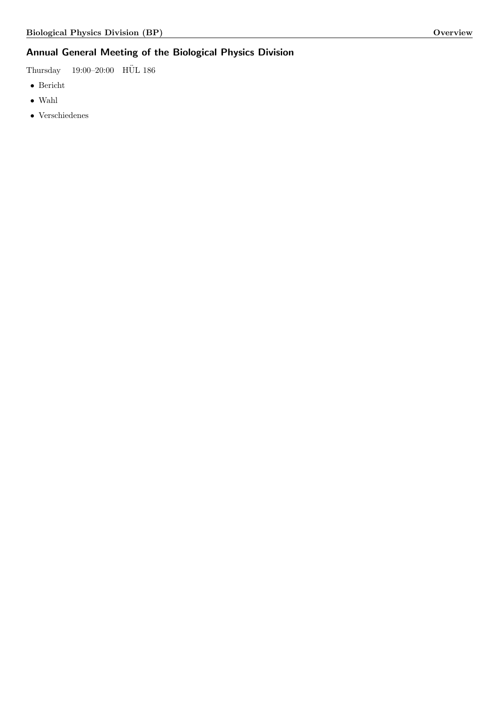# Annual General Meeting of the Biological Physics Division

Thursday 19:00–20:00 HÜL 186

- $\bullet\,$  Bericht
- Wahl
- Verschiedenes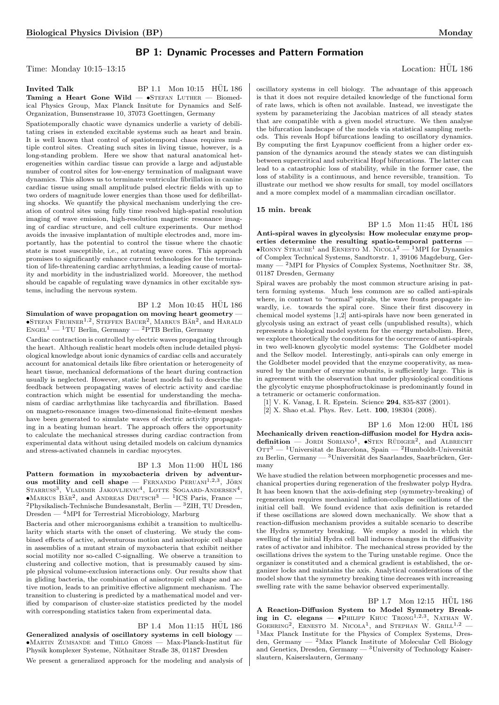## BP 1: Dynamic Processes and Pattern Formation

Time: Monday  $10:15-13:15$  Location: HUL 186

#### Invited Talk BP 1.1 Mon  $10:15$  HUL  $186$ Taming a Heart Gone Wild  $\bullet$ STEFAN LUTHER  $-$  Biomedical Physics Group, Max Planck Insitute for Dynamics and Self-Organization, Bunsenstrasse 10, 37073 Goettingen, Germany

Spatiotemporally chaotic wave dynamics underlie a variety of debilitating crises in extended excitable systems such as heart and brain. It is well known that control of spatiotemporal chaos requires multiple control sites. Creating such sites in living tissue, however, is a long-standing problem. Here we show that natural anatomical heterogeneities within cardiac tissue can provide a large and adjustable number of control sites for low-energy termination of malignant wave dynamics. This allows us to terminate ventricular fibrillation in canine cardiac tissue using small amplitude pulsed electric fields with up to two orders of magnitude lower energies than those used for defibrillating shocks. We quantify the physical mechanism underlying the creation of control sites using fully time resolved high-spatial resolution imaging of wave emission, high-resolution magnetic resonance imaging of cardiac structure, and cell culture experiments. Our method avoids the invasive implantation of multiple electrodes and, more importantly, has the potential to control the tissue where the chaotic state is most susceptible, i.e., at rotating wave cores. This approach promises to significantly enhance current technologies for the termination of life-threatening cardiac arrhythmias, a leading cause of mortality and morbidity in the industrialized world. Moreover, the method should be capable of regulating wave dynamics in other excitable systems, including the nervous system.

BP 1.2 Mon 10:45 HUL 186 Simulation of wave propagation on moving heart geometry —  $\bullet$ Stefan Fruhner<sup>1,2</sup>, Steffen Bauer<sup>2</sup>, Markus Bär<sup>2</sup>, and Harald  $ENGEL<sup>1</sup>$  — <sup>1</sup>TU Berlin, Germany — <sup>2</sup>PTB Berlin, Germany

Cardiac contraction is controlled by electric waves propagating through the heart. Although realistic heart models often include detailed physiological knowledge about ionic dynamics of cardiac cells and accurately account for anatomical details like fibre orientation or heterogeneity of heart tissue, mechanical deformations of the heart during contraction usually is neglected. However, static heart models fail to describe the feedback between propagating waves of electric activity and cardiac contraction which might be essential for understanding the mechanism of cardiac arrhythmias like tachycardia and fibrillation. Based on magneto-resonance images two-dimensional finite-element meshes have been generated to simulate waves of electric activity propagating in a beating human heart. The approach offers the opportunity to calculate the mechanical stresses during cardiac contraction from experimental data without using detailed models on calcium dynamics and stress-activated channels in cardiac myocytes.

#### $BP$  1.3 Mon 11:00  $HÜL$  186

Pattern formation in myxobacteria driven by adventurous motility and cell shape  $-$  FERNANDO PERUANI<sup>1,2,3</sup>, JÖRN STARRUSS<sup>3</sup>, VLADIMIR JAKOVLJEVIC<sup>4</sup>, LOTTE SOGAARD-ANDERSEN<sup>4</sup>,  $\bullet$ Markus Bär<sup>2</sup>, and ANDREAS DEUTSCH<sup>3</sup> — <sup>1</sup>ICS Paris, France — <sup>2</sup>Physikalisch-Technische Bundesanstalt, Berlin — <sup>3</sup>ZIH, TU Dresden, Dresden — <sup>4</sup>MPI for Terrestrial Microbiology, Marburg

Bacteria and other microorganisms exhibit a transition to multicellularity which starts with the onset of clustering. We study the combined effects of active, adventurous motion and anisotropic cell shape in assemblies of a mutant strain of myxobacteria that exhibit neither social motility nor so-called C-signalling. We observe a transition to clustering and collective motion, that is presumably caused by simple physical volume-exclusion interactions only. Our results show that in gliding bacteria, the combination of anisotropic cell shape and active motion, leads to an primitive effective alignment mechanism. The transition to clustering is predicted by a mathematical model and verified by comparison of cluster-size statistics predicted by the model with corresponding statistics taken from experimental data.

#### BP 1.4 Mon 11:15 HÜL 186

Generalized analysis of oscillatory systems in cell biology —  $\bullet$ Martin Zumsande and Thilo Gross — Max-Planck-Institut für Physik komplexer Systeme, Nöthnitzer Straße 38, 01187 Dresden

We present a generalized approach for the modeling and analysis of

<span id="page-3-0"></span>oscillatory systems in cell biology. The advantage of this approach is that it does not require detailed knowledge of the functional form of rate laws, which is often not available. Instead, we investigate the system by parameterizing the Jacobian matrices of all steady states that are compatible with a given model structure. We then analyse the bifurcation landscape of the models via statistical sampling methods. This reveals Hopf bifurcations leading to oscillatory dynamics. By computing the first Lyapunov coefficient from a higher order expansion of the dynamics around the steady states we can distinguish between supercritical and subcritical Hopf bifurcations. The latter can lead to a catastrophic loss of stability, while in the former case, the loss of stability is a continuous, and hence reversible, transition. To illustrate our method we show results for small, toy model oscillators and a more complex model of a mammalian circadian oscillator.

#### 15 min. break

<span id="page-3-4"></span>BP 1.5 Mon 11:45 HÜL 186 Anti-spiral waves in glycolysis: How molecular enzyme properties determine the resulting spatio-temporal patterns •RONNY STRAUBE<sup>1</sup> and ERNESTO M. NICOLA<sup>2</sup> — <sup>1</sup>MPI for Dynamics of Complex Technical Systems, Sandtorstr. 1, 39106 Magdeburg, Germany — <sup>2</sup>MPI for Physics of Complex Systems, Noethnitzer Str. 38, 01187 Dresden, Germany

<span id="page-3-1"></span>Spiral waves are probably the most common structure arising in pattern forming systems. Much less common are so called anti-spirals where, in contrast to "normal" spirals, the wave fronts propagate inwardly, i.e. towards the spiral core. Since their first discovery in chemical model systems [1,2] anti-spirals have now been generated in glycolysis using an extract of yeast cells (unpublished results), which represents a biological model system for the energy metabolism. Here, we explore theoretically the conditions for the occurrence of anti-spirals in two well-known glycolytic model systems: The Goldbeter model and the Selkov model. Interestingly, anti-spirals can only emerge in the Goldbeter model provided that the enzyme cooperativity, as measured by the number of enzyme subunits, is sufficiently large. This is in agreement with the observation that under physiological conditions the glycolytic enzyme phosphofructokinase is predominantly found in a tetrameric or octameric conformation.

[1] V. K. Vanag, I. R. Epstein. Science 294, 835-837 (2001).

<span id="page-3-5"></span>[2] X. Shao et.al. Phys. Rev. Lett. **100**, 198304 (2008).

BP 1.6 Mon 12:00 HÜL 186 Mechanically driven reaction-diffusion model for Hydra axisdefinition — JORDI SORIANO<sup>1</sup>,  $\bullet$ STEN RÜDIGER<sup>2</sup>, and ALBRECHT OTT $^3$  —  $^1$  Universitat de Barcelona, Spain —  $^2$  Humboldt-Universität zu Berlin, Germany — 3Universität des Saarlandes, Saarbrücken, Germany

<span id="page-3-2"></span>We have studied the relation between morphogenetic processes and mechanical properties during regeneration of the freshwater polyp Hydra. It has been known that the axis-defining step (symmetry-breaking) of regeneration requires mechanical inflation-collapse oscillations of the initial cell ball. We found evidence that axis definition is retarded if these oscillations are slowed down mechanically. We show that a reaction-diffusion mechanism provides a suitable scenario to describe the Hydra symmetry breaking. We employ a model in which the swelling of the initial Hydra cell ball induces changes in the diffusivity rates of activator and inhibitor. The mechanical stress provided by the oscillations drives the system to the Turing unstable regime. Once the organizer is constituted and a chemical gradient is established, the organizer locks and maintains the axis. Analytical considerations of the model show that the symmetry breaking time decreases with increasing swelling rate with the same behavior observed experimentally.

<span id="page-3-3"></span>BP 1.7 Mon 12:15 HÜL 186 A Reaction-Diffusion System to Model Symmetry Breaking in C. elegans  $\bullet$ PHILIPP KHUC TRONG<sup>1,2,3</sup>, NATHAN W. GOEHRING<sup>2</sup>, ERNESTO M. NICOLA<sup>1</sup>, and STEPHAN W. GRILL<sup>1,2</sup> -<sup>1</sup>Max Planck Institute for the Physics of Complex Systems, Dresden, Germany —  $^{2}$ Max Planck Institute of Molecular Cell Biology and Genetics, Dresden, Germany — <sup>3</sup>University of Technology Kaiserslautern, Kaiserslautern, Germany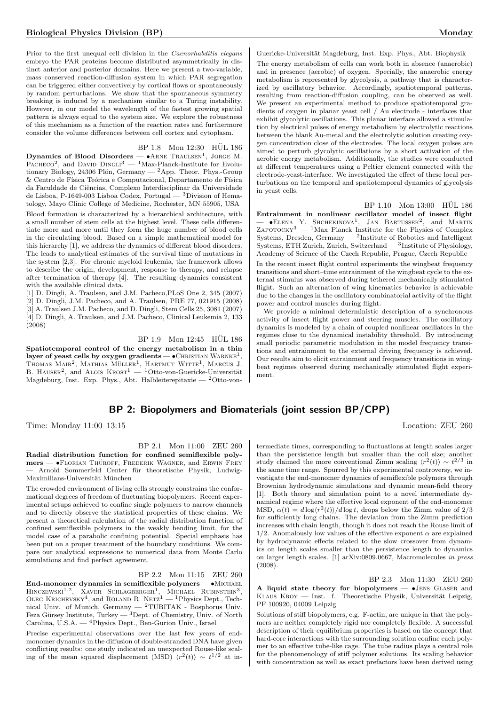Prior to the first unequal cell division in the Caenorhabditis elegans embryo the PAR proteins become distributed asymmetrically in distinct anterior and posterior domains. Here we present a two-variable, mass conserved reaction-diffusion system in which PAR segregation can be triggered either convectively by cortical flows or spontaneously by random perturbations. We show that the spontaneous symmetry breaking is induced by a mechanism similar to a Turing instability. However, in our model the wavelength of the fastest growing spatial pattern is always equal to the system size. We explore the robustness of this mechanism as a function of the reaction rates and furthermore consider the volume differences between cell cortex and cytoplasm.

BP 1.8 Mon 12:30 HÜL 186

Dynamics of Blood Disorders —  $\bullet$ ARNE TRAULSEN<sup>1</sup>, JORGE M. PACHECO<sup>2</sup>, and DAVID DINGLI<sup>3</sup> — <sup>1</sup>Max-Planck-Institute for Evolutionary Biology, 24306 Plön, Germany  $-{}^{2}$ App. Theor. Phys.-Group  $&$  Centro de Física Teórica e Computacional, Departamento de Física da Faculdade de Ciências, Complexo Interdisciplinar da Universidade de Lisboa, P-1649-003 Lisboa Codex, Portugal — <sup>3</sup>Division of Hematology, Mayo Clinic College of Medicine, Rochester, MN 55905, USA

Blood formation is characterized by a hierarchical architecture, with a small number of stem cells at the highest level. These cells differentiate more and more until they form the huge number of blood cells in the circulating blood. Based on a simple mathematical model for this hierarchy [1], we address the dynamics of different blood disorders. The leads to analytical estimates of the survival time of mutations in the system [2,3]. For chronic myeloid leukemia, the framework allows to describe the origin, development, response to therapy, and relapse after termination of therapy [4]. The resulting dynamics consistent with the available clinical data.

[1] D. Dingli, A. Traulsen, and J.M. Pacheco,PLoS One 2, 345 (2007) [2] D. Dingli, J.M. Pacheco, and A. Traulsen, PRE 77, 021915 (2008) [3] A. Traulsen J.M. Pacheco, and D. Dingli, Stem Cells 25, 3081 (2007) [4] D. Dingli, A. Traulsen, and J.M. Pacheco, Clinical Leukemia 2, 133  $(2008)$ 

BP 1.9 Mon 12:45 HUL 186 Spatiotemporal control of the energy metabolism in a thin layer of yeast cells by oxygen gradients —  $\bullet$  CHRISTIAN  $\text{WARME}^{1},$ THOMAS MAIR<sup>2</sup>, MATHIAS MÜLLER<sup>1</sup>, HARTMUT WITTE<sup>1</sup>, MARCUS J.<br>B. HAUSER<sup>2</sup>, and ALOIS KROST<sup>1</sup> — <sup>1</sup>Otto-von-Guericke-Universität Magdeburg, Inst. Exp. Phys., Abt. Halbleiterepitaxie — <sup>2</sup>Otto-von-

Guericke-Universität Magdeburg, Inst. Exp. Phys., Abt. Biophysik The energy metabolism of cells can work both in absence (anaerobic) and in presence (aerobic) of oxygen. Specially, the anaerobic energy metabolism is represented by glycolysis, a pathway that is characterized by oscillatory behavior. Accordingly, spatiotemporal patterns, resulting from reaction-diffusion coupling, can be observed as well. We present an experimental method to produce spatiotemporal gradients of oxygen in planar yeast cell / Au electrode - interfaces that exhibit glycolytic oscillations. This planar interface allowed a stimulation by electrical pulses of energy metabolism by electrolytic reactions between the blank Au-metal and the electrolytic solution creating oxygen concentration close of the electrodes. The local oxygen pulses are aimed to perturb glycolytic oscillations by a short activation of the aerobic energy metabolism. Additionally, the studies were conducted at different temperatures using a Peltier element connected with the electrode-yeast-interface. We investigated the effect of these local perturbations on the temporal and spatiotemporal dynamics of glycolysis in yeast cells.

 $BP 1.10$  Mon  $13:00$  HÜL  $186$ Entrainment in nonlinear oscillator model of insect flight  $-$  •Elena Y. Shchekinova<sup>1</sup>, Jan Bartussek<sup>2</sup>, and Martin  $Z$ APOTOCKY<sup>3</sup> — <sup>1</sup>Max Planck Institute for the Physics of Complex Systems, Dresden, Germany  $-$  <sup>2</sup>Institute of Robotics and Intelligent Systems, ETH Zurich, Zurich, Switzerland  $-3$  Institute of Physiology, Academy of Science of the Czech Republic, Prague, Czech Republic

In the recent insect flight control experiments the wingbeat frequency transitions and short–time entrainment of the wingbeat cycle to the external stimulus was observed during tethered mechanically stimulated flight. Such an alternation of wing kinematics behavior is achievable due to the changes in the oscillatory combinatorial activity of the flight power and control muscles during flight.

We provide a minimal deterministic description of a synchronous activity of insect flight power and steering muscles. The oscillatory dynamics is modeled by a chain of coupled nonlinear oscillators in the regimes close to the dynamical instability threshold. By introducing small periodic parametric modulation in the model frequency transitions and entrainment to the external driving frequency is achieved. Our results aim to elicit entrainment and frequency transitions in wingbeat regimes observed during mechanically stimulated flight experiment.

## BP 2: Biopolymers and Biomaterials (joint session BP/CPP)

Time: Monday 11:00–13:15 Location: ZEU 260

BP 2.1 Mon 11:00 ZEU 260

Radial distribution function for confined semiflexible polymers — •FLORIAN THÜROFF, FREDERIK WAGNER, and ERWIN FREY Arnold Sommerfeld Center für theoretische Physik, Ludwig-Maximilians-Universität München

The crowded environment of living cells strongly constrains the conformational degrees of freedom of fluctuating biopolymers. Recent experimental setups achieved to confine single polymers to narrow channels and to directly observe the statistical properties of these chains. We present a theoretical calculation of the radial distribution function of confined semiflexible polymers in the weakly bending limit, for the model case of a parabolic confining potential. Special emphasis has been put on a proper treatment of the boundary conditions. We compare our analytical expressions to numerical data from Monte Carlo simulations and find perfect agreement.

BP 2.2 Mon 11:15 ZEU 260

End-monomer dynamics in semiflexible polymers — •Michael HINCZEWSKI<sup>1,2</sup>, XAVER SCHLAGBERGER<sup>1</sup>, MICHAEL RUBINSTEIN<sup>3</sup>, OLEG KRICHEVSKY<sup>4</sup>, and ROLAND R. NETZ<sup>1</sup> — <sup>1</sup>Physics Dept., Technical Univ. of Munich, Germany — <sup>2</sup>TUBITAK - Bosphorus Univ. Feza Gürsey Institute, Turkey —  ${}^{3}$ Dept. of Chemistry, Univ. of North Carolina, U.S.A. — <sup>4</sup>Physics Dept., Ben-Gurion Univ., Israel

Precise experimental observations over the last few years of endmonomer dynamics in the diffusion of double-stranded DNA have given conflicting results: one study indicated an unexpected Rouse-like scaling of the mean squared displacement (MSD)  $\langle r^2(t) \rangle \sim t^{1/2}$  at in-

termediate times, corresponding to fluctuations at length scales larger than the persistence length but smaller than the coil size; another study claimed the more conventional Zimm scaling  $\langle r^2(t) \rangle \sim t^{2/3}$  in the same time range. Spurred by this experimental controversy, we investigate the end-monomer dynamics of semiflexible polymers through Brownian hydrodynamic simulations and dynamic mean-field theory [1]. Both theory and simulation point to a novel intermediate dynamical regime where the effective local exponent of the end-monomer MSD,  $\alpha(t) = d \log \langle r^2(t) \rangle / d \log t$ , drops below the Zimm value of 2/3 for sufficiently long chains. The deviation from the Zimm prediction increases with chain length, though it does not reach the Rouse limit of 1/2. Anomalously low values of the effective exponent  $\alpha$  are explained by hydrodynamic effects related to the slow crossover from dynamics on length scales smaller than the persistence length to dynamics on larger length scales. [1] arXiv:0809.0667, Macromolecules in press (2008).

BP 2.3 Mon 11:30 ZEU 260 A liquid state theory for biopolymers — •Jens Glaser and KLAUS KROY — Inst. f. Theoretische Physik, Universität Leipzig, PF 100920, 04009 Leipzig

Solutions of stiff biopolymers, e.g. F-actin, are unique in that the polymers are neither completely rigid nor completely flexible. A successful description of their equilibrium properties is based on the concept that hard-core interactions with the surrounding solution confine each polymer to an effective tube-like cage. The tube radius plays a central role for the phenomenology of stiff polymer solutions. Its scaling behavior with concentration as well as exact prefactors have been derived using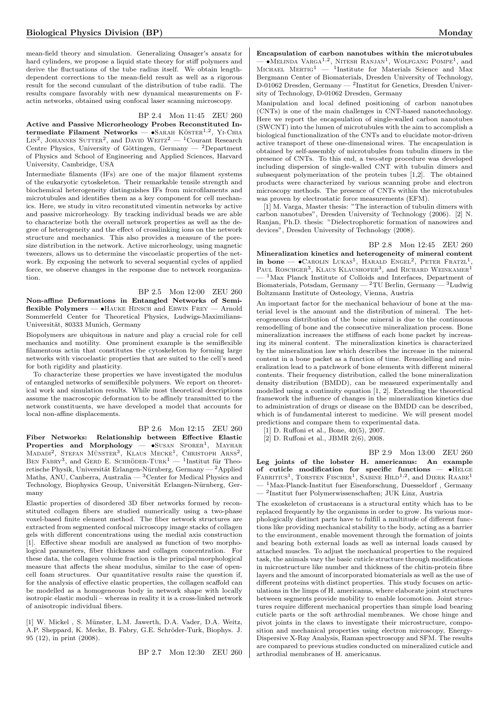mean-field theory and simulation. Generalizing Onsager's ansatz for hard cylinders, we propose a liquid state theory for stiff polymers and derive the fluctuations of the tube radius itself. We obtain lengthdependent corrections to the mean-field result as well as a rigorous result for the second cumulant of the distribution of tube radii. The results compare favorably with new dynamical measurements on Factin networks, obtained using confocal laser scanning microscopy.

#### BP 2.4 Mon 11:45 ZEU 260

Active and Passive Microrheology Probes Reconstituted Intermediate Filament Networks  $-$  •SARAH KÖSTER<sup>1,2</sup>, Y<sub>I</sub>-CHIA LIN<sup>2</sup>, JOHANNES SUTTER<sup>2</sup>, and DAVID WEITZ<sup>2</sup> — <sup>1</sup>Courant Research Centre Physics, University of Göttingen, Germany —  $^2$ Department of Physics and School of Engineering and Applied Sciences, Harvard University, Cambridge, USA

Intermediate filaments (IFs) are one of the major filament systems of the eukaryotic cytoskeleton. Their remarkable tensile strength and biochemical heterogeneity distinguishes IFs from microfilaments and microtubules and identifies them as a key component for cell mechanics. Here, we study in vitro reconstituted vimentin networks by active and passive microrheology. By tracking individual beads we are able to characterize both the overall network properties as well as the degree of heterogeneity and the effect of crosslinking ions on the network structure and mechanics. This also provides a measure of the poresize distribution in the network. Active microrheology, using magnetic tweezers, allows us to determine the viscoelastic properties of the network. By exposing the network to several sequential cycles of applied force, we observe changes in the response due to network reorganization.

BP 2.5 Mon 12:00 ZEU 260 Non-affine Deformations in Entangled Networks of Semiflexible Polymers — •Hauke Hinsch and Erwin Frey — Arnold

Sommerfeld Center for Theoretical Physics, Ludwigs-Maximilians-Universität, 80333 Munich, Germany Biopolymers are ubiquitous in nature and play a crucial role for cell

mechanics and motility. One prominent example is the semiflexible filamentous actin that constitutes the cytoskeleton by forming large networks with viscoelastic properties that are suited to the cell's need for both rigidity and plasticity.

To characterize these properties we have investigated the modulus of entangled networks of semiflexible polymers. We report on theoretical work and simulation results. While most theoretical descriptions assume the macroscopic deformation to be affinely transmitted to the network constituents, we have developed a model that accounts for local non-affine displacements.

BP 2.6 Mon 12:15 ZEU 260 Fiber Networks: Relationship between Effective Elastic Properties and Morphology - SUSAN SPORER<sup>1</sup>, MAYHAR MADADI<sup>2</sup>, STEFAN MÜNSTER<sup>3</sup>, KLAUS MECKE<sup>1</sup>, CHRISTOPH ARNS<sup>2</sup>, BEN FABRY<sup>3</sup>, and GERD E. SCHRÖDER-TURK<sup>1</sup> — <sup>1</sup>Institut für Theoretische Physik, Universität Erlangen-Nürnberg, Germany —  $^2$ Applied Maths, ANU, Canberra, Australia — <sup>3</sup>Center for Medical Physics and Technology, Biophysics Group, Universität Erlangen-Nürnberg, Germany

Elastic properties of disordered 3D fiber networks formed by reconstituted collagen fibers are studied numerically using a two-phase voxel-based finite element method. The fiber network structures are extracted from segmented confocal microscopy image stacks of collagen gels with different concentrations using the medial axis construction [1]. Effective shear moduli are analysed as function of two morphological parameters, fiber thickness and collagen concentration. For these data, the collagen volume fraction is the principal morphological measure that affects the shear modulus, similar to the case of opencell foam structures. Our quantitative results raise the question if, for the analysis of effective elastic properties, the collagen scaffold can be modelled as a homogeneous body in network shape with locally isotropic elastic moduli – whereas in reality it is a cross-linked network of anisotropic individual fibers.

[1] W. Mickel, S. Münster, L.M. Jawerth, D.A. Vader, D.A. Weitz, A.P. Sheppard, K. Mecke, B. Fabry, G.E. Schröder-Turk, Biophys. J. 95 (12), in print (2008).

BP 2.7 Mon 12:30 ZEU 260

Encapsulation of carbon nanotubes within the microtubules — •MELINDA VARGA<sup>1,2</sup>, NITESH RANJAN<sup>1</sup>, WOLFGANG POMPE<sup>1</sup>, and<br>MICHAEL MERTIG<sup>1</sup> — <sup>1</sup>Institute for Materials Science and Max Bergmann Center of Biomaterials, Dresden University of Technology, D-01062 Dresden, Germany — <sup>2</sup> Institut for Genetics, Dresden University of Technology, D-01062 Dresden, Germany

Manipulation and local defined positioning of carbon nanotubes (CNTs) is one of the main challenges in CNT-based nanotechnology. Here we report the encapsulation of single-walled carbon nanotubes (SWCNT) into the lumen of microtubules with the aim to accomplish a biological functionalization of the CNTs and to elucidate motor-driven active transport of these one-dimensional wires. The encapsulation is obtained by self-assembly of microtubules from tubulin dimers in the presence of CNTs. To this end, a two-step procedure was developed including dispersion of single-walled CNT with tubulin dimers and subsequent polymerization of the protein tubes [1,2]. The obtained products were characterized by various scanning probe and electron microscopy methods. The presence of CNTs within the microtubules was proven by electrostatic force measurements (EFM).

[1] M. Varga, Master thesis: "The interaction of tubulin dimers with carbon nanotubes", Dresden University of Technology (2006). [2] N. Ranjan, Ph.D. thesis: "Dielectrophoretic formation of nanowires and devices", Dresden University of Technology (2008).

BP 2.8 Mon 12:45 ZEU 260 Mineralization kinetics and heterogeneity of mineral content in bone —  $\bullet$ Carolin Lukas<sup>1</sup>, Harald Engel<sup>2</sup>, Peter Fratzl<sup>1</sup>, PAUL ROSCHGER<sup>3</sup>, KLAUS KLAUSHOFER<sup>3</sup>, and RICHARD WEINKAMER<sup>1</sup> <sup>1</sup>Max Planck Institute of Colloids and Interfaces, Department of Biomaterials, Potsdam, Germany — <sup>2</sup>TU Berlin, Germany — <sup>3</sup>Ludwig Boltzmann Institute of Osteology, Vienna, Austria

An important factor for the mechanical behaviour of bone at the material level is the amount and the distribution of mineral. The heterogeneous distribution of the bone mineral is due to the continuous remodelling of bone and the consecutive mineralization process. Bone mineralization increases the stiffness of each bone packet by increasing its mineral content. The mineralization kinetics is characterized by the mineralization law which describes the increase in the mineral content in a bone packet as a function of time. Remodelling and mineralization lead to a patchwork of bone elements with different mineral contents. Their frequency distribution, called the bone mineralization density distribution (BMDD), can be measured experimentally and modelled using a continuity equation [1, 2]. Extending the theoretical framework the influence of changes in the mineralization kinetics due to administration of drugs or disease on the BMDD can be described, which is of fundamental interest to medicine. We will present model predictions and compare them to experimental data.

[1] D. Ruffoni et al., Bone, 40(5), 2007.

[2] D. Ruffoni et al., JBMR 2(6), 2008.

BP 2.9 Mon 13:00 ZEU 260

Leg joints of the lobster H. americanus: An example of cuticle modification for specific functions — •Helge FABRITIUS<sup>1</sup>, TORSTEN FISCHER<sup>1</sup>, SABINE HILD<sup>1,2</sup>, and DIERK RAABE<sup>1</sup>  $^{1}\rm{Max-Planck-Institut}$ fuer Eisenforschung, Duesseldorf , Germany — <sup>2</sup> Institut fuer Polymerwissenschaften; JUK Linz, Austria

The exoskeleton of crustaceans is a structural entity which has to be replaced frequently by the organisms in order to grow. Its various morphologically distinct parts have to fulfill a multitude of different functions like providing mechanical stability to the body, acting as a barrier to the environment, enable movement through the formation of joints and bearing both external loads as well as internal loads caused by attached muscles. To adjust the mechanical properties to the required task, the animals vary the basic cuticle structure through modifications in microstructure like number and thickness of the chitin-protein fibre layers and the amount of incorporated biomaterials as well as the use of different proteins with distinct properties. This study focuses on articulations in the limps of H. americanus, where elaborate joint structures between segments provide mobility to enable locomotion. Joint structures require different mechanical properties than simple load bearing cuticle parts or the soft arthrodial membranes. We chose hinge and pivot joints in the claws to investigate their microstructure, composition and mechanical properties using electron microscopy, Energy-Dispersive X-Ray Analysis, Raman spectroscopy and SFM. The results are compared to previous studies conducted on mineralized cuticle and arthrodial membranes of H. americanus.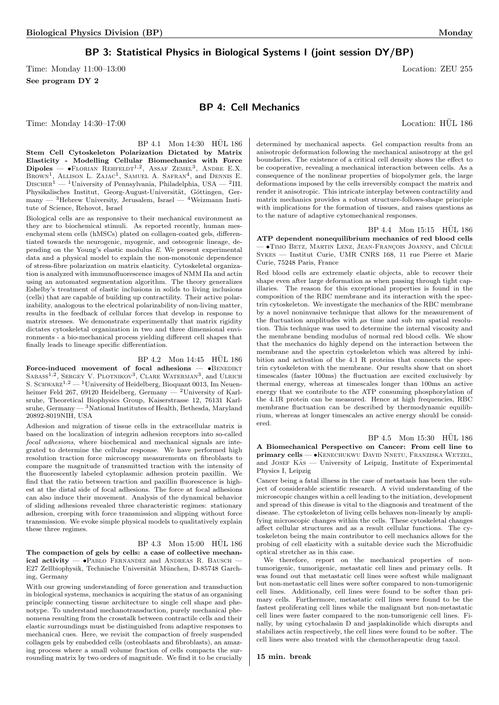## BP 3: Statistical Physics in Biological Systems I (joint session DY/BP)

Time: Monday 11:00–13:00 Location: ZEU 255 See program DY 2

## BP 4: Cell Mechanics

Time: Monday 14:30–17:00 Location: HÜL 186

tute of Science, Rehovot, Israel

 $BP$  4.1 Mon 14:30  $HÜL$  186 Stem Cell Cytoskeleton Polarization Dictated by Matrix determined by mechanical aspects. Gel compaction results from an anisotropic deformation following the mechanical anisotropy at the gel

Biological cells are as responsive to their mechanical environment as they are to biochemical stimuli. As reported recently, human mesenchymal stem cells (hMSCs) plated on collagen-coated gels, differentiated towards the neurogenic, myogenic, and osteogenic lineage, depending on the Young's elastic modulus E. We present experimental data and a physical model to explain the non-monotonic dependence of stress-fibre polarization on matrix elasticity. Cytoskeletal organization is analyzed with immunofluorescence images of NMM IIa and actin using an automated segmentation algorithm. The theory generalizes Eshelby's treatment of elastic inclusions in solids to living inclusions (cells) that are capable of building up contractility. Their active polarizability, analogous to the electrical polarizability of non-living matter, results in the feedback of cellular forces that develop in response to matrix stresses. We demonstrate experimentally that matrix rigidity dictates cytoskeletal organization in two and three dimensional environments - a bio-mechanical process yielding different cell shapes that finally leads to lineage specific differentiation.

Elasticity - Modelling Cellular Biomechanics with Force<br>Dipoles — •Florian Rehfeldt<sup>1,2</sup>, Assaf Zemel<sup>3</sup>, Andre E.X. BROWN<sup>1</sup>, ALLISON L. ZAJAC<sup>1</sup>, SAMUEL A. SAFRAN<sup>4</sup>, and DENNIS E.  $D$ ISCHER<sup>1</sup> — <sup>1</sup>University of Pennsylvania, Philadelphia, USA — <sup>2</sup>III. Physikalisches Institut, Georg-August-Universität, Göttingen, Ger $m$ any — <sup>3</sup>Hebrew University, Jerusalem, Israel — <sup>4</sup>Weizmann Insti-

#### BP 4.2 Mon 14:45 HÜL 186

Force-induced movement of focal adhesions  $\bullet$ BENEDIKT SABASS<sup>1,2</sup>, SERGEY V. PLOTNIKOV<sup>3</sup>, CLARE WATERMAN<sup>3</sup>, and ULRICH S. SCHWARZ<sup>1,2</sup> — <sup>1</sup>University of Heidelberg, Bioquant 0013, Im Neuenheimer Feld 267, 69120 Heidelberg, Germany — <sup>2</sup>University of Karlsruhe, Theoretical Biophysics Group, Kaiserstrasse 12, 76131 Karlsruhe, Germany — 3National Institutes of Health, Bethesda, Maryland 20892-8019NIH, USA

Adhesion and migration of tissue cells in the extracellular matrix is based on the localization of integrin adhesion receptors into so-called focal adhesions, where biochemical and mechanical signals are integrated to determine the cellular response. We have performed high resolution traction force microscopy measurements on fibroblasts to compare the magnitude of transmitted traction with the intensity of the fluorescently labeled cytoplasmic adhesion protein paxillin. We find that the ratio between traction and paxillin fluorescence is highest at the distal side of focal adhesions. The force at focal adhesions can also induce their movement. Analysis of the dynamical behavior of sliding adhesions revealed three characteristic regimes: stationary adhesion, creeping with force transmission and slipping without force transmission. We evoke simple physical models to qualitatively explain these three regimes.

 $BP$  4.3 Mon 15:00 HÜL 186 The compaction of gels by cells: a case of collective mechanical activity —  $\bullet$ PABLO FERNANDEZ and ANDREAS R. BAUSCH -E27 Zellbiophysik, Technische Universität München, D-85748 Garching, Germany

With our growing understanding of force generation and transduction in biological systems, mechanics is acquiring the status of an organising principle connecting tissue architecture to single cell shape and phenotype. To understand mechanotransduction, purely mechanical phenomena resulting from the crosstalk between contractile cells and their elastic surroundings must be distinguished from adaptive responses to mechanical cues. Here, we revisit the compaction of freely suspended collagen gels by embedded cells (osteoblasts and fibroblasts), an amazing process where a small volume fraction of cells compacts the surrounding matrix by two orders of magnitude. We find it to be crucially

boundaries. The existence of a critical cell density shows the effect to be cooperative, revealing a mechanical interaction between cells. As a consequence of the nonlinear properties of biopolymer gels, the large deformations imposed by the cells irreversibly compact the matrix and render it anisotropic. This intricate interplay between contractility and matrix mechanics provides a robust structure-follows-shape principle with implications for the formation of tissues, and raises questions as to the nature of adaptive cytomechanical responses.

BP 4.4 Mon 15:15 HÜL 186 ATP dependent nonequilibrium mechanics of red blood cells  $\bullet$ Timo Betz, Martin Lenz, Jean-François Joanny, and Cécile Sykes — Institut Curie, UMR CNRS 168, 11 rue Pierre et Marie Curie, 75248 Paris, France

Red blood cells are extremely elastic objects, able to recover their shape even after large deformation as when passing through tight capillaries. The reason for this exceptional properties is found in the composition of the RBC membrane and its interaction with the spectrin cytoskeleton. We investigate the mechanics of the RBC membrane by a novel noninvasive technique that allows for the measurement of the fluctuation amplitudes with  $\mu$ s time and sub nm spatial resolution. This technique was used to determine the internal viscosity and the membrane bending modulus of normal red blood cells. We show that the mechanics do highly depend on the interaction between the membrane and the spectrin cytoskeleton which was altered by inhibition and activation of the 4.1 R proteins that connects the spectrin cytoskeleton with the membrane. Our results show that on short timescales (faster 100ms) the fluctuation are excited exclusively by thermal energy, whereas at timescales longer than 100ms an active energy that we contribute to the ATP consuming phosphorylation of the 4.1R protein can be measured. Hence at high frequencies, RBC membrane fluctuation can be described by thermodynamic equilibrium, whereas at longer timescales an active energy should be considered.

BP 4.5 Mon 15:30 HUL 186 A Biomechanical Perspective on Cancer: From cell line to primary cells — •Kenechukwu David Nnetu, Franziska Wetzel, and JOSEF KÄS — University of Leipzig, Institute of Experimental Physics I, Leipzig

Cancer being a fatal illness in the case of metastasis has been the subject of considerable scientific research. A vivid understanding of the microscopic changes within a cell leading to the initiation, development and spread of this disease is vital to the diagnosis and treatment of the disease. The cytoskeleton of living cells behaves non-linearly by amplifying microscopic changes within the cells. These cytoskeletal changes affect cellular structures and as a result cellular functions. The cytoskeleton being the main contributor to cell mechanics allows for the probing of cell elasticity with a suitable device such the Microfluidic optical stretcher as in this case.

We therefore, report on the mechanical properties of nontumorigenic, tumorigenic, metastatic cell lines and primary cells. It was found out that metastatic cell lines were softest while malignant but non-metastatic cell lines were softer compared to non-tumorigenic cell lines. Additionally, cell lines were found to be softer than primary cells. Furthermore, metastatic cell lines were found to be the fastest proliferating cell lines while the malignant but non-metastatic cell lines were faster compared to the non-tumorigenic cell lines. Finally, by using cytochalasin D and jasplakinolide which disrupts and stabilizes actin respectively, the cell lines were found to be softer. The cell lines were also treated with the chemotherapeutic drug taxol.

#### 15 min. break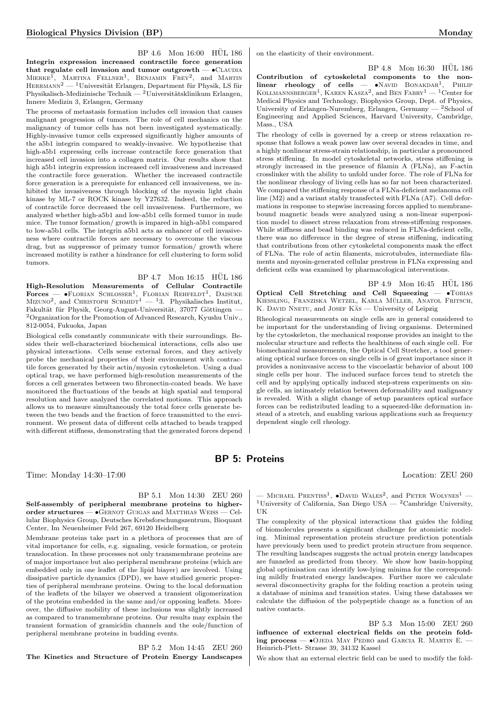$BP\ 4.6$  Mon  $16:00$  HUL 186 Integrin expression increased contractile force generation that regulate cell invasion and tumor outgrowth  $\bullet$ CLAUDIA MIERKE<sup>I</sup>, MARTINA FELLNER<sup>1</sup>, BENJAMIN FREY<sup>2</sup>, and MARTIN  $\textsc{HERMANN}^\mathrm{2}$  —  $\mathrm{^{1}Universität Erlangen},$  Department für Physik, LS für Physikalisch-Medizinische Technik — <sup>2</sup>Universitätsklinikum Erlangen, Innere Medizin 3, Erlangen, Germany

The process of metastasis formation includes cell invasion that causes malignant progression of tumors. The role of cell mechanics on the malignancy of tumor cells has not been investigated systematically. Highly-invasive tumor cells expressed significantly higher amounts of the a5b1 integrin compared to weakly-invasive. We hypothezise that high-a5b1 expressing cells increase contractile force generation that increased cell invasion into a collagen matrix. Our results show that high a5b1 integrin expression increased cell invasiveness and increased the contractile force generation. Whether the increased contractile force generation is a prerequiste for enhanced cell invasiveness, we inhibited the invasiveness through blocking of the myosin light chain kinase by ML-7 or ROCK kinase by Y27632. Indeed, the reduction of contractile force decreased the cell invasiveness. Furthermore, we analyzed whether high-a5b1 and low-a5b1 cells formed tumor in nude mice. The tumor formation/ growth is impared in high-a5b1 compared to low-a5b1 cells. The integrin a5b1 acts as enhancer of cell invasiveness where contractile forces are necessary to overcome the viscous drag, but as suppressor of primary tumor formation/ growth where increased motility is rather a hindrance for cell clustering to form solid tumors.

BP 4.7 Mon 16:15 HÜL 186 High-Resolution Measurements of Cellular Contractile  $\textbf{Forces}$   $\textbf{—}\ \bullet \text{FLORIAN}\ \text{SCHLOSSER}^1$ ,  $\text{FLORIAN}\ \text{REHFELDT}^1$ ,  $\text{DAISUKE}$ MIZUNO<sup>2</sup>, and CHRISTOPH SCHMIDT<sup>1</sup> — <sup>1</sup>3. Physikalisches Institut, Fakultät für Physik, Georg-August-Universität, 37077 Göttingen <sup>2</sup>Organization for the Promotion of Advanced Research, Kyushu Univ., 812-0054, Fukuoka, Japan

Biological cells constantly communicate with their surroundings. Besides their well-characterized biochemical interactions, cells also use physical interactions. Cells sense external forces, and they actively probe the mechanical properties of their environment with contractile forces generated by their actin/myosin cytoskeleton. Using a dual optical trap, we have performed high-resolution measurements of the forces a cell generates between two fibronectin-coated beads. We have monitored the fluctuations of the beads at high spatial and temporal resolution and have analyzed the correlated motions. This approach allows us to measure simultaneously the total force cells generate between the two beads and the fraction of force transmitted to the environment. We present data of different cells attached to beads trapped with different stiffness, demonstrating that the generated forces depend on the elasticity of their environment.

BP 4.8 Mon 16:30 HÜL 186 Contribution of cytoskeletal components to the non $linear$  rheology of cells —  $\bullet$ NAVID BONAKDAR<sup>1</sup>, PHILIP KOLLMANNSBERGER<sup>1</sup>, KAREN KASZA<sup>2</sup>, and BEN FABRY<sup>1</sup> — <sup>1</sup>Center for Medical Physics and Technology, Biophysics Group, Dept. of Physics, University of Erlangen-Nuremberg, Erlangen, Germany — <sup>2</sup>School of Engineering and Applied Sciences, Harvard University, Cambridge, Mass., USA

The rheology of cells is governed by a creep or stress relaxation response that follows a weak power law over several decades in time, and a highly nonlinear stress-strain relationship, in particular a pronounced stress stiffening. In model cytoskeletal networks, stress stiffening is strongly increased in the presence of filamin A (FLNa), an F-actin crosslinker with the ability to unfold under force. The role of FLNa for the nonlinear rheology of living cells has so far not been characterized. We compared the stiffening response of a FLNa-deficient melanoma cell line (M2) and a variant stably transfected with FLNa (A7). Cell deformations in response to stepwise increasing forces applied to membranebound magnetic beads were analyzed using a non-linear superposition model to dissect stress relaxation from stress-stiffening responses. While stiffness and bead binding was reduced in FLNa-deficient cells, there was no difference in the degree of stress stiffening, indicating that contributions from other cytoskeletal components mask the effect of FLNa. The role of actin filaments, microtubules, intermediate filaments and myosin-generated cellular prestress in FLNa expressing and deficient cells was examined by pharmacological interventions.

BP 4.9 Mon 16:45 HUL 186 Optical Cell Stretching and Cell Squeezing — •Tobias KIESSLING, FRANZISKA WETZEL, KARLA MÜLLER, ANATOL FRITSCH, K. DAVID NNETU, and JOSEF KAS — University of Leipzig

Rheological measurements on single cells are in general considered to be important for the understanding of living organisms. Determined by the cytoskeleton, the mechanical response provides an insight to the molecular structure and reflects the healthiness of each single cell. For biomechanical measurements, the Optical Cell Stretcher, a tool generating optical surface forces on single cells is of great importance since it provides a noninvasive access to the viscoelastic behavior of about 100 single cells per hour. The induced surface forces tend to stretch the cell and by applying optically induced step-stress experiments on single cells, an intimately relation between deformability and malignancy is revealed. With a slight change of setup paramters optical surface forces can be redistributed leading to a squeezed-like deformation instead of a stretch, and enabling various applications such as frequency dependent single cell rheology.

## BP 5: Proteins

Time: Monday 14:30–17:00 Location: ZEU 260

BP 5.1 Mon 14:30 ZEU 260 Self-assembly of peripheral membrane proteins to higherorder structures — •Gernot Guigas and Matthias Weiss — Cel-

lular Biophysics Group, Deutsches Krebsforschungszentrum, Bioquant Center, Im Neuenheimer Feld 267, 69120 Heidelberg

Membrane proteins take part in a plethora of processes that are of vital importance for cells, e.g. signaling, vesicle formation, or protein translocation. In these processes not only transmembrane proteins are of major importance but also peripheral membrane proteins (which are embedded only in one leaflet of the lipid biayer) are involved. Using dissipative particle dynamics (DPD), we have studied generic properties of peripheral membrane proteins. Owing to the local deformation of the leaflets of the bilayer we observed a transient oligomerization of the proteins embedded in the same and/or opposing leaflets. Moreover, the diffusive mobility of these inclusions was slightly increased as compared to transmembrane proteins. Our results may explain the transient formation of gramicidin channels and the eole/function of peripheral membrane proteins in budding events.

BP 5.2 Mon 14:45 ZEU 260 The Kinetics and Structure of Protein Energy Landscapes

— MICHAEL PRENTISS<sup>1</sup>,  $\bullet$ DAVID WALES<sup>2</sup>, and PETER WOLYNES<sup>1</sup> — <sup>1</sup>University of California, San Diego USA — <sup>2</sup>Cambridge University, UK

The complexity of the physical interactions that guides the folding of biomolecules presents a significant challenge for atomistic modeling. Minimal representation protein structure prediction potentials have previously been used to predict protein structure from sequence. The resulting landscapes suggests the actual protein energy landscapes are funneled as predicted from theory. We show how basin-hopping global optimisation can identify low-lying minima for the corresponding mildly frustrated energy landscapes. Further more we calculate several disconnectivity graphs for the folding reaction a protein using a database of minima and transition states. Using these databases we calculate the diffusion of the polypeptide change as a function of an native contacts.

BP 5.3 Mon 15:00 ZEU 260 influence of external electrical fields on the protein folding process  $\bullet$ OJEDA MAY PEDRO and GARCIA R. MARTIN E.  $-$ Heinrich-Plett- Strasse 39, 34132 Kassel

We show that an external electric field can be used to modify the fold-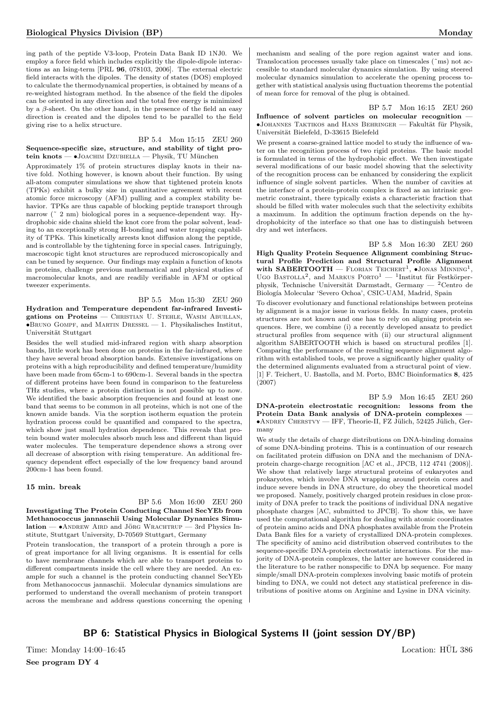ing path of the peptide V3-loop, Protein Data Bank ID 1NJ0. We employ a force field which includes explicitly the dipole-dipole interactions as an Ising-term [PRL 96, 078103, 2006]. The external electric field interacts with the dipoles. The density of states (DOS) employed to calculate the thermodynamical properties, is obtained by means of a re-weighted histogram method. In the absence of the field the dipoles can be oriented in any direction and the total free energy is minimized by a  $\beta$ -sheet. On the other hand, in the presence of the field an easy direction is created and the dipoles tend to be parallel to the field giving rise to a helix structure.

#### BP 5.4 Mon 15:15 ZEU 260 Sequence-specific size, structure, and stability of tight protein knots —  $\bullet$ JOACHIM DZUBIELLA — Physik, TU München

Approximately 1% of protein structures display knots in their native fold. Nothing however, is known about their function. By using all-atom computer simulations we show that tightened protein knots (TPKs) exhibit a bulky size in quantitative agreement with recent atomic force microscopy (AFM) pulling and a complex stability behavior. TPKs are thus capable of blocking peptide transport through narrow ( $\degree$  2 nm) biological pores in a sequence-dependent way. Hydrophobic side chains shield the knot core from the polar solvent, leading to an exceptionally strong H-bonding and water trapping capability of TPKs. This kinetically arrests knot diffusion along the peptide, and is controllable by the tightening force in special cases. Intriguingly, macroscopic tight knot structures are reproduced microscopically and can be tuned by sequence. Our findings may explain a function of knots in proteins, challenge previous mathematical and physical studies of macromolecular knots, and are readily verifiable in AFM or optical tweezer experiments.

#### BP 5.5 Mon 15:30 ZEU 260

Hydration and Temperature dependent far-infrared Investigations on Proteins — Christian U. Stehle, Wasim Abuillan,  $\bullet$ Bruno Gompf, and MARTIN DRESSEL  $-$  1. Physikalisches Institut, Universität Stuttgart

Besides the well studied mid-infrared region with sharp absorption bands, little work has been done on proteins in the far-infrared, where they have several broad absorption bands. Extensive investigations on proteins with a high reproducibility and defined temperature/humidity have been made from 65cm-1 to 690cm-1. Several bands in the spectra of different proteins have been found in comparison to the featureless THz studies, where a protein distinction is not possible up to now. We identified the basic absorption frequencies and found at least one band that seems to be common in all proteins, which is not one of the known amide bands. Via the sorption isotherm equation the protein hydration process could be quantified and compared to the spectra, which show just small hydration dependence. This reveals that protein bound water molecules absorb much less and different than liquid water molecules. The temperature dependence shows a strong over all decrease of absorption with rising temperature. An additional frequency dependent effect especially of the low frequency band around 200cm-1 has been found.

#### 15 min. break

BP 5.6 Mon 16:00 ZEU 260 Investigating The Protein Conducting Channel SecYEb from Methanococcus jannaschii Using Molecular Dynamics Simu $lation - \bullet$ ANDREW AIRD and JÖRG WRACHTRUP  $-$  3rd Physics Institute, Stuttgart University, D-70569 Stuttgart, Germany

Protein translocation, the transport of a protein through a pore is of great importance for all living organisms. It is essential for cells to have membrane channels which are able to transport proteins to different compartments inside the cell where they are needed. An example for such a channel is the protein conducting channel SecYEb from Methanococcus jannaschii. Molecular dynamics simulations are performed to understand the overall mechanism of protein transport across the membrane and address questions concerning the opening mechanism and sealing of the pore region against water and ions. Translocation processes usually take place on timescales (˜ms) not accessible to standard molecular dynamics simulation. By using steered molecular dynamics simulation to accelerate the opening process together with statistical analysis using fluctuation theorems the potential of mean force for removal of the plug is obtained.

BP 5.7 Mon 16:15 ZEU 260 Influence of solvent particles on molecular recognition —  $\bullet$ JOHANNES TAKTIKOS and HANS BEHRINGER — Fakultät für Physik, Universität Bielefeld, D-33615 Bielefeld

We present a coarse-grained lattice model to study the influence of water on the recognition process of two rigid proteins. The basic model is formulated in terms of the hydrophobic effect. We then investigate several modifications of our basic model showing that the selectivity of the recognition process can be enhanced by considering the explicit influence of single solvent particles. When the number of cavities at the interface of a protein-protein complex is fixed as an intrinsic geometric constraint, there typically exists a characteristic fraction that should be filled with water molecules such that the selectivity exhibits a maximum. In addition the optimum fraction depends on the hydrophobicity of the interface so that one has to distinguish between dry and wet interfaces.

BP 5.8 Mon 16:30 ZEU 260 High Quality Protein Sequence Alignment combining Structural Profile Prediction and Structural Profile Alignment with SABERTOOTH – FLORIAN TEICHERT<sup>1</sup>,  $\bullet$ JONAS MINNING<sup>1</sup>, UGO BASTOLLA<sup>2</sup>, and MARKUS PORTO<sup>1</sup> - <sup>1</sup>Institut für Festkörperphysik, Technische Universität Darmstadt, Germany — <sup>2</sup>Centro de Biología Molecular 'Severo Ochoa', CSIC-UAM, Madrid, Spain

To discover evolutionary and functional relationships between proteins by alignment is a major issue in various fields. In many cases, protein structures are not known and one has to rely on aligning protein sequences. Here, we combine (i) a recently developed ansatz to predict structural profiles from sequence with (ii) our structural alignment algorithm SABERTOOTH which is based on structural profiles [1]. Comparing the performance of the resulting sequence alignment algorithm with established tools, we prove a significantly higher quality of the determined alignments evaluated from a structural point of view. [1] F. Teichert, U. Bastolla, and M. Porto, BMC Bioinformatics 8, 425 (2007)

BP 5.9 Mon 16:45 ZEU 260 DNA-protein electrostatic recognition: lessons from the Protein Data Bank analysis of DNA-protein complexes —  $\bullet$ ANDREY CHERSTVY — IFF, Theorie-II, FZ Jülich, 52425 Jülich, Germany

We study the details of charge distributions on DNA-binding domains of some DNA-binding proteins. This is a continuation of our research on facilitated protein diffusion on DNA and the mechanism of DNAprotein charge-charge recognition [AC et al., JPCB, 112 4741 (2008)]. We show that relatively large structural proteins of eukaryotes and prokaryotes, which involve DNA wrapping around protein cores and induce severe bends in DNA structure, do obey the theoretical model we proposed. Namely, positively charged protein residues in close proximity of DNA prefer to track the positions of individual DNA negative phosphate charges [AC, submitted to JPCB]. To show this, we have used the computational algorithm for dealing with atomic coordinates of protein amino acids and DNA phosphates available from the Protein Data Bank files for a variety of crystallized DNA-protein complexes. The specificity of amino acid distribution observed contributes to the sequence-specific DNA-protein electrostatic interactions. For the majority of DNA-protein complexes, the latter are however considered in the literature to be rather nonspecific to DNA bp sequence. For many simple/small DNA-protein complexes involving basic motifs of protein binding to DNA, we could not detect any statistical preference in distributions of positive atoms on Arginine and Lysine in DNA vicinity.

## BP 6: Statistical Physics in Biological Systems II (joint session DY/BP)

Time: Monday 14:00–16:45 Location: HUL 386

See program DY 4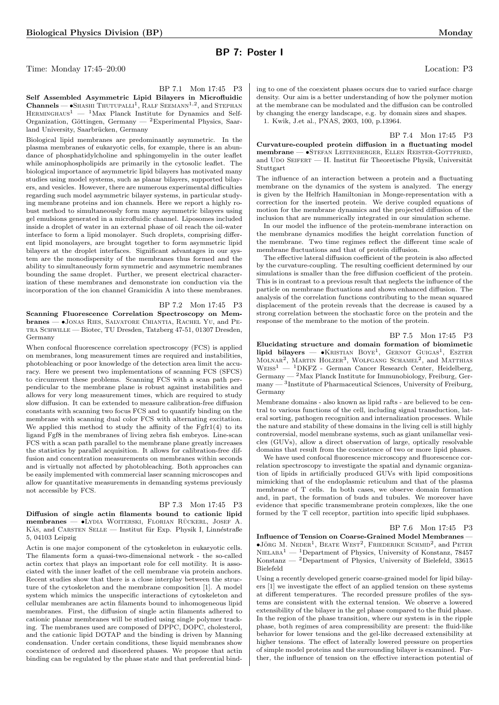## BP 7: Poster I

Time: Monday 17:45–20:00 Location: P3

Self Assembled Asymmetric Lipid Bilayers in Microfluidic  $\text{Channels} \longrightarrow \text{SHASHI}$  Thutupalli<sup>1</sup>, Ralf Seemann<sup>1,2</sup>, and Stephan  ${\rm HERMINGHAUS^1} \;-\;{\rm^1Max}$  Planck Institute for Dynamics and Self-Organization, Göttingen, Germany —  ${}^{2}$ Experimental Physics, Saarland University, Saarbrücken, Germany

Biological lipid membranes are predominantly asymmetric. In the plasma membranes of eukaryotic cells, for example, there is an abundance of phosphatidylcholine and sphingomyelin in the outer leaflet while aminophospholipids are primarily in the cytosolic leaflet. The biological importance of asymmetric lipid bilayers has motivated many studies using model systems, such as planar bilayers, supported bilayers, and vesicles. However, there are numerous experimental difficulties regarding such model asymmetric bilayer systems, in particular studying membrane proteins and ion channels. Here we report a highly robust method to simultaneously form many asymmetric bilayers using gel emulsions generated in a microfluidic channel. Liposomes included inside a droplet of water in an external phase of oil reach the oil-water interface to form a lipid monolayer. Such droplets, comprising different lipid monolayers, are brought together to form asymmetric lipid bilayers at the droplet interfaces. Significant advantages in our system are the monodispersity of the membranes thus formed and the ability to simultaneously form symmetric and asymmetric membranes bounding the same droplet. Further, we present electrical characterization of these membranes and demonstrate ion conduction via the incorporation of the ion channel Gramicidin A into these membranes.

BP 7.2 Mon 17:45 P3

Scanning Fluorescence Correlation Spectroscopy on Membranes — •Jonas Ries, Salvatore Chiantia, Rachel Yu, and Petra Schwille — Biotec, TU Dresden, Tatzberg 47-51, 01307 Dresden, Germany

When confocal fluorescence correlation spectroscopy (FCS) is applied on membranes, long measurement times are required and instabilities, photobleaching or poor knowledge of the detection area limit the accuracy. Here we present two implementations of scanning FCS (SFCS) to circumvent these problems. Scanning FCS with a scan path perpendicular to the membrane plane is robust against instabilities and allows for very long measurement times, which are required to study slow diffusion. It can be extended to measure calibration-free diffusion constants with scanning two focus FCS and to quantify binding on the membrane with scanning dual color FCS with alternating excitation. We applied this method to study the affinity of the Fgfr1(4) to its ligand Fgf8 in the membranes of living zebra fish embryos. Line-scan FCS with a scan path parallel to the membrane plane greatly increases the statistics by parallel acquisition. It allows for calibration-free diffusion and concentration measurements on membranes within seconds and is virtually not affected by photobleaching. Both approaches can be easily implemented with commercial laser scanning microscopes and allow for quantitative measurements in demanding systems previously not accessible by FCS.

#### BP 7.3 Mon 17:45 P3

Diffusion of single actin filaments bound to cationic lipid membranes — •Lydia Woiterski, Florian Rückerl, Josef A. KÄS, and CARSTEN SELLE — Institut für Exp. Physik I, Linnéstraße 5, 04103 Leipzig

Actin is one major component of the cytoskeleton in eukaryotic cells. The filaments form a quasi-two-dimensional network - the so-called actin cortex that plays an important role for cell motility. It is associated with the inner leaflet of the cell membrane via protein anchors. Recent studies show that there is a close interplay between the structure of the cytoskeleton and the membrane composition [1]. A model system which mimics the unspecific interactions of cytoskeleton and cellular membranes are actin filaments bound to inhomogeneous lipid membranes. First, the diffusion of single actin filaments adhered to cationic planar membranes will be studied using single polymer tracking. The membranes used are composed of DPPC, DOPC, cholesterol, and the cationic lipid DOTAP and the binding is driven by Manning condensation. Under certain conditions, these liquid membranes show coexistence of ordered and disordered phases. We propose that actin binding can be regulated by the phase state and that preferential binding to one of the coexistent phases occurs due to varied surface charge density. Our aim is a better understanding of how the polymer motion at the membrane can be modulated and the diffusion can be controlled by changing the energy landscape, e.g. by domain sizes and shapes. 1. Kwik, J.et al., PNAS, 2003, 100, p.13964.

BP 7.4 Mon 17:45 P3

Curvature-coupled protein diffusion in a fluctuating model membrane — •Stefan Leitenberger, Ellen Reister-Gottfried, and UDO SEIFERT — II. Institut für Theoretische Physik, Universität Stuttgart

The influence of an interaction between a protein and a fluctuating membrane on the dynamics of the system is analyzed. The energy is given by the Helfrich Hamiltonian in Monge-representation with a correction for the inserted protein. We derive coupled equations of motion for the membrane dynamics and the projected diffusion of the inclusion that are nummerically integrated in our simulation scheme.

In our model the influence of the protein-membrane interaction on the membrane dynamics modifies the height correlation function of the membrane. Two time regimes reflect the different time scale of membrane fluctuations and that of protein diffusion.

The effective lateral diffusion coefficient of the protein is also affected by the curvature-coupling. The resulting coefficient determined by our simulations is smaller than the free diffusion coefficient of the protein. This is in contrast to a previous result that neglects the influence of the particle on membrane fluctuations and shows enhanced diffusion. The analysis of the correlation functions contributing to the mean squared displacement of the protein reveals that the decrease is caused by a strong correlation between the stochastic force on the protein and the response of the membrane to the motion of the protein.

#### BP 7.5 Mon 17:45 P3

Elucidating structure and domain formation of biomimetic lipid bilayers -  $\bullet$ KRISTIAN BOYE<sup>1</sup>, GERNOT GUIGAS<sup>1</sup>, ESZTER MOLNAR<sup>2</sup>, MARTIN HOLZER<sup>3</sup>, WOLFGANG SCHAMEL<sup>2</sup>, and MATTHIAS  $W = \supseteq W = \text{KFZ}$  - German Cancer Research Center, Heidelberg,  $Germany - <sup>2</sup>Max Planck Institute for Immunobiology, Freiburg, Ger-<sup>2</sup>$  $\text{many} \longrightarrow 3$ Institute of Pharmaceutical Sciences, University of Freiburg, Germany

Membrane domains - also known as lipid rafts - are believed to be central to various functions of the cell, including signal transduction, lateral sorting, pathogen recognition and internalization processes. While the nature and stability of these domains in the living cell is still highly controversial, model membrane systems, such as giant unilamellar vesicles (GUVs), allow a direct observation of large, optically resolvable domains that result from the coexistence of two or more lipid phases.

We have used confocal fluorescence microscopy and fluorescence correlation spectroscopy to investigate the spatial and dynamic organization of lipids in artificially produced GUVs with lipid compositions mimicking that of the endoplasmic reticulum and that of the plasma membrane of T cells. In both cases, we observe domain formation and, in part, the formation of buds and tubules. We moreover have evidence that specific transmembrane protein complexes, like the one formed by the T cell receptor, partition into specific lipid subphases.

#### BP 7.6 Mon 17:45 P3

Influence of Tension on Coarse-Grained Model Membranes —  $\bullet$ JÖRG M. NEDER<sup>1</sup>, BEATE WEST<sup>2</sup>, FRIEDERIKE SCHMID<sup>2</sup>, and PETER  $NIELABA<sup>1</sup>$  — <sup>1</sup>Department of Physics, University of Konstanz, 78457 Konstanz — <sup>2</sup>Department of Physics, University of Bielefeld, 33615 Bielefeld

Using a recently developed generic coarse-grained model for lipid bilayers [1] we investigate the effect of an applied tension on these systems at different temperatures. The recorded pressure profiles of the systems are consistent with the external tension. We observe a lowered extensibility of the bilayer in the gel phase compared to the fluid phase. In the region of the phase transition, where our system is in the ripple phase, both regimes of area compressibility are present: the fluid-like behavior for lower tensions and the gel-like decreased extensibility at higher tensions. The effect of laterally lowered pressure on properties of simple model proteins and the surrounding bilayer is examined. Further, the influence of tension on the effective interaction potential of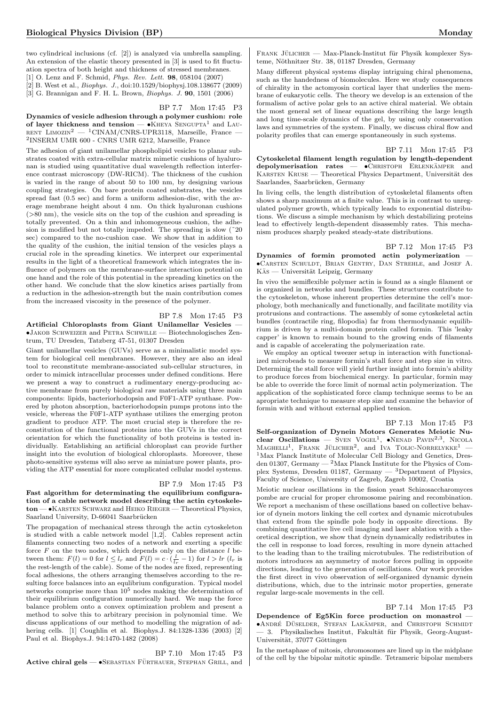two cylindrical inclusions (cf. [2]) is analyzed via umbrella sampling. An extension of the elastic theory presented in [3] is used to fit fluctuation spectra of both height and thickness of stressed membranes.

[1] O. Lenz and F. Schmid, Phys. Rev. Lett. 98, 058104 (2007)

[2] B. West et al., Biophys. J., doi:10.1529/biophysj.108.138677 (2009)

[3] G. Brannigan and F. H. L. Brown, Biophys. J. 90, 1501 (2006)

BP 7.7 Mon 17:45 P3

Dynamics of vesicle adhesion through a polymer cushion: role of layer thickness and tension —  $\bullet$ KHEYA SENGUPTA<sup>1</sup> and LAU- $RENT$  LIMOZIN<sup>2</sup> — <sup>1</sup>CINAM/CNRS-UPR3118, Marseille, France — 2 INSERM UMR 600 - CNRS UMR 6212, Marseille, France

The adhesion of giant unilamellar phospholipid vesicles to planar substrates coated with extra-cellular matrix mimetic cushions of hyaluronan is studied using quantitative dual wavelength reflection interference contrast microscopy (DW-RICM). The thickness of the cushion is varied in the range of about 50 to 100 nm, by designing various coupling strategies. On bare protein coated substrates, the vesicles spread fast (0.5 sec) and form a uniform adhesion-disc, with the average membrane height about 4 nm. On thick hyaluronan cushions (>80 nm), the vesicle sits on the top of the cushion and spreading is totally prevented. On a thin and inhomogeneous cushion, the adhesion is modified but not totally impeded. The spreading is slow (˜20 sec) compared to the no-cushion case. We show that in addition to the quality of the cushion, the initial tension of the vesicles plays a crucial role in the spreading kinetics. We interpret our experimental results in the light of a theoretical framework which integrates the influence of polymers on the membrane-surface interaction potential on one hand and the role of this potential in the spreading kinetics on the other hand. We conclude that the slow kinetics arises partially from a reduction in the adhesion-strength but the main contribution comes from the increased viscosity in the presence of the polymer.

#### BP 7.8 Mon 17:45 P3

Artificial Chloroplasts from Giant Unilamellar Vesicles — •Jakob Schweizer and Petra Schwille — Biotechnologisches Zentrum, TU Dresden, Tatzberg 47-51, 01307 Dresden

Giant unilamellar vesicles (GUVs) serve as a minimalistic model system for biological cell membranes. However, they are also an ideal tool to reconstitute membrane-associated sub-cellular structures, in order to mimick intracellular processes under defined conditions. Here we present a way to construct a rudimentary energy-producing active membrane from purely biological raw materials using three main components: lipids, bacteriorhodopsin and F0F1-ATP synthase. Powered by photon absorption, bacteriorhodopsin pumps protons into the vesicle, whereas the F0F1-ATP synthase utilizes the emerging proton gradient to produce ATP. The most crucial step is therefore the reconstitution of the functional proteins into the GUVs in the correct orientation for which the functionality of both proteins is tested individually. Establishing an artificial chloroplast can provide further insight into the evolution of biological chloroplasts. Moreover, these photo-sensitive systems will also serve as miniature power plants, providing the ATP essential for more complicated cellular model systems.

#### BP 7.9 Mon 17:45 P3

Fast algorithm for determinating the equilibrium configuration of a cable network model describing the actin cytoskeleton — • KARSTEN SCHWARZ and HEIKO RIEGER — Theoretical Physics, Saarland University, D-66041 Saarbrücken

The propagation of mechanical stress through the actin cytoskeleton is studied with a cable network model [1,2]. Cables represent actin filaments connecting two nodes of a network and exerting a specific force  $F$  on the two nodes, which depends only on the distance  $l$  between them:  $F(l) = 0$  for  $l \leq l_r$  and  $F(l) = c \cdot \left(\frac{l}{l_r} - 1\right)$  for  $l > lr$   $(l_r$  is the rest-length of the cable). Some of the nodes are fixed, representing focal adhesions, the others arranging themselves according to the resulting force balances into an equlibrium configuration. Typical model networks comprise more than  $10^5$  nodes making the determination of their equilibrium configuration numerically hard. We map the force balance problem onto a convex optimization problem and present a method to solve this to arbitrary precision in polynomial time. We discuss applications of our method to modelling the migration of adhering cells. [1] Coughlin et al. Biophys.J. 84:1328-1336 (2003) [2] Paul et al. Biophys.J. 94:1470-1482 (2008)

BP 7.10 Mon 17:45 P3 Active chiral gels —  $\bullet$ SEBASTIAN FÜRTHAUER, STEPHAN GRILL, and

FRANK JÜLICHER — Max-Planck-Institut für Physik komplexer Systeme, Nöthnitzer Str. 38, 01187 Dresden, Germany

Many different physical systems display intriguing chiral phenomena, such as the handedness of biomolecules. Here we study consequences of chirality in the actomyosin cortical layer that underlies the membrane of eukaryotic cells. The theory we develop is an extension of the formalism of active polar gels to an active chiral material. We obtain the most general set of linear equations describing the large length and long time-scale dynamics of the gel, by using only conservation laws and symmetries of the system. Finally, we discuss chiral flow and polarity profiles that can emerge spontaneously in such systems.

#### BP 7.11 Mon 17:45 P3

Cytoskeletal filament length regulation by length-dependent depolymerisation rates — • CHRISTOPH ERLENKÄMPER and KARSTEN KRUSE — Theoretical Physics Department, Universität des Saarlandes, Saarbrücken, Germany

In living cells, the length distribution of cytoskeletal filaments often shows a sharp maximum at a finite value. This is in contrast to unregulated polymer growth, which typically leads to exponential distributions. We discuss a simple mechanism by which destabilizing proteins lead to effectively length-dependent disassembly rates. This mechanism produces sharply peaked steady-state distributions.

#### BP 7.12 Mon 17:45 P3

Dynamics of formin promoted actin polymerization — •Carsten Schuldt, Brian Gentry, Dan Strehle, and Josef A. KÄS — Universität Leipzig, Germany

In vivo the semiflexible polymer actin is found as a single filament or is organized in networks and bundles. These structures contribute to the cytoskeleton, whose inherent properties determine the cell's morphology, both mechanically and functionally, and facilitate motility via protrusions and contractions. The assembly of some cytoskeletal actin bundles (contractile ring, filopodia) far from thermodynamic equilibrium is driven by a multi-domain protein called formin. This 'leaky capper' is known to remain bound to the growing ends of filaments and is capable of accelerating the polymerization rate.

We employ an optical tweezer setup in interaction with functionalized microbeads to measure formin's stall force and step size in vitro. Determinig the stall force will yield further insight into formin's ability to produce forces from biochemical energy. In particular, formin may be able to override the force limit of normal actin polymerization. The application of the sophisticated force clamp technique seems to be an apropriate technique to measure step size and examine the behavior of formin with and without external applied tension.

#### BP 7.13 Mon 17:45 P3

Self-organization of Dynein Motors Generates Meiotic Nuclear Oscillations — SVEN VOGEL<sup>1</sup>, NENAD PAVIN<sup>2,3</sup>, NICOLA  $M$ AGHELLI<sup>1</sup>, FRANK JÜLICHER<sup>2</sup>, and IVA TOLIC-NORRELYKKE<sup>1</sup> -<sup>1</sup>Max Planck Institute of Molecular Cell Biology and Genetics, Dresden 01307, Germany — <sup>2</sup>Max Planck Institute for the Physics of Complex Systems, Dresden 01187, Germany — <sup>3</sup>Department of Physics, Faculty of Science, University of Zagreb, Zagreb 10002, Croatia

Meiotic nuclear oscillations in the fission yeast Schizosaccharomyces pombe are crucial for proper chromosome pairing and recombination. We report a mechanism of these oscillations based on collective behavior of dynein motors linking the cell cortex and dynamic microtubules that extend from the spindle pole body in opposite directions. By combining quantitative live cell imaging and laser ablation with a theoretical description, we show that dynein dynamically redistributes in the cell in response to load forces, resulting in more dynein attached to the leading than to the trailing microtubules. The redistribution of motors introduces an asymmetry of motor forces pulling in opposite directions, leading to the generation of oscillations. Our work provides the first direct in vivo observation of self-organized dynamic dynein distributions, which, due to the intrinsic motor properties, generate regular large-scale movements in the cell.

#### BP 7.14 Mon 17:45 P3

Dependence of Eg5Kin force production on monastrol — •ANDRÉ DÜSELDER, STEFAN LAKÄMPER, and CHRISTOPH SCHMIDT – 3. Physikalisches Institut, Fakultät für Physik, Georg-August-Universität, 37077 Göttingen

In the metaphase of mitosis, chromosomes are lined up in the midplane of the cell by the bipolar mitotic spindle. Tetrameric bipolar members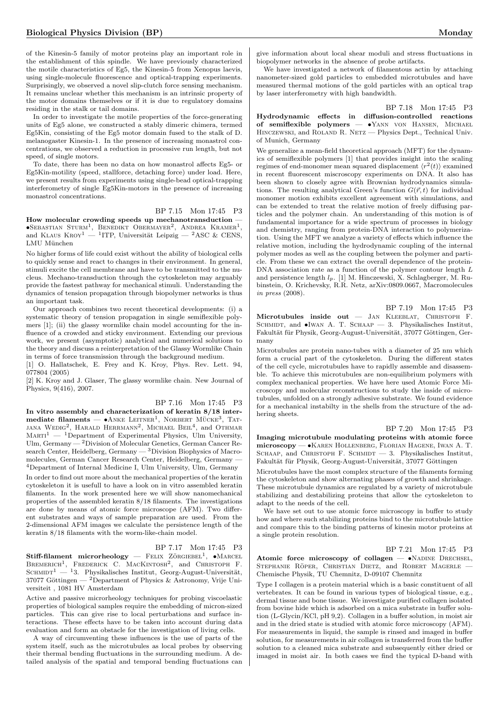of the Kinesin-5 family of motor proteins play an important role in the establishment of this spindle. We have previously characterized the motile characteristics of Eg5, the Kinesin-5 from Xenopus laevis, using single-molecule fluorescence and optical-trapping experiments. Surprisingly, we observed a novel slip-clutch force sensing mechanism. It remains unclear whether this mechanism is an intrinsic property of the motor domains themselves or if it is due to regulatory domains residing in the stalk or tail domains.

In order to investigate the motile properties of the force-generating units of Eg5 alone, we constructed a stably dimeric chimera, termed Eg5Kin, consisting of the Eg5 motor domain fused to the stalk of D. melanogaster Kinesin-1. In the presence of increasing monastrol concentrations, we observed a reduction in processive run length, but not speed, of single motors.

To date, there has been no data on how monastrol affects Eg5- or Eg5Kin-motility (speed, stallforce, detaching force) under load. Here, we present results from experiments using single-bead optical-trapping interferometry of single Eg5Kin-motors in the presence of increasing monastrol concentrations.

#### BP 7.15 Mon 17:45 P3

How molecular crowding speeds up mechanotransduction —  $\bullet$ Sebastian Sturm<sup>1</sup>, Benedikt Obermayer<sup>2</sup>, Andrea Kramer<sup>1</sup>, and KLAUS  $\text{KROY}^1 = {}^1\text{ITP}$ , Universität Leipzig —  ${}^2\text{ASC} \& \text{CENS}$ , LMU München

No higher forms of life could exist without the ability of biological cells to quickly sense and react to changes in their environment. In general, stimuli excite the cell membrane and have to be transmitted to the nucleus. Mechano-transduction through the cytoskeleton may arguably provide the fastest pathway for mechanical stimuli. Understanding the dynamics of tension propagation through biopolymer networks is thus an important task.

Our approach combines two recent theoretical developments: (i) a systematic theory of tension propagation in single semiflexible polymers [1]; (ii) the glassy wormlike chain model accounting for the influence of a crowded and sticky environment. Extending our previous work, we present (asymptotic) analytical and numerical solutions to the theory and discuss a reinterpretation of the Glassy Wormlike Chain in terms of force transmission through the background medium.

[1] O. Hallatschek, E. Frey and K. Kroy, Phys. Rev. Lett. 94, 077804 (2005)

[2] K. Kroy and J. Glaser, The glassy wormlike chain. New Journal of Physics, 9(416), 2007.

#### BP 7.16 Mon 17:45 P3

In vitro assembly and characterization of keratin 8/18 inter- $\text{mediate filaments} \longrightarrow \text{ANKE}\ \text{LETNER}^1$ , NORBERT MÜCKE<sup>3</sup>, TAT-JANA WEDIG<sup>2</sup>, HARALD HERRMANN<sup>2</sup>, MICHAEL BEIL<sup>4</sup>, and OTHMAR  $MART^1$  — <sup>1</sup>Department of Experimental Physics, Ulm University, Ulm, Germany — <sup>2</sup>Division of Molecular Genetics, German Cancer Research Center, Heidelberg, Germany — <sup>3</sup>Division Biophysics of Macromolecules, German Cancer Research Center, Heidelberg, Germany — <sup>4</sup>Department of Internal Medicine I, Ulm University, Ulm, Germany

In order to find out more about the mechanical properties of the keratin cytoskeleton it is usefull to have a look on in vitro assembled keratin filaments. In the work presented here we will show nanomechanical properties of the assembled keratin 8/18 filaments. The investigations are done by means of atomic force microscope (AFM). Two different substrates and ways of sample preparation are used. From the 2-dimensional AFM images we calculate the persistence length of the keratin 8/18 filaments with the worm-like-chain model.

#### BP 7.17 Mon 17:45 P3

 $Stiff-filament$  microrheology – FELIX ZÖRGIEBEL<sup>1</sup>,  $\bullet$ MARCEL BREMERICH<sup>1</sup>, FREDERICK C. MACKINTOSH<sup>2</sup>, and CHRISTOPH F. SCHMIDT<sup>1</sup> — <sup>1</sup>3. Physikalisches Institut, Georg-August-Universität, 37077 Göttingen — <sup>2</sup>Department of Physics & Astronomy, Vrije Universiteit , 1081 HV Amsterdam

Active and passive microrheology techniques for probing viscoelastic properties of biological samples require the embedding of micron-sized particles. This can give rise to local perturbations and surface interactions. These effects have to be taken into account during data evaluation and form an obstacle for the investigation of living cells.

A way of circumventing these influences is the use of parts of the system itself, such as the microtubules as local probes by observing their thermal bending fluctuations in the surrounding medium. A detailed analysis of the spatial and temporal bending fluctuations can give information about local shear moduli and stress fluctuations in biopolymer networks in the absence of probe artifacts.

We have investigated a network of filamentous actin by attaching nanometer-sized gold particles to embedded microtubules and have measured thermal motions of the gold particles with an optical trap by laser interferometry with high bandwidth.

BP 7.18 Mon 17:45 P3

Hydrodynamic effects in diffusion-controlled reactions of semiflexible polymers — •Yann von Hansen, Michael HINCZEWSKI, and ROLAND R. NETZ - Physics Dept., Technical Univ. of Munich, Germany

We generalize a mean-field theoretical approach (MFT) for the dynamics of semiflexible polymers [1] that provides insight into the scaling regimes of end-monomer mean squared displacement  $\langle r^2(t) \rangle$  examined in recent fluorescent miscroscopy experiments on DNA. It also has been shown to closely agree with Brownian hydrodynamics simulations. The resulting analytical Green's function  $G(\vec{r}, t)$  for individual monomer motion exhibits excellent agreement with simulations, and can be extended to treat the relative motion of freely diffusing particles and the polymer chain. An understanding of this motion is of fundamental importance for a wide spectrum of processes in biology and chemistry, ranging from protein-DNA interaction to polymerization. Using the MFT we analyze a variety of effects which influence the relative motion, including the hydrodynamic coupling of the internal polymer modes as well as the coupling between the polymer and particle. From these we can extract the overall dependence of the protein-DNA association rate as a function of the polymer contour length L and persistence length  $l_p$ . [1] M. Hinczewski, X. Schlagberger, M. Rubinstein, O. Krichevsky, R.R. Netz, arXiv:0809.0667, Macromolecules in press (2008).

BP 7.19 Mon 17:45 P3 Microtubules inside out - JAN KLEEBLAT, CHRISTOPH F. SCHMIDT, and  $\bullet$ IWAN A. T. SCHAAP — 3. Physikalisches Institut, Fakultät für Physik, Georg-August-Universität, 37077 Göttingen, Germany

Microtubules are protein nano-tubes with a diameter of 25 nm which form a crucial part of the cytoskeleton. During the different states of the cell cycle, microtubules have to rapidly assemble and disassemble. To achieve this microtubules are non-equilibrium polymers with complex mechanical properties. We have here used Atomic Force Microscopy and molecular reconstructions to study the inside of microtubules, unfolded on a strongly adhesive substrate. We found evidence for a mechanical instabilty in the shells from the structure of the adhering sheets.

#### BP 7.20 Mon 17:45 P3

Imaging microtubule modulating proteins with atomic force microscopy — •Karen Hollenberg, Florian Hagene, Iwan A. T. SCHAAP, and CHRISTOPH F. SCHMIDT  $-$  3. Physikalisches Institut, Fakultät für Physik, Georg-August-Universität, 37077 Göttingen

Microtubules have the most complex structure of the filaments forming the cytoskeleton and show alternating phases of growth and shrinkage. These microtubule dynamics are regulated by a variety of microtubule stabilizing and destabilizing proteins that allow the cytoskeleton to adapt to the needs of the cell.

We have set out to use atomic force microscopy in buffer to study how and where such stabilizing proteins bind to the microtubule lattice and compare this to the binding patterns of kinesin motor proteins at a single protein resolution.

BP 7.21 Mon 17:45 P3

Atomic force microscopy of collagen - •NADINE DRECHSEL, STEPHANIE RÖPER, CHRISTIAN DIETZ, and ROBERT MAGERLE -Chemische Physik, TU Chemnitz, D-09107 Chemnitz

Type I collagen is a protein material which is a basic constituent of all vertebrates. It can be found in various types of biological tissue, e.g., dermal tissue and bone tissue. We investigate purified collagen isolated from bovine hide which is adsorbed on a mica substrate in buffer solution (L-Glycin/KCl, pH 9,2). Collagen in a buffer solution, in moist air and in the dried state is studied with atomic force microscopy (AFM). For measurements in liquid, the sample is rinsed and imaged in buffer solution, for measurements in air collagen is transferred from the buffer solution to a cleaned mica substrate and subsequently either dried or imaged in moist air. In both cases we find the typical D-band with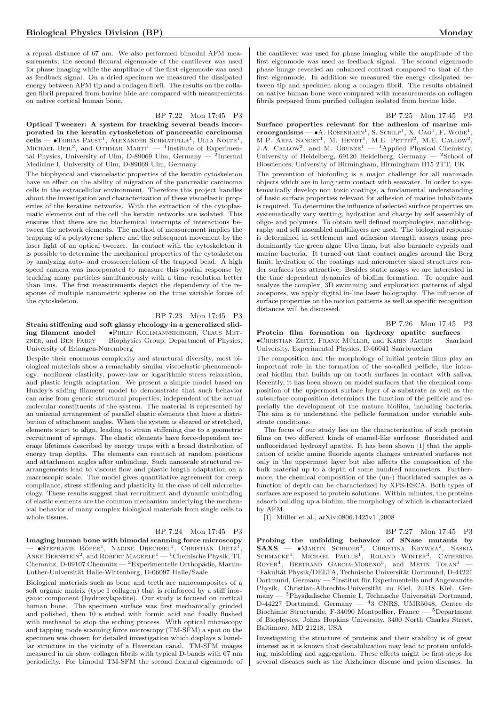a repeat distance of 67 nm. We also performed bimodal AFM measurements; the second flexural eigenmode of the cantilever was used for phase imaging while the amplitude of the first eigenmode was used as feedback signal. On a dried specimen we measured the dissipated energy between AFM tip and a collagen fibril. The results on the collagen fibril prepared from bovine hide are compared with measurements on native cortical human bone.

## BP 7.22 Mon 17:45 P3

Optical Tweezer: A system for tracking several beads incorporated in the keratin cytoskeleton of pancreatic carcinoma  $\text{cells} \longrightarrow \text{TOBIAS}$  Paust<sup>1</sup>, Alexander Schmatulla<sup>1</sup>, Ulla Nolte<sup>1</sup>, MICHAEL BEIL<sup>2</sup>, and OTHMAR MARTI<sup>1</sup> — <sup>1</sup>Institute of Experimental Physics, University of Ulm, D-89069 Ulm, Germany —  $^2$ Internal Medicine I, University of Ulm, D-89069 Ulm, Germany

The biophysical and viscoelastic properties of the keratin cytoskeleton have an effect on the ability of migration of the pancreatic carcinoma cells in the extracellular environment. Therefore this project handles about the investigation and characterization of these viscoelastic properties of the keratine networks. With the extraction of the cytoplasmatic elements out of the cell the keratin networks are isolated. This ensures that there are no biochemical interrupts of interactions between the network elements. The method of measurement implies the trapping of a polystyrene sphere and the subsequent movement by the laser light of an optical tweezer. In contact with the cytoskeleton it is possible to determine the mechanical properties of the cytoskeleton by analyzing auto- and crosscorrelation of the trapped bead. A high speed camera was incorporated to measure this spatial response by tracking many particles simultaneously with a time resolution better than 1ms. The first measurements depict the dependency of the response of multiple nanometric spheres on the time variable forces of the cytoskeleton.

#### BP 7.23 Mon 17:45 P3

Strain stiffening and soft glassy rheology in a generalized sliding filament model —  $\bullet$ Philip Kollmannsberger, Claus Metzner, and Ben Fabry — Biophysics Group, Department of Physics, University of Erlangen-Nuremberg

Despite their enormous complexity and structural diversity, most biological materials show a remarkably similar viscoelastic phenomenology: nonlinear elasticity, power-law or logarithmic stress relaxation, and plastic length adaptation. We present a simple model based on Huxley's sliding filament model to demonstrate that such behavior can arise from generic structural properties, independent of the actual molecular constituents of the system. The material is represented by an uniaxial arrangement of parallel elastic elements that have a distribution of attachment angles. When the system is sheared or stretched, elements start to align, leading to strain stiffening due to a geometric recruitment of springs. The elastic elements have force-dependent average lifetimes described by energy traps with a broad distribution of energy trap depths. The elements can reattach at random positions and attachment angles after unbinding. Such nanoscale structural rearrangements lead to viscous flow and plastic length adaptation on a macroscopic scale. The model gives quantitative agreement for creep compliance, stress stiffening and plasticity in the case of cell microrheology. These results suggest that recruitment and dynamic unbinding of elastic elements are the common mechanism underlying the mechanical behavior of many complex biological materials from single cells to whole tissues.

## BP 7.24 Mon 17:45 P3

Imaging human bone with bimodal scanning force microscopy  $-$  •Stephanie Röper<sup>1</sup>, Nadine Drechsel<sup>1</sup>, Christian Dietz<sup>1</sup> — ●STEPHANIE RÖPER<sup>1</sup>, NADINE DRECHSEL<sup>1</sup>, CHRISTIAN DIETZ<sup>1</sup>,<br>ANKE BERNSTEIN<sup>2</sup>, and ROBERT MAGERLE<sup>1</sup> — <sup>1</sup>Chemische Physik, TU Chemnitz, D-09107 Chemnitz —  ${}^{2}$ Experimentelle Orthopädie, Martin-Luther-Universität Halle-Wittenberg, D-06097 Halle/Saale

Biological materials such as bone and teeth are nanocomposites of a soft organic matrix (type I collagen) that is reinforced by a stiff inorganic component (hydroxylapatite). Our study is focused on cortical human bone. The specimen surface was first mechanically grinded and polished, then 10 s etched with formic acid and finally flushed with methanol to stop the etching process. With optical microscopy and tapping mode scanning force microscopy (TM-SFM) a spot on the specimen was chosen for detailed investigation which displays a lamellar structure in the vicinity of a Haversian canal. TM-SFM images measured in air show collagen fibrils with typical D-bands with 67 nm periodicity. For bimodal TM-SFM the second flexural eigenmode of

the cantilever was used for phase imaging while the amplitude of the first eigenmode was used as feedback signal. The second eigenmode phase image revealed an enhanced contrast compared to that of the first eigenmode. In addition we measured the energy dissipated between tip and specimen along a collagen fibril. The results obtained on native human bone were compared with measurements on collagen fibrils prepared from purified collagen isolated from bovine hide.

#### BP 7.25 Mon 17:45 P3

Surface properties relevant for the adhesion of marine mi**croorganisms** — •A. ROSENHAHN<sup>1</sup>, S. SCHILP<sup>1</sup>, X. CAO<sup>1</sup>, F. WODE<sup>1</sup>, M.P. ARPA SANCET<sup>1</sup>, M. HEYDT<sup>1</sup>, M.E. PETTIT<sup>2</sup>, M.E. CALLOW<sup>2</sup>, J.A. CALLOW<sup>2</sup>, and M. GRUNZE<sup>1</sup> — <sup>1</sup>Applied Physical Chemistry, University of Heidelberg, 69120 Heidelberg, Germany  $-$  <sup>2</sup>School of Biosciences, University of Birmingham, Birmingham B15 2TT, UK

The prevention of biofouling is a major challenge for all manmade objects which are in long term contact with seawater. In order to systematically develop non toxic coatings, a fundamental understanding of basic surface properties relevant for adhesion of marine inhabitants is required. To determine the influence of selected surface properties we systematically vary wetting, hydration and charge by self assembly of oligo- and polymers. To obtain well defined morphologies, nanolithography and self assembled multilayers are used. The biological response is determined in settlement and adhesion strength assays using predominantly the green algae Ulva linza, but also barnacle cyprids and marine bacteria. It turned out that contact angles around the Berg limit, hydration of the coatings and micrometer sized structures render surfaces less attractive. Besides static assays we are interested in the time dependent dynamics of biofilm formation. To acquire and analyze the complex, 3D swimming and exploration patterns of algal zoospores, we apply digital in-line laser holography. The influence of surface properties on the motion patterns as well as specific recognition distances will be discussed.

#### BP 7.26 Mon 17:45 P3

Protein film formation on hydroxy apatite surfaces — •Christian Zeitz, Frank Muller ¨ , and Karin Jacobs — Saarland University, Experimental Physics, D-66041 Saarbruecken

The composition and the morphology of initial protein films play an important role in the formation of the so-called pellicle, the intraoral biofilm that builds up on tooth surfaces in contact with saliva. Recently, it has been shown on model surfaces that the chemical composition of the uppermost surface layer of a substrate as well as the subsurface composition determines the function of the pellicle and especially the development of the mature biofilm, including bacteria. The aim is to understand the pellicle formation under variable substrate conditions.

The focus of our study lies on the characterization of such protein films on two different kinds of enamel-like surfaces: fluoridated and unfluoridated hydroxyl apatite. It has been shown [1] that the application of acidic amine fluoride agents changes untreated surfaces not only in the uppermost layer but also affects the composition of the bulk material up to a depth of some hundred nanometers. Furthermore, the chemical composition of the (un-) fluoridated samples as a function of depth can be characterized by XPS-ESCA. Both types of surfaces are exposed to protein solutions. Within minutes, the proteins adsorb building up a biofilm, the morphology of which is characterized by AFM.

[1]: M¨uller et al., arXiv:0806.1425v1 ,2008

BP 7.27 Mon 17:45 P3

Probing the unfolding behavior of SNase mutants by SAXS — •MARTIN SCHROER<sup>1</sup>, CHRISTINA KRYWKA<sup>2</sup>, SASKIA<br>SCHMACKE<sup>1</sup>, MICHAEL PAULUS<sup>1</sup>, ROLAND WINTER<sup>3</sup>, CATHERINE  $ROYER<sup>4</sup>$ , BERTRAND GARCIA-MORENO<sup>5</sup>, and METIN TOLAN<sup>1</sup> -<sup>1</sup>Fakultät Physik/DELTA, Technische Universität Dortmund, D-44221 Dortmund, Germany —  $^{2}$ Institut für Experimentelle und Angewandte Physik, Christian-Albrechts-Universität zu Kiel, 24118 Kiel, Ger- $\text{many} \xrightarrow{0} 3$ Physikalische Chemie I, Technische Universität Dortmund, D-44227 Dortmund, Germany — <sup>4</sup>3 CNRS, UMR5048, Centre de Biochimie Structurale, F-34090 Montpellier, France —  $5$ Department of Biophysics, Johns Hopkins University, 3400 North Charles Street, Baltimore, MD 21218, USA

Investigating the structure of proteins and their stability is of great interest as it is known that destabilization may lead to protein unfolding, misfolding and aggregation. These effects might be first steps for several diseases such as the Alzheimer disease and prion diseases. In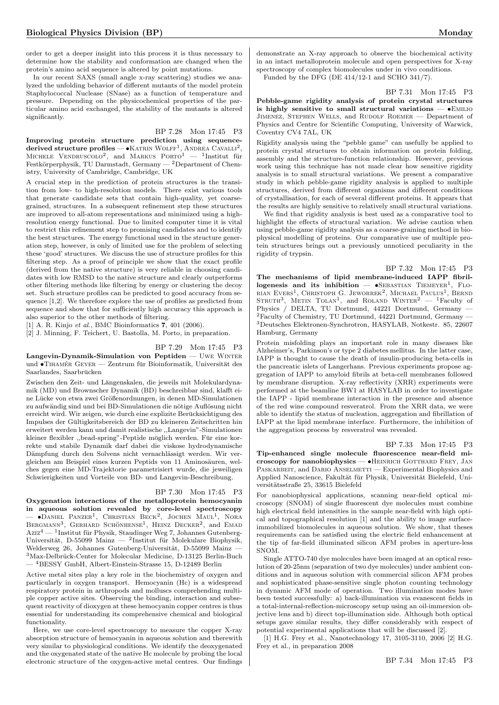order to get a deeper insight into this process it is thus necessary to determine how the stability and conformation are changed when the protein's amino acid sequence is altered by point mutations.

In our recent SAXS (small angle x-ray scattering) studies we analyzed the unfolding behavior of different mutants of the model protein Staphylococcal Nuclease (SNase) as a function of temperature and pressure. Depending on the physicochemical properties of the particular amino acid exchanged, the stability of the mutants is altered significantly.

## BP 7.28 Mon 17:45 P3

Improving protein structure prediction using sequencederived structure profiles —  $\bullet$  Katrin Wolff<sup>1</sup>, Andrea Cavalli<sup>2</sup>, MICHELE VENDRUSCOLO<sup>2</sup>, and MARKUS  $PORTO^{1}$  - <sup>1</sup>Institut für Festkörperphysik, TU Darmstadt, Germany — <sup>2</sup>Department of Chemistry, University of Cambridge, Cambridge, UK

A crucial step in the prediction of protein structures is the transition from low- to high-resolution models. There exist various tools that generate candidate sets that contain high-quality, yet coarsegrained, structures. In a subsequent refinement step these structures are improved to all-atom representations and minimized using a highresolution energy functional. Due to limited computer time it is vital to restrict this refinement step to promising candidates and to identify the best structures. The energy functional used in the structure generation step, however, is only of limited use for the problem of selecting these 'good' structures. We discuss the use of structure profiles for this filtering step. As a proof of principle we show that the exact profile (derived from the native structure) is very reliable in choosing candidates with low RMSD to the native structure and clearly outperforms other filtering methods like filtering by energy or clustering the decoy set. Such structure profiles can be predicted to good accuracy from sequence [1,2]. We therefore explore the use of profiles as predicted from sequence and show that for sufficiently high accuracy this approach is also superior to the other methods of filtering.

[1] A. R. Kinjo et al., BMC Bioinformatics 7, 401 (2006).

[2] J. Minning, F. Teichert, U. Bastolla, M. Porto, in preparation.

BP 7.29 Mon 17:45 P3 Langevin-Dynamik-Simulation von Peptiden — Uwe Winter und  $\bullet$ TIHAMÉR GEYER — Zentrum für Bioinformatik, Universität des Saarlandes, Saarbrücken

Zwischen den Zeit- und Längenskalen, die jeweils mit Molekulardynamik (MD) und Brownscher Dynamik (BD) beschreibbar sind, klafft eine Lücke von etwa zwei Größenordnungen, in denen MD-Simulationen zu aufwändig sind und bei BD-Simulationen die nötige Auflösung nicht erreicht wird. Wir zeigen, wie durch eine explizite Berucksichtigung des ¨ Impulses der Gultigkeitsbereich der BD zu kleineren Zeitschritten hin ¨ erweitert werden kann und damit realistische ,,Langevin"-Simulationen kleiner flexibler "bead-spring"-Peptide möglich werden. Für eine korrekte und stabile Dynamik darf dabei die viskose hydrodynamische Dämpfung durch den Solvens nicht vernachlässigt werden. Wir vergleichen am Beispiel eines kurzen Peptids von 11 Aminosäuren, welches gegen eine MD-Trajektorie parametrisiert wurde, die jeweiligen Schwierigkeiten und Vorteile von BD- und Langevin-Beschreibung.

#### BP 7.30 Mon 17:45 P3

Oxygenation interactions of the metalloprotein hemocyanin in aqueous solution revealed by core-level spectroscopy  $-$  •Daniel Panzer<sup>1</sup>, Christian Beck<sup>2</sup>, Jochen Maul<sup>1</sup>, Nora BERGMANN<sup>3</sup>, GERHARD SCHÖNHENSE<sup>1</sup>, HEINZ DECKER<sup>2</sup>, and EMAD  $Aziz^4$  — <sup>1</sup>Institut für Physik, Staudinger Weg 7, Johannes Gutenberg-Universität, D-55099 Mainz — <sup>2</sup>Institut für Molekulare Biophysik, Welderweg 26, Johannes Gutenberg-Universität, D-55099 Mainz - $3$ Max-Delbrück-Center for Molecular Medicine, D-13125 Berlin-Buch — <sup>4</sup>BESSY GmbH, Albert-Einstein-Strasse 15, D-12489 Berlin

Active metal sites play a key role in the biochemistry of oxygen and particularly in oxygen transport. Hemocyanin (Hc) is a widespread respiratory protein in arthropods and molluscs comprehending multiple copper active sites. Observing the binding, interaction and subsequent reactivity of dioxygen at these hemocyanin copper centres is thus essential for understanding its comprehensive chemical and biological functionality.

Here, we use core-level spectroscopy to measure the copper X-ray absorption structure of hemocyanin in aqueous solution and therewith very similar to physiological conditions. We identify the deoxygenated and the oxygenated state of the native Hc molecule by probing the local electronic structure of the oxygen-active metal centres. Our findings

demonstrate an X-ray approach to observe the biochemical activity in an intact metalloprotein molecule and open perspectives for X-ray spectroscopy of complex biomolecules under in vivo conditions. Funded by the DFG (DE 414/12-1 and SCHO 341/7).

BP 7.31 Mon 17:45 P3

Pebble-game rigidity analysis of protein crystal structures is highly sensitive to small structural variations  $\bullet$ EMILIO Jimenez, Stephen Wells, and Rudolf Roemer — Department of Physics and Centre for Scientific Computing, University of Warwick, Coventry CV4 7AL, UK

Rigidity analysis using the "pebble game" can usefully be applied to protein crystal structures to obtain information on protein folding, assembly and the structure-function relationship. However, previous work using this technique has not made clear how sensitive rigidity analysis is to small structural variations. We present a comparative study in which pebble-game rigidity analysis is applied to multiple structures, derived from different organisms and different conditions of crystallisation, for each of several different proteins. It appears that the results are highly sensitive to relatively small structural variations.

We find that rigidity analysis is best used as a comparative tool to highlight the effects of structural variation. We advise caution when using pebble-game rigidity analysis as a coarse-graining method in biophysical modelling of proteins. Our comparative use of multiple protein structures brings out a previously unnoticed peculiarity in the rigidity of trypsin.

#### BP 7.32 Mon 17:45 P3

The mechanisms of lipid membrane-induced IAPP fibril $logeness$  and its inhibition  $\bullet$ SEBASTIAN TIEMEYER<sup>1</sup>, FLO-RIAN EVERS<sup>1</sup>, CHRISTOPH G. JEWORREK<sup>2</sup>, MICHAEL PAULUS<sup>1</sup>, BERND STRUTH<sup>3</sup>, METIN TOLAN<sup>1</sup>, and ROLAND WINTER<sup>2</sup> - <sup>1</sup>Faculty of Physics / DELTA, TU Dortmund, 44221 Dortmund, Germany — <sup>2</sup>Faculty of Chemistry, TU Dortmund, 44221 Dortmund, Germany — <sup>3</sup>Deutsches Elektronen-Synchrotron, HASYLAB, Notkestr. 85, 22607 Hamburg, Germany

Protein misfolding plays an important role in many diseases like Alzheimer's, Parkinson's or type 2 diabetes mellitus. In the latter case, IAPP is thought to cause the death of insulin-producing beta-cells in the pancreatic islets of Langerhans. Previous experiments propose aggregation of IAPP to amyloid fibrils at beta-cell membranes followed by membrane disruption. X-ray reflectivity (XRR) experiments were performed at the beamline BW1 at HASYLAB in order to investigate the IAPP - lipid membrane interaction in the presence and absence of the red wine compound resveratrol. From the XRR data, we were able to identify the status of nucleation, aggregation and fibrillation of IAPP at the lipid membrane interface. Furthermore, the inhibition of the aggregation process by resveratrol was revealed.

BP 7.33 Mon 17:45 P3

Tip-enhanced single molecule fluorescence near-field microscopy for nanobiophysics — •HEINRICH GOTTHARD FREY, JAN PASKARBEIT, and DARIO ANSELMETTI — Experimental Biophysics and Applied Nanoscience, Fakultät für Physik, Universität Bielefeld, Universitätsstraße 25, 33615 Bielefeld

For nanobiophysical applications, scanning near-field optical microscopy (SNOM) of single fluorescent dye molecules must combine high electrical field intensities in the sample near-field with high optical and topographical resolution [1] and the ability to image surfaceimmobilized biomolecules in aqueous solution. We show, that theses requirements can be satisfied using the electric field enhancement at the tip of far-field illuminated silicon AFM probes in aperture-less SNOM.

Single ATTO-740 dye molecules have been imaged at an optical resolution of 20-25nm (separation of two dye molecules) under ambient conditions and in aqueous solution with commercial silicon AFM probes and sophisticated phase-sensitive single photon counting technology in dynamic AFM mode of operation. Two illumination modes have been tested successfully: a) back-illumination via evanescent fields in a total-internal-reflection-microscopy setup using an oil-immersion objective lens and b) direct top-illumination side. Although both optical setups gave similar results, they differ considerably with respect of potential experimental applications that will be discussed [2].

[1] H.G. Frey et al., Nanotechnology 17, 3105-3110, 2006 [2] H.G. Frey et al., in preparation 2008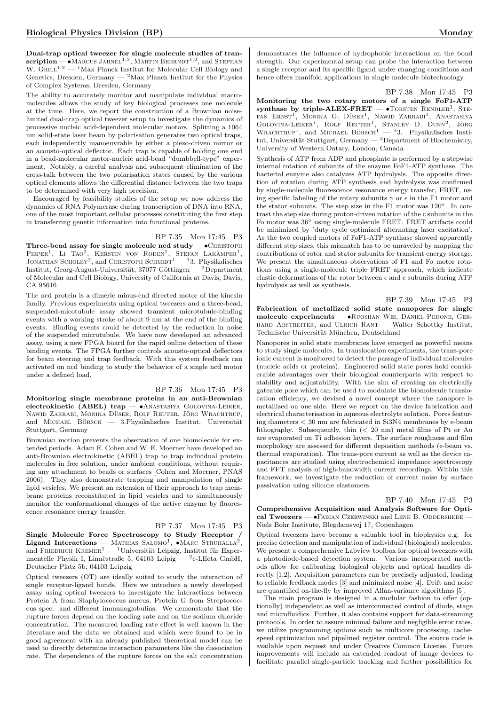Dual-trap optical tweezer for single molecule studies of tran- $\textbf{scription}$  —  $\bullet$  Marcus Jahnel<sup>1,2</sup>, Martin Behrndt<sup>1,2</sup>, and Stephan W.  $GRLL^{1,2}$  — <sup>1</sup>Max Planck Institut for Molecular Cell Biology and Genetics, Dresden, Germany  $-2$  Max Planck Institut for the Physics of Complex Systems, Dresden, Germany

The ability to accurately monitor and manipulate individual macromolecules allows the study of key biological processes one molecule at the time. Here, we report the construction of a Brownian noiselimited dual-trap optical tweezer setup to investigate the dynamics of processive nucleic acid-dependent molecular motors. Splitting a 1064 nm solid-state laser beam by polarisation generates two optical traps, each independently manoeuvrable by either a piezo-driven mirror or an acousto-optical deflector. Each trap is capable of holding one end in a bead-molecular motor-nucleic acid-bead "dumbbell-type" experiment. Notably, a careful analysis and subsequent elimination of the cross-talk between the two polarisation states caused by the various optical elements allows the differential distance between the two traps to be determined with very high precision.

Encouraged by feasibility studies of the setup we now address the dynamics of RNA Polymerase during transcription of DNA into RNA, one of the most important cellular processes constituting the first step in transferring genetic information into functional proteins.

#### BP 7.35 Mon 17:45 P3

Three-bead assay for single molecule ncd study  $\bullet$  CHRISTOPH PIEPER<sup>1</sup>, LI TAO<sup>2</sup>, KERSTIN VON RODEN<sup>1</sup>, STEFAN LAKÄMPER<sup>1</sup>, JONATHAN SCHOLEY<sup>2</sup>, and CHRISTOPH SCHMIDT<sup>1</sup> — <sup>1</sup>3. Physikalisches Institut, Georg-August-Universität, 37077 Göttingen — <sup>2</sup>Department of Molecular and Cell Biology, University of California at Davis, Davis, CA 95616

The ncd protein is a dimeric minus-end directed motor of the kinesin family. Previous experiments using optical tweezers and a three-bead, suspended-micotubule assay showed transient microtubule-binding events with a working stroke of about 9 nm at the end of the binding events. Binding events could be detected by the reduction in noise of the suspended microtubule. We have now developed an advanced assay, using a new FPGA board for the rapid online detection of these binding events. The FPGA further controls acousto-optical deflectors for beam steering and trap feedback. With this system feedback can activated on ncd binding to study the behavior of a single ncd motor under a defined load.

#### BP 7.36 Mon 17:45 P3

Monitoring single membrane proteins in an anti-Brownian electrokinetic (ABEL) trap — •Anastasiya Golovina-Leiker, NAWID ZARRABI, MONIKA DÜSER, ROLF REUTER, JÖRG WRACHTRUP, and MICHAEL BÖRSCH  $-$  3. Physikalisches Institut, Universität Stuttgart, Germany

Brownian motion prevents the observation of one biomolecule for extended periods. Adam E. Cohen and W. E. Moerner have developed an anti-Brownian electrokinetic (ABEL) trap to trap individual protein molecules in free solution, under ambient conditions, without requiring any attachment to beads or surfaces [Cohen and Moerner, PNAS 2006). They also demonstrate trapping and manipulation of single lipid vesicles. We present an extension of their approach to trap membrane proteins reconstituted in lipid vesicles and to simultaneously monitor the conformational changes of the active enzyme by fluorescence resonance energy transfer.

### BP 7.37 Mon 17:45 P3

Single Molecule Force Spectroscopy to Study Receptor /<br>Ligand Interactions — MATHIAS SALOMO<sup>1</sup>, •MARC STRUHALLA<sup>2</sup>, and FRIEDRICH KREMER<sup>1</sup> — <sup>1</sup>Universität Leipzig, Institut für Experimentelle Physik I, Linnèstraße 5, 04103 Leipig — <sup>2</sup>c-LEcta GmbH, Deutscher Platz 5b, 04103 Leipzig

Optical tweezers (OT) are ideally suited to study the interaction of single receptor-ligand bonds. Here we introduce a newly developed assay using optical tweezers to investigate the interactions between Protein A from Staphylococcus aureus, Protein G from Streptococcus spec. and different immunoglobulins. We demonstrate that the rupture forces depend on the loading rate and on the sodium chloride concentration. The measured loading rate effect is well known in the literature and the data we obtained and which were found to be in good agreement with an already published theoretical model can be used to directly determine interaction parameters like the dissociation rate. The dependence of the rupture forces on the salt concentration

demonstrates the influence of hydrophobic interactions on the bond strength. Our experimental setup can probe the interaction between a single receptor and its specific ligand under changing conditions and hence offers manifold applications in single molecule biotechnology.

#### BP 7.38 Mon 17:45 P3

Monitoring the two rotary motors of a single FoF1-ATP synthase by triple-ALEX-FRET  $\bullet$  TORSTEN RENDLER<sup>1</sup>, STE-FAN ERNST<sup>1</sup>, MONIKA G. DÜSER<sup>1</sup>, NAWID ZARRABI<sup>1</sup>, ANASTASIYA GOLOVINA-LEIKER<sup>1</sup>, ROLF REUTER<sup>1</sup>, STANLEY D. DUNN<sup>2</sup>, JÖRG WRACHTRUP<sup>1</sup>, and MICHAEL BÖRSCH<sup>1</sup> - <sup>1</sup>3. Physikalisches Institut, Universität Stuttgart, Germany — <sup>2</sup>Department of Biochemistry, University of Western Ontary, London, Canada

Synthesis of ATP from ADP and phosphate is performed by a stepwise internal rotation of subunits of the enzyme FoF1-ATP synthase. The bacterial enzyme also catalyzes ATP hydrolysis. The opposite direction of rotation during ATP synthesis and hydrolysis was confirmed by single-molecule fluorescence resonance energy transfer, FRET, using specific labeling of the rotary subunits  $\gamma$  or  $\epsilon$  in the F1 motor and the stator subunits. The step size in the F1 motor was 120◦. In contrast the step size during proton-driven rotation of the c subunits in the Fo motor was 36◦ using single-molecule FRET. FRET artifacts could be minimized by 'duty cycle optimized alternating laser excitation'. As the two coupled motors of FoF1-ATP synthase showed apparently different step sizes, this mismatch has to be unraveled by mapping the contributions of rotor and stator subunits for transient energy storage. We present the simultaneous observations of F1 and Fo motor rotations using a single-molecule triple FRET approach, which indicate elastic deformations of the rotor between  $\epsilon$  and c subunits during ATP hydrolysis as well as synthesis.

BP 7.39 Mon 17:45 P3

Fabrication of metallized solid state nanopores for single molecule experiments - · RUOSHAN WEI, DANIEL PEDONE, GERhard Abstreiter, and Ulrich Rant — Walter Schottky Institut, Technische Universität München, Deutschland

Nanopores in solid state membranes have emerged as powerful means to study single molecules. In translocation experiments, the trans-pore ionic current is monitored to detect the passage of individual molecules (nucleic acids or proteins). Engineered solid state pores hold considerable advantages over their biological counterparts with respect to stability and adjustability. With the aim of creating an electrically gateable pore which can be used to modulate the biomolecule translocation efficiency, we devised a novel concept where the nanopore is metallized on one side. Here we report on the device fabrication and electrical characterisation in aqueous electrolyte solution. Pores featuring diameters < 30 nm are fabricated in Si3N4 membranes by e-beam lithography. Subsequently, thin (< 20 nm) metal films of Pt or Au are evaporated on Ti adhesion layers. The surface roughness and film morphology are assessed for different deposition methods (e-beam vs. thermal evaporation). The trans-pore current as well as the device capacitances are studied using electrochemical impedance spectroscopy and FFT analysis of high-bandwidth current recordings. Within this framework, we investigate the reduction of current noise by surface passivation using silicone elastomers.

#### BP 7.40 Mon 17:45 P3 Comprehensive Acquisition and Analysis Software for Optical Tweezers — •FABIAN CZERWINSKI and LENE B. ODDERSHEDE -Niels Bohr Institute, Blegdamsvej 17, Copenhagen

Optical tweezers have become a valuable tool in biophysics e.g. for precise detection and manipulation of individual (biological) molecules. We present a comprehensive Labview toolbox for optical tweezers with a photodiode-based detection system. Various incorporated methods allow for calibrating biological objects and optical handles directly [1,2]. Acquisition parameters can be precisely adjusted, leading to reliable feedback modes [3] and minimized noise [4]. Drift and noise are quantified on-the-fly by improved Allan-variance algorithms [5].

The main program is designed in a modular fashion to offer (optionally) independent as well as interconnected control of diode, stage and microfluidics. Further, it also contains support for data-streaming protocols. In order to assure minimal failure and negligible error rates, we utilize programming options such as multicore processing, cachespeed optimization and pipelined register control. The source code is available upon request and under Creative Common License. Future improvements will include an extended readout of image devices to facilitate parallel single-particle tracking and further possibilities for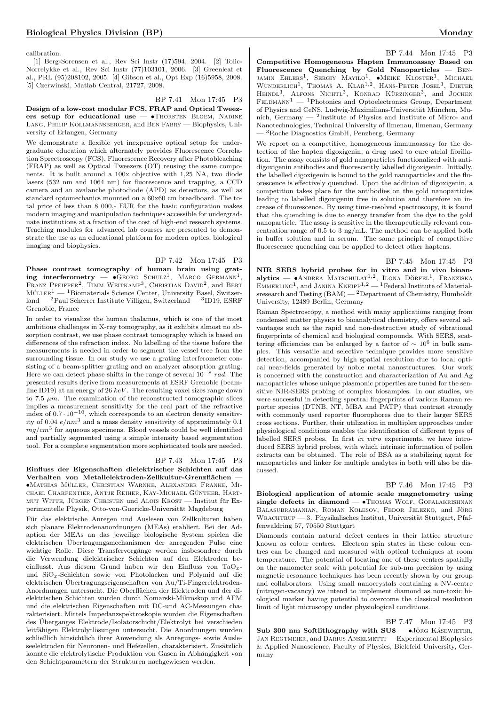calibration.

[1] Berg-Sorensen et al., Rev Sci Instr (17)594, 2004. [2] Tolic-Norrelykke et al., Rev Sci Instr (77)103101, 2006. [3] Greenleaf et al., PRL (95)208102, 2005. [4] Gibson et al., Opt Exp (16)5958, 2008. [5] Czerwinski, Matlab Central, 21727, 2008.

BP 7.41 Mon 17:45 P3

Design of a low-cost modular FCS, FRAP and Optical Tweezers setup for educational use  $-$  •Thorsten Bloem, Nadine Lang, Philip Kollmannsberger, and Ben Fabry — Biophysics, University of Erlangen, Germany

We demonstrate a flexible yet inexpensive optical setup for undergraduate education which alternately provides Fluorescence Correlation Sprectroscopy (FCS), Fluorescence Recovery after Photobleaching (FRAP) as well as Optical Tweezers (OT) reusing the same components. It is built around a 100x objective with 1,25 NA, two diode lasers (532 nm and 1064 nm) for fluorescence and trapping, a CCD camera and an avalanche photodiode (APD) as detectors, as well as standard optomechanics mounted on a 60x60 cm breadboard. The total price of less than 8 000,- EUR for the basic configuration makes modern imaging and manipulation techniques accessible for undergraduate institutions at a fraction of the cost of high-end research systems. Teaching modules for advanced lab courses are presented to demonstrate the use as an educational platform for modern optics, biological imaging and biophysics.

BP 7.42 Mon 17:45 P3 Phase contrast tomography of human brain using grating interferometry  $\bullet$  GEORG SCHULZ<sup>1</sup>, MARCO GERMANN<sup>1</sup>, FRANZ PFEIFFER<sup>2</sup>, TIMM WEITKAMP<sup>3</sup>, CHRISTIAN DAVID<sup>2</sup>, and BERT  ${\rm M\"{o}LER^1}$  —  $^1{\rm Biomaterials}$  Science Center, University Basel, Switzer- $\text{land} = \text{^2Paul Scherrer Institute}$  Villigen, Switzerland  $\text{^3ID19}$ , ESRF Grenoble, France

In order to visualize the human thalamus, which is one of the most ambitious challenges in X-ray tomography, as it exhibits almost no absorption contrast, we use phase contrast tomography which is based on differences of the refraction index. No labelling of the tissue before the measurements is needed in order to segment the vessel tree from the surrounding tissue. In our study we use a grating interferometer consisting of a beam-splitter grating and an analyzer absorption grating. Here we can detect phase shifts in the range of several  $10^{-8}$  rad. The presented results derive from measurements at ESRF Grenoble (beamline ID19) at an energy of 26  $keV$ . The resulting voxel sizes range down to 7.5  $\mu$ m. The examination of the reconstructed tomographic slices implies a measurement sensitivity for the real part of the refractive index of  $0.7 \cdot 10^{-10}$ , which corresponds to an electron density sensitivity of 0.04  $e/nm^3$  and a mass density sensitivity of approximately 0.1  $mg/cm^3$  for aqueous specimens. Blood vessels could be well identified and partially segmented using a simple intensity based segmentation tool. For a complete segmentation more sophisticated tools are needed.

### BP 7.43 Mon 17:45 P3

Einfluss der Eigenschaften dielektrischer Schichten auf das Verhalten von Metallelektroden-Zellkultur-Grenzflächen •Mathias Muller ¨ , Christian Warnke, Alexander Franke, Mi-CHAEL CHARPENTIER, ANTJE REIHER, KAY-MICHAEL GÜNTHER, HARTmut Witte, Jürgen Christen und Alois Krost — Institut für Experimentelle Physik, Otto-von-Guericke-Universität Magdeburg

Für das elektrische Anregen und Auslesen von Zellkulturen haben sich planare Elektrodenanordnungen (MEAs) etabliert. Bei der Adaption der MEAs an das jeweilige biologische System spielen die elektrischen Übertragungsmechanismen der anregenden Pulse eine wichtige Rolle. Diese Transfervorgänge werden insbesondere durch die Verwendung dielektrischer Schichten auf den Elektroden beeinflusst. Aus diesem Grund haben wir den Einfluss von TaO<sub>x</sub>und SiOx-Schichten sowie von Photolacken und Polymid auf die elektrischen Übertragungseigenschaften von Au/Ti-Fingerelektroden-Anordnungen untersucht. Die Oberflächen der Elektroden und der dielektrischen Schichten wurden durch Nomarski-Mikroskop und AFM und die elektrischen Eigenschaften mit DC-und AC-Messungen charakterisiert. Mittels Impedanzspektroskopie wurden die Eigenschaften des Uberganges Elektrode/Isolatorschicht/Elektrolyt bei verschieden ¨ leitfähigen Elektrolytlösungen untersucht. Die Anordnungen wurden schließlich hinsichtlich ihrer Anwendung als Anregungs- sowie Ausleseelektroden für Neuronen- und Hefezellen, charakterisiert. Zusätzlich konnte die elektrolytische Produktion von Gasen in Abhängigkeit von den Schichtparametern der Strukturen nachgewiesen werden.

BP 7.44 Mon 17:45 P3 Competitive Homogeneous Hapten Immunoassay Based on Fluorescence Quenching by Gold Nanoparticles — Ben-JAMIN EHLERS<sup>1</sup>, SERGIY MAYILO<sup>1</sup>, •MEIKE KLOSTER<sup>1</sup>, MICHAEL<br>WUNDERLICH<sup>1</sup>, THOMAS A. KLAR<sup>1,2</sup>, HANS-PETER JOSEL<sup>3</sup>, DIETER HEINDL<sup>3</sup>, ALFONS NICHTL<sup>3</sup>, KONRAD KÜRZINGER<sup>3</sup>, and JOCHEN  $\text{FELDMANN}^1$  — <sup>1</sup>Photonics and Optoelectronics Group, Department of Physics and CeNS, Ludwig-Maximilians-Universität München, Munich, Germany  $-$  <sup>2</sup>Institute of Physics and Institute of Micro- and Nanotechnologies, Technical University of Ilmenau, Ilmenau, Germany — <sup>3</sup>Roche Diagnostics GmbH, Penzberg, Germany

We report on a competitive, homogeneous immunoassay for the detection of the hapten digoxigenin, a drug used to cure atrial fibrillation. The assay consists of gold nanoparticles functionalized with antidigoxigenin antibodies and fluorescently labelled digoxigenin. Initially, the labelled digoxigenin is bound to the gold nanoparticles and the fluorescence is effectively quenched. Upon the addition of digoxigenin, a competition takes place for the antibodies on the gold nanoparticles leading to labelled digoxigenin free in solution and therefore an increase of fluorescence. By using time-resolved spectroscopy, it is found that the quenching is due to energy transfer from the dye to the gold nanoparticle. The assay is sensitive in the therapeutically relevant concentration range of 0.5 to 3 ng/mL. The method can be applied both in buffer solution and in serum. The same principle of competitive fluorescence quenching can be applied to detect other haptens.

BP 7.45 Mon 17:45 P3 NIR SERS hybrid probes for in vitro and in vivo bioan**alytics** — •ANDREA MATSCHULAT<sup>1,2</sup>, ILONA DÖRFEL<sup>1</sup>, FRANZISKA<br>EMMERLING<sup>1</sup>, and JANINA KNEIPP<sup>1,2</sup> — <sup>1</sup>Federal Institute of Materialsresearch and Testing (BAM) — <sup>2</sup>Department of Chemistry, Humboldt University, 12489 Berlin, Germany

Raman Spectroscopy, a method with many applications ranging from condensed matter physics to bioanalytical chemistry, offers several advantages such as the rapid and non-destructive study of vibrational fingerprints of chemical and biological compounds. With SERS, scattering efficiencies can be enlarged by a factor of  $\sim 10^6$  in bulk samples. This versatile and selective technique provides more sensitive detection, accompanied by high spatial resolution due to local optical near-fields generated by noble metal nanostructures. Our work is concerned with the construction and characterization of Au and Ag nanoparticles whose unique plasmonic properties are tuned for the sensitive NIR-SERS probing of complex biosamples. In our studies, we were successful in detecting spectral fingerprints of various Raman reporter species (DTNB, NT, MBA and PATP) that contrast strongly with commonly used reporter fluorophores due to their larger SERS cross sections. Further, their utilization in multiplex approaches under physiological conditions enables the identification of different types of labelled SERS probes. In first in vitro experiments, we have introduced SERS hybrid probes, with which intrinsic information of pollen extracts can be obtained. The role of BSA as a stabilizing agent for nanoparticles and linker for multiple analytes in both will also be discussed.

#### BP 7.46 Mon 17:45 P3

Biological application of atomic scale magnetometry using single defects in diamond - · THOMAS WOLF, GOPALAKRISHNAN BALASUBRAMANIAN, ROMAN KOLESOV, FEDOR JELEZKO, and JÖRG WRACHTRUP — 3. Physikalisches Institut, Universität Stuttgart, Pfaffenwaldring 57, 70550 Stuttgart

Diamonds contain natural defect centres in their lattice structure known as colour centres. Electron spin states in these colour centres can be changed and measured with optical techniques at room temperature. The potential of locating one of these centres spatially on the nanometer scale with potential for sub-nm precision by using magnetic resonance techniques has been recently shown by our group and collaborators. Using small nanocrystals containing a NV-centre (nitrogen-vacancy) we intend to implement diamond as non-toxic biological marker having potential to overcome the classical resolution limit of light microscopy under physiological conditions.

BP 7.47 Mon 17:45 P3 Sub 300 nm Softlithography with  $SUS -$  •Jörg KÄSEWIETER. JAN REGTMEIER, and DARIUS ANSELMETTI - Experimental Biophysics & Applied Nanoscience, Faculty of Physics, Bielefeld University, Germany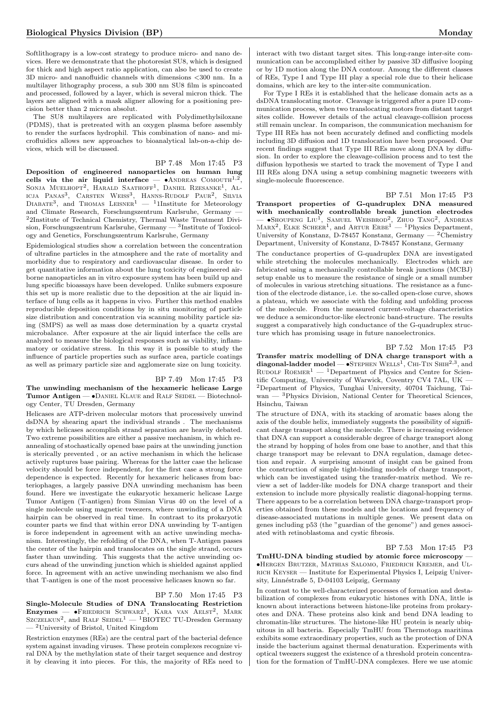Softlithograpy is a low-cost strategy to produce micro- and nano devices. Here we demonstrate that the photoresist SU8, which is designed for thick and high aspect ratio application, can also be used to create 3D micro- and nanofluidic channels with dimensions <300 nm. In a multilayer lithography process, a sub 300 nm SU8 film is spincoated and processed, followed by a layer, which is several micron thick. The layers are aligned with a mask aligner allowing for a positioning precision better than 2 micron absolut.

The SU8 multilayers are replicated with Polydimethylsiloxane (PDMS), that is pretreated with an oxygen plasma before assembly to render the surfaces hydrophil. This combination of nano- and microfluidics allows new approaches to bioanalytical lab-on-a-chip devices, which will be discussed.

BP 7.48 Mon 17:45 P3 Deposition of engineered nanoparticles on human lung cells via the air liquid interface  $\bullet$  ANDREAS COMOUTH<sup>1,2</sup>, SONJA MUELHOPT<sup>2</sup>, HARALD SAATHOFF<sup>1</sup>, DANIEL RZESANKE<sup>1</sup>, AL-ICJA PANAS<sup>3</sup>, CARSTEN WEISS<sup>3</sup>, HANNS-RUDOLF PAUR<sup>2</sup>, SILVIA<br>DIABATE<sup>3</sup>, and THOMAS LEISNER<sup>1</sup> — <sup>1</sup>1Institute for Meteorology and Climate Research, Forschungszentrum Karlsruhe, Germany — <sup>2</sup>2Institute of Technical Chemistry, Thermal Waste Treatment Division, Forschungszentrum Karlsruhe, Germany — <sup>3</sup>Institute of Toxicology and Genetics, Forschungszentrum Karlsruhe, Germany

Epidemiological studies show a correlation between the concentration of ultrafine particles in the atmosphere and the rate of mortality and morbidity due to respiratory and cardiovascular disease. In order to get quantitative information about the lung toxicity of engineered airborne nanoparticles an in vitro exposure system has been build up and lung specific bioassays have been developed. Unlike submers exposure this set up is more realistic due to the deposition at the air liquid interface of lung cells as it happens in vivo. Further this method enables reproducible deposition conditions by in situ monitoring of particle size distribution and concentration via scanning mobility particle sizing (SMPS) as well as mass dose determination by a quartz crystal microbalance. After exposure at the air liquid interface the cells are analyzed to measure the biological responses such as viability, inflammatory or oxidative stress. In this way it is possible to study the influence of particle properties such as surface area, particle coatings as well as primary particle size and agglomerate size on lung toxicity.

#### BP 7.49 Mon 17:45 P3

The unwinding mechanism of the hexameric helicase Large Tumor Antigen — • DANIEL KLAUE and RALF SEIDEL — Biotechnology Center, TU Dresden, Germany

Helicases are ATP-driven molecular motors that processively unwind dsDNA by shearing apart the individual strands . The mechanisms by which helicases accomplish strand separation are heavily debated. Two extreme possibilities are either a passive mechanism, in which reannealing of stochastically opened base pairs at the unwinding junction is sterically prevented , or an active mechanism in which the helicase actively ruptures base pairing. Whereas for the latter case the helicase velocity should be force independent, for the first case a strong force dependence is expected. Recently for hexameric helicases from bacteriophages, a largely passive DNA unwinding mechanism has been found. Here we investigate the eukaryotic hexameric helicase Large Tumor Antigen (T-antigen) from Simian Virus 40 on the level of a single molecule using magnetic tweezers, where unwinding of a DNA hairpin can be observed in real time. In contrast to its prokaryotic counter parts we find that within error DNA unwinding by T-antigen is force independent in agreement with an active unwinding mechanism. Interestingly, the refolding of the DNA, when T-Antigen passes the center of the hairpin and translocates on the single strand, occurs faster than unwinding. This suggests that the active unwinding occurs ahead of the unwinding junction which is shielded against applied force. In agreement with an active unwinding mechanism we also find that T-antigen is one of the most processive helicases known so far.

#### BP 7.50 Mon 17:45 P3

Single-Molecule Studies of DNA Translocating Restriction  $\text{Enzymes}$   $\longrightarrow$   $\bullet$ Friedrich Schwarz<sup>1</sup>, Kara van Aelst<sup>2</sup>, Mark SZCZELKUN<sup>2</sup>, and RALF SEIDEL<sup>1</sup> — <sup>1</sup>BIOTEC TU-Dresden Germany — <sup>2</sup>University of Bristol, United Kingdom

Restriction enzymes (REs) are the central part of the bacterial defence system against invading viruses. These protein complexes recognize viral DNA by the methylation state of their target sequence and destroy it by cleaving it into pieces. For this, the majority of REs need to interact with two distant target sites. This long-range inter-site communication can be accomplished either by passive 3D diffusive looping or by 1D motion along the DNA contour. Among the different classes of REs, Type I and Type III play a special role due to their helicase domains, which are key to the inter-site communication.

For Type I REs it is established that the helicase domain acts as a dsDNA translocating motor. Cleavage is triggered after a pure 1D communication process, when two translocating motors from distant target sites collide. However details of the actual cleavage-collision process still remain unclear. In comparison, the communication mechanism for Type III REs has not been accurately defined and conflicting models including 3D diffusion and 1D translocation have been proposed. Our recent findings suggest that Type III REs move along DNA by diffusion. In order to explore the cleavage-collision process and to test the diffusion hypothesis we started to track the movement of Type I and III REs along DNA using a setup combining magnetic tweezers with single-molecule fluorescence.

BP 7.51 Mon 17:45 P3

Transport properties of G-quadruplex DNA measured with mechanically controllable break junction electrodes — •Shoupeng Liu<sup>1</sup>, SAMUEL WEISBROD<sup>2</sup>, Zhuo TANG<sup>2</sup>, ANDREAS MARX<sup>2</sup>, ELKE SCHEER<sup>1</sup>, and ARTUR ERBE<sup>1</sup> — <sup>1</sup>Physics Department, University of Konstanz, D-78457 Konstanz, Germany — <sup>2</sup>Chemistry Department, University of Konstanz, D-78457 Konstanz, Germany

The conductance properties of G-quadruplex DNA are investigated while stretching the molecules mechanically. Electrodes which are fabricated using a mechanically controllable break junctions (MCBJ) setup enable us to measure the resistance of single or a small number of molecules in various stretching situations. The resistance as a function of the electrode distance, i.e. the so-called open-close curve, shows a plateau, which we associate with the folding and unfolding process of the molecule. From the measured current-voltage characteristics we deduce a semiconductor-like electronic band-structure. The results suggest a comparatively high conductance of the G-quadruplex structure which has promising usage in future nanoelectronics.

BP 7.52 Mon 17:45 P3 Transfer matrix modelling of DNA charge transport with a diagonal-ladder model  $-$  •STEPHEN WELLS<sup>1</sup>, CHI-TIN SHIH<sup>2,3</sup>, and RUDOLF ROEMER<sup>1</sup> — <sup>1</sup>Department of Physics and Centre for Scientific Computing, University of Warwick, Coventry CV4 7AL, UK — <sup>2</sup>Department of Physics, Tunghai University, 40704 Taichung, Taiwan — <sup>3</sup>Physics Division, National Center for Theoretical Sciences, Hsinchu, Taiwan

The structure of DNA, with its stacking of aromatic bases along the axis of the double helix, immediately suggests the possibility of significant charge transport along the molecule. There is increasing evidence that DNA can support a considerable degree of charge transport along the strand by hopping of holes from one base to another, and that this charge transport may be relevant to DNA regulation, damage detection and repair. A surprising amount of insight can be gained from the construction of simple tight-binding models of charge transport, which can be investigated using the transfer-matrix method. We review a set of ladder-like models for DNA charge transport and their extension to include more physically realistic diagonal-hopping terms. There appears to be a correlation between DNA charge-transport properties obtained from these models and the locations and frequency of disease-associated mutations in multiple genes. We present data on genes including p53 (the "guardian of the genome") and genes associated with retinoblastoma and cystic fibrosis.

#### BP 7.53 Mon 17:45 P3

TmHU-DNA binding studied by atomic force microscopy — •Hergen Brutzer, Mathias Salomo, Friedrich Kremer, and Ulrich Keyser — Institute for Experimental Physics I, Leipzig University, Linnéstraße 5, D-04103 Leipzig, Germany

In contrast to the well-characterized processes of formation and destabilization of complexes from eukaryotic histones with DNA, little is known about interactions between histone-like proteins from prokaryotes and DNA. These proteins also kink and bend DNA leading to chromatin-like structures. The histone-like HU protein is nearly ubiquitous in all bacteria. Especially TmHU from Thermotoga maritima exhibits some extraordinary properties, such as the protection of DNA inside the bacterium against thermal denaturation. Experiments with optical tweezers suggest the existence of a threshold protein concentration for the formation of TmHU-DNA complexes. Here we use atomic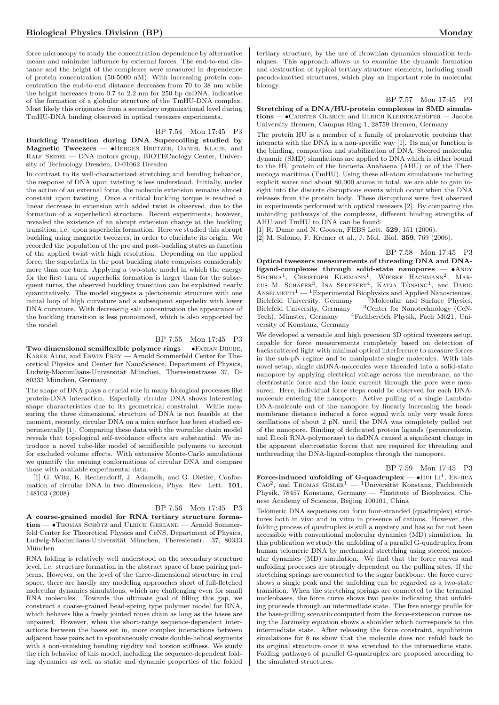force microscopy to study the concentration dependence by alternative means and minimize influence by external forces. The end-to-end distance and the height of the complexes were measured in dependence of protein concentration (50-5000 nM). With increasing protein concentration the end-to-end distance decreases from 70 to 38 nm while the height increases from 0.7 to 2.2 nm for 250 bp dsDNA, indicative of the formation of a globular structure of the TmHU-DNA complex. Most likely this originates from a secondary organizational level during TmHU-DNA binding observed in optical tweezers experiments.

#### BP 7.54 Mon 17:45 P3

Buckling Transition during DNA Supercoiling studied by Magnetic Tweezers — •Hergen Brutzer, Daniel Klaue, and RALF SEIDEL — DNA motors group, BIOTECnology Center, University of Technology Dresden, D-01062 Dresden

In contrast to its well-characterized stretching and bending behavior, the response of DNA upon twisting is less understood. Initially, under the action of an external force, the molecule extension remains almost constant upon twisting. Once a critical buckling torque is reached a linear decrease in extension with added twist is observed, due to the formation of a superhelical structure. Recent experiments, however, revealed the existence of an abrupt extension change at the buckling transition, i.e. upon superhelix formation. Here we studied this abrupt buckling using magnetic tweezers, in order to elucidate its origin. We recorded the population of the pre and post-buckling states as function of the applied twist with high resolution. Depending on the applied force, the superhelix in the post buckling state comprises considerably more than one turn. Applying a two-state model in which the energy for the first turn of superhelix formation is larger than for the subsequent turns, the observed buckling transition can be explained nearly quantitatively. The model suggests a plectonemic structure with one initial loop of high curvature and a subsequent superhelix with lower DNA curvature. With decreasing salt concentration the appearance of the buckling transition is less pronounced, which is also supported by the model.

## BP 7.55 Mon 17:45 P3

Two dimensional semiflexible polymer rings - • FABIAN DRUBE, Karen Alim, and Erwin Frey — Arnold Sommerfeld Center for Theoretical Physics and Center for NanoScience, Department of Physics, Ludwig-Maximilians-Universität München, Theresienstrasse 37, D-80333 München, Germany

The shape of DNA plays a crucial role in many biological processes like protein-DNA interaction. Especially circular DNA shows interesting shape characteristics due to its geometrical constraint. While measuring the three dimensional structure of DNA is not feasible at the moment, recently, circular DNA on a mica surface has been studied experimentally [1]. Comparing these data with the wormlike chain model reveals that topological self-avoidance effects are substantial. We introduce a novel tube-like model of semiflexible polymers to account for excluded volume effects. With extensive Monte-Carlo simulations we quantify the ensuing conformations of circular DNA and compare those with available experimental data.

[1] G. Witz, K. Rechendorff, J. Adamcik, and G. Dietler, Conformation of circular DNA in two dimensions, Phys. Rev. Lett. 101, 148103 (2008)

#### BP 7.56 Mon 17:45 P3

A coarse-grained model for RNA tertiary structure forma- $\text{tion} \longrightarrow \text{THOMAS}$  SCHÖTZ and ULRICH GERLAND — Arnold Sommerfeld Center for Theoretical Physics and CeNS, Department of Physics, Ludwig-Maximilians-Universität München, Theresienstr. 37, 80333 München

RNA folding is relatively well understood on the secondary structure level, i.e. structure formation in the abstract space of base pairing patterns. However, on the level of the three-dimensional structure in real space, there are hardly any modeling approaches short of full-fletched molecular dynamics simulations, which are challenging even for small RNA molecules. Towards the ultimate goal of filling this gap, we construct a coarse-grained bead-spring type polymer model for RNA, which behaves like a freely jointed rouse chain as long as the bases are unpaired. However, when the short-range sequence-dependent interactions between the bases set in, more complex interactions between adjacent base pairs act to spontaneously create double-helical segments with a non-vanishing bending rigidity and torsion stiffness. We study the rich behavior of this model, including the sequence-dependent folding dynamics as well as static and dynamic properties of the folded

tertiary structure, by the use of Brownian dynamics simulation techniques. This approach allows us to examine the dynamic formation and destruction of typical tertiary structure elements, including small pseudo-knotted structures, which play an important role in molecular biology.

#### BP 7.57 Mon 17:45 P3

Stretching of a DNA/HU-protein complexes in SMD simula $tions - \bullet$ Carsten Olbrich and Ulrich Kleinekathöfer — Jacobs University Bremen, Campus Ring 1, 28759 Bremen, Germany

The protein HU is a member of a family of prokaryotic proteins that interacts with the DNA in a non-specific way [1]. Its major function is the binding, compaction and stabilization of DNA. Steered molecular dynamic (SMD) simulations are applied to DNA which is either bound to the HU protein of the bacteria Anabaena (AHU) or of the Thermotoga maritima (TmHU). Using these all-atom simulations including explicit water and about 80,000 atoms in total, we are able to gain insight into the discrete disruptions events which occur when the DNA releases from the protein body. These disruptions were first observed in experiments performed with optical tweezers [2]. By comparing the unbinding pathways of the complexes, different binding strengths of AHU and TmHU to DNA can be found.

[1] R. Dame and N. Goosen, FEBS Lett. 529, 151 (2006).

[2] M. Salomo, F. Kremer et al., J. Mol. Biol. 359, 769 (2006).

#### BP 7.58 Mon 17:45 P3

Optical tweezers measurements of threading DNA and DNAligand-complexes through solid-state nanopores -  $\bullet$ ANDY SISCHKA<sup>1</sup>, CHRISTOPH KLEIMANN<sup>1</sup>, WIEBKE HACHMANN<sup>2</sup>, MAR-cus M. Schäfer<sup>3</sup>, Ina Seuffert<sup>4</sup>, KATJA TÖNSING<sup>1</sup>, and DARIO  $\operatorname{Answer 11} - \operatorname{1\:}$  Experimental Biophysics and Applied Nanosciences, Bielefeld University, Germany — <sup>2</sup>Molecular and Surface Physics, Bielefeld University, Germany  $-$  <sup>3</sup>Center for Nanotechnology (CeN-Tech), Münster, Germany —  ${}^{4}$ Fachbereich Physik, Fach M621, University of Konstanz, Germany

We developed a versatile and high precision 3D optical tweezers setup, capable for force measurements completely based on detection of backscattered light with minimal optical interference to measure forces in the sub-pN regime and to manipulate single molecules. With this novel setup, single dsDNA-molecules were threaded into a solid-state nanopore by applying electrical voltage across the membrane, as the electrostatic force and the ionic current through the pore were measured. Here, individual force steps could be observed for each DNAmolecule entering the nanopore. Active pulling of a single Lambda-DNA-molecule out of the nanopore by linearly increasing the beadmembrane distance induced a force signal with only very weak force oscillations of about 2 pN, until the DNA was completely pulled out of the nanopore. Binding of dedicated protein ligands (peroxiredoxin, and E.coli RNA-polymerase) to dsDNA caused a significant change in the apparent electrostatic forces that are required for threading and unthreading the DNA-ligand-complex through the nanopore.

## BP 7.59 Mon 17:45 P3

Force-induced unfolding of G-quadruplex  $- \bullet$  HUI LI<sup>1</sup>, EN-HUA  $\text{Cao}^2$ , and THOMAS  $\text{GisLER}^1$  - <sup>1</sup>Universität Konstanz, Fachbereich Physik, 78457 Konstanz, Germany  $-$  <sup>2</sup>Institute of Biophysics, Chinese Academy of Sciences, Beijing 100101, China

Telomeric DNA sequences can form four-stranded (quadruplex) structures both in vivo and in vitro in presence of cations. However, the folding process of quadruplex is still a mystery and has so far not been accessible with conventional molecular dynamics (MD) simulation. In this publication we study the unfolding of a parallel G-quadruplex from human telomeric DNA by mechanical stretching using steered molecular dynamics (MD) simulation. We find that the force curves and unfolding processes are strongly dependent on the pulling sites. If the stretching springs are connected to the sugar backbone, the force curve shows a single peak and the unfolding can be regarded as a two-state transition. When the stretching springs are connected to the terminal nucleobases, the force curve shows two peaks indicating that unfolding proceeds through an intermediate state. The free energy profile for the base-pulling scenario computed from the force-extension curves using the Jarzinsky equation shows a shoulder which corresponds to the intermediate state. After releasing the force constraint, equilibrium simulations for 8 ns show that the molecule does not refold back to its original structure once it was stretched to the intermediate state. Folding pathways of parallel G-quadruplex are proposed according to the simulated structures.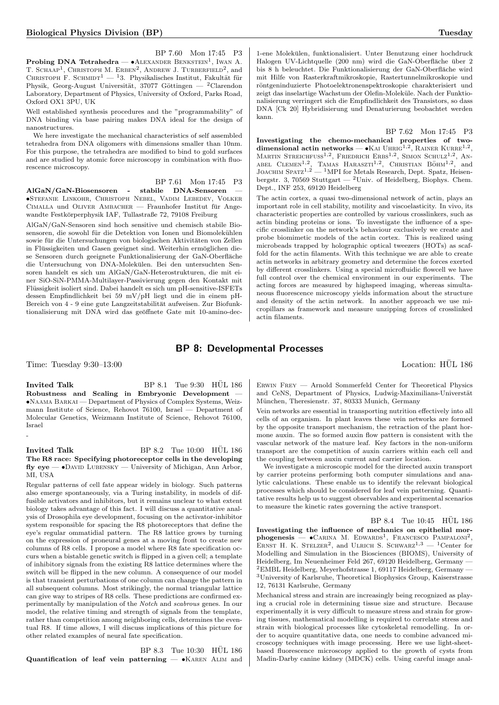BP 7.60 Mon 17:45 P3

**Probing DNA Tetrahedra — •**ALEXANDER BENKSTEIN<sup>1</sup>, IWAN A. T. SCHAAP<sup>1</sup>, CHRISTOPH M. ERBEN<sup>2</sup>, ANDREW J. TURBERFIELD<sup>2</sup>, and CHRISTOPH F. SCHMIDT $^{1}$  —  $^{1}3.$  Physikalisches Institut, Fakultät für Physik, Georg-August Universität, 37077 Göttingen — <sup>2</sup>Clarendon Laboratory, Department of Physics, University of Oxford, Parks Road, Oxford OX1 3PU, UK

Well established synthesis procedures and the "programmability" of DNA binding via base pairing makes DNA ideal for the design of nanostructures.

We here investigate the mechanical characteristics of self assembled tetrahedra from DNA oligomers with dimensions smaller than 10nm. For this purpose, the tetrahedra are modified to bind to gold surfaces and are studied by atomic force microscopy in combination with fluorescence microscopy.

BP 7.61 Mon 17:45 P3

AlGaN/GaN-Biosensoren - stabile DNA-Sensoren — •Stefanie Linkohr, Christoph Nebel, Vadim Lebedev, Volker CIMALLA und OLIVER AMBACHER — Fraunhofer Institut für Angewandte Festkörperphysik IAF, Tullastraße 72, 79108 Freiburg

AlGaN/GaN-Sensoren sind hoch sensitive und chemisch stabile Biosensoren, die sowohl für die Detektion von Ionen und Biomolekühlen sowie für die Untersuchungen von biologischen Aktivitäten von Zellen in Flüssigkeiten und Gasen geeignet sind. Weiterhin ermöglichen diese Sensoren durch geeignete Funktionalisierung der GaN-Oberfläche die Untersuchung von DNA-Molekulen. Bei den untersuchten Sen- ¨ soren handelt es sich um AlGaN/GaN-Heterostrukturen, die mit einer SiO-SiN-PMMA-Multilayer-Passivierung gegen den Kontakt mit Flussigkeit isoliert sind. Dabei handelt es sich um pH-sensitive-ISFETs ¨ dessen Empfindlichkeit bei 59 mV/pH liegt und die in einem pH-Bereich von 4 - 9 eine gute Langzeitstabilität aufweisen. Zur Biofunktionalisierung mit DNA wird das geöffnete Gate mit 10-amino-dec-

1-ene Molekulen, funktionalisiert. Unter Benutzung einer hochdruck ¨ Halogen UV-Lichtquelle (200 nm) wird die GaN-Oberfläche über 2 bis 8 h beleuchtet. Die Funktionalisierung der GaN-Oberfläche wird mit Hilfe von Rasterkraftmikroskopie, Rastertunnelmikroskopie und röntgeninduzierte Photoelektronenspektroskopie charakterisiert und zeigt das inselartige Wachstum der Olefin-Moleküle. Nach der Funktionalisierung verringert sich die Empfindlichkeit des Transistors, so dass DNA [Ck 20] Hybridisierung und Denaturierung beobachtet werden kann.

BP 7.62 Mon 17:45 P3 Investigating the chemo-mechanical properties of twodimensional actin networks  $- \bullet$ KAI UHRIG<sup>1,2</sup>, RAINER KURRE<sup>1,2</sup>, MARTIN STREICHFUSS<sup>1,2</sup>, FRIEDRICH ERBS<sup>1,2</sup>, SIMON SCHULZ<sup>1,2</sup>, AN-ABEL CLEMEN<sup>1,2</sup>, TAMAS HARASZTI<sup>1,2</sup>, CHRISTIAN BÖHM<sup>1,2</sup>, and JOACHIM SPATZ<sup>1,2</sup> — <sup>1</sup>MPI for Metals Research, Dept. Spatz, Heisenbergstr. 3, 70569 Stuttgart  $-$  <sup>2</sup>Univ. of Heidelberg, Biophys. Chem. Dept., INF 253, 69120 Heidelberg

The actin cortex, a quasi two-dimensional network of actin, plays an important role in cell stability, motility and viscoelasticity. In vivo, its characteristic properties are controlled by various crosslinkers, such as actin binding proteins or ions. To investigate the influence of a specific crosslinker on the network's behaviour exclusively we create and probe biomimetic models of the actin cortex. This is realized using microbeads trapped by holographic optical tweezers (HOTs) as scaffold for the actin filaments. With this technique we are able to create actin networks in arbitrary geometry and determine the forces exerted by different crosslinkers. Using a special microfluidic flowcell we have full control over the chemical environment in our experiments. The acting forces are measured by highspeed imaging, whereas simultaneous fluorescence microscopy yields information about the structure and density of the actin network. In another approach we use micropillars as framework and measure unzipping forces of crosslinked actin filaments.

## BP 8: Developmental Processes

Time: Tuesday 9:30–13:00 Location: HUL 186 ¨

-

Invited Talk  $BP 8.1$  Tue  $9.30$  HUL  $186$ Robustness and Scaling in Embryonic Development — •Naama Barkai — Department of Physics of Complex Systems, Weizmann Institute of Science, Rehovot 76100, Israel — Department of Molecular Genetics, Weizmann Institute of Science, Rehovot 76100, Israel

#### Invited Talk  $BP 8.2$  Tue  $10:00$   $HÜL 186$ The R8 race: Specifying photoreceptor cells in the developing  $fly eye — o$ DAVID LUBENSKY — University of Michigan, Ann Arbor, MI, USA

Regular patterns of cell fate appear widely in biology. Such patterns also emerge spontaneously, via a Turing instability, in models of diffusible activators and inhibitors, but it remains unclear to what extent biology takes advantage of this fact. I will discuss a quantitative analysis of Drosophila eye development, focusing on the activator-inhibitor system responsible for spacing the R8 photoreceptors that define the eye's regular ommatidial pattern. The R8 lattice grows by turning on the expression of proneural genes at a moving front to create new columns of R8 cells. I propose a model where R8 fate specification occurs when a bistable genetic switch is flipped in a given cell; a template of inhibitory signals from the existing R8 lattice determines where the switch will be flipped in the new column. A consequence of our model is that transient perturbations of one column can change the pattern in all subsequent columns. Most strikingly, the normal triangular lattice can give way to stripes of R8 cells. These predictions are confirmed experimentally by manipulation of the Notch and scabrous genes. In our model, the relative timing and strength of signals from the template, rather than competition among neighboring cells, determines the eventual R8. If time allows, I will discuss implications of this picture for other related examples of neural fate specification.

 $BP 8.3$  Tue  $10:30$  HUL 186 Quantification of leaf vein patterning -  $\bullet$ KAREN ALIM and

Erwin Frey — Arnold Sommerfeld Center for Theoretical Physics and CeNS, Department of Physics, Ludwig-Maximilians-Universtät München, Theresienstr. 37, 80333 Munich, Germany

Vein networks are essential in transporting nutrition effectively into all cells of an organism. In plant leaves these vein networks are formed by the opposite transport mechanism, the retraction of the plant hormone auxin. The so formed auxin flow pattern is consistent with the vascular network of the mature leaf. Key factors in the non-uniform transport are the competition of auxin carriers within each cell and the coupling between auxin current and carrier location.

We investigate a microscopic model for the directed auxin transport by carrier proteins performing both computer simulations and analytic calculations. These enable us to identify the relevant biological processes which should be considered for leaf vein patterning. Quantitative results help us to suggest observables and experimental scenarios to measure the kinetic rates governing the active transport.

 $BP 8.4$  Tue  $10:45$   $HÜL 186$ 

Investigating the influence of mechanics on epithelial morphogenesis - CARINA M. EDWARDS<sup>1</sup>, FRANCESCO PAMPALONI<sup>2</sup>, ERNST H. K. STELZER<sup>2</sup>, and ULRICH S. SCHWARZ<sup>1,3</sup> - <sup>1</sup>Center for Modelling and Simulation in the Biosciences (BIOMS), University of Heidelberg, Im Neuenheimer Feld 267, 69120 Heidelberg, Germany — <sup>2</sup>EMBL Heidelberg, Meyerhofstrasse 1, 69117 Heidelberg, Germany — <sup>3</sup>University of Karlsruhe, Theoretical Biophysics Group, Kaiserstrasse 12, 76131 Karlsruhe, Germany

Mechanical stress and strain are increasingly being recognized as playing a crucial role in determining tissue size and structure. Because experimentally it is very difficult to measure stress and strain for growing tissues, mathematical modelling is required to correlate stress and strain with biological processes like cytoskeletal remodelling. In order to acquire quantitative data, one needs to combine advanced microscopy techniques with image processing. Here we use light-sheetbased fluorescence microscopy applied to the growth of cysts from Madin-Darby canine kidney (MDCK) cells. Using careful image anal-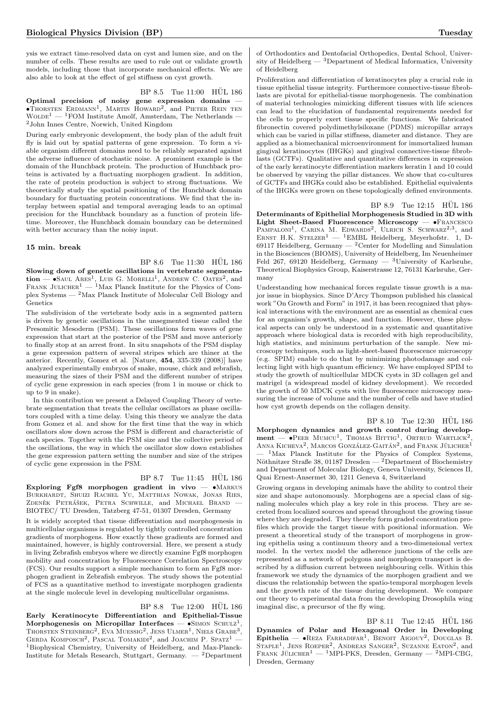ysis we extract time-resolved data on cyst and lumen size, and on the number of cells. These results are used to rule out or validate growth models, including those that incorporate mechanical effects. We are also able to look at the effect of gel stiffness on cyst growth.

Optimal precision of noisy gene expression domains — •Thorsten Erdmann<sup>1</sup> , Martin Howard<sup>2</sup> , and Pieter Rein ten  $\textsc{Wolbe}^1$  —  $^1\textsc{FOM}$  Institute Amolf, Amsterdam, The Netherlands <sup>2</sup>John Innes Centre, Norwich, United Kingdom

During early embryonic development, the body plan of the adult fruit fly is laid out by spatial patterns of gene expression. To form a viable organism different domains need to be reliably separated against the adverse influence of stochastic noise. A prominent example is the domain of the Hunchback protein. The production of Hunchback proteins is activated by a fluctuating morphogen gradient. In addition, the rate of protein production is subject to strong fluctuations. We theoretically study the spatial positioning of the Hunchback domain boundary for fluctuating protein concentrations. We find that the interplay between spatial and temporal averaging leads to an optimal precision for the Hunchback boundary as a function of protein lifetime. Moreover, the Hunchback domain boundary can be determined with better accuracy than the noisy input.

#### 15 min. break

 $BP 8.6$  Tue  $11:30$  HÜL  $186$ Slowing down of genetic oscillations in vertebrate segmenta- $\text{tion} = \bullet$ Saul Ares<sup>1</sup>, Luis G. Morelli<sup>1</sup>, Andrew C. Oates<sup>2</sup>, and FRANK JULICHER<sup>1</sup> — <sup>1</sup>Max Planck Institute for the Physics of Complex Systems — <sup>2</sup>Max Planck Institute of Molecular Cell Biology and Genetics

The subdivision of the vertebrate body axis in a segmented pattern is driven by genetic oscillations in the unsegmented tissue called the Presomitic Mesoderm (PSM). These oscillations form waves of gene expression that start at the posterior of the PSM and move anteriorly to finally stop at an arrest front. In situ snapshots of the PSM display a gene expression pattern of several stripes which are thiner at the anterior. Recently, Gomez et al. [Nature, 454, 335-339 (2008)] have analyzed experimentally embryos of snake, mouse, chick and zebrafish, measuring the sizes of their PSM and the different number of stripes of cyclic gene expression in each species (from 1 in mouse or chick to up to 9 in snake).

In this contribution we present a Delayed Coupling Theory of vertebrate segmentation that treats the cellular oscillators as phase oscillators coupled with a time delay. Using this theory we analyze the data from Gomez et al. and show for the first time that the way in which oscillators slow down across the PSM is different and characteristic of each species. Together with the PSM size and the collective period of the oscillations, the way in which the oscillator slow down establishes the gene expression pattern setting the number and size of the stripes of cyclic gene expression in the PSM.

#### BP 8.7 Tue 11:45 HUL 186

Exploring Fgf8 morphogen gradient in vivo  $- \cdot MARKUS$ Burkhardt, Shuizi Rachel Yu, Matthias Nowak, Jonas Ries, ZDENĚK PETRÁŠEK, PETRA SCHWILLE, and MICHAEL BRAND BIOTEC/ TU Dresden, Tatzberg 47-51, 01307 Dresden, Germany

It is widely accepted that tissue differentiation and morphogenesis in multicellular organisms is regulated by tightly controlled concentration gradients of morphogens. How exactly these gradients are formed and maintained, however, is highly controversial. Here, we present a study in living Zebrafish embryos where we directly examine Fgf8 morphogen mobility and concentration by Fluorescence Correlation Spectroscopy (FCS). Our results support a simple mechanism to form an Fgf8 morphogen gradient in Zebrafish embryos. The study shows the potential of FCS as a quantitative method to investigate morphogen gradients at the single molecule level in developing multicellular organisms.

#### BP 8.8 Tue 12:00 HUL 186

Early Keratinocyte Differentiation and Epithelial-Tissue Morphogenesis on Micropillar Interfaces  $-$  •SIMON SCHULZ<sup>1</sup>, THORSTEN STEINBERG<sup>2</sup>, EVA MUESSIG<sup>2</sup>, JENS ULMER<sup>1</sup>, NIELS GRABE<sup>3</sup>, GERDA KOMPOSCH<sup>2</sup>, PASCAL TOMAKIDI<sup>2</sup>, and JOACHIM P. SPATZ<sup>1</sup> -<sup>1</sup>Biophysical Chemistry, University of Heidelberg, and Max-Planck-Institute for Metals Research, Stuttgart, Germany. — <sup>2</sup>Department

of Orthodontics and Dentofacial Orthopedics, Dental School, University of Heidelberg  $-$  3Department of Medical Informatics, University of Heidelberg

Proliferation and differentiation of keratinocytes play a crucial role in tissue epithelial tissue integrity. Furthermore connective-tissue fibroblasts are pivotal for epithelial-tissue morphogenesis. The combination of material technologies mimicking different tissues with life sciences can lead to the elucidation of fundamental requirements needed for the cells to properly exert tissue specific functions. We fabricated fibronectin covered polydimethylsiloxane (PDMS) micropillar arrays which can be varied in pillar stiffness, diameter and distance. They are applied as a biomechanical microenvironment for immortalized human gingival keratinocytes (IHGKs) and gingival connective-tissue fibroblasts (GCTFs). Qualitative and quantitative differences in expression of the early keratinocyte differentiation markers keratin 1 and 10 could be observed by varying the pillar distances. We show that co-cultures of GCTFs and IHGKs could also be established. Epithelial equivalents of the IHGKs were grown on these topologically defined environments.

BP 8.9 Tue 12:15 HÜL 186

Determinants of Epithelial Morphogenesis Studied in 3D with Light Sheet-Based Fluorescence Microscopy —  $\bullet$ Francesco PampaLONI<sup>1</sup>, CARINA M. EDWARDS<sup>2</sup>, ULRICH S. SCHWARZ<sup>2,3</sup>, and ERNST H.K.  $STELZER<sup>1</sup> - <sup>1</sup>EMBL Heidelberg$ . Meyerhofstr. 1, D-69117 Heidelberg, Germany  $-$  <sup>2</sup> Center for Modelling and Simulation in the Biosciences (BIOMS), University of Heidelberg, Im Neuenheimer Feld 267, 69120 Heidelberg, Germany —  $^3$ University of Karlsruhe, Theoretical Biophysics Group, Kaiserstrasse 12, 76131 Karlsruhe, Germany

Understanding how mechanical forces regulate tissue growth is a major issue in biophysics. Since D'Arcy Thompson published his classical work "On Growth and Form" in 1917, it has been recognized that physical interactions with the environment are as essential as chemical cues for an organism's growth, shape, and function. However, these physical aspects can only be understood in a systematic and quantitative approach where biological data is recorded with high reproducibility, high statistics, and minimum perturbation of the sample. New microscopy techniques, such as light-sheet-based fluorescence microscopy (e.g. SPIM) enable to do that by minimizing photodamage and collecting light with high quantum efficiency. We have employed SPIM to study the growth of multicellular MDCK cysts in 3D collagen gel and matrigel (a widespread model of kidney development). We recorded the growth of 50 MDCK cysts with live fluorescence microscopy measuring the increase of volume and the number of cells and have studied how cyst growth depends on the collagen density.

BP 8.10 Tue 12:30 HÜL 186 Morphogen dynamics and growth control during develop**ment** — •Peer Mumcu<sup>1</sup>, Thomas Bittig<sup>1</sup>, Ortrud Wartlick<sup>2</sup>;<br>Anna Kicheva<sup>2</sup>, Marcos González-Gaitán<sup>2</sup>, and Frank Jülicher<sup>1</sup>  $1$ Max Planck Institute for the Physics of Complex Systems, Nöthnitzer Straße 38, 01187 Dresden — <sup>2</sup>Department of Biochemistry and Department of Molecular Biology, Geneva University, Sciences II, Quai Ernest-Ansermet 30, 1211 Geneva 4, Switzerland

Growing organs in developing animals have the ability to control their size and shape autonomously. Morphogens are a special class of signaling molecules which play a key role in this process. They are secreted from localized sources and spread throughout the growing tissue where they are degraded. They thereby form graded concentration profiles which provide the target tissue with positional information. We present a theoretical study of the transport of morphogens in growing epithelia using a continuum theory and a two-dimensional vertex model. In the vertex model the adherence junctions of the cells are represented as a network of polygons and morphogen transport is described by a diffusion current between neighbouring cells. Within this framework we study the dynamics of the morphogen gradient and we discuss the relationship between the spatio-temporal morphogen levels and the growth rate of the tissue during development. We compare our theory to experimental data from the developing Drosophila wing imaginal disc, a precursor of the fly wing.

BP 8.11 Tue 12:45 HUL 186 Dynamics of Polar and Hexagonal Order in Developing Epithelia —  $\bullet$ REZA FARHADIFAR<sup>1</sup>, BENOIT AIGOUY<sup>2</sup>, DOUGLAS B. STAPLE<sup>1</sup>, JENS ROEPER<sup>2</sup>, ANDREAS SANGER<sup>2</sup>, SUZANNE EATON<sup>2</sup>, and FRANK JÜLICHER<sup>1</sup> — <sup>1</sup>MPI-PKS, Dresden, Germany — <sup>2</sup>MPI-CBG, Dresden, Germany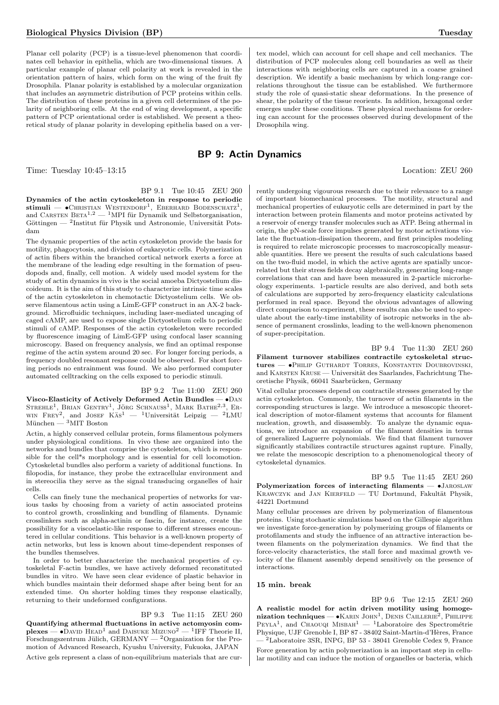Planar cell polarity (PCP) is a tissue-level phenomenon that coordinates cell behavior in epithelia, which are two-dimensional tissues. A particular example of planar cell polarity at work is revealed in the orientation pattern of hairs, which form on the wing of the fruit fly Drosophila. Planar polarity is established by a molecular organization that includes an asymmetric distribution of PCP proteins within cells. The distribution of these proteins in a given cell determines of the polarity of neighboring cells. At the end of wing development, a specific pattern of PCP orientational order is established. We present a theoretical study of planar polarity in developing epithelia based on a ver-

Time: Tuesday 10:45–13:15 Location: ZEU 260

BP 9.1 Tue 10:45 ZEU 260 Dynamics of the actin cytoskeleton in response to periodic stimuli —  $\bullet$ Christian Westendorf<sup>1</sup>, Eberhard Bodenschatz<sup>1</sup>, and CARSTEN BETA<sup>1,2</sup> — <sup>1</sup>MPI für Dynamik und Selbstorganisation, Göttingen — <sup>2</sup>Institut für Physik und Astronomie, Universität Potsdam

The dynamic properties of the actin cytoskeleton provide the basis for motility, phagocytosis, and division of eukaryotic cells. Polymerization of actin fibers within the branched cortical network exerts a force at the membrane of the leading edge resulting in the formation of pseudopods and, finally, cell motion. A widely used model system for the study of actin dynamics in vivo is the social amoeba Dictyostelium discoideum. It is the aim of this study to characterize intrinsic time scales of the actin cytoskeleton in chemotactic Dictyostelium cells. We observe filamentous actin using a LimE-GFP construct in an AX-2 background. Microfluidic techniques, including laser-mediated uncaging of caged cAMP, are used to expose single Dictyostelium cells to periodic stimuli of cAMP. Responses of the actin cytoskeleton were recorded by fluorescence imaging of LimE-GFP using confocal laser scanning microscopy. Based on frequency analysis, we find an optimal response regime of the actin system around 20 sec. For longer forcing periods, a frequency doubled resonant response could be observed. For short forcing periods no entrainment was found. We also performed computer automated celltracking on the cells exposed to periodic stimuli.

BP 9.2 Tue 11:00 ZEU 260 Visco-Elasticity of Actively Deformed Actin Bundles — •Dan STREHLE<sup>1</sup>, BRIAN GENTRY<sup>1</sup>, JÖRG SCHNAUSS<sup>1</sup>, MARK BATHE<sup>2,3</sup>, ER-WIN FREY<sup>2</sup>, and JOSEF KAS<sup>1</sup> - <sup>1</sup>Universität Leipzig - <sup>2</sup>LMU München —  ${}^{3}$ MIT Boston

Actin, a highly conserved cellular protein, forms filamentous polymers under physiological conditions. In vivo these are organized into the networks and bundles that comprise the cytoskeleton, which is responsible for the cell\*s morphology and is essential for cell locomotion. Cytoskeletal bundles also perform a variety of additional functions. In filopodia, for instance, they probe the extracellular environment and in stereocilia they serve as the signal transducing organelles of hair cells.

Cells can finely tune the mechanical properties of networks for various tasks by choosing from a variety of actin associated proteins to control growth, crosslinking and bundling of filaments. Dynamic crosslinkers such as alpha-actinin or fascin, for instance, create the possibility for a viscoelastic-like response to different stresses encountered in cellular conditions. This behavior is a well-known property of actin networks, but less is known about time-dependent responses of the bundles themselves.

In order to better characterize the mechanical properties of cytoskeletal F-actin bundles, we have actively deformed reconstituted bundles in vitro. We have seen clear evidence of plastic behavior in which bundles maintain their deformed shape after being bent for an extended time. On shorter holding times they response elastically, returning to their undeformed configurations.

BP 9.3 Tue 11:15 ZEU 260

Quantifying athermal fluctuations in active actomyosin com- $\mathbf{p}$ lexes —  $\bullet$ David HEAD<sup>1</sup> and DAISUKE Mizuno<sup>2</sup> — <sup>1</sup>IFF Theorie II, Forschungszentrum Jülich, GERMANY —  ${}^{2}$ Organization for the Promotion of Advanced Research, Kyushu University, Fukuoka, JAPAN Active gels represent a class of non-equilibrium materials that are cur-

tex model, which can account for cell shape and cell mechanics. The distribution of PCP molecules along cell boundaries as well as their interactions with neighboring cells are captured in a coarse grained description. We identify a basic mechanism by which long-range correlations throughout the tissue can be established. We furthermore study the role of quasi-static shear deformations. In the presence of shear, the polarity of the tissue reorients. In addition, hexagonal order emerges under these conditions. These physical mechanisms for ordering can account for the processes observed during development of the Drosophila wing.

## BP 9: Actin Dynamics

rently undergoing vigourous research due to their relevance to a range of important biomechanical processes. The motility, structural and mechanical properties of eukaryotic cells are determined in part by the interaction between protein filaments and motor proteins activated by a reservoir of energy transfer molecules such as ATP. Being athermal in origin, the pN-scale force impulses generated by motor activations violate the fluctuation-dissipation theorem, and first principles modeling is required to relate microscopic processes to macroscopically measurable quantities. Here we present the results of such calculations based on the two-fluid model, in which the active agents are spatially uncorrelated but their stress fields decay algebraically, generating long-range correlations that can and have been measured in 2-particle microrheology experiments. 1-particle results are also derived, and both sets of calculations are supported by zero-frequency elasticity calculations performed in real space. Beyond the obvious advantages of allowing direct comparison to experiment, these results can also be used to speculate about the early-time instability of isotropic networks in the absence of permanent crosslinks, leading to the well-known phenomenon of super-precipitation.

BP 9.4 Tue 11:30 ZEU 260 Filament turnover stabilizes contractile cytoskeletal structures — •Philip Guthardt Torres, Konstantin Doubrovinski, and KARSTEN KRUSE — Universität des Saarlandes, Fachrichtung Theoretische Physik, 66041 Saarbrücken, Germany

Vital cellular processes depend on contractile stresses generated by the actin cytoskeleton. Commonly, the turnover of actin filaments in the corresponding structures is large. We introduce a mesoscopic theoretical description of motor-filament systems that accounts for filament nucleation, growth, and disassembly. To analyze the dynamic equations, we introduce an expansion of the filament densities in terms of generalized Laguerre polynomials. We find that filament turnover significantly stabilizes contractile structures against rupture. Finally, we relate the mesoscopic description to a phenomenological theory of cytoskeletal dynamics.

BP 9.5 Tue 11:45 ZEU 260 Polymerization forces of interacting filaments  $\bullet$  JAROSLAW KRAWCZYK and JAN KIERFELD — TU Dortmund, Fakultät Physik, 44221 Dortmund

Many cellular processes are driven by polymerization of filamentous proteins. Using stochastic simulations based on the Gillespie algorithm we investigate force-generation by polymerizing groups of filaments or protofilaments and study the influence of an attractive interaction between filaments on the polymerization dynamics. We find that the force-velocity characteristics, the stall force and maximal growth velocity of the filament assembly depend sensitively on the presence of interactions.

### 15 min. break

BP 9.6 Tue 12:15 ZEU 260 A realistic model for actin driven motility using homogenization techniques — • KARIN JOHN<sup>1</sup>, DENIS CAILLERIE<sup>2</sup>, PHILIPPE PEYLA<sup>1</sup>, and CHAOUQI MISBAH<sup>1</sup> - <sup>1</sup>Laboratoire des Spectrométrie Physique, UJF Grenoble I, BP 87 - 38402 Saint-Martin-d'Hères, France — <sup>2</sup>Laboratoire 3SR, INPG, BP 53 - 38041 Grenoble Cedex 9, France Force generation by actin polymerization is an important step in cellular motility and can induce the motion of organelles or bacteria, which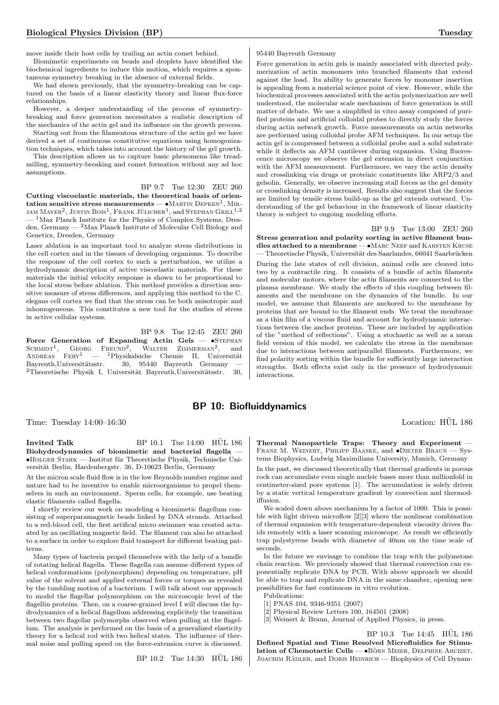move inside their host cells by trailing an actin comet behind.

Biomimetic experiments on beads and droplets have identified the biochemical ingredients to induce this motion, which requires a spontaneous symmetry breaking in the absence of external fields.

We had shown previously, that the symmetry-breaking can be captured on the basis of a linear elasticity theory and linear flux-force relationships.

However, a deeper understanding of the process of symmetrybreaking and force generation necessitates a realistic description of the mechanics of the actin gel and its influence on the growth process.

Starting out from the filamentous structure of the actin gel we have derived a set of continuous constitutive equations using homogenization techniques, which takes into account the history of the gel growth.

This description allows us to capture basic phenomena like treadmilling, symmetry-breaking and comet formation without any ad hoc assumptions.

#### BP 9.7 Tue 12:30 ZEU 260

Cutting viscoelastic materials, the theoretical basis of orientation sensitive stress measurements —  $\bullet$  MARTIN DEPKEN<sup>1</sup>, MIR-JAM  $\text{MAYER}^2$ , JUSTIN  $\text{BOS}^1$ , FRANK JÜLICHER<sup>1</sup>, and STEPHAN  $\text{GRILL}^{1,2}$ — <sup>1</sup>Max Planck Institute for the Physics of Complex Systems, Dresden, Germany — <sup>2</sup>Max Planck Institute of Molecular Cell Biology and Genetics, Dresden, Germany

Laser ablation is an important tool to analyze stress distributions in the cell cortex and in the tissues of developing organisms. To describe the response of the cell cortex to such a perturbation, we utilize a hydrodynamic description of active viscoelastic materials. For these materials the initial velocity response is shown to be proportional to the local stress before ablation. This method provides a direction sensitive measure of stress differences, and applying this method to the C. elegans cell cortex we find that the stress can be both anisotropic and inhomogeneous. This constitutes a new tool for the studies of stress in active cellular systems.

BP 9.8 Tue 12:45 ZEU 260

Force Generation of Expanding Actin Gels  $\bullet$ STEPHAN SCHMIDT<sup>1</sup>, GEORG FREUND<sup>2</sup>, WALTER ZIMMERMAN<sup>2</sup>, and<br>Andreas Fery<sup>1</sup> — <sup>1</sup>Physikalsiche Chemie II, Universität  $Bayreuth, Universitätsstr.$  30, 95440 Bayreuth Germany —  $2$ Theoretische Physik I. Universität Bayreuth Universitätsstr. 30  $2$ Theoretische Physik I, Universität Bayreuth,Universitätsstr.

#### 95440 Bayreuth Germany

Force generation in actin gels is mainly associated with directed polymerization of actin monomers into branched filaments that extend against the load. Its ability to generate forces by monomer insertion is appealing from a material science point of view. However, while the biochemical processes associated with the actin polymerization are well understood, the molecular scale mechanism of force generation is still matter of debate. We use a simplified in vitro assay composed of purified proteins and artificial colloidal probes to directly study the forces during actin network growth. Force measurements on actin networks are performed using colloidal probe AFM techniques. In our setup the actin gel is compressed between a colloidal probe and a solid substrate while it deflects an AFM cantilever during expansion. Using fluorescence microscopy we observe the gel extension in direct conjunction with the AFM measurement. Furthermore, we vary the actin density and crosslinking via drugs or proteinic constituents like ARP2/3 and gelsolin. Generally, we observe increasing stall forces as the gel density or crosslinking density is increased. Results also suggest that the forces are limited by tensile stress build-up as the gel extends outward. Understanding of the gel behaviour in the framework of linear elasticity theory is subject to ongoing modeling efforts.

BP 9.9 Tue 13:00 ZEU 260 Stress generation and polarity sorting in active filament bundles attached to a membrane — •MARC NEEF and KARSTEN KRUSE - Theoretische Physik, Universität des Saarlandes, 66041 Saarbrücken During the late states of cell division, animal cells are cleaved into two by a contractile ring. It consists of a bundle of actin filaments and molecular motors, where the actin filaments are connected to the plasma membrane. We study the effects of this coupling between filaments and the membrane on the dynamics of the bundle. In our model, we assume that filaments are anchored to the membrane by proteins that are bound to the filament ends. We treat the membrane as a thin film of a viscous fluid and account for hydrodynamic interactions between the anchor proteins. These are included by application of the "method of reflections". Using a stochastic as well as a mean field version of this model, we calculate the stress in the membrane due to interactions between antiparallel filaments. Furthermore, we find polarity sorting within the bundle for sufficiently large interaction strengths. Both effects exist only in the presence of hydrodynamic interactions.

## BP 10: Biofluiddynamics

Time: Tuesday 14:00–16:30 Location: HÜL 186

Invited Talk BP  $10.1$  Tue  $14:00$  HUL  $186$ Biohydrodynamics of biomimetic and bacterial flagella —  $\bullet$ HOLGER STARK — Institut für Theoretische Physik, Technische Universität Berlin, Hardenbergstr. 36, D-10623 Berlin, Germany

At the micron scale fluid flow is in the low Reynolds number regime and nature had to be inventive to enable microorganisms to propel themselves in such an environment. Sperm cells, for example, use beating elastic filaments called flagella.

I shortly review our work on modeling a biomimetic flagellum consisting of superparamagnetic beads linked by DNA strands. Attached to a red-blood cell, the first artifical micro swimmer was created actuated by an oscillating magnetic field. The filament can also be attached to a surface in order to explore fluid transport for different beating patterns.

Many types of bacteria propel themselves with the help of a bundle of rotating helical flagella. These flagella can assume different types of helical conformations (polymorphism) depending on temperature, pH value of the solvent and applied external forces or torques as revealed by the tumbling motion of a bacterium. I will talk about our approach to model the flagellar polymorphism on the microscopic level of the flagellin proteins. Then, on a coarse-grained level I will discuss the hydrodynamics of a helical flagellum addressing explicitely the transition between two flagellar polymorphs observed when pulling at the flagellum. The analysis is performed on the basis of a generalized elasticity theory for a helical rod with two helical states. The influence of thermal noise and pulling speed on the force-extension curve is discussed.

BP 10.2 Tue 14:30 HÜL 186

Thermal Nanoparticle Traps: Theory and Experiment — FRANZ M. WEINERT, PHILIPP BAASKE, and  $\bullet$ DIETER BRAUN - Systems Biophysics, Ludwig Maximilians University, Munich, Germany

In the past, we discussed theoretically that thermal gradients in porous rock can accumulate even single nucleic bases more than millionfold in centimeter-sized pore systems [1]. The accumulation is solely driven by a static vertical temperature gradient by convection and thermodiffusion.

We scaled down above mechanism by a factor of 1000. This is possible with light driven microflow [2][3] where the nonlinear combination of thermal expansion with temperature-dependent viscosity drives fluids remotely with a laser scanning microscope. As result we efficiently trap polystyrene beads with diameter of 40nm on the time scale of seconds.

In the future we envisage to combine the trap with the polymerase chain reaction. We previously showed that thermal convection can exponentially replicate DNA by PCR. With above approach we should be able to trap and replicate DNA in the same chamber, opening new possibilities for fast continuous in vitro evolution. Publications:

- [1] PNAS 104, 9346-9351 (2007)
- 
- [2] Physical Review Letters 100, 164501 (2008)

[3] Weinert & Braun, Journal of Applied Physics, in press.

BP  $10.3$  Tue  $14:45$  HUL  $186$ Defined Spatial and Time Resolved Microfluidics for Stimulation of Chemotactic Cells —  $\bullet$ BÖRN MEIER, DELPHINE ARCIZET, JOACHIM RÄDLER, and DORIS HEINRICH — Biophysics of Cell Dynam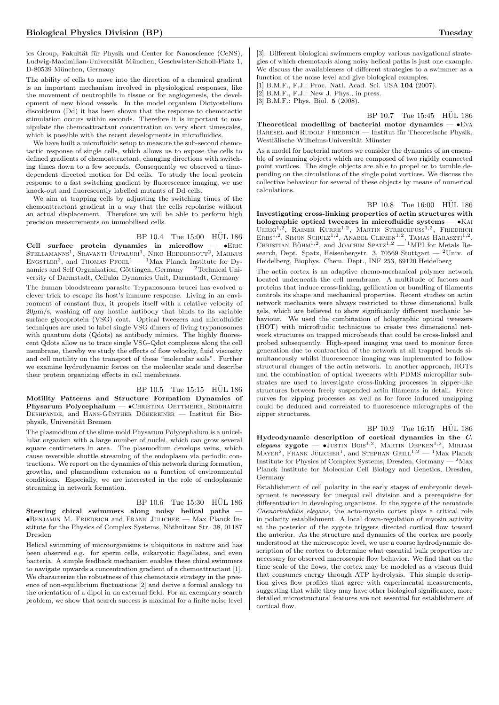ics Group, Fakultät für Physik und Center for Nanoscience (CeNS), Ludwig-Maximilian-Universität München, Geschwister-Scholl-Platz 1, D-80539 München, Germany

The ability of cells to move into the direction of a chemical gradient is an important mechanism involved in physiological responses, like the movement of neutrophils in tissue or for angiogenesis, the development of new blood vessels. In the model organism Dictyostelium discoideum (Dd) it has been shown that the response to chemotactic stimulation occurs within seconds. Therefore it is important to manipulate the chemoattractant concentration on very short timescales, which is possible with the recent developments in microfluidics.

We have built a microfluidic setup to measure the sub-second chemotactic response of single cells, which allows us to expose the cells to defined gradients of chemoattractant, changing directions with switching times down to a few seconds. Consequently we observed a timedependent directed motion for Dd cells. To study the local protein response to a fast switching gradient by fluorescence imaging, we use knock-out and fluorescently labelled mutants of Dd cells.

We aim at trapping cells by adjusting the switching times of the chemoattractant gradient in a way that the cells repolarise without an actual displacement. Therefore we will be able to perform high precision measurements on immobilised cells.

#### $BP_10.4$  Tue  $15:00$  HUL 186

Cell surface protein dynamics in microflow  $\bullet$ ERIC STELLAMANNS<sup>1</sup>, SRAVANTI UPPALURI<sup>1</sup>, NIKO HEDDERGOTT<sup>2</sup>, MARKUS<br>ENGSTLER<sup>2</sup>, and THOMAS PFOHL<sup>1</sup> — <sup>1</sup>Max Planck Institute for Dynamics and Self Organization, Göttingen, Germany —  $^2$ Technical University of Darmstadt, Cellular Dynamics Unit, Darmstadt, Germany

The human bloodstream parasite Trypanosoma brucei has evolved a clever trick to escape its host's immune response. Living in an environment of constant flux, it propels itself with a relative velocity of  $20\mu$ m/s, washing off any hostile antibody that binds to its variable surface glycoprotein (VSG) coat. Optical tweezers and microfluidic techniques are used to label single VSG dimers of living trypanosomes with quantum dots (Qdots) as antibody mimics. The highly fluorescent Qdots allow us to trace single VSG-Qdot complexes along the cell membrane, thereby we study the effects of flow velocity, fluid viscosity and cell motility on the transport of these "molecular sails". Further we examine hydrodynamic forces on the molecular scale and describe their protein organizing effects in cell membranes.

#### BP 10.5 Tue 15:15 HÜL 186

Motility Patterns and Structure Formation Dynamics of Physarum Polycephalum — · CHRISTINA OETTMEIER, SIDDHARTH DESHPANDE, and HANS-GÜNTHER DÖBEREINER — Institut für Biophysik, Universität Bremen

The plasmodium of the slime mold Physarum Polycephalum is a unicellular organism with a large number of nuclei, which can grow several square centimeters in area. The plasmodium develops veins, which cause reversible shuttle streaming of the endoplasm via periodic contractions. We report on the dynamics of this network during formation, growths, and plasmodium extension as a function of environmental conditions. Especially, we are interested in the role of endoplasmic streaming in network formation.

## $BP$  10.6 Tue 15:30 HÜL 186

Steering chiral swimmers along noisy helical paths — •Benjamin M. Friedrich and Frank Julicher — Max Planck Institute for the Physics of Complex Systems, Nöthnitzer Str. 38, 01187 Dresden

Helical swimming of microorganisms is ubiquitous in nature and has been observed e.g. for sperm cells, eukaryotic flagellates, and even bacteria. A simple feedback mechanism enables these chiral swimmers to navigate upwards a concentration gradient of a chemoattractant [1]. We characterize the robustness of this chemotaxis strategy in the presence of non-equilibrium fluctuations [2] and derive a formal analogy to the orientation of a dipol in an external field. For an exemplary search problem, we show that search success is maximal for a finite noise level

[3]. Different biological swimmers employ various navigational strategies of which chemotaxis along noisy helical paths is just one example. We discuss the availableness of different strategies to a swimmer as a function of the noise level and give biological examples. [1] B.M.F., F.J.: Proc. Natl. Acad. Sci. USA 104 (2007).

[2] B.M.F., F.J.: New J. Phys., in press.

[3] B.M.F.: Phys. Biol. **5** (2008).

BP 10.7 Tue 15:45 HÜL 186

Theoretical modelling of bacterial motor dynamics  $\bullet$  EVA BARESEL and RUDOLF FRIEDRICH — Institut für Theoretische Physik, Westfälische Wilhelms-Universität Münster

As a model for bacterial motors we consider the dynamics of an ensemble of swimming objects which are composed of two rigidly connected point vortices. The single objects are able to propel or to tumble depending on the circulations of the single point vortices. We discuss the collective behaviour for several of these objects by means of numerical calculations.

BP 10.8 Tue 16:00 HÜL 186

Investigating cross-linking properties of actin structures with holographic optical tweezers in microfluidic systems  $-$  •KAI UHRIG<sup>1,2</sup>, RAINER KURRE<sup>1,2</sup>, MARTIN STREICHFUSS<sup>1,2</sup>, FRIEDRICH ERBS<sup>1,2</sup>, SIMON SCHULZ<sup>1,2</sup>, ANABEL CLEMEN<sup>1,2</sup>, TAMAS HARASZTI<sup>1,2</sup>, CHRISTIAN BÖHM<sup>1,2</sup>, and JOACHIM SPATZ<sup>1,2</sup> — <sup>1</sup>MPI for Metals Research, Dept. Spatz, Heisenbergstr. 3, 70569 Stuttgart —  $^2$ Univ. of Heidelberg, Biophys. Chem. Dept., INF 253, 69120 Heidelberg

The actin cortex is an adaptive chemo-mechanical polymer network located underneath the cell membrane. A multitude of factors and proteins that induce cross-linking, gelification or bundling of filaments controls its shape and mechanical properties. Recent studies on actin network mechanics were always restricted to three dimensional bulk gels, which are believed to show significantly different mechanic behaviour. We used the combination of holographic optical tweezers (HOT) with microfluidic techniques to create two dimensional network structures on trapped microbeads that could be cross-linked and probed subsequently. High-speed imaging was used to monitor force generation due to contraction of the network at all trapped beads simultaneously whilst fluorescence imaging was implemented to follow structural changes of the actin network. In another approach, HOTs and the combination of optical tweezers with PDMS micropillar substrates are used to investigate cross-linking processes in zipper-like structures between freely suspended actin filaments in detail. Force curves for zipping processes as well as for force induced unzipping could be deduced and correlated to fluorescence micrographs of the zipper structures.

 $BP$  10.9 Tue 16:15  $HÜL$  186 Hydrodynamic description of cortical dynamics in the C. elegans zygote —  $\bullet$ Justin Bois<sup>1,2</sup>, Martin Depken<sup>1,2</sup>, Mirjam  $M$ AYER<sup>2</sup>, FRANK JÜLICHER<sup>1</sup>, and STEPHAN GRILL<sup>1,2</sup> - <sup>1</sup>Max Planck Institute for Physics of Complex Systems, Dresden, Germany  $-2$  Max Planck Institute for Molecular Cell Biology and Genetics, Dresden, Germany

Establishment of cell polarity in the early stages of embryonic development is necessary for unequal cell division and a prerequisite for differentiation in developing organisms. In the zygote of the nematode Caenorhabditis elegans, the acto-myosin cortex plays a critical role in polarity establishment. A local down-regulation of myosin activity at the posterior of the zygote triggers directed cortical flow toward the anterior. As the structure and dynamics of the cortex are poorly understood at the microscopic level, we use a coarse hydrodynamic description of the cortex to determine what essential bulk properties are necessary for observed macroscopic flow behavior. We find that on the time scale of the flows, the cortex may be modeled as a viscous fluid that consumes energy through ATP hydrolysis. This simple description gives flow profiles that agree with experimental measurements, suggesting that while they may have other biological significance, more detailed microstructural features are not essential for establishment of cortical flow.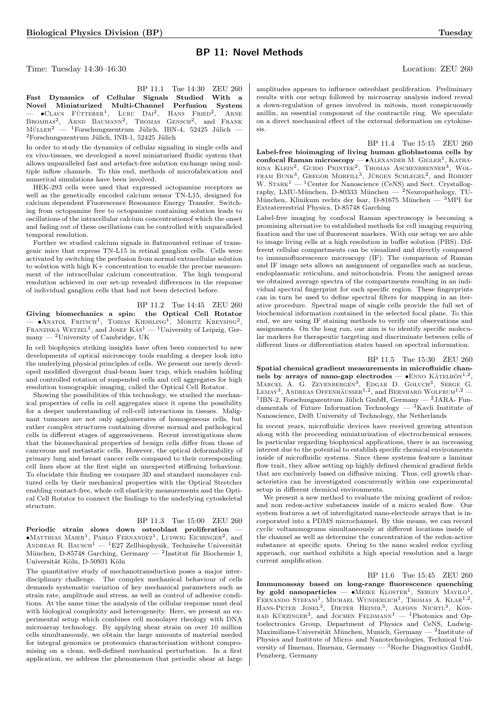## BP 11: Novel Methods

Time: Tuesday 14:30–16:30 Location: ZEU 260

BP 11.1 Tue 14:30 ZEU 260 Fast Dynamics of Cellular Signals Studied With a Novel Miniaturized Multi-Channel Perfusion System  $\bullet$ Claus Fütterer<sup>1</sup>, Luru Dai<sup>2</sup>, Hans Fried<sup>2</sup> , Arne BROMBAS<sup>2</sup>, ARND BAUMANN<sup>2</sup>, THOMAS GENSCH<sup>2</sup>, and FRANK  $M\ddot{\text{u}}$ LLER<sup>2</sup> — <sup>1</sup>Forschungszentrum Jülich, IBN-4, 52425 Jülich  ${}^{2}$ Forschungszentrum Jülich, INB-1, 52425 Jülich

In order to study the dynamics of cellular signaling in single cells and ex vivo-tissues, we developed a novel miniaturized fluidic system that allows unparalleled fast and artefact-free solution exchange using multiple inflow channels. To this end, methods of microfabrication and numerical simulations have been involved.

HEK-293 cells were used that expressed octopamine receptors as well as the genetically encoded calcium sensor TN-L15, designed for calcium dependent Fluorescence Resonance Energy Transfer. Switching from octopamine free to octopamine containing solution leads to oscillations of the intracellular calcium concentrationof which the onset and fading out of these oscillations can be controlled with unparalleled temporal resolution.

Further we studied calcium signals in flatmounted retinae of transgenic mice that express TN-L15 in retinal ganglion cells. Cells were activated by switching the perfusion from normal extracellular solution to solution with high K+ concentration to enable the precise measurement of the intracellular calcium concentration. The high temporal resolution achieved in our set-up revealed differences in the response of individual ganglion cells that had not been detected before.

BP 11.2 Tue 14:45 ZEU 260 Giving biomechanics a spin: the Optical Cell Rotator  $-$  •Anatol Fritsch<sup>1</sup>, Tobias Kiessling<sup>1</sup>, Moritz Kreysing<sup>2</sup>, FRANZISKA WETZEL<sup>1</sup>, and JOSEF  $KAS<sup>1</sup>$  — <sup>1</sup>University of Leipzig, Germany —  $^2$ University of Cambridge, UK

In cell biophysics striking insights have often been connected to new developments of optical microscopy tools enabling a deeper look into the underlying physical principles of cells. We present our newly developed modified divergent dual-beam laser trap, which enables holding and controlled rotation of suspended cells and cell aggregates for high resolution tomographic imaging, called the Optical Cell Rotator.

Showing the possibilities of this technology, we studied the mechanical properties of cells in cell aggregates since it opens the possibility for a deeper understanding of cell-cell interactions in tissues. Malignant tumours are not only agglomerates of homogeneous cells, but rather complex structures containing diverse normal and pathological cells in different stages of aggressiveness. Recent investigations show that the biomechanical properties of benign cells differ from those of cancerous and metastatic cells. However, the optical deformability of primary lung and breast cancer cells compared to their corresponding cell lines show at the first sight an unexpected stiffening behaviour. To elucidate this finding we compare 3D and standard monolayer cultured cells by their mechanical properties with the Optical Stretcher enabling contact-free, whole cell elasticity measurements and the Optical Cell Rotator to connect the findings to the underlying cytoskeletal structure.

#### BP 11.3 Tue 15:00 ZEU 260

Periodic strain slows down osteoblast proliferation —  $\bullet$ Matthias Maier<sup>1</sup>, Pablo Fernandez<sup>1</sup>, Ludwig Eichinger<sup>2</sup>, and ANDREAS R. BAUSCH<sup>1</sup> — <sup>1</sup>E27 Zellbiophysik, Technische Universität München, D-85748 Garching, Germany — <sup>2</sup>Institut für Biochemie I, Universität Köln, D-50931 Köln

The quantitative study of mechanotransduction poses a major interdisciplinary challenge. The complex mechanical behaviour of cells demands systematic variation of key mechanical parameters such as strain rate, amplitude and stress, as well as control of adhesive conditions. At the same time the analysis of the cellular response must deal with biological complexity and heterogeneity. Here, we present an experimental setup which combines cell monolayer rheology with DNA microarray technology. By applying shear strain on over 10 million cells simultaneously, we obtain the large amounts of material needed for integral genomics or proteomics characterisation without compromising on a clean, well-defined mechanical perturbation. In a first application, we address the phenomenon that periodic shear at large

amplitudes appears to influence osteoblast proliferation. Preliminary results with our setup followed by microarray analysis indeed reveal a down-regulation of genes involved in mitosis, most conspicuously anillin, an essential component of the contractile ring. We speculate on a direct mechanical effect of the external deformation on cytokinesis.

BP 11.4 Tue 15:15 ZEU 260 Label-free bioimaging of living human glioblastoma cells by confocal Raman microscopy - ALEXANDER M. GIGLER<sup>1</sup>, KATHA-RINA KLEIN<sup>2</sup>, GUIDO PIONTEK<sup>2</sup>, THOMAS ASCHENBRENNER<sup>3</sup>, WOLFRAM BUNK<sup>3</sup>, GREGOR MORFILL<sup>3</sup>, JÜRGEN SCHLEGEL<sup>2</sup>, and ROBERT W.  $S\text{TARK}^1$  — <sup>1</sup>Center for Nanoscience (CeNS) and Sect. Crystallography, LMU-München, D-80333 München —  $2$ Neuropathology, TU-München, Klinikum rechts der Isar, D-81675 München —  ${}^{3}$ MPI for Extraterrestrial Physics, D-85748 Garching

Label-free imaging by confocal Raman spectroscopy is becoming a promising alternative to established methods for cell imaging requiring fixation and the use of fluorescent markers. With our setup we are able to image living cells at a high resolution in buffer solution (PBS). Different cellular compartments can be visualized and directly compared to immunofluorescence microscopy (IF). The comparison of Raman and IF image sets allows an assignment of organelles such as nucleus, endoplasmatic reticulum, and mitochondria. From the assigned areas we obtained average spectra of the compartments resulting in an individual spectral fingerprint for each specific region. These fingerprints can in turn be used to define spectral filters for mapping in an iterative procedure. Spectral maps of single cells provide the full set of biochemical information contained in the selected focal plane. To this end, we are using IF staining methods to verify our observations and assignments. On the long run, our aim is to identify specific molecular markers for therapeutic targeting and discriminate between cells of different lines or differentiation states based on spectral information.

BP 11.5 Tue 15:30 ZEU 260 Spatial chemical gradient measurements in microfluidic channels by arrays of nano-gap electrodes —  $\bullet$ ENNO KÄTELHÖN<sup>1,2</sup>, MARCEL A. G. ZEVENBERGEN<sup>3</sup>, EDGAR D. GOLUCH<sup>3</sup>, SERGE G. LEMAY<sup>3</sup>, ANDREAS OFFENHAUSSER<sup>1,2</sup>, and BERNHARD WOLFRUM<sup>1,2</sup> — <sup>1</sup>IBN-2, Forschungszentrum Jülich GmbH, Germany — <sup>2</sup>JARA- Fundamentals of Future Information Technology —  $\overline{3}$ Kavli Institute of Nanoscience, Delft University of Technology, the Netherlands

In recent years, microfluidic devices have received growing attention along with the proceeding miniaturization of electrochemical sensors. In particular regarding biophysical applications, there is an increasing interest due to the potential to establish specific chemical environments inside of microfluidic systems. Since these systems feature a laminar flow trait, they allow setting up highly defined chemical gradient fields that are exclusively based on diffusive mixing. Thus, cell growth characteristics can be investigated concurrently within one experimental setup in different chemical environments.

We present a new method to evaluate the mixing gradient of redoxand non redox-active substances inside of a micro scaled flow. Our system features a set of interdigitated nano-electrode arrays that is incorporated into a PDMS microchannel. By this means, we can record cyclic voltammograms simultaneously at different locations inside of the channel as well as determine the concentration of the redox-active substance at specific spots. Owing to the nano scaled redox cycling approach, our method exhibits a high special resolution and a large current amplification.

BP 11.6 Tue 15:45 ZEU 260 Immunoassay based on long-range fluorescence quenching by gold nanoparticles  $\bullet$ MEIKE KLOSTER<sup>1</sup>, SERGIY MAYILO<sup>1</sup> by gold nanoparticles — • MEIKE KLOSTER<sup>1</sup>, SERGIY MAYILO<sup>1</sup>, FERNANDO STEFANI<sup>1</sup>, MICHAEL WUNDERLICH<sup>1</sup>, THOMAS A. KLAR<sup>1,2</sup>, HANS-PETER JOSEL<sup>3</sup>, DIETER HEINDL<sup>3</sup>, ALFONS NICHTL<sup>3</sup>, KON-RAD KÜRZINGER<sup>3</sup>, and JOCHEN FELDMANN<sup>1</sup> — <sup>1</sup>Photonics and Optoelectronics Group, Department of Physics and CeNS, Ludwig-Maximilians-Universität München, Munich, Germany  $-$  <sup>2</sup>Institute of Physics and Institute of Micro- and Nanotechnologies, Technical University of Ilmenau, Ilmenau, Germany — <sup>3</sup>Roche Diagnostics GmbH, Penzberg, Germany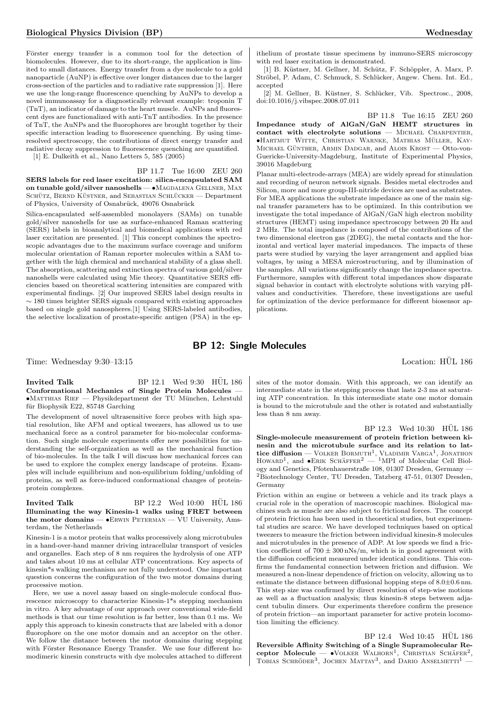Förster energy transfer is a common tool for the detection of biomolecules. However, due to its short-range, the application is limited to small distances. Energy transfer from a dye molecule to a gold nanoparticle (AuNP) is effective over longer distances due to the larger cross-section of the particles and to radiative rate suppression [1]. Here we use the long-range fluorescence quenching by AuNPs to develop a novel immunoassay for a diagnostically relevant example: troponin T (TnT), an indicator of damage to the heart muscle. AuNPs and fluorescent dyes are functionalized with anti-TnT antibodies. In the presence of TnT, the AuNPs and the fluorophores are brought together by their specific interaction leading to fluorescence quenching. By using timeresolved spectroscopy, the contributions of direct energy transfer and radiative decay suppression to fluorescence quenching are quantified.

[1] E. Dulkeith et al., Nano Letters 5, 585 (2005)

BP 11.7 Tue 16:00 ZEU 260 SERS labels for red laser excitation: silica-encapsulated SAM on tunable gold/silver nanoshells — •MAGDALENA GELLNER, MAX SCHÜTZ, BERND KÜSTNER, and SEBASTIAN SCHLÜCKER — Department of Physics, University of Osnabrück, 49076 Osnabrück

Silica-encapsulated self-assembled monolayers (SAMs) on tunable gold/silver nanoshells for use as surface-enhanced Raman scattering (SERS) labels in bioanalytical and biomedical applications with red laser excitation are presented. [1] This concept combines the spectroscopic advantages due to the maximum surface coverage and uniform molecular orientation of Raman reporter molecules within a SAM together with the high chemical and mechanical stability of a glass shell. The absorption, scattering and extinction spectra of various gold/silver nanoshells were calculated using Mie theory. Quantitative SERS efficiencies based on theoretical scattering intensities are compared with experimental findings. [2] Our improved SERS label design results in  $\sim$  180 times brighter SERS signals compared with existing approaches based on single gold nanospheres.[1] Using SERS-labeled antibodies, the selective localization of prostate-specific antigen (PSA) in the epithelium of prostate tissue specimens by immuno-SERS microscopy with red laser excitation is demonstrated.

[1] B. Küstner, M. Gellner, M. Schütz, F. Schöppler, A. Marx, P. Ströbel, P. Adam, C. Schmuck, S. Schlücker, Angew. Chem. Int. Ed., accepted

[2] M. Gellner, B. Küstner, S. Schlücker, Vib. Spectrosc., 2008, doi:10.1016/j.vibspec.2008.07.011

BP 11.8 Tue 16:15 ZEU 260 Impedance study of AlGaN/GaN HEMT structures in contact with electrolyte solutions - MICHAEL CHARPENTIER,  $\bullet$ Hartmut Witte, Christian Warnke, Mathias Müller, Kay-MICHAEL GÜNTHER, ARMIN DADGAR, and ALOIS KROST — Otto-von-Guericke-University-Magdeburg, Institute of Experimental Physics, 39016 Magdeburg

Planar multi-electrode-arrays (MEA) are widely spread for stimulation and recording of neuron network signals. Besides metal electrodes and Silicon, more and more group-III-nitride devices are used as substrates. For MEA applications the substrate impedance as one of the main signal transfer parameters has to be optimized. In this contribution we investigate the total impedance of AlGaN/GaN high electron mobility structures (HEMT) using impedance spectroscopy between 20 Hz and 2 MHz. The total impedance is composed of the contributions of the two dimensional electron gas (2DEG), the metal contacts and the horizontal and vertical layer material impedances. The impacts of these parts were studied by varying the layer arrangement and applied bias voltages, by using a MESA microstructuring, and by illumination of the samples. All variations significantly change the impedance spectra. Furthermore, samples with different total impedances show disparate signal behavior in contact with electrolyte solutions with varying pHvalues and conductivities. Therefore, these investigations are useful for optimization of the device performance for different biosensor applications.

## BP 12: Single Molecules

Time: Wednesday 9:30–13:15 Location: HÜL 186

Invited Talk  $BP 12.1$  Wed  $9:30$  HUL  $186$ Conformational Mechanics of Single Protein Molecules — •Matthias Rief — Physikdepartment der TU M¨unchen, Lehrstuhl für Biophysik E22, 85748 Garching

The development of novel ultrasensitive force probes with high spatial resolution, like AFM and optical tweezers, has allowed us to use mechanical force as a control parameter for bio-molecular conformation. Such single molecule experiments offer new possibilities for understanding the self-organization as well as the mechanical function of bio-molecules. In the talk I will discuss how mechanical forces can be used to explore the complex energy landscape of proteins. Examples will include equilibrium and non-equilibrium folding/unfolding of proteins, as well as force-induced conformational changes of proteinprotein complexes.

Invited Talk  $BP$  12.2 Wed 10:00 HUL 186 Illuminating the way Kinesin-1 walks using FRET between the motor domains — •ERWIN PETERMAN — VU University, Amsterdam, the Netherlands

Kinesin-1 is a motor protein that walks processively along microtubules in a hand-over-hand manner driving intracellular transport of vesicles and organelles. Each step of 8 nm requires the hydrolysis of one ATP and takes about 10 ms at cellular ATP concentrations. Key aspects of kinesin\*s walking mechanism are not fully understood. One important question concerns the configuration of the two motor domains during processive motion.

Here, we use a novel assay based on single-molecule confocal fluorescence microscopy to characterize Kinesin-1\*s stepping mechanism in vitro. A key advantage of our approach over conventional wide-field methods is that our time resolution is far better, less than 0.1 ms. We apply this approach to kinesin constructs that are labeled with a donor fluorophore on the one motor domain and an acceptor on the other. We follow the distance between the motor domains during stepping with Förster Resonance Energy Transfer. We use four different homodimeric kinesin constructs with dye molecules attached to different

sites of the motor domain. With this approach, we can identify an intermediate state in the stepping process that lasts 2-3 ms at saturating ATP concentration. In this intermediate state one motor domain is bound to the microtubule and the other is rotated and substantially less than 8 nm away.

BP 12.3 Wed 10:30 HUL 186 Single-molecule measurement of protein friction between kinesin and the microtubule surface and its relation to lattice diffusion — VOLKER BORMUTH<sup>1</sup>, VLADIMIR VARGA<sup>1</sup>, JONATHON HOWARD<sup>1</sup>, and  $\bullet$ ERIK SCHÄFFER<sup>2</sup> — <sup>1</sup>MPI of Molecular Cell Biology and Genetics, Pfotenhauerstraße 108, 01307 Dresden, Germany — <sup>2</sup>Biotechnology Center, TU Dresden, Tatzberg 47-51, 01307 Dresden, Germany

Friction within an engine or between a vehicle and its track plays a crucial role in the operation of macroscopic machines. Biological machines such as muscle are also subject to frictional forces. The concept of protein friction has been used in theoretical studies, but experimental studies are scarce. We have developed techniques based on optical tweezers to measure the friction between individual kinesin-8 molecules and microtubules in the presence of ADP. At low speeds we find a friction coefficient of  $700\pm300\,\rm{nNs/m},$  which is in good agreement with the diffusion coefficient measured under identical conditions. This confirms the fundamental connection between friction and diffusion. We measured a non-linear dependence of friction on velocity, allowing us to estimate the distance between diffusional hopping steps of 8.0±0.6 nm. This step size was confirmed by direct resolution of step-wise motions as well as a fluctuation analysis; thus kinesin-8 steps between adjacent tubulin dimers. Our experiments therefore confirm the presence of protein friction—an important parameter for active protein locomotion limiting the efficiency.

BP 12.4 Wed 10:45 HÜL 186 Reversible Affinity Switching of a Single Supramolecular Receptor Molecule - VOLKER WALHORN<sup>1</sup>, CHRISTIAN SCHÄFER<sup>2</sup>, TOBIAS SCHRÖDER<sup>3</sup>, JOCHEN MATTAY<sup>3</sup>, and DARIO ANSELMETTI<sup>1</sup>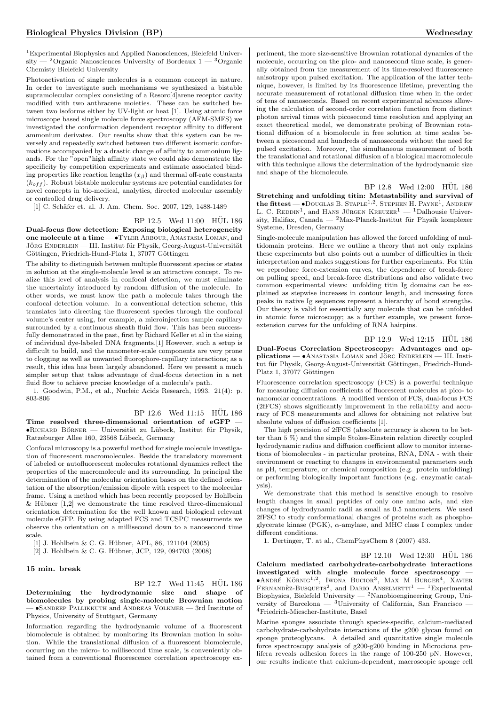<sup>1</sup>Experimental Biophysics and Applied Nanosciences, Bielefeld University — <sup>2</sup>Organic Nanosciences University of Bordeaux  $1 - {^{3}}$ Organic Chemisty Bielefeld University

Photoactivation of single molecules is a common concept in nature. In order to investigate such mechanisms we synthesized a bistable supramolecular complex consisting of a Resorc[4]arene receptor cavity modified with two anthracene moieties. These can be switched between two isoforms either by UV-light or heat [1]. Using atomic force microscope based single molecule force spectroscopy (AFM-SMFS) we investigated the conformation dependent receptor affinity to different ammonium derivates. Our results show that this system can be reversely and repeatedly switched between two different isomeric conformations accompanied by a drastic change of affinity to ammonium ligands. For the "open"high affinity state we could also demonstrate the specificity by competition experiments and estimate associated binding properties like reaction lengths  $(x<sub>\beta</sub>)$  and thermal off-rate constants  $(k<sub>off</sub>)$ . Robust bistable molecular systems are potential candidates for novel concepts in bio-medical, analytics, directed molecular assembly or controlled drug delivery.

[1] C. Schäfer et. al. J. Am. Chem. Soc. 2007, 129, 1488-1489

#### BP 12.5 Wed 11:00 HUL 186

Dual-focus flow detection: Exposing biological heterogeneity one molecule at a time — •Tyler Arbour, Anastasia Loman, and JÖRG ENDERLEIN — III. Institut für Physik, Georg-August-Universität Göttingen, Friedrich-Hund-Platz 1, 37077 Göttingen

The ability to distinguish between multiple fluorescent species or states in solution at the single-molecule level is an attractive concept. To realize this level of analysis in confocal detection, we must eliminate the uncertainty introduced by random diffusion of the molecule. In other words, we must know the path a molecule takes through the confocal detection volume. In a conventional detection scheme, this translates into directing the fluorescent species through the confocal volume's center using, for example, a microinjection sample capillary surrounded by a continuous sheath fluid flow. This has been successfully demonstrated in the past, first by Richard Keller et al in the sizing of individual dye-labeled DNA fragments.[1] However, such a setup is difficult to build, and the nanometer-scale components are very prone to clogging as well as unwanted fluorophore-capillary interactions; as a result, this idea has been largely abandoned. Here we present a much simpler setup that takes advantage of dual-focus detection in a net fluid flow to achieve precise knowledge of a molecule's path.

1. Goodwin, P.M., et al., Nucleic Acids Research, 1993. 21(4): p. 803-806

#### $BP$  12.6 Wed 11:15  $HÜL$  186

Time resolved three-dimensional orientation of eGFP -•RICHARD BÖRNER — Universität zu Lübeck, Institut für Physik, Ratzeburger Allee 160, 23568 Lübeck, Germany

Confocal microscopy is a powerful method for single molecule investigation of fluorescent macromolecules. Beside the translatory movement of labeled or autofluorescent molecules rotational dynamics reflect the properties of the macromolecule and its surrounding. In principal the determination of the molecular orientation bases on the defined orientation of the absorption/emission dipole with respect to the molecular frame. Using a method which has been recently proposed by Hohlbein  $&$  Hübner [1,2] we demonstrate the time resolved three-dimensional orientation determination for the well known and biological relevant molecule eGFP. By using adapted FCS and TCSPC measurments we observe the orientation on a millisecond down to a nanosecond time scale.

[1] J. Hohlbein & C. G. Hübner, APL, 86, 121104 (2005)

[2] J. Hohlbein & C. G. Hübner, JCP, 129, 094703 (2008)

#### 15 min. break

Determining the hydrodynamic size and shape of biomolecules by probing single-molecule Brownian motion — •Sandeep Pallikkuth and Andreas Volkmer — 3rd Institute of Physics, University of Stuttgart, Germany

Information regarding the hydrodynamic volume of a fluorescent biomolecule is obtained by monitoring its Brownian motion in solution. While the translational diffusion of a fluorescent biomolecule, occurring on the micro- to millisecond time scale, is conveniently obtained from a conventional fluorescence correlation spectroscopy experiment, the more size-sensitive Brownian rotational dynamics of the molecule, occurring on the pico- and nanosecond time scale, is generally obtained from the measurement of its time-resolved fluorescence anisotropy upon pulsed excitation. The application of the latter technique, however, is limited by its fluorescence lifetime, preventing the accurate measurement of rotational diffusion time when in the order of tens of nanoseconds. Based on recent experimental advances allowing the calculation of second-order correlation function from distinct photon arrival times with picosecond time resolution and applying an exact theoretical model, we demonstrate probing of Brownian rotational diffusion of a biomolecule in free solution at time scales between a picosecond and hundreds of nanoseconds without the need for pulsed excitation. Moreover, the simultaneous measurement of both the translational and rotational diffusion of a biological macromolecule with this technique allows the determination of the hydrodynamic size and shape of the biomolecule.

BP 12.8 Wed 12:00 HÜL 186 Stretching and unfolding titin: Metastability and survival of the fittest  $-$  •Douglas B. Staple<sup>1,2</sup>, Stephen H. Payne<sup>1</sup>, Andrew L. C. REDDIN<sup>1</sup>, and HANS JÜRGEN KREUZER<sup>1</sup> — <sup>1</sup>Dalhousie University, Halifax, Canada —  $^2$ Max-Planck-Institut für Physik komplexer Systeme, Dresden, Germany

Single-molecule manipulation has allowed the forced unfolding of multidomain proteins. Here we outline a theory that not only explains these experiments but also points out a number of difficulties in their interpretation and makes suggestions for further experiments. For titin we reproduce force-extension curves, the dependence of break-force on pulling speed, and break-force distributions and also validate two common experimental views: unfolding titin Ig domains can be explained as stepwise increases in contour length, and increasing force peaks in native Ig sequences represent a hierarchy of bond strengths. Our theory is valid for essentially any molecule that can be unfolded in atomic force microscopy; as a further example, we present forceextension curves for the unfolding of RNA hairpins.

BP 12.9 Wed 12:15 HÜL 186 Dual-Focus Correlation Spectroscopy: Advantages and ap $plications - \cdot$ ANASTASIA LOMAN and JÖRG ENDERLEIN — III. Institut für Physik, Georg-August-Universität Göttingen, Friedrich-Hund-Platz 1, 37077 Göttingen

Fluorescence correlation spectroscopy (FCS) is a powerful technique for measuring diffusion coefficients of fluorescent molecules at pico- to nanomolar concentrations. A modified version of FCS, dual-focus FCS (2fFCS) shows significantly improvement in the reliability and accuracy of FCS measurements and allows for obtaining not relative but absolute values of diffusion coefficients [1].

The high precision of 2fFCS (absolute accuracy is shown to be better than 5 %) and the simple Stokes-Einstein relation directly coupled hydrodynamic radius and diffusion coefficient allow to monitor interactions of biomolecules - in particular proteins, RNA, DNA - with their environment or reacting to changes in environmental parameters such as pH, temperature, or chemical composition (e.g. protein unfolding) or performing biologically important functions (e.g. enzymatic catalysis).

We demonstrate that this method is sensitive enough to resolve length changes in small peptides of only one amino acis, and size changes of hydrodynamic radii as small as 0.5 nanometers. We used 2fFSC to study conformational changes of proteins such as phosphoglycerate kinase (PGK), α-amylase, and MHC class I complex under different conditions.

1. Dertinger, T. at al., ChemPhysChem 8 (2007) 433.

 $BP 12.10$  Wed  $12:30$  HUL  $186$ Calcium mediated carbohydrate-carbohydrate interactions

investigated with single molecule force spectroscopy — •ANDRÉ KÖRNIG<sup>1,2</sup>, IWONA BUCIOR<sup>3</sup>, MAX M BURGER<sup>4</sup>, XAVIER FERNANDÈZ-BUSQUETS<sup>2</sup>, and DARIO ANSELMETTI<sup>1</sup> - <sup>1</sup>Experimental Biophysics, Bielefeld University — <sup>2</sup>Nanobioengineering Group, University of Barcelona — <sup>3</sup>University of California, San Francisco — <sup>4</sup>Friedrich-Miescher-Institute, Basel

Marine sponges associate through species-specific, calcium-mediated carbohydrate-carbohydrate interactions of the g200 glycan found on sponge proteoglycans. A detailed and quantitative single molecule force spectroscopy analysis of g200-g200 binding in Microciona prolifera reveals adhesion forces in the range of 100-250 pN. However, our results indicate that calcium-dependent, macroscopic sponge cell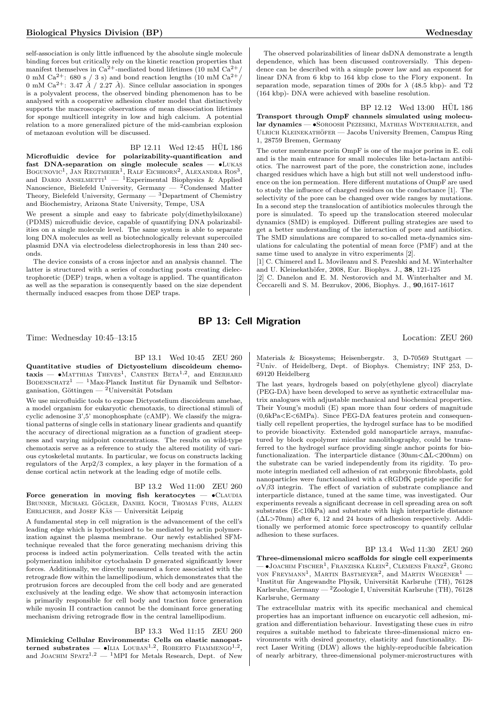self-association is only little influenced by the absolute single molecule binding forces but critically rely on the kinetic reaction properties that manifest themselves in  $Ca^{2+}$ -mediated bond lifetimes (10 mM  $Ca^{2+}/$ 0 mM Ca<sup>2+</sup>: 680 s / 3 s) and bond reaction lengths (10 mM Ca<sup>2+</sup>/ 0 mM Ca<sup>2+</sup>: 3.47  $\AA$  / 2.27  $\AA$ ). Since cellular association in sponges is a polyvalent process, the observed binding phenomenon has to be analysed with a cooperative adhesion cluster model that distinctively supports the macroscopic observations of mean dissociation lifetimes for sponge multicell integrity in low and high calcium. A potential relation to a more generalized picture of the mid-cambrian explosion of metazoan evolution will be discussed.

BP 12.11 Wed 12:45 HUL 186

Microfluidic device for polarizability-quantification and fast DNA-separation on single molecule scales — •Lukas BOGUNOVIC<sup>1</sup>, JAN REGTMEIER<sup>1</sup>, RALF EICHHORN<sup>2</sup>, ALEXANDRA ROS<sup>3</sup> Bogunovic<sup>1</sup>, Jan Regtmeier<sup>1</sup>, Ralf Eichhorn<sup>2</sup>, Alexandra Ros<sup>3</sup>,<br>and Dario Anselmetti<sup>1</sup> — <sup>1</sup>Experimental Biophysics & Applied Nanoscience, Bielefeld University, Germany  $-$  <sup>2</sup>Condensed Matter Theory, Bielefeld University, Germany  $-$  <sup>3</sup>Department of Chemistry and Biochemistry, Arizona State University, Tempe, USA

We present a simple and easy to fabricate poly(dimethylsiloxane) (PDMS) microfluidic device, capable of quantifying DNA polarizabilities on a single molecule level. The same system is able to separate long DNA molecules as well as biotechnologically relevant supercoiled plasmid DNA via electrodeless dielectrophoresis in less than 240 seconds.

The device consists of a cross injector and an analysis channel. The latter is structured with a series of conducting posts creating dielectrophoretic (DEP) traps, when a voltage is applied. The quantificaton as well as the separation is consequently based on the size dependent thermally induced esacpes from those DEP traps.

The observed polarizabilities of linear dsDNA demonstrate a length dependence, which has been discussed controversially. This dependence can be described with a simple power law and an exponent for linear DNA from 6 kbp to 164 kbp close to the Flory exponent. In separation mode, separation times of 200s for  $\lambda$  (48.5 kbp)- and T2 (164 kbp)- DNA were achieved with baseline resolution.

 $BP 12.12$  Wed  $13:00$  HÜL  $186$ Transport through OmpF channels simulated using molecular dynamics — •SOROOSH PEZESHKI, MATHIAS WINTERHALTER, and ULRICH KLEINEKATHÖFER — Jacobs University Bremen, Campus Ring 1, 28759 Bremen, Germany

The outer membrane porin OmpF is one of the major porins in E. coli and is the main entrance for small molecules like beta-lactam antibiotics. The narrowest part of the pore, the constriction zone, includes charged residues which have a high but still not well understood influence on the ion permeation. Here different mutations of OmpF are used to study the influence of charged residues on the conductance [1]. The selectivity of the pore can be changed over wide ranges by mutations. In a second step the translocation of antibiotics molecules through the pore is simulated. To speed up the translocation steered molecular dynamics (SMD) is employed. Different pulling strategies are used to get a better understanding of the interaction of pore and antibiotics. The SMD simulations are compared to so-called meta-dynamics simulations for calculating the potential of mean force (PMF) and at the same time used to analyze in vitro experiments [2].

[1] C. Chimerel and L. Movileanu and S. Pezeshki and M. Winterhalter and U. Kleinekathöfer, 2008, Eur. Biophys. J., 38, 121-125

[2] C. Danelon and E. M. Nestorovich and M. Winterhalter and M. Ceccarelli and S. M. Bezrukov, 2006, Biophys. J., 90,1617-1617

## BP 13: Cell Migration

Time: Wednesday 10:45–13:15 Location: ZEU 260

### BP 13.1 Wed 10:45 ZEU 260

Quantitative studies of Dictyostelium discoideum chemo- $\text{taxis}$   $\bullet$ Matthias Theves<sup>1</sup>, Carsten Beta<sup>1,2</sup>, and Eberhard BODENSCHATZ<sup>1</sup> — <sup>1</sup>Max-Planck Institut für Dynamik und Selbstorganisation, Göttingen — <sup>2</sup>Universität Potsdam

We use microfluidic tools to expose Dictyostelium discoideum amebae, a model organism for eukaryotic chemotaxis, to directional stimuli of cyclic adenosine 3',5' monophosphate (cAMP). We classify the migrational patterns of single cells in stationary linear gradients and quantify the accuracy of directional migration as a function of gradient steepness and varying midpoint concentrations. The results on wild-type chemotaxis serve as a reference to study the altered motility of various cytoskeletal mutants. In particular, we focus on constructs lacking regulators of the Arp2/3 complex, a key player in the formation of a dense cortical actin network at the leading edge of motile cells.

## BP 13.2 Wed 11:00 ZEU 260

Force generation in moving fish keratocytes  $\bullet$ CLAUDIA BRUNNER, MICHAEL GÖGLER, DANIEL KOCH, THOMAS FUHS, ALLEN  $E$ HRLICHER, and JOSEF K $\ddot{A}S$  — Universität Leipzig

A fundamental step in cell migration is the advancement of the cell's leading edge which is hypothesized to be mediated by actin polymerization against the plasma membrane. Our newly established SFMtechnique revealed that the force generating mechanism driving this process is indeed actin polymerization. Cells treated with the actin polymerization inhibitor cytochalasin D generated significantly lower forces. Additionally, we directly measured a force associated with the retrograde flow within the lamellipodium, which demonstrates that the protrusion forces are decoupled from the cell body and are generated exclusively at the leading edge. We show that actomyosin interaction is primarily responsible for cell body and traction force generation while myosin II contraction cannot be the dominant force generating mechanism driving retrograde flow in the central lamellipodium.

#### BP 13.3 Wed 11:15 ZEU 260

Mimicking Cellular Environments: Cells on elastic nanopatterned substrates — •ILIA LOUBAN<sup>1,2</sup>, ROBERTO FIAMMENGO<sup>1,2</sup>, and JOACHIM SPATZ<sup>1,2</sup> — <sup>1</sup>MPI for Metals Research, Dept. of New

Materials & Biosystems; Heisenbergstr. 3, D-70569 Stuttgart — <sup>2</sup>Univ. of Heidelberg, Dept. of Biophys. Chemistry; INF 253, D-69120 Heidelberg

The last years, hydrogels based on poly(ethylene glycol) diacrylate (PEG-DA) have been developed to serve as synthetic extracellular matrix analogues with adjustable mechanical and biochemical properties. Their Young's moduli (E) span more than four orders of magnitude  $(0,6kPa< E< 6MPa)$ . Since PEG-DA features protein and consequentially cell repellent properties, the hydrogel surface has to be modified to provide bioactivity. Extended gold nanoparticle arrays, manufactured by block copolymer micellar nanolithography, could be transferred to the hydrogel surface providing single anchor points for biofunctionalization. The interparticle distance  $(30nm<\Delta L<200nm)$  on the substrate can be varied independently from its rigidity. To promote integrin mediated cell adhesion of rat embryonic fibroblasts, gold nanoparticles were functionalized with a cRGDfK peptide specific for  $\alpha V\beta3$  integrin. The effect of variation of substrate compliance and interparticle distance, tuned at the same time, was investigated. Our experiments reveals a significant decrease in cell spreading area on soft substrates (E<10kPa) and substrate with high interparticle distance  $(\Delta L > 70$ nm) after 6, 12 and 24 hours of adhesion respectively. Additionally we performed atomic force spectroscopy to quantify cellular adhesion to these surfaces.

#### BP 13.4 Wed 11:30 ZEU 260

Three-dimensional micro scaffolds for single cell experiments —  $\bullet$ Joachim Fischer<sup>1</sup>, Franziska Klein<sup>2</sup>, Clemens Franz<sup>2</sup>, Georg von Freymann<sup>1</sup>, Martin Bastmeyer<sup>2</sup>, and Martin Wegener<sup>1</sup> -<sup>1</sup>Institut für Angewandte Physik, Universität Karlsruhe (TH), 76128 Karlsruhe, Germany —  $2$ Zoologie I, Universität Karlsruhe (TH), 76128 Karlsruhe, Germany

The extracellular matrix with its specific mechanical and chemical properties has an important influence on eucaryotic cell adhesion, migration and differentiation behaviour. Investigating these cues in vitro requires a suitable method to fabricate three-dimensional micro environments with desired geometry, elasticity and functionality. Direct Laser Writing (DLW) allows the highly-reproducible fabrication of nearly arbitrary, three-dimensional polymer-microstructures with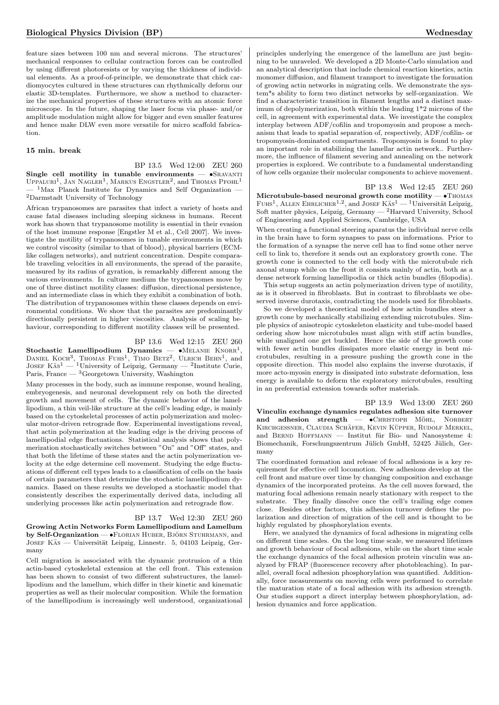feature sizes between 100 nm and several microns. The structures' mechanical responses to cellular contraction forces can be controlled by using different photoresists or by varying the thickness of individual elements. As a proof-of-principle, we demonstrate that chick cardiomyocytes cultured in these structures can rhythmically deform our elastic 3D-templates. Furthermore, we show a method to characterize the mechanical properties of these structures with an atomic force microscope. In the future, shaping the laser focus via phase- and/or amplitude modulation might allow for bigger and even smaller features and hence make DLW even more versatile for micro scaffold fabrication.

#### 15 min. break

BP 13.5 Wed 12:00 ZEU 260

Single cell motility in tunable environments  $\bullet$ SRAVANTI UPPALURI<sup>1</sup>, JAN NAGLER<sup>1</sup>, MARKUS ENGSTLER<sup>2</sup>, and THOMAS PFOHL<sup>1</sup>  $-$ <sup>1</sup>Max Planck Institute for Dynamics and Self Organization  $-$ <sup>2</sup>Darmstadt University of Technology

African trypanosomes are parasites that infect a variety of hosts and cause fatal diseases including sleeping sickness in humans. Recent work has shown that trypanosome motility is essential in their evasion of the host immune response [Engstler M et al., Cell 2007]. We investigate the motility of trypanosomes in tunable environments in which we control viscosity (similar to that of blood), physical barriers (ECMlike collagen networks), and nutrient concentration. Despite comparable traveling velocities in all environments, the spread of the parasite, measured by its radius of gyration, is remarkably different among the various environments. In culture medium the trypanosomes move by one of three distinct motility classes: diffusion, directional persistence, and an intermediate class in which they exhibit a combination of both. The distribution of trypanosomes within these classes depends on environmental conditions. We show that the parasites are predominantly directionally persistent in higher viscosities. Analysis of scaling behaviour, corresponding to different motility classes will be presented.

#### BP 13.6 Wed 12:15 ZEU 260

Stochastic Lamellipodium Dynamics  $- \cdot MELANIE KNORR<sup>1</sup>$ **Stochastic Lamellipodium Dynamics — •**MELANIE KNORR<sup>1</sup>, DANIEL KOCH<sup>3</sup>, THOMAS FUHS<sup>1</sup>, TIMO BETZ<sup>2</sup>, ULRICH BEHN<sup>1</sup>, and JOSEF KÄS<sup>1</sup> — <sup>1</sup>University of Leipzig, Germany — <sup>2</sup>Institute Curie, Paris, France —  ${\rm ^3Georgetown}$  University, Washington

Many processes in the body, such as immune response, wound healing, embryogenesis, and neuronal development rely on both the directed growth and movement of cells. The dynamic behavior of the lamellipodium, a thin veil-like structure at the cell's leading edge, is mainly based on the cytoskeletal processes of actin polymerization and molecular motor-driven retrograde flow. Experimental investigations reveal, that actin polymerization at the leading edge is the driving process of lamellipodial edge fluctuations. Statistical analysis shows that polymerization stochastically switches between "On" and "Off" states, and that both the lifetime of these states and the actin polymerization velocity at the edge determine cell movement. Studying the edge fluctuations of different cell types leads to a classification of cells on the basis of certain parameters that determine the stochastic lamellipodium dynamics. Based on these results we developed a stochastic model that consistently describes the experimentally derived data, including all underlying processes like actin polymerization and retrograde flow.

#### BP 13.7 Wed 12:30 ZEU 260

Growing Actin Networks Form Lamellipodium and Lamellum by Self-Organization — •FLORIAN HUBER, BJÖRN STUHRMANN, and JOSEF KÄS — Universität Leipzig, Linnestr. 5, 04103 Leipzig, Germany

Cell migration is associated with the dynamic protrusion of a thin actin-based cytoskeletal extension at the cell front. This extension has been shown to consist of two different substructures, the lamellipodium and the lamellum, which differ in their kinetic and kinematic properties as well as their molecular composition. While the formation of the lamellipodium is increasingly well understood, organizational principles underlying the emergence of the lamellum are just beginning to be unraveled. We developed a 2D Monte-Carlo simulation and an analytical description that include chemical reaction kinetics, actin monomer diffusion, and filament transport to investigate the formation of growing actin networks in migrating cells. We demonstrate the system\*s ability to form two distinct networks by self-organization. We find a characteristic transition in filament lengths and a distinct maximum of depolymerization, both within the leading 1\*2 microns of the cell, in agreement with experimental data. We investigate the complex interplay between ADF/cofilin and tropomyosin and propose a mechanism that leads to spatial separation of, respectively, ADF/cofilin- or tropomyosin-dominated compartments. Tropomyosin is found to play an important role in stabilizing the lamellar actin network.. Furthermore, the influence of filament severing and annealing on the network properties is explored. We contribute to a fundamental understanding of how cells organize their molecular components to achieve movement.

BP 13.8 Wed 12:45 ZEU 260 Microtubule-based neuronal growth cone motility  $-\bullet$  Thomas FUHS<sup>1</sup>, ALLEN EHRLICHER<sup>1,2</sup>, and JOSEF KÄS<sup>1</sup> — <sup>1</sup>Universität Leipzig, Soft matter physics, Leipzig, Germany — <sup>2</sup>Harvard University, School of Engineering and Applied Sciences, Cambridge, USA

When creating a functional steering aparatus the individual nerve cells in the brain have to form synapses to pass on informations. Prior to the formation of a synapse the nerve cell has to find some other nerve cell to link to, therefore it sends out an exploratory growth cone. The growth cone is connected to the cell body with the microtubule rich axonal stump while on the front it consists mainly of actin, both as a dense network forming lamellipodia or thick actin bundles (filopodia).

This setup suggests an actin polymerization driven type of motility, as is it observed in fibroblasts. But in contrast to fibroblasts we obeserved inverse durotaxis, contradicting the models used for fibroblasts.

So we developed a theoretical model of how actin bundles steer a growth cone by mechanically stabilizing extending microtubules. Simple physics of anisotropic cytoskeleton elasticity and tube-model based ordering show how microtubules must align with stiff actin bundles, while unaligned one get buckled. Hence the side of the growth cone with fewer actin bundles dissipates more elastic energy in bent microtubules, resulting in a pressure pushing the growth cone in the opposite direction. This model also explains the inverse durotaxis, if more acto-myosin energy is dissipated into substrate deformation, less energy is available to deform the exploratory microtubules, resulting in an preferential extension towards softer materials.

BP 13.9 Wed 13:00 ZEU 260 Vinculin exchange dynamics regulates adhesion site turnover and adhesion strength  $\bullet$ CHRISTOPH MÖHL, NORBERT KIRCHGESSNER, CLAUDIA SCHÄFER, KEVIN KÜPPER, RUDOLF MERKEL, and BERND HOFFMANN — Institut für Bio- und Nanosysteme 4: Biomechanik, Forschungszentrum Jülich GmbH, 52425 Jülich, Germany

The coordinated formation and release of focal adhesions is a key requirement for effective cell locomotion. New adhesions develop at the cell front and mature over time by changing composition and exchange dynamics of the incorporated proteins. As the cell moves forward, the maturing focal adhesions remain nearly stationary with respect to the substrate. They finally dissolve once the cell's trailing edge comes close. Besides other factors, this adhesion turnover defines the polarization and direction of migration of the cell and is thought to be highly regulated by phosphorylation events.

Here, we analyzed the dynamics of focal adhesions in migrating cells on different time scales. On the long time scale, we measured lifetimes and growth behaviour of focal adhesions, while on the short time scale the exchange dynamics of the focal adhesion protein vinculin was analyzed by FRAP (fluorescence recovery after photobleaching). In parallel, overall focal adhesion phosphorylation was quantified. Additionally, force measurements on moving cells were performed to correlate the maturation state of a focal adhesion with its adhesion strength. Our studies support a direct interplay between phosphorylation, adhesion dynamics and force application.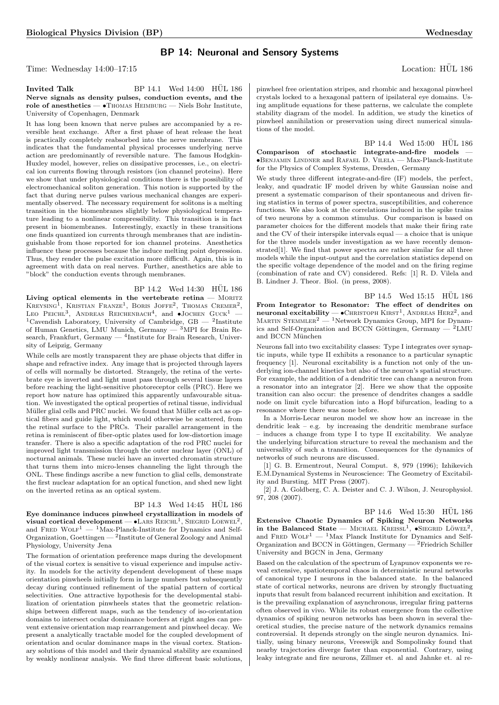## BP 14: Neuronal and Sensory Systems

Time: Wednesday 14:00–17:15 Location: HÜL 186

Invited Talk BP  $14.1$  Wed  $14:00$  HUL  $186$ Nerve signals as density pulses, conduction events, and the role of anesthetics — •Thomas Heimburg — Niels Bohr Institute, University of Copenhagen, Denmark

It has long been known that nerve pulses are accompanied by a reversible heat exchange. After a first phase of heat release the heat is practically completely reabsorbed into the nerve membrane. This indicates that the fundamental physical processes underlying nerve action are predominantly of reversible nature. The famous Hodgkin-Huxley model, however, relies on dissipative processes, i.e., on electrical ion currents flowing through resistors (ion channel proteins). Here we show that under physiological conditions there is the possibility of electromechanical soliton generation. This notion is supported by the fact that during nerve pulses various mechanical changes are experimentally observed. The necessary requirement for solitons is a melting transition in the biomenbranes slightly below physiological temperature leading to a nonlinear compressibility. This transition is in fact present in biomembranes. Interestingly, exactly in these transitions one finds quantized ion currents through membranes that are indistinguishable from those reported for ion channel proteins. Anesthetics influence these processes because the induce melting point depression. Thus, they render the pulse excitation more difficult. Again, this is in agreement with data on real nerves. Further, anesthetics are able to "block" the conduction events through membranes.

BP 14.2 Wed 14:30 HÜL 186 Living optical elements in the vertebrate retina  $-$  MORITZ KREYSING<sup>1</sup>, KRISTIAN FRANZE<sup>1</sup>, BORIS JOFFE<sup>2</sup>, THOMAS CREMER<sup>2</sup>, LEO PEICHL<sup>3</sup>, ANDREAS REICHENBACH<sup>4</sup>, and  $\bullet$ JOCHEN GUCK<sup>1</sup> – <sup>1</sup>Cavendish Laboratory, University of Cambridge,  $GB - 2$ Institute of Human Genetics, LMU Munich, Germany — <sup>3</sup>MPI for Brain Research, Frankfurt, Germany — <sup>4</sup>Institute for Brain Research, University of Leipzig, Germany

While cells are mostly transparent they are phase objects that differ in shape and refractive index. Any image that is projected through layers of cells will normally be distorted. Strangely, the retina of the vertebrate eye is inverted and light must pass through several tissue layers before reaching the light-sensitive photoreceptor cells (PRC). Here we report how nature has optimized this apparently unfavourable situation. We investigated the optical properties of retinal tissue, individual Müller glial cells and PRC nuclei. We found that Müller cells act as optical fibers and guide light, which would otherwise be scattered, from the retinal surface to the PRCs. Their parallel arrangement in the retina is reminiscent of fiber-optic plates used for low-distortion image transfer. There is also a specific adaptation of the rod PRC nuclei for improved light transmission through the outer nuclear layer (ONL) of nocturnal animals. These nuclei have an inverted chromatin structure that turns them into micro-lenses channeling the light through the ONL. These findings ascribe a new function to glial cells, demonstrate the first nuclear adaptation for an optical function, and shed new light on the inverted retina as an optical system.

#### BP 14.3 Wed 14:45 HUL 186

Eye dominance induces pinwheel crystallization in models of visual cortical development —  $\bullet$  LARS REICHL<sup>1</sup>, SIEGRID LOEWEL<sup>2</sup>, and FRED WOLF<sup>1</sup> — <sup>1</sup>Max-Planck-Institute for Dynamics and Self-Organization, Goettingen — <sup>2</sup>Institute of General Zoology and Animal Physiology, University Jena

The formation of orientation preference maps during the development of the visual cortex is sensitive to visual experience and impulse activity. In models for the activity dependent development of these maps orientation pinwheels initially form in large numbers but subsequently decay during continued refinement of the spatial pattern of cortical selectivities. One attractive hypothesis for the developmental stabilization of orientation pinwheels states that the geometric relationships between different maps, such as the tendency of iso-orientation domains to intersect ocular dominance borders at right angles can prevent extensive orientation map rearrangement and pinwheel decay. We present a analytically tractable model for the coupled development of orientation and ocular dominance maps in the visual cortex. Stationary solutions of this model and their dynamical stability are examined by weakly nonlinear analysis. We find three different basic solutions,

pinwheel free orientation stripes, and rhombic and hexagonal pinwheel crystals locked to a hexagonal pattern of ipsilateral eye domains. Using amplitude equations for these patterns, we calculate the complete stability diagram of the model. In addition, we study the kinetics of pinwheel annihilation or preservation using direct numerical simulations of the model.

 $BP_14.4$  Wed  $15:00$  HÜL  $186$ Comparison of stochastic integrate-and-fire models — •Benjamin Lindner and Rafael D. Vilela — Max-Planck-Institute for the Physics of Complex Systems, Dresden, Germany

We study three different integrate-and-fire (IF) models, the perfect, leaky, and quadratic IF model driven by white Gaussian noise and present a systematic comparison of their spontaneous and driven firing statistics in terms of power spectra, susceptibilities, and coherence functions. We also look at the correlations induced in the spike trains of two neurons by a common stimulus. Our comparison is based on parameter choices for the different models that make their firing rate and the CV of their interspike intervals equal — a choice that is unique for the three models under investigation as we have recently demonstrated[1]. We find that power spectra are rather similar for all three models while the input-output and the correlation statistics depend on the specific voltage dependence of the model and on the firing regime (combination of rate and CV) considered. Refs: [1] R. D. Vilela and B. Lindner J. Theor. Biol. (in press, 2008).

BP 14.5 Wed 15:15 HÜL 186 From Integrator to Resonator: The effect of dendrites on neuronal excitability  $-$  • CHRISTOPH KIRST<sup>1</sup>, ANDREAS HERZ<sup>2</sup>, and  $M$ ARTIN STEMMLER<sup>2</sup> — <sup>1</sup>Network Dynamics Group, MPI for Dynamics and Self-Organization and BCCN Göttingen, Germany —  $^2$ LMU and BCCN München

Neurons fall into two excitability classes: Type I integrates over synaptic inputs, while type II exhibits a resonance to a particular synaptic frequency [1]. Neuronal excitability is a function not only of the underlying ion-channel kinetics but also of the neuron's spatial structure. For example, the addition of a dendritic tree can change a neuron from a resonator into an integrator [2]. Here we show that the opposite transition can also occur: the presence of dendrites changes a saddle node on limit cycle bifurcation into a Hopf bifurcation, leading to a resonance where there was none before.

In a Morris-Lecar neuron model we show how an increase in the dendritic leak – e.g. by increasing the dendritic membrane surface – induces a change from type I to type II excitability. We analyze the underlying bifurcation structure to reveal the mechanism and the universality of such a transition. Consequences for the dynamics of networks of such neurons are discussed.

[1] G. B. Ermentrout, Neural Comput. 8, 979 (1996); Izhikevich E.M.Dynamical Systems in Neuroscience: The Geometry of Excitability and Bursting. MIT Press (2007).

[2] J. A. Goldberg, C. A. Deister and C. J. Wilson, J. Neurophysiol. 97, 208 (2007).

BP 14.6 Wed 15:30 HÜL 186 Extensive Chaotic Dynamics of Spiking Neuron Networks in the Balanced State — MICHAEL KREISSL<sup>1</sup>,  $\bullet$ SIEGRID LÖWEL<sup>2</sup>, and FRED WOLF<sup>1</sup> — <sup>1</sup>Max Planck Institute for Dynamics and Self-Organization and BCCN in Göttingen, Germany —  ${}^{2}$ Friedrich Schiller University and BGCN in Jena, Germany

Based on the calculation of the spectrum of Lyapunov exponents we reveal extensive, spatiotemporal chaos in deterministic neural networks of canonical type I neurons in the balanced state. In the balanced state of cortical networks, neurons are driven by strongly fluctuating inputs that result from balanced recurrent inhibition and excitation. It is the prevailing explanation of asynchronous, irregular firing patterns often observed in vivo. While its robust emergence from the collective dynamics of spiking neuron networks has been shown in several theoretical studies, the precise nature of the network dynamics remains controversial. It depends strongly on the single neuron dynamics. Initially, using binary neurons, Vreeswijk and Sompolinsky found that nearby trajectories diverge faster than exponential. Contrary, using leaky integrate and fire neurons, Zillmer et. al and Jahnke et. al re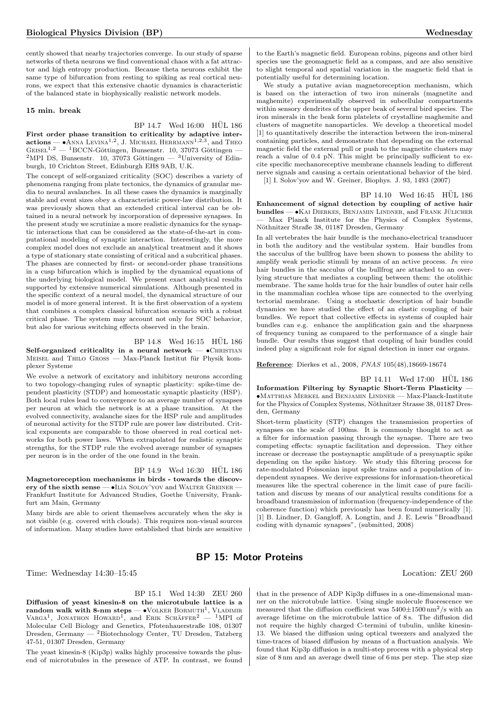cently showed that nearby trajectories converge. In our study of sparse networks of theta neurons we find conventional chaos with a fat attractor and high entropy production. Because theta neurons exhibit the same type of bifurcation from resting to spiking as real cortical neurons, we expect that this extensive chaotic dynamics is characteristic of the balanced state in biophysically realistic network models.

#### 15 min. break

## BP 14.7 Wed 16:00 HUL 186

First order phase transition to criticality by adaptive inter- $\text{actions} \longrightarrow \text{ANNA }$  Levina<sup>1,2</sup>, J. Michael Herrmann<sup>1,2,3</sup>, and Theo  $GeE1^{1,2}$  — <sup>1</sup>BCCN-Göttingen, Bunsenstr. 10, 37073 Göttingen -<sup>2</sup>MPI DS, Bunsenstr. 10, 37073 Göttingen — <sup>3</sup>University of Edinburgh, 10 Crichton Street, Edinburgh EH8 9AB, U.K.

The concept of self-organized criticality (SOC) describes a variety of phenomena ranging from plate tectonics, the dynamics of granular media to neural avalanches. In all these cases the dynamics is marginally stable and event sizes obey a characteristic power-law distribution. It was previously shown that an extended critical interval can be obtained in a neural network by incorporation of depressive synapses. In the present study we scrutinize a more realistic dynamics for the synaptic interactions that can be considered as the state-of-the-art in computational modeling of synaptic interaction. Interestingly, the more complex model does not exclude an analytical treatment and it shows a type of stationary state consisting of critical and a subcritical phases. The phases are connected by first- or second-order phase transitions in a cusp bifurcation which is implied by the dynamical equations of the underlying biological model. We present exact analytical results supported by extensive numerical simulations. Although presented in the specific context of a neural model, the dynamical structure of our model is of more general interest. It is the first observation of a system that combines a complex classical bifurcation scenario with a robust critical phase. The system may account not only for SOC behavior, but also for various switching effects observed in the brain.

### BP 14.8 Wed 16:15 HUL 186

Self-organized criticality in a neural network  $\bullet$ CHRISTIAN MEISEL and THILO GROSS — Max-Planck Institut für Physik komplexer Systeme

We evolve a network of excitatory and inhibitory neurons according to two topology-changing rules of synaptic plasticity: spike-time dependent plasticity (STDP) and homeostatic synaptic plasticity (HSP). Both local rules lead to convergence to an average number of synapses per neuron at which the network is at a phase transition. At the evolved connectivity, avalanche sizes for the HSP rule and amplitudes of neuronal activity for the STDP rule are power law distributed. Critical exponents are comparable to those observed in real cortical networks for both power laws. When extrapolated for realistic synaptic strengths, for the STDP rule the evolved average number of synapses per neuron is in the order of the one found in the brain.

BP 14.9 Wed 16:30 HÜL 186

Magnetoreception mechanisms in birds - towards the discovery of the sixth sense — •ILIA SOLOV'YOV and WALTER GREINER — Frankfurt Institute for Advanced Studies, Goethe University, Frankfurt am Main, Germany

Many birds are able to orient themselves accurately when the sky is not visible (e.g. covered with clouds). This requires non-visual sources of information. Many studies have established that birds are sensitive

to the Earth's magnetic field. European robins, pigeons and other bird species use the geomagnetic field as a compass, and are also sensitive to slight temporal and spatial variation in the magnetic field that is potentially useful for determining location.

We study a putative avian magnetoreception mechanism, which is based on the interaction of two iron minerals (magnetite and maghemite) experimentally observed in subcellular compartments within sensory dendrites of the upper beak of several bird species. The iron minerals in the beak form platelets of crystalline maghemite and clusters of magnetite nanoparticles. We develop a theoretical model [1] to quantitatively describe the interaction between the iron-mineral containing particles, and demonstrate that depending on the external magnetic field the external pull or push to the magnetite clusters may reach a value of 0.4 pN. This might be principally sufficient to excite specific mechanoreceptive membrane channels leading to different nerve signals and causing a certain orientational behavior of the bird.

[1] I. Solov'yov and W. Greiner, Biophys. J. 93, 1493 (2007)

#### BP 14.10 Wed 16:45 HUL 186

Enhancement of signal detection by coupling of active hair bundles — • KAI DIERKES, BENJAMIN LINDNER, and FRANK JÜLICHER — Max Planck Institute for the Physics of Complex Systems, Nöthnitzer Straße 38, 01187 Dresden, Germany

In all vertebrates the hair bundle is the mechano-electrical transducer in both the auditory and the vestibular system. Hair bundles from the sacculus of the bullfrog have been shown to possess the ability to amplify weak periodic stimuli by means of an active process. In vivo hair bundles in the sacculus of the bullfrog are attached to an overlying structure that mediates a coupling between them: the otolithic membrane. The same holds true for the hair bundles of outer hair cells in the mammalian cochlea whose tips are connected to the overlying tectorial membrane. Using a stochastic description of hair bundle dynamics we have studied the effect of an elastic coupling of hair bundles. We report that collective effects in systems of coupled hair bundles can e.g. enhance the amplification gain and the sharpness of frequency tuning as compared to the performance of a single hair bundle. Our results thus suggest that coupling of hair bundles could indeed play a significant role for signal detection in inner ear organs.

Reference: Dierkes et al., 2008, PNAS 105(48),18669-18674

BP 14.11 Wed 17:00 HÜL 186 Information Filtering by Synaptic Short-Term Plasticity —  $\bullet$ Matthias Merkel and Benjamin Lindner — Max-Planck-Institute for the Physics of Complex Systems, Nöthnitzer Strasse 38, 01187 Dresden, Germany

Short-term plasticity (STP) changes the transmission properties of synapses on the scale of 100ms. It is commonly thought to act as a filter for information passing through the synapse. There are two competing effects: synaptic facilitation and depression. They either increase or decrease the postsynaptic amplitude of a presynaptic spike depending on the spike history. We study this filtering process for rate-modulated Poissonian input spike trains and a population of independent synapses. We derive expressions for information-theoretical measures like the spectral coherence in the limit case of pure facilitation and discuss by means of our analytical results conditions for a broadband transmission of information (frequency-independence of the coherence function) which previously has been found numerically [1]. [1] B. Lindner, D. Gangloff, A. Longtin, and J. E. Lewis "Broadband coding with dynamic synapses", (submitted, 2008)

## BP 15: Motor Proteins

Time: Wednesday 14:30–15:45 Location: ZEU 260

BP 15.1 Wed 14:30 ZEU 260

Diffusion of yeast kinesin-8 on the microtubule lattice is a  $r$ andom walk with 8-nm steps —  $\bullet$ VOLKER BORMUTH<sup>1</sup>, VLADIMIR VARGA<sup>1</sup>, JONATHON HOWARD<sup>1</sup>, and ERIK SCHÄFFER<sup>2</sup> - <sup>1</sup>MPI of Molecular Cell Biology and Genetics, Pfotenhauerstraße 108, 01307 Dresden, Germany — <sup>2</sup>Biotechnology Center, TU Dresden, Tatzberg 47-51, 01307 Dresden, Germany

The yeast kinesin-8 (Kip3p) walks highly processive towards the plusend of microtubules in the presence of ATP. In contrast, we found that in the presence of ADP Kip3p diffuses in a one-dimensional manner on the microtubule lattice. Using single molecule fluorescence we measured that the diffusion coefficient was  $5400{\pm}1500\,\mathrm{nm^2/s}$  with an average lifetime on the microtubule lattice of 8 s. The diffusion did not require the highly charged C-termini of tubulin, unlike kinesin-13. We biased the diffusion using optical tweezers and analyzed the time-traces of biased diffusion by means of a fluctuation analysis. We found that Kip3p diffusion is a multi-step process with a physical step size of 8 nm and an average dwell time of 6 ms per step. The step size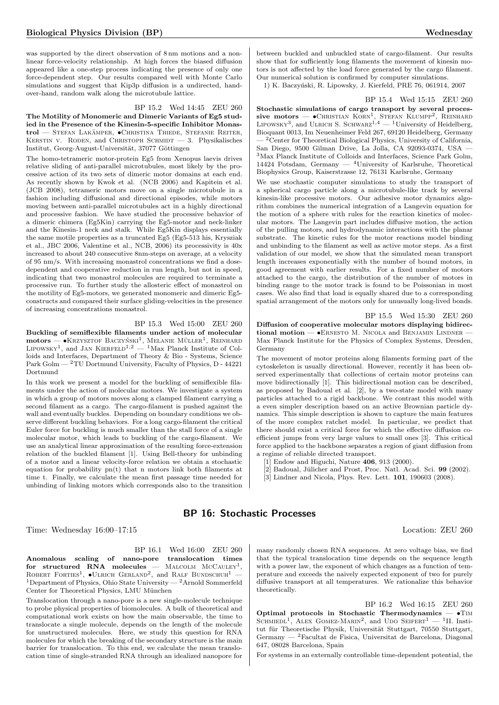was supported by the direct observation of 8 nm motions and a nonlinear force-velocity relationship. At high forces the biased diffusion appeared like a one-step process indicating the presence of only one force-dependent step. Our results compared well with Monte Carlo simulations and suggest that Kip3p diffusion is a undirected, handover-hand, random walk along the microtubule lattice.

#### BP 15.2 Wed 14:45 ZEU 260

The Motility of Monomeric and Dimeric Variants of Eg5 studied in the Presence of the Kinesin-5-specific Inhibitor Monastrol — STEFAN LAKÄMPER,  $\bullet$ CHRISTINA THIEDE, STEFANIE REITER, KERSTIN V. RODEN, and CHRISTOPH SCHMIDT  $-3$ . Physikalisches Institut, Georg-August-Universität, 37077 Göttingen

The homo-tetrameric motor-protein Eg5 from Xenopus laevis drives relative sliding of anti-parallel microtubules, most likely by the processive action of its two sets of dimeric motor domains at each end. As recently shown by Kwok et al. (NCB 2006) and Kapitein et al. (JCB 2008), tetrameric motors move on a single microtubule in a fashion including diffusional and directional episodes, while motors moving between anti-parallel microtubules act in a highly directional and processive fashion. We have studied the processive behavior of a dimeric chimera (Eg5Kin) carrying the Eg5-motor and neck-linker and the Kinesin-1 neck and stalk. While Eg5Kin displays essentially the same motile properties as a truncated Eg5 (Eg5-513 his, Krysziak et al., JBC 2006, Valentine et al., NCB, 2006) its processivity is 40x increased to about 240 consecutive 8nm-steps on average, at a velocity of 95 nm/s. With increasing monastrol concentrations we find a dosedependent and cooperative reduction in run length, but not in speed, indicating that two monastrol molecules are required to terminate a processive run. To further study the allosteric effect of monastrol on the motility of Eg5-motors, we generated monomeric and dimeric Eg5 constructs and compared their surface gliding-velocities in the presence of increasing concentrations monastrol.

BP 15.3 Wed 15:00 ZEU 260

Buckling of semiflexible filaments under action of molecular  $\text{motors}$   $\rightarrow$  KRZYSZTOF BACZYŃSKI<sup>1</sup>, MELANIE MÜLLER<sup>1</sup>, REINHARD<br>Lipowsky<sup>1</sup>, and JAN Kierfeld<sup>1,2</sup>  $\rightarrow$  <sup>1</sup>Max Planck Institute of Colloids and Interfaces, Department of Theory & Bio - Systems, Science Park Golm — <sup>2</sup>TU Dortmund University, Faculty of Physics, D - 44221 Dortmund

In this work we present a model for the buckling of semiflexible filaments under the action of molecular motors. We investigate a system in which a group of motors moves along a clamped filament carrying a second filament as a cargo. The cargo-filament is pushed against the wall and eventually buckles. Depending on boundary conditions we observe different buckling behaviors. For a long cargo-filament the critical Euler force for buckling is much smaller than the stall force of a single molecular motor, which leads to buckling of the cargo-filament. We use an analytical linear approximation of the resulting force-extension relation of the buckled filament [1]. Using Bell-theory for unbinding of a motor and a linear velocity-force relation we obtain a stochastic equation for probability pn(t) that n motors link both filaments at time t. Finally, we calculate the mean first passage time needed for unbinding of linking motors which corresponds also to the transition

between buckled and unbuckled state of cargo-filament. Our results show that for sufficiently long filaments the movement of kinesin motors is not affected by the load force generated by the cargo filament. Our numerical solution is confirmed by computer simulations. 1) K. Baczyński, R. Lipowsky, J. Kierfeld, PRE 76, 061914, 2007

BP 15.4 Wed 15:15 ZEU 260 Stochastic simulations of cargo transport by several processive motors —  $\bullet$ Christian Korn<sup>1</sup>, Stefan Klumpp<sup>2</sup>, Reinhard LIPOWSKY<sup>3</sup>, and ULRICH S. SCHWARZ<sup>1,4</sup>  $-$ <sup>1</sup>University of Heidelberg, Bioquant 0013, Im Neuenheimer Feld 267, 69120 Heidelberg, Germany — <sup>2</sup>Center for Theoretical Biological Physics, University of California, San Diego, 9500 Gilman Drive, La Jolla, CA 92093-0374, USA — <sup>3</sup>Max Planck Institute of Colloids and Interfaces, Science Park Golm, 14424 Potsdam, Germany — <sup>4</sup>University of Karlsruhe, Theoretical Biophysics Group, Kaiserstrasse 12, 76131 Karlsruhe, Germany

We use stochastic computer simulations to study the transport of a spherical cargo particle along a microtubule-like track by several kinesin-like processive motors. Our adhesive motor dynamics algorithm combines the numerical integration of a Langevin equation for the motion of a sphere with rules for the reaction kinetics of molecular motors. The Langevin part includes diffusive motion, the action of the pulling motors, and hydrodynamic interactions with the planar substrate. The kinetic rules for the motor reactions model binding and unbinding to the filament as well as active motor steps. As a first validation of our model, we show that the simulated mean transport length increases exponentially with the number of bound motors, in good agreement with earlier results. For a fixed number of motors attached to the cargo, the distribution of the number of motors in binding range to the motor track is found to be Poissonian in most cases. We also find that load is equally shared due to a corresponding spatial arrangement of the motors only for unusually long-lived bonds.

BP 15.5 Wed 15:30 ZEU 260 Diffusion of cooperative molecular motors displaying bidirectional motion  $-$  •ERNESTO M. NICOLA and BENJAMIN LINDNER  $-$ Max Planck Institute for the Physics of Complex Systems, Dresden, Germany

The movement of motor proteins along filaments forming part of the cytoskeleton is usually directional. However, recently it has been observed experimentally that collections of certain motor proteins can move bidirectionally [1]. This bidirectional motion can be described, as proposed by Badoual et al. [2], by a two-state model with many particles attached to a rigid backbone. We contrast this model with a even simpler description based on an active Brownian particle dynamics. This simple description is shown to capture the main features of the more complex ratchet model. In particular, we predict that there should exist a critical force for which the effective diffusion coefficient jumps from very large values to small ones [3]. This critical force applied to the backbone separates a region of giant diffusion from a regime of reliable directed transport.

[1] Endow and Higuchi, Nature 406, 913 (2000).

Badoual, Jülicher and Prost, Proc. Natl. Acad. Sci. 99 (2002).

[3] Lindner and Nicola, Phys. Rev. Lett. 101, 190603 (2008).

## BP 16: Stochastic Processes

Time: Wednesday 16:00–17:15 Location: ZEU 260

BP 16.1 Wed 16:00 ZEU 260

Anomalous scaling of nano-pore translocation times for structured RNA molecules  $-$  MALCOLM McCAULEY<sup>1</sup>, ROBERT FORTIES<sup>1</sup>,  $\bullet$ ULRICH GERLAND<sup>2</sup>, and RALF BUNDSCHUH<sup>1</sup> – <sup>1</sup>Department of Physics, Ohio State University — <sup>2</sup>Arnold Sommerfeld Center for Theoretical Physics, LMU München

Translocation through a nano-pore is a new single-molecule technique to probe physical properties of biomolecules. A bulk of theoretical and computational work exists on how the main observable, the time to translocate a single molecule, depends on the length of the molecule for unstructured molecules. Here, we study this question for RNA molecules for which the breaking of the secondary structure is the main barrier for translocation. To this end, we calculate the mean translocation time of single-stranded RNA through an idealized nanopore for

many randomly chosen RNA sequences. At zero voltage bias, we find that the typical translocation time depends on the sequence length with a power law, the exponent of which changes as a function of temperature and exceeds the naively expected exponent of two for purely diffusive transport at all temperatures. We rationalize this behavior theoretically.

BP 16.2 Wed 16:15 ZEU 260 Optimal protocols in Stochastic Thermodynamics  $- \bullet$ TIM SCHMIEDL<sup>1</sup>, ALEX GOMEZ-MARIN<sup>2</sup>, and UDO SEIFERT<sup>1</sup> - <sup>1</sup>II. Institut für Theoretische Physik, Universität Stuttgart, 70550 Stuttgart, Germany — <sup>2</sup>Facultat de Fisica, Universitat de Barcelona, Diagonal 647, 08028 Barcelona, Spain

For systems in an externally controllable time-dependent potential, the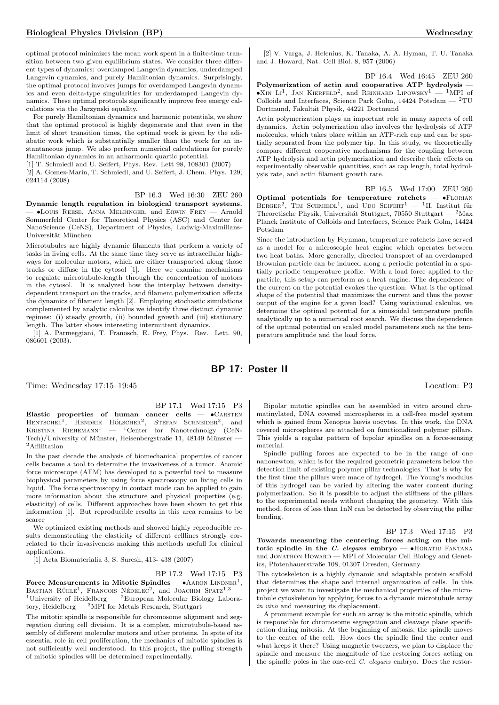optimal protocol minimizes the mean work spent in a finite-time transition between two given equilibrium states. We consider three different types of dynamics: overdamped Langevin dynamics, underdamped Langevin dynamics, and purely Hamiltonian dynamics. Surprisingly, the optimal protocol involves jumps for overdamped Langevin dynamics and even delta-type singularities for underdamped Langevin dynamics. These optimal protocols significantly improve free energy calculations via the Jarzynski equality.

For purely Hamiltonian dynamics and harmonic potentials, we show that the optimal protocol is highly degenerate and that even in the limit of short transition times, the optimal work is given by the adiabatic work which is substantially smaller than the work for an instantaneous jump. We also perform numerical calculations for purely Hamiltonian dynamics in an anharmonic quartic potential.

[1] T. Schmiedl and U. Seifert, Phys. Rev. Lett 98, 108301 (2007)

[2] A. Gomez-Marin, T. Schmiedl, and U. Seifert, J. Chem. Phys. 129, 024114 (2008)

BP 16.3 Wed 16:30 ZEU 260

Dynamic length regulation in biological transport systems. — •Louis Reese, Anna Melbinger, and Erwin Frey — Arnold Sommerfeld Center for Theoretical Physics (ASC) and Center for NanoScience (CeNS), Department of Physics, Ludwig-Maximilians-Universität München

Microtubules are highly dynamic filaments that perform a variety of tasks in living cells. At the same time they serve as intracellular highways for molecular motors, which are either transported along those tracks or diffuse in the cytosol [1]. Here we examine mechanisms to regulate microtubule-length through the concentration of motors in the cytosol. It is analyzed how the interplay between densitydependent transport on the tracks, and filament polymerization affects the dynamics of filament length [2]. Employing stochastic simulations complemented by analytic calculus we identify three distinct dynamic regimes: (i) steady growth, (ii) bounded growth and (iii) stationary length. The latter shows interesting intermittent dynamics.

[1] A. Parmeggiani, T. Franosch, E. Frey, Phys. Rev. Lett. 90, 086601 (2003).

[2] V. Varga, J. Helenius, K. Tanaka, A. A. Hyman, T. U. Tanaka and J. Howard, Nat. Cell Biol. 8, 957 (2006)

BP 16.4 Wed 16:45 ZEU 260

Polymerization of actin and cooperative ATP hydrolysis - $\bullet$ XIN LI<sup>1</sup>, JAN KIERFELD<sup>2</sup>, and REINHARD LIPOWSKY<sup>1</sup> - <sup>1</sup>MPI of Colloids and Interfaces, Science Park Golm, 14424 Potsdam —  $^2 \mathrm{T} \mathrm{U}$ Dortmund, Fakultät Physik, 44221 Dortmund

Actin polymerization plays an important role in many aspects of cell dynamics. Actin polymerization also involves the hydrolysis of ATP molecules, which takes place within an ATP-rich cap and can be spatially separated from the polymer tip. In this study, we theoretically compare different cooperative mechanisms for the coupling between ATP hydrolysis and actin polymerization and describe their effects on experimentally observable quantities, such as cap length, total hydrolysis rate, and actin filament growth rate.

BP 16.5 Wed 17:00 ZEU 260 Optimal potentials for temperature ratchets  $\bullet$ FLORIAN BERGER<sup>2</sup>, TIM SCHMIEDL<sup>1</sup>, and UDO SEIFERT<sup>1</sup> - <sup>1</sup>II. Institut für Theoretische Physik, Universität Stuttgart, 70550 Stuttgart —  $^2$ Max Planck Institute of Colloids and Interfaces, Science Park Golm, 14424 Potsdam

Since the introduction by Feynman, temperature ratchets have served as a model for a microscopic heat engine which operates between two heat baths. More generally, directed transport of an overdamped Brownian particle can be induced along a periodic potential in a spatially periodic temperature profile. With a load force applied to the particle, this setup can perform as a heat engine. The dependence of the current on the potential evokes the question: What is the optimal shape of the potential that maximizes the current and thus the power output of the engine for a given load? Using variational calculus, we determine the optimal potential for a sinusoidal temperature profile analytically up to a numerical root search. We discuss the dependence of the optimal potential on scaled model parameters such as the temperature amplitude and the load force.

## BP 17: Poster II

Time: Wednesday 17:15–19:45 Location: P3

## BP 17.1 Wed 17:15 P3

Elastic properties of human cancer cells  $\bullet$  CARSTEN  $H$ ENTSCHEL<sup>1</sup>, HENDRIK HÖLSCHER<sup>2</sup>, STEFAN SCHNEIDER<sup>2</sup>, and KRISTINA RIEHEMANN<sup>1</sup> — <sup>1</sup>Center for Nanotechnolgy (CeN-Tech)/University of Münster, Heisenbergstraße 11, 48149 Münster — <sup>2</sup>Affilitation

In the past decade the analysis of biomechanical properties of cancer cells became a tool to determine the invasiveness of a tumor. Atomic force microscope (AFM) has developed to a powerful tool to measure biophysical parameters by using force spectroscopy on living cells in liquid. The force spectroscopy in contact mode can be applied to gain more information about the structure and physical properties (e.g. elasticity) of cells. Different approaches have been shown to get this information [1]. But reproducible results in this area remains to be scarce

We optimized existing methods and showed highly reproducible results demonstrating the elasticity of different celllines strongly correlated to their invasiveness making this methods usefull for clinical applications.

[1] Acta Biomaterialia 3, S. Suresh, 413- 438 (2007)

BP 17.2 Wed 17:15 P3 Force Measurements in Mitotic Spindles —  $\bullet$  AARON LINDNER<sup>1</sup>,

BASTIAN RÜHLE<sup>1</sup>, FRANCOIS NÉDELEC<sup>2</sup>, and JOACHIM SPATZ<sup>1,3</sup> <sup>1</sup>University of Heidelberg — <sup>2</sup>European Molecular Biology Laboratory, Heidelberg  $-3$  MPI for Metals Research, Stuttgart

The mitotic spindle is responsible for chromosome alignment and segregation during cell division. It is a complex, microtubule-based assembly of different molecular motors and other proteins. In spite of its essential role in cell proliferation, the mechanics of mitotic spindles is not sufficiently well understood. In this project, the pulling strength of mitotic spindles will be determined experimentally.

Bipolar mitotic spindles can be assembled in vitro around chromatinylated, DNA covered microspheres in a cell-free model system which is gained from Xenopus laevis oocytes. In this work, the DNA covered microspheres are attached on functionalized polymer pillars. This yields a regular pattern of bipolar spindles on a force-sensing material.

Spindle pulling forces are expected to be in the range of one nanonewton, which is for the required geometric parameters below the detection limit of existing polymer pillar technologies. That is why for the first time the pillars were made of hydrogel. The Young's modulus of this hydrogel can be varied by altering the water content during polymerization. So it is possible to adjust the stiffness of the pillars to the experimental needs without changing the geometry. With this method, forces of less than 1nN can be detected by observing the pillar bending.

BP 17.3 Wed 17:15 P3

Towards measuring the centering forces acting on the mitotic spindle in the C. elegans embryo  $\bullet$ HORATIU FANTANA and JONATHON HOWARD — MPI of Molecular Cell Biology and Genetics, Pfotenhauerstraße 108, 01307 Dresden, Germany

The cytoskeleton is a highly dynamic and adaptable protein scaffold that determines the shape and internal organization of cells. In this project we want to investigate the mechanical properties of the microtubule cytoskeleton by applying forces to a dynamic microtubule array in vivo and measuring its displacement.

A prominent example for such an array is the mitotic spindle, which is responsible for chromosome segregation and cleavage plane specification during mitosis. At the beginning of mitosis, the spindle moves to the center of the cell. How does the spindle find the center and what keeps it there? Using magnetic tweezers, we plan to displace the spindle and measure the magnitude of the restoring forces acting on the spindle poles in the one-cell C. elegans embryo. Does the restor-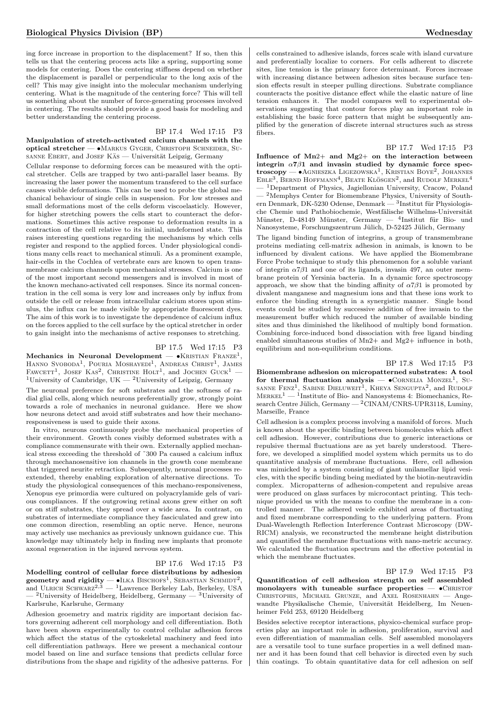ing force increase in proportion to the displacement? If so, then this tells us that the centering process acts like a spring, supporting some models for centering. Does the centering stiffness depend on whether the displacement is parallel or perpendicular to the long axis of the cell? This may give insight into the molecular mechanism underlying centering. What is the magnitude of the centering force? This will tell us something about the number of force-generating processes involved in centering. The results should provide a good basis for modeling and better understanding the centering process.

BP 17.4 Wed 17:15 P3

Manipulation of stretch-activated calcium channels with the optical stretcher — •Markus Gyger, Christoph Schneider, Susanne Ebert, and JOSEF KAS — Universität Leipzig, Germany

Cellular response to deforming forces can be measured with the optical stretcher. Cells are trapped by two anti-parallel laser beams. By increasing the laser power the momentum transfered to the cell surface causes visible deformations. This can be used to probe the global mechanical behaviour of single cells in suspension. For low stresses and small deformations most of the cells deform viscoelasticly. However, for higher stretching powers the cells start to counteract the deformations. Sometimes this active response to deformation results in a contraction of the cell relative to its initial, undeformed state. This raises interesting questions regarding the mechanisms by which cells register and respond to the applied forces. Under physiological conditions many cells react to mechanical stimuli. As a prominent example, hair-cells in the Cochlea of vertebrate ears are known to open transmembrane calcium channels upon mechanical stresses. Calcium is one of the most important second messengers and is involved in most of the known mechano-activated cell responses. Since its normal concentration in the cell soma is very low and increases only by influx from outside the cell or release from intracellular calcium stores upon stimulus, the influx can be made visible by appropriate fluorescent dyes. The aim of this work is to investigate the dependence of calcium influx on the forces applied to the cell surface by the optical stretcher in order to gain insight into the mechanisms of active responses to stretching.

BP 17.5 Wed 17:15 P3

Mechanics in Neuronal Development —  $\bullet$ KRISTIAN FRANZE<sup>1</sup>, HANNO SVOBODA<sup>1</sup>, POURIA MOSHAYEDI<sup>1</sup>, ANDREAS CHRIST<sup>1</sup>, JAMES FAWCETT<sup>1</sup>, JOSEF KAS<sup>2</sup>, CHRISTINE HOLT<sup>1</sup>, and JOCHEN GUCK<sup>1</sup> -<sup>1</sup>University of Cambridge, UK  $-$  <sup>2</sup>University of Leipzig, Germany

The neuronal preference for soft substrates and the softness of radial glial cells, along which neurons preferentially grow, strongly point towards a role of mechanics in neuronal guidance. Here we show how neurons detect and avoid stiff substrates and how their mechanoresponsiveness is used to guide their axons.

In vitro, neurons continuously probe the mechanical properties of their environment. Growth cones visibly deformed substrates with a compliance commensurate with their own. Externally applied mechanical stress exceeding the threshold of ˜300 Pa caused a calcium influx through mechanosensitive ion channels in the growth cone membrane that triggered neurite retraction. Subsequently, neuronal processes reextended, thereby enabling exploration of alternative directions. To study the physiological consequences of this mechano-responsiveness, Xenopus eye primordia were cultured on polyacrylamide gels of various compliances. If the outgrowing retinal axons grew either on soft or on stiff substrates, they spread over a wide area. In contrast, on substrates of intermediate compliance they fasciculated and grew into one common direction, resembling an optic nerve. Hence, neurons may actively use mechanics as previously unknown guidance cue. This knowledge may ultimately help in finding new implants that promote axonal regeneration in the injured nervous system.

#### BP 17.6 Wed 17:15 P3

Modelling control of cellular force distributions by adhesion geometry and rigidity —  $\bullet$ ILKA BISCHOFS<sup>1</sup>, SEBASTIAN SCHMIDT<sup>2</sup>, and ULRICH SCHWARZ<sup>2,3</sup> — <sup>1</sup>Lawrence Berkeley Lab, Berkeley, USA  $-$  <sup>2</sup>University of Heidelberg, Heidelberg, Germany  $-$  <sup>3</sup>University of Karlsruhe, Karlsruhe, Germany

Adhesion geoemetry and matrix rigidity are important decision factors governing adherent cell morphology and cell differentiation. Both have been shown experimentally to control cellular adhesion forces which affect the status of the cytoskeletal machinery and feed into cell differentiation pathways. Here we present a mechanical contour model based on line and surface tensions that predicts cellular force distributions from the shape and rigidity of the adhesive patterns. For cells constrained to adhesive islands, forces scale with island curvature and preferentially localize to corners. For cells adherent to discrete sites, line tension is the primary force determinant. Forces increase with increasing distance between adhesion sites because surface tension effects result in steeper pulling directions. Substrate compliance counteracts the positive distance effect while the elastic nature of line tension enhances it. The model compares well to experimental observations suggesting that contour forces play an important role in establishing the basic force pattern that might be subsequently amplified by the generation of discrete internal structures such as stress fibers.

BP 17.7 Wed 17:15 P3 Influence of  $Mn2+$  and  $Mg2+$  on the interaction between integrin  $\alpha$ 7 $\beta$ 1 and invasin studied by dynamic force spectroscopy — •Agnieszka Ligezowska<sup>1</sup> , Kristian Boye<sup>2</sup> , Johannes EBLE<sup>3</sup>, BERND HOFFMANN<sup>4</sup>, BEATE KLÖSGEN<sup>2</sup>, and RUDOLF MERKEL<sup>4</sup> — <sup>1</sup>Department of Physics, Jagiellonian University, Cracow, Poland  $-$  <sup>2</sup>Memphys Center for Biomembrane Physics, University of Southern Denmark, DK-5230 Odense, Denmark — 3Institut für Physiologische Chemie und Pathobiochemie, Westfälische Wilhelms-Universität Münster, D-48149 Münster, Germany — <sup>4</sup>Institut für Bio- und Nanosysteme, Forschungszentrum Jülich, D-52425 Jülich, Germany

The ligand binding function of integrins, a group of transmembrane proteins mediating cell-matrix adhesion in animals, is known to be influenced by divalent cations. We have applied the Biomembrane Force Probe technique to study this phenomenon for a soluble variant of integrin  $\alpha$ 7 $\beta$ 1 and one of its ligands, invasin 497, an outer membrane protein of Yersinia bacteria. In a dynamic force spectroscopy approach, we show that the binding affinity of  $\alpha$ 7 $\beta$ 1 is promoted by divalent manganese and magnesium ions and that these ions work to enforce the binding strength in a synergistic manner. Single bond events could be studied by successive addition of free invasin to the measurement buffer which reduced the number of available binding sites and thus diminished the likelihood of multiply bond formation. Combining force-induced bond dissociation with free ligand binding enabled simultaneous studies of Mn2+ and Mg2+ influence in both, equilibrium and non-equilibrium conditions.

BP 17.8 Wed 17:15 P3 Biomembrane adhesion on micropatterned substrates: A tool for thermal fluctuation analysis  $\bullet$ CORNELIA MONZEL<sup>1</sup>, SU-SANNE FENZ<sup>1</sup>, SABINE DIELUWEIT<sup>1</sup>, KHEYA SENGUPTA<sup>2</sup>, and RUDOLF  $MERKEL<sup>1</sup>$  — <sup>1</sup>Institute of Bio- and Nanosystems 4: Biomechanics, Research Centre Jülich, Germany —  ${}^{2}$ CINAM/CNRS-UPR3118, Luminy, Marseille, France

Cell adhesion is a complex process involving a manifold of forces. Much is known about the specific binding between biomolecules which affect cell adhesion. However, contributions due to generic interactions or repulsive thermal fluctuations are as yet barely understood. Therefore, we developed a simplified model system which permits us to do quantitative analysis of membrane fluctuations. Here, cell adhesion was mimicked by a system consisting of giant unilamellar lipid vesicles, with the specific binding being mediated by the biotin-neutravidin complex. Micropatterns of adhesion-competent and repulsive areas were produced on glass surfaces by microcontact printing. This technique provided us with the means to confine the membrane in a controlled manner. The adhered vesicle exhibited areas of fluctuating and fixed membrane corresponding to the underlying pattern. From Dual-Wavelength Reflection Interference Contrast Microscopy (DW-RICM) analysis, we reconstructed the membrane height distribution and quantified the membrane fluctuations with nano-metric accuracy. We calculated the fluctuation spectrum and the effective potential in which the membrane fluctuates.

#### BP 17.9 Wed 17:15 P3

Quantification of cell adhesion strength on self assembled monolayers with tuneable surface properties  $\bullet$ CHRISTOF Christophis, Michael Grunze, and Axel Rosenhahn — Angewandte Physikalische Chemie, Universität Heidelberg, Im Neuenheimer Feld 253, 69120 Heidelberg

Besides selective receptor interactions, physico-chemical surface properties play an important role in adhesion, proliferation, survival and even differentiation of mammalian cells. Self assembled monolayers are a versatile tool to tune surface properties in a well defined manner and it has been found that cell behavior is directed even by such thin coatings. To obtain quantitative data for cell adhesion on self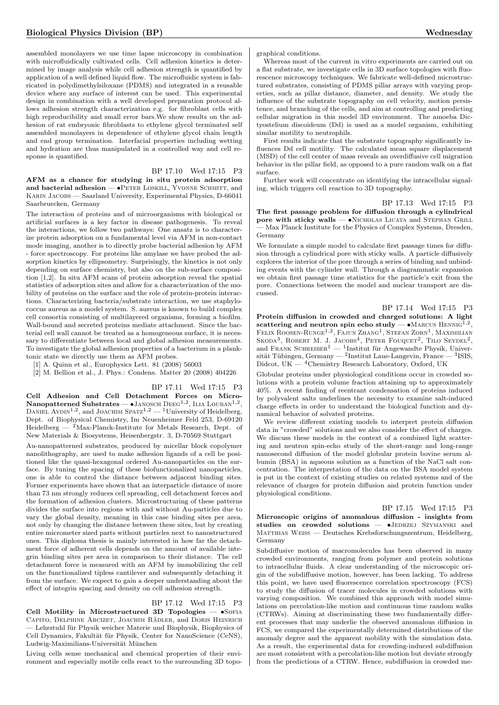assembled monolayers we use time lapse microscopy in combination with microfluidically cultivated cells. Cell adhesion kinetics is determined by image analysis while cell adhesion strength is quantified by application of a well defined liquid flow. The microfluidic system is fabricated in polydimethylsiloxane (PDMS) and integrated in a reusable device where any surface of interest can be used. This experimental design in combination with a well developed preparation protocol allows adhesion strength characterization e.g. for fibroblast cells with high reproducibility and small error bars.We show results on the adhesion of rat embryonic fibroblasts to ethylene glycol terminated self assembled monolayers in dependence of ethylene glycol chain length and end group termination. Interfacial properties including wetting and hydration are thus manipulated in a controlled way and cell response is quantified.

BP 17.10 Wed 17:15 P3

AFM as a chance for studying in situ protein adsorption and bacterial adhesion — •PETER LOSKILL, YVONNE SCHMITT, and Karin Jacobs — Saarland University, Experimental Physics, D-66041 Saarbruecken, Germany

The interaction of proteins and of microorganisms with biological or artificial surfaces is a key factor in disease pathogenesis. To reveal the interactions, we follow two pathways: One ansatz is to characterize protein adsorption on a fundamental level via AFM in non-contact mode imaging, another is to directly probe bacterial adhesion by AFM - force spectroscopy. For proteins like amylase we have probed the adsorption kinetics by ellipsometry. Surprisingly, the kinetics is not only depending on surface chemistry, but also on the sub-surface composition [1,2]. In situ AFM scans of protein adsorption reveal the spatial statistics of adsorption sites and allow for a characterization of the mobility of proteins on the surface and the role of protein-protein interactions. Characterizing bacteria/substrate interaction, we use staphylococcus aureus as a model system. S. aureus is known to build complex cell consortia consisting of multilayered organisms, forming a biofilm. Wall-bound and secreted proteins mediate attachment. Since the bacterial cell wall cannot be treated as a homogeneous surface, it is necessary to differentiate between local and global adhesion measurements. To investigate the global adhesion properties of a bacterium in a planktonic state we directly use them as AFM probes.

[1] A. Quinn et al., Europhysics Lett. 81 (2008) 56003

[2] M. Bellion et al., J. Phys.: Condens. Matter 20 (2008) 404226

BP 17.11 Wed 17:15 P3 Cell Adhesion and Cell Detachment Forces on Micro- $\mathbf N$ anopatterned  $\mathbf S$ ubstrates —  $\bullet$ Janosch D $\mathrm{EEG}^{1,2},\, \mathrm{LL}$ a Louban $^{1,2},\,$ DANIEL AYDIN<sup>1,2</sup>, and JOACHIM SPATZ<sup>1,2</sup> — <sup>1</sup>University of Heidelberg, Dept. of Biophysical Chemistry, Im Neuenheimer Feld 253, D-69120 Heidelberg  $-$  <sup>2</sup>Max-Planck-Institute for Metals Research, Dept. of

New Materials & Biosystems, Heisenbergstr. 3, D-70569 Stuttgart

Au-nanopatterned substrates, produced by micellar block copolymer nanolithography, are used to make adhesion ligands of a cell be positioned like the quasi-hexagonal ordered Au-nanoparticles on the surface. By tuning the spacing of these biofunctionalized nanoparticles, one is able to control the distance between adjacent binding sites. Former experiments have shown that an interparticle distance of more than 73 nm strongly reduces cell spreading, cell detachment forces and the formation of adhesion clusters. Microstructuring of these patterns divides the surface into regions with and without Au-particles due to vary the global density, meaning in this case binding sites per area, not only by changing the distance between these sites, but by creating entire micrometer sized parts without particles next to nanostructured ones. This diploma thesis is mainly interested in how far the detachment force of adherent cells depends on the amount of available integrin binding sites per area in comparison to their distance. The cell detachment force is measured with an AFM by immobilizing the cell on the functionalized tipless cantilever and subsequently detaching it from the surface. We expect to gain a deeper understanding about the effect of integrin spacing and density on cell adhesion strength.

#### BP 17.12 Wed 17:15 P3

 $Coll$  Motility in Microstructured 3D Topologies  $\bullet$ Sofia CAPITO, DELPHINE ARCIZET, JOACHIM RÄDLER, and DORIS HEINRICH — Lehrstuhl für Physik weicher Materie und Biophysik, Biophysics of Cell Dynamics, Fakultät für Physik, Center for NanoScience (CeNS), Ludwig-Maximilians-Universität München

Living cells sense mechanical and chemical properties of their environment and especially motile cells react to the surrounding 3D topographical conditions.

Whereas most of the current in vitro experiments are carried out on a flat substrate, we investigate cells in 3D surface topologies with fluorescence microscopy techniques. We fabricate well-defined microstructured substrates, consisting of PDMS pillar arrays with varying properties, such as pillar distance, diameter, and density. We study the influence of the substrate topography on cell velocity, motion persistence, and branching of the cells, and aim at controlling and predicting cellular migration in this model 3D environment. The amoeba Dictyostelium discoideum (Dd) is used as a model organism, exhibiting similar motility to neutrophils.

First results indicate that the substrate topography significantly influences Dd cell motility. The calculated mean square displacement (MSD) of the cell center of mass reveals an overdiffusive cell migration behavior in the pillar field, as opposed to a pure random walk on a flat surface.

Further work will concentrate on identifying the intracellular signaling, which triggers cell reaction to 3D topography.

#### BP 17.13 Wed 17:15 P3

The first passage problem for diffusion through a cylindrical pore with sticky walls  $\bullet$ Nicholas Licata and Stephan Grill — Max Planck Institute for the Physics of Complex Systems, Dresden, Germany

We formulate a simple model to calculate first passage times for diffusion through a cylindrical pore with sticky walls. A particle diffusively explores the interior of the pore through a series of binding and unbinding events with the cylinder wall. Through a diagrammatic expansion we obtain first passage time statistics for the particle's exit from the pore. Connections between the model and nuclear transport are discussed.

#### BP 17.14 Wed 17:15 P3

Protein diffusion in crowded and charged solutions: A light scattering and neutron spin echo study  $- \cdot$  MARCUS HENNIG<sup>1,2</sup>, FELIX ROOSEN-RUNGE<sup>1,2</sup>, FAJUN ZHANG<sup>1</sup>, STEFAN ZORN<sup>1</sup>, MAXIMILIAN SKODA<sup>3</sup>, ROBERT M. J. JACOBS<sup>4</sup>, PETER FOUQUET<sup>2</sup>, TILO SEYDEL<sup>2</sup>, and FRANK SCHREIBER<sup>1</sup> — <sup>1</sup>Institut für Angewandte Physik, Universität Tübingen, Germany — <sup>2</sup>Institut Laue-Langevin, France — <sup>3</sup>ISIS, Didcot, UK —  ${}^{4}$ Chemistry Research Laboratory, Oxford, UK

Globular proteins under physiological conditions occur in crowded solutions with a protein volume fraction attaining up to approximately 40%. A recent finding of reentrant condensation of proteins induced by polyvalent salts underlines the necessity to examine salt-induced charge effects in order to understand the biological function and dynamical behavior of solvated proteins.

We review different existing models to interpret protein diffusion data in "crowded" solutions and we also consider the effect of charges. We discuss these models in the context of a combined light scattering and neutron spin-echo study of the short-range and long-range nanosecond diffusion of the model globular protein bovine serum albumin (BSA) in aqueous solution as a function of the NaCl salt concentration. The interpretation of the data on the BSA model system is put in the context of existing studies on related systems and of the relevance of charges for protein diffusion and protein function under physiological conditions.

BP 17.15 Wed 17:15 P3 Microscopic origins of anomalous diffusion - insights from studies on crowded solutions  $-$  •JEDRZEJ SZYMANSKI and Matthias Weiss — Deutsches Krebsforschungszentrum, Heidelberg, Germany

Subdiffusive motion of macromolecules has been observed in many crowded environments, ranging from polymer and protein solutions to intracellular fluids. A clear understanding of the microscopic origin of the subdiffusive motion, however, has been lacking. To address this point, we have used fluorescence correlation spectroscopy (FCS) to study the diffusion of tracer molecules in crowded solutions with varying composition. We combined this approach with model simulations on percolation-like motion and continuous time random walks (CTRWs). Aiming at discriminating these two fundamentally different processes that may underlie the observed anomalous diffusion in FCS, we compared the experimentally determined distributions of the anomaly degree and the apparent mobility with the simulation data. As a result, the experimental data for crowding-induced subdiffusion are most consistent with a percolation-like motion but deviate strongly from the predictions of a CTRW. Hence, subdiffusion in crowded me-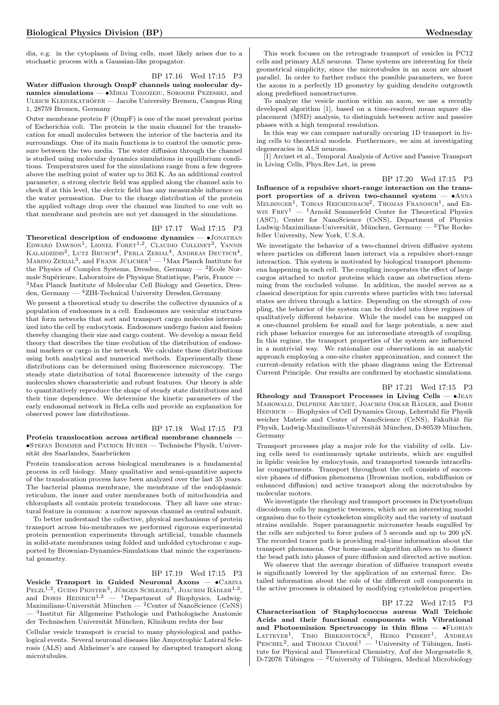dia, e.g. in the cytoplasm of living cells, most likely arises due to a stochastic process with a Gaussian-like propagator.

BP 17.16 Wed 17:15 P3

Water diffusion through OmpF channels using molecular dynamics simulations — •Mihai Tomozeiu, Soroosh Pezeshki, and ULRICH KLEINEKATHÖFER — Jacobs University Bremen, Campus Ring 1, 28759 Bremen, Germany

Outer membrane protein F (OmpF) is one of the most prevalent porins of Escherichia coli. The protein is the main channel for the translocation for small molecules between the interior of the bacteria and its surroundings. One of its main functions is to control the osmotic pressure between the two media. The water diffusion through the channel is studied using molecular dynamics simulations in equilibrium conditions. Temperatures used for the simulations range from a few degrees above the melting point of water up to 363 K. As an additional control parameter, a strong electric field was applied along the channel axis to check if at this level, the electric field has any measurable influence on the water permeation. Due to the charge distribution of the protein the applied voltage drop over the channel was limited to one volt so that membrane and protein are not yet damaged in the simulations.

#### BP 17.17 Wed 17:15 P3

Theoretical description of endosome dynamics -  $\bullet$ JONATHAN EDWARD DAWSON<sup>1</sup>, LIONEL FORET<sup>1,2</sup>, CLAUDIO COLLINET<sup>3</sup>, YANNIS KALAIDZIDIS<sup>3</sup>, LUTZ BRUSCH<sup>4</sup>, PERLA ZERIAL<sup>4</sup>, ANDREAS DEUTSCH<sup>4</sup>, MARINO ZERIAL<sup>3</sup>, and FRANK JÜLICHER<sup>1</sup> — <sup>1</sup>Max Planck Institute for the Physics of Complex Systems, Dresden, Germany  $-$  <sup>2</sup>Ecole Normale Supérieure, Laboratoire de Physique Statistique, Paris, France -<sup>3</sup>Max Planck Institute of Molecular Cell Biology and Genetics, Dresden, Germany — <sup>4</sup>ZIH-Technical University Dresden,Germany

We present a theoretical study to describe the collective dynamics of a population of endosomes in a cell. Endosomes are vesicular structures that form networks that sort and transport cargo molecules internalized into the cell by endocytosis. Endosomes undergo fusion and fission thereby changing their size and cargo content. We develop a mean field theory that describes the time evolution of the distribution of endosomal markers or cargo in the network. We calculate these distributions using both analytical and numerical methods. Experimentally these distributions can be determined using fluorescence microscopy. The steady state distribution of total fluorescence intensity of the cargo molecules shows charasteristic and robust features. Our theory is able to quantitatively reproduce the shape of steady state distributions and their time dependence. We determine the kinetic parameters of the early endosomal network in HeLa cells and provide an explanation for observed power law distributions.

#### BP 17.18 Wed 17:15 P3 Protein translocation across artifical membrane channels — •Stefan Bommer and Patrick Huber — Technische Physik, Universität des Saarlandes, Saarbrücken

Protein translocation across biological membranes is a fundamental process in cell biology. Many qualitative and semi-quantitive aspects of the translocation process have been analyzed over the last 35 years. The bacterial plasma membrane, the membrane of the endoplasmic reticulum, the inner and outer membranes both of mitochondria and chloroplasts all contain protein translocons. They all have one structural feature in common: a narrow aqueous channel as central subunit.

To better understand the collective, physical mechanisms of protein transport across bio-membranes we performed rigorous experimental protein permeation experiments through artificial, tunable channels in solid-state membranes using folded and unfolded cytochrome c supported by Brownian-Dynamics-Simulations that mimic the experimental geometry.

### BP 17.19 Wed 17:15 P3

Vesicle Transport in Guided Neuronal Axons — •Carina PELZL<sup>1,2</sup>, GUIDO PIONTEK<sup>3</sup>, JÜRGEN SCHLEGEL<sup>3</sup>, JOACHIM RÄDLER<sup>1,2</sup>, and DORIS HEINRICH<sup>1,2</sup> — <sup>1</sup>Department of Biophysics, Ludwig-Maximilians-Universität München —  ${}^{2}$ Center of NanoScience (CeNS) — <sup>3</sup>Institut für Allgemeine Pathologie und Pathologische Anatomie der Technischen Universität München, Klinikum rechts der Isar

Cellular vesicle transport is crucial to many physiological and pathological events. Several neuronal diseases like Amyotrophic Lateral Sclerosis (ALS) and Alzheimer's are caused by disrupted transport along microtubules.

This work focuses on the retrograde transport of vesicles in PC12 cells and primary ALS neurons. These systems are interesting for their geometrical simplicity, since the microtubules in an axon are almost parallel. In order to further reduce the possible parameters, we force the axons in a perfectly 1D geometry by guiding dendrite outgrowth along predefined nanostructures.

To analyze the vesicle motion within an axon, we use a recently developed algorithm [1], based on a time-resolved mean square displacement (MSD) analysis, to distinguish between active and passive phases with a high temporal resolution.

In this way we can compare naturally occuring 1D transport in living cells to theoretical models. Furthermore, we aim at investigating degeneracies in ALS neurons.

[1] Arcizet et al., Temporal Analysis of Active and Passive Transport in Living Cells, Phys.Rev.Let, in press

#### BP 17.20 Wed 17:15 P3

Influence of a repulsive short-range interaction on the transport properties of a driven two-channel system — •Anna  $MELBINGER<sup>1</sup>$ , TOBIAS REICHENBACH<sup>2</sup>, THOMAS FRANOSCH<sup>1</sup>, and ER-WIN  $FREV^1$  — <sup>1</sup>Arnold Sommerfeld Center for Theoretical Physics (ASC), Center for NanoScience (CeNS), Department of Physics Ludwig-Maximilians-Universität, München, Germany — <sup>2</sup>The Rockefeller University, New York, U.S.A.

We investigate the behavior of a two-channel driven diffusive system where particles on different lanes interact via a repulsive short-range interaction. This system is motivated by biological transport phenomena happening in each cell. The coupling incoperates the effect of large cargos attached to motor proteins which cause an obstruction stemming from the excluded volume. In addition, the model serves as a classical description for spin currents where particles with two internal states are driven through a lattice. Depending on the strength of coupling, the behavior of the system can be divided into three regimes of qualitatively different behavior. While the model can be mapped on a one-channel problem for small and for large potentials, a new and rich phase behavior emerges for an intermediate strength of coupling. In this regime, the transport properties of the system are influenced in a nontrivial way. We rationalize our observations in an analytic approach employing a one-site cluster approximation, and connect the current-density relation with the phase diagrams using the Extremal Current Principle. Our results are confirmed by stochastic simulations.

#### BP 17.21 Wed 17:15 P3

Rheology and Transport Processes in Living Cells  $\bullet$  JEAN MAHOWALD, DELPHINE ARCIZET, JOACHIM OSKAR RÄDLER, and DORIS HEINRICH — Biophysics of Cell Dynamics Group, Lehrstuhl für Physik weicher Materie and Center of NanoScience (CeNS), Fakultät für Physik, Ludwig-Maximilians-Universität München, D-80539 München, Germany

Transport processes play a major role for the viability of cells. Living cells need to continuously uptake nutrients, which are engulfed in lipidic vesicles by endocytosis, and transported towards intracellular compartments. Transport throughout the cell consists of successive phases of diffusion phenomena (Brownian motion, subdiffusion or enhanced diffusion) and active transport along the microtubules by molecular motors.

We investigate the rheology and transport processes in Dictyostelium discoideum cells by magnetic tweezers, which are an interesting model organism due to their cytoskeleton simplicity and the variety of mutant strains available. Super paramagnetic micrometer beads engulfed by the cells are subjected to force pulses of 5 seconds and up to 200 pN. The recorded tracer path is providing real-time information about the transport phenomena. Our home-made algorithm allows us to dissect the bead path into phases of pure diffusion and directed active motion.

We observe that the average duration of diffusive transport events is significantly lowered by the application of an external force. Detailed information about the role of the different cell components in the active processes is obtained by modifying cytoskeleton properties.

#### BP 17.22 Wed 17:15 P3

Characterisation of Staphylococcus aureus Wall Teichoic Acids and their functional components with Vibrational and Photoemission Spectroscopy in thin films — •FLORIAN LATTEYER<sup>1</sup>, TIMO BIRKENSTOCK<sup>2</sup>, HEIKO PEISERT<sup>1</sup>, ANDREAS PESCHEL<sup>2</sup>, and THOMAS CHASSE<sup>1</sup> — <sup>1</sup>University of Tübingen, Institute for Physical and Theoretical Chemistry, Auf der Morgenstelle 8, D-72076 Tübingen — <sup>2</sup>University of Tübingen, Medical Microbiology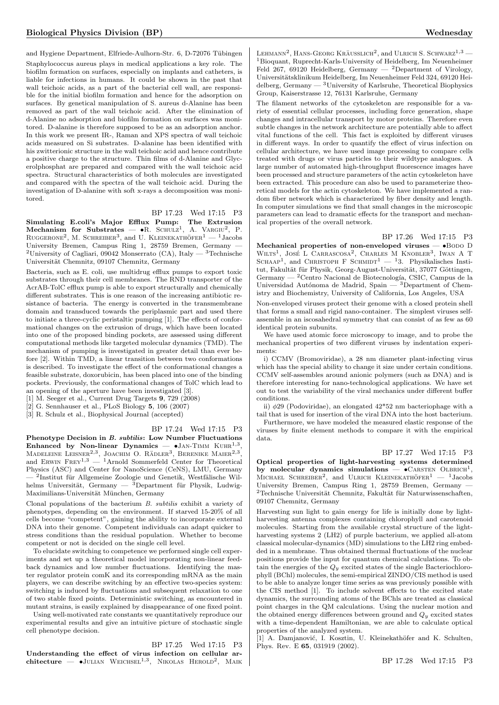and Hygiene Department, Elfriede-Aulhorn-Str. 6, D-72076 Tübingen Staphylococcus aureus plays in medical applications a key role. The biofilm formation on surfaces, especially on implants and catheters, is liable for infections in humans. It could be shown in the past that wall teichoic acids, as a part of the bacterial cell wall, are responsible for the initial biofilm formation and hence for the adsorption on surfaces. By genetical manipulation of S. aureus d-Alanine has been removed as part of the wall teichoic acid. After the elimination of d-Alanine no adsorption and biofilm formation on surfaces was monitored. D-alanine is therefore supposed to be as an adsorption anchor. In this work we present IR-, Raman and XPS spectra of wall teichoic acids measured on Si substrates. D-alanine has been identified with his zwitterionic structure in the wall teichoic acid and hence contribute a positive charge to the structure. Thin films of d-Alanine and Glycerolphosphat are prepared and compared with the wall teichoic acid spectra. Structural characteristics of both molecules are investigated and compared with the spectra of the wall teichoic acid. During the investigation of D-alanine with soft x-rays a decomposition was monitored.

BP 17.23 Wed 17:15 P3

 $\textbf{Simulating E.}$ coli's Major Efflux Pump: The Extrusion Mechanism for Substrates —  $\bullet$ R. SCHULZ<sup>1</sup>, A. VARGIU<sup>2</sup>, P. RUGGERONE<sup>2</sup>, M. SCHREIBER<sup>3</sup>, and U. KLEINEKATHÖFER<sup>1</sup>  $-$  <sup>1</sup>Jacobs University Bremen, Campus Ring 1, 28759 Bremen, Germany — <sup>2</sup>University of Cagliari, 09042 Monserrato (CA), Italy  $-$ <sup>3</sup>Technische Universität Chemnitz, 09107 Chemnitz, Germany

Bacteria, such as E. coli, use multidrug efflux pumps to export toxic substrates through their cell membranes. The RND transporter of the AcrAB-TolC efflux pump is able to export structurally and chemically different substrates. This is one reason of the increasing antibiotic resistance of bacteria. The energy is converted in the transmembrane domain and transduced towards the periplasmic part and used there to initiate a three-cyclic peristaltic pumping [1]. The effects of conformational changes on the extrusion of drugs, which have been located into one of the proposed binding pockets, are assessed using different computational methods like targeted molecular dynamics (TMD). The mechanism of pumping is investigated in greater detail than ever before [2]. Within TMD, a linear transition between two conformations is described. To investigate the effect of the conformational changes a feasible substrate, doxorubicin, has been placed into one of the binding pockets. Previously, the conformational changes of TolC which lead to an opening of the aperture have been investigated [3].

[1] M. Seeger et al., Current Drug Targets 9, 729 (2008)

 $[2]$  G. Sennhauser et al., PLoS Biology 5, 106 (2007)

[3] R. Schulz et al., Biophysical Journal (accepted)

BP 17.24 Wed 17:15 P3

Phenotype Decision in B. subtilis: Low Number Fluctuations Enhanced by Non-linear Dynamics  $\bullet$ JAN-TIMM KUHR<sup>1,3</sup>, MADELEINE LEISNER<sup>2,3</sup>, JOACHIM O. RÄDLER<sup>3</sup>, BERENIKE MAIER<sup>2,3</sup>, and ERWIN  $FREF^{1,3}$  — <sup>1</sup>Arnold Sommerfeld Center for Theoretical Physics (ASC) and Center for NanoScience (CeNS), LMU, Germany — <sup>2</sup>Institut für Allgemeine Zoologie und Genetik, Westfälische Wilhelms Universität, Germany —  $\frac{3}{2}$ Department für Physik, Ludwig-Maximilians-Universität München, Germany

Clonal populations of the bacterium  $B$ , *subtilis* exhibit a variety of phenotypes, depending on the environment. If starved 15-20% of all cells become "competent", gaining the ability to incorporate external DNA into their genome. Competent individuals can adapt quicker to stress conditions than the residual population. Whether to become competent or not is decided on the single cell level.

To elucidate switching to competence we performed single cell experiments and set up a theoretical model incorporating non-linear feedback dynamics and low number fluctuations. Identifying the master regulator protein comK and its corresponding mRNA as the main players, we can describe switching by an effective two-species system: switching is induced by fluctuations and subsequent relaxation to one of two stable fixed points. Deterministic switching, as encountered in mutant strains, is easily explained by disappearance of one fixed point.

Using well-motivated rate constants we quantitatively reproduce our experimental results and give an intuitive picture of stochastic single cell phenotype decision.

BP 17.25 Wed 17:15 P3 Understanding the effect of virus infection on cellular architecture  $-$  •Julian Weichsel<sup>1,3</sup>, Nikolas Herold<sup>2</sup>, Maik

LEHMANN<sup>2</sup>, HANS-GEORG KRÄUSSLICH<sup>2</sup>, and ULRICH S. SCHWARZ<sup>1,3</sup> — <sup>1</sup>Bioquant, Ruprecht-Karls-University of Heidelberg, Im Neuenheimer Feld 267, 69120 Heidelberg, Germany  $-$  <sup>2</sup>Department of Virology, Universitätsklinikum Heidelberg, Im Neuenheimer Feld 324, 69120 Heidelberg, Germany  $-$  <sup>3</sup>University of Karlsruhe, Theoretical Biophysics Group, Kaiserstrasse 12, 76131 Karlsruhe, Germany

The filament networks of the cytoskeleton are responsible for a variety of essential cellular processes, including force generation, shape changes and intracellular transport by motor proteins. Therefore even subtle changes in the network architecture are potentially able to affect vital functions of the cell. This fact is exploited by different viruses in different ways. In order to quantify the effect of virus infection on cellular architecture, we have used image processing to compare cells treated with drugs or virus particles to their wildtype analogues. A large number of automated high-throughput fluorescence images have been processed and structure parameters of the actin cytoskeleton have been extracted. This procedure can also be used to parameterize theoretical models for the actin cytoskeleton. We have implemented a random fiber network which is characterized by fiber density and length. In computer simulations we find that small changes in the microscopic parameters can lead to dramatic effects for the transport and mechanical properties of the overall network.

BP 17.26 Wed 17:15 P3

Mechanical properties of non-enveloped viruses  $\bullet$ Bodo D WILTS<sup>1</sup>, JOSÉ L CARRASCOSA<sup>2</sup>, CHARLES M KNOBLER<sup>3</sup>, IWAN A T SCHAAP<sup>1</sup>, and CHRISTOPH F SCHMIDT<sup>1</sup> - <sup>1</sup>3. Physikalisches Institut, Fakultät für Physik, Georg-August-Universität, 37077 Göttingen, Germany — <sup>2</sup>Centro Nacional de Biotecnología, CSIC, Campus de la Universidad Autónoma de Madrid, Spain — 3Department of Chemistry and Biochemistry, University of California, Los Angeles, USA

Non-enveloped viruses protect their genome with a closed protein shell that forms a small and rigid nano-container. The simplest viruses selfassemble in an iscosahedral symmetry that can consist of as few as 60 identical protein subunits.

We have used atomic force microscopy to image, and to probe the mechanical properties of two different viruses by indentation experiments:

i) CCMV (Bromoviridae), a 28 nm diameter plant-infecting virus which has the special ability to change it size under certain conditions. CCMV self-assembles around anionic polymers (such as DNA) and is therefore interesting for nano-technological applications. We have set out to test the variability of the viral mechanics under different buffer conditions.

ii) φ29 (Podoviridae), an elongated 42\*52 nm bacteriophage with a tail that is used for insertion of the viral DNA into the host bacterium.

Furthermore, we have modeled the measured elastic response of the viruses by finite element methods to compare it with the empirical data.

BP 17.27 Wed 17:15 P3

Optical properties of light-harvesting systems determined by molecular dynamics simulations  $\bullet$  CARSTEN OLBRICH<sup>1</sup> MICHAEL SCHREIBER<sup>2</sup>, and ULRICH KLEINEKATHÖFER<sup>1</sup>  $-$  <sup>1</sup>Jacobs University Bremen, Campus Ring 1, 28759 Bremen, Germany —  $2$ Technische Universität Chemnitz, Fakultät für Naturwissenschaften, 09107 Chemnitz, Germany

Harvesting sun light to gain energy for life is initially done by lightharvesting antenna complexes containing chlorophyll and carotenoid molecules. Starting from the available crystal structure of the lightharvesting systems 2 (LH2) of purple bacterium, we applied all-atom classical molecular-dynamics (MD) simulations to the LH2 ring embedded in a membrane. Thus obtained thermal fluctuations of the nuclear positions provide the input for quantum chemical calculations. To obtain the energies of the  $Q_y$  excited states of the single Bacteriochlorophyll (BChl) molecules, the semi-empirical ZINDO/CIS method is used to be able to analyze longer time series as was previously possible with the CIS method [1]. To include solvent effects to the excited state dynamics, the surrounding atoms of the BChls are treated as classical point charges in the QM calculations. Using the nuclear motion and the obtained energy differences between ground and  $Q_y$  excited states with a time-dependent Hamiltonian, we are able to calculate optical properties of the analyzed system.

[1] A. Damjanović, I. Kosztin, U. Kleinekathöfer and K. Schulten, Phys. Rev. E 65, 031919 (2002).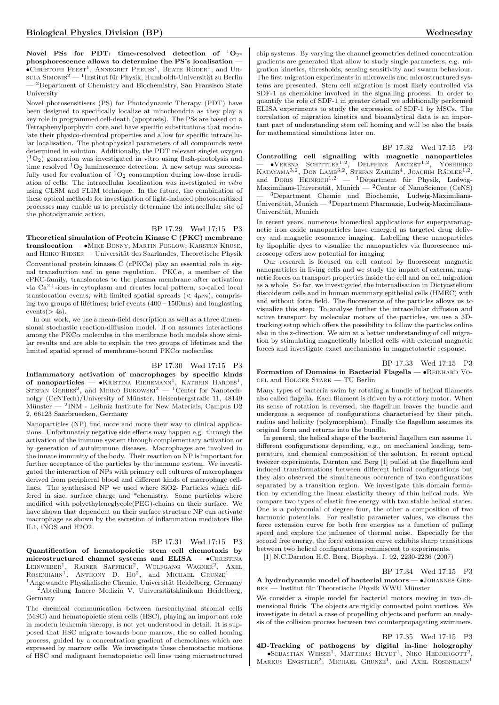Novel PSs for PDT: time-resolved detection of  ${}^{1}O_{2}$ phosphorescence allows to determine the PS's localisation —  $\bullet$ CHRISTOPH FEEST<sup>1</sup>, ANNEGRET PREUSS<sup>1</sup>, BEATE RÖDER<sup>1</sup>, and UR- $_{\rm SULA~Simons^2}$  —  $^{1}$ Institut für Physik, Humboldt-Universität zu Berlin  $-$ <sup>2</sup>Department of Chemistry and Biochemistry, San Fransisco State University

Novel photosensitisers (PS) for Photodynamic Therapy (PDT) have been designed to specifically localize at mitochondria as they play a key role in programmed cell-death (apoptosis). The PSs are based on a Tetraphenylporphyrin core and have specific substitutions that modulate their physico-chemical properties and allow for specific intracellular localisation. The photophysical parameters of all compounds were determined in solution. Additionally, the PDT relevant singlet oxygen  $({}^{1}O_{2})$  generation was investigated in vitro using flash-photolysis and time resolved  ${}^{1}O_{2}$  luminescence detection. A new setup was successfully used for evaluation of  ${}^{1}O_{2}$  consumption during low-dose irradiation of cells. The intracellular localization was investigated in vitro using CLSM and FLIM technique. In the future, the combination of these optical methods for investigation of light-induced photosensitized processes may enable us to precisely determine the intracellular site of the photodynamic action.

#### BP 17.29 Wed 17:15 P3

Theoretical simulation of Protein Kinase C (PKC) membrane translocation — •Mike Bonny, Martin Peglow, Karsten Kruse, and HEIKO RIEGER — Universität des Saarlandes, Theoretische Physik Conventional protein kinases C (cPKCs) play an essential role in signal transduction and in gene regulation.  $PKC\alpha$ , a member of the cPKC-family, translocates to the plasma membrane after activation via Ca2+-ions in cytoplasm and creates local pattern, so-called local translocation events, with limited spatial spreads  $(< 4 \mu m)$ , comprising two groups of lifetimes; brief events (400−1500ms) and longlasting  $events(> 4s).$ 

In our work, we use a mean-field description as well as a three dimensional stochastic reaction-diffusion model. If on assumes interactions among the  $PKC\alpha$  molecules in the membrane both models show similar results and are able to explain the two groups of lifetimes and the limited spatial spread of membrane-bound  $PKC\alpha$  molecules.

BP 17.30 Wed 17:15 P3

Inflammatory activation of macrophages by specific kinds of nanoparticles —  $\bullet$ Kristina Riehemann<sup>1</sup>, Kathrin Hardes<sup>1</sup>, STEFAN GERBES<sup>2</sup>, and MIRKO BUKOWSKI<sup>2</sup> — <sup>1</sup> Center for Nanotechnolgy (CeNTech)/University of Münster, Heisenbergstraße 11, 48149 Münster — <sup>2</sup>INM - Leibniz Institute for New Materials, Campus D2 2, 66123 Saarbruecken, Germany

Nanoparticles (NP) find more and more their way to clinical applications. Unfortunately negative side effects may happen e.g. through the activation of the immune system through complementary activation or by generation of autoimmune diseases. Macrophages are involved in the innate immunity of the body. Their reaction on NP is important for further acceptance of the particles by the immune system. We investigated the interaction of NPs with primary cell cultures of macrophages derived from peripheral blood and different kinds of macrophage celllines. The synthesised NP we used where SiO2- Particles which differed in size, surface charge and \*chemistry. Some particles where modified with polyethyleneglycole(PEG)-chains on their surface. We have shown that dependent on their surface structure NP can activate macrophage as shown by the secretion of inflammation mediators like IL1, iNOS and H2O2.

BP 17.31 Wed 17:15 P3

Quantification of hematopoietic stem cell chemotaxis by microstructured channel systems and  $ELISA - \bullet$ CHRISTINA LEINWEBER<sup>1</sup>, RAINER SAFFRICH<sup>2</sup>, WOLFGANG WAGNER<sup>2</sup>, AXEL<br>ROSENHAHN<sup>1</sup>, ANTHONY D. HO<sup>2</sup>, and MICHAEL GRUNZE<sup>1</sup> —  $1$ Angewandte Physikalische Chemie, Universität Heidelberg, Germany  $-$ <sup>2</sup>Abteilung Innere Medizin V, Universitätsklinikum Heidelberg, Germany

The chemical communication between mesenchymal stromal cells (MSC) and hematopoietic stem cells (HSC), playing an important role in modern leukemia therapy, is not yet understood in detail. It is supposed that HSC migrate towards bone marrow, the so called homing process, guided by a concentration gradient of chemokines which are expressed by marrow cells. We investigate these chemotactic motions of HSC and malignant hematopoietic cell lines using microstructured chip systems. By varying the channel geometries defined concentration gradients are generated that allow to study single parameters, e.g. migration kinetics, thresholds, sensing sensitivity and swarm behaviour. The first migration experiments in microwells and microstructured systems are presented. Stem cell migration is most likely controlled via SDF-1 as chemokine involved in the signalling process. In order to quantify the role of SDF-1 in greater detail we additionally performed ELISA experiments to study the expression of SDF-1 by MSCs. The correlation of migration kinetics and bioanalytical data is an important part of understanding stem cell homing and will be also the basis for mathematical simulations later on.

BP 17.32 Wed 17:15 P3 Controlling cell signalling with magnetic nanoparticles  $-$  •Verena Schittler<sup>1,2</sup>, Delphine Arcizet<sup>1,2</sup>, Yoshihiko KATAYAMA<sup>3,2</sup>, DON LAMB<sup>3,2</sup>, STEFAN ZAHLER<sup>4</sup>, JOACHIM RÄDLER<sup>1,2</sup>, and DORIS HEINRICH<sup>1,2</sup> — <sup>1</sup>Department für Physik, Ludwig-Maximilians-Universität, Munich —  ${}^{2}$ Center of NanoScience (CeNS) — <sup>3</sup>Department Chemie und Biochemie, Ludwig-Maximilians-Universität, Munich  $-$ <sup>4</sup>Department Pharmazie, Ludwig-Maximilians-Universität, Munich

In recent years, numerous biomedical applications for superparamagnetic iron oxide nanoparticles have emerged as targeted drug delivery and magnetic resonance imaging. Labelling these nanoparticles by lipophilic dyes to visualize the nanoparticles via fluorescence microscopy offers new potential for imaging.

Our research is focused on cell control by fluorescent magnetic nanoparticles in living cells and we study the impact of external magnetic forces on transport properties inside the cell and on cell migration as a whole. So far, we investigated the internalisation in Dictyostelium discoideum cells and in human mammary epithelial cells (HMEC) with and without force field. The fluorescence of the particles allows us to visualize this step. To analyse further the intracellular diffusion and active transport by molecular motors of the particles, we use a 3Dtracking setup which offers the possibility to follow the particles online also in the z-direction. We aim at a better understanding of cell migration by stimulating magnetically labelled cells with external magnetic forces and investigate exact mechanisms in magnetotactic response.

BP 17.33 Wed 17:15 P3 Formation of Domains in Bacterial Flagella — •Reinhard Vogel and Holger Stark — TU Berlin

Many types of bacteria swim by rotating a bundle of helical filaments also called flagella. Each filament is driven by a rotatory motor. When its sense of rotation is reversed, the flagellum leaves the bundle and undergoes a sequence of configurations characterised by their pitch, radius and helicity (polymorphism). Finally the flagellum assumes its original form and returns into the bundle.

In general, the helical shape of the bacterial flagellum can assume 11 different configurations depending, e.g., on mechanical loading, temperature, and chemical composition of the solution. In recent optical tweezer experiments, Darnton and Berg [1] pulled at the flagellum and induced transformations between different helical configurations but they also observed the simultaneous occurence of two configurations separated by a transition region. We investigate this domain formation by extending the linear elasticity theory of thin helical rods. We compare two types of elastic free energy with two stable helical states. One is a polynomial of degree four, the other a composition of two harmonic potentials. For realistic parameter values, we discuss the force extension curve for both free energies as a function of pulling speed and explore the influence of thermal noise. Especially for the second free energy, the force extension curve exhibits sharp transitions between two helical configurations reminiscent to experiments.

[1] N.C.Darnton H.C. Berg, Biophys. J. 92, 2230-2236 (2007)

BP 17.34 Wed 17:15 P3

A hydrodynamic model of bacterial motors — •Johannes Gre- $BER$  — Institut für Theoretische Physik WWU Münster

We consider a simple model for bacterial motors moving in two dimensional fluids. The objects are rigidly connected point vortices. We investigate in detail a case of propelling objects and perform an analysis of the collision process between two counterpropagating swimmers.

#### BP 17.35 Wed 17:15 P3

4D-Tracking of pathogens by digital in-line holography  $-$  •Sebastian Weisse<sup>1</sup>, Matthias Heydt<sup>1</sup>, Niko Heddergott<sup>2</sup> , MARKUS ENGSTLER<sup>2</sup>, MICHAEL GRUNZE<sup>1</sup>, and AXEL ROSENHAHN<sup>1</sup>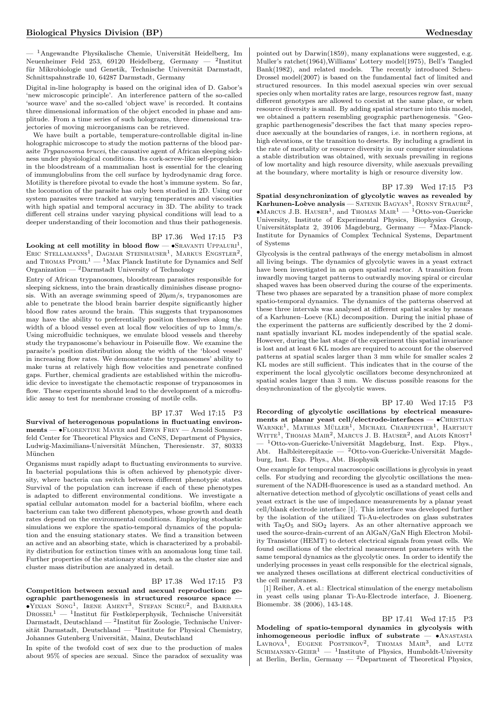$-$ <sup>1</sup>Angewandte Physikalische Chemie, Universität Heidelberg, Im Neuenheimer Feld 253, 69120 Heidelberg, Germany — <sup>2</sup>Institut für Mikrobiologie und Genetik, Technische Universität Darmstadt, Schnittspahnstraße 10, 64287 Darmstadt, Germany

Digital in-line holography is based on the original idea of D. Gabor's 'new microscopic principle'. An interference pattern of the so-called 'source wave' and the so-called 'object wave' is recorded. It contains three dimensional information of the object encoded in phase and amplitude. From a time series of such holograms, three dimensional trajectories of moving microorganisms can be retrieved.

We have built a portable, temperature-controllable digital in-line holographic microscope to study the motion patterns of the blood parasite Trypanosoma brucei, the causative agent of African sleeping sickness under physiological conditions. Its cork-screw-like self-propulsion in the bloodstream of a mammalian host is essential for the clearing of immunglobulins from the cell surface by hydrodynamic drag force. Motility is therefore pivotal to evade the host's immune system. So far, the locomotion of the parasite has only been studied in 2D. Using our system parasites were tracked at varying temperatures and viscosities with high spatial and temporal accuracy in 3D. The ability to track different cell strains under varying physical conditions will lead to a deeper understanding of their locomotion and thus their pathogenesis.

#### BP 17.36 Wed 17:15 P3

Looking at cell motility in blood flow —  $\bullet$ SRAVANTI UPPALURI<sup>1</sup>, ERIC STELLAMANNS<sup>1</sup>, DAGMAR STEINHAUSER<sup>1</sup>, MARKUS ENGSTLER<sup>2</sup>, and THOMAS PFOHL<sup>1</sup> — <sup>1</sup>Max Planck Institute for Dynamics and Self Organization —  $^2$ Darmstadt University of Technology

Entry of African trypanosomes, bloodstream parasites responsible for sleeping sickness, into the brain drastically diminishes disease prognosis. With an average swimming speed of  $20\mu m/s$ , trypanosomes are able to penetrate the blood brain barrier despite significantly higher blood flow rates around the brain. This suggests that trypanosomes may have the ability to preferentially position themselves along the width of a blood vessel even at local flow velocities of up to 1mm/s. Using microfluidic techniques, we emulate blood vessels and thereby study the trypanosome's behaviour in Poiseuille flow. We examine the parasite's position distribution along the width of the 'blood vessel' in increasing flow rates. We demonstrate the trypanosomes' ability to make turns at relatively high flow velocities and penetrate confined gaps. Further, chemical gradients are established within the microfluidic device to investigate the chemotactic response of trypanosomes in flow. These experiments should lead to the development of a microfluidic assay to test for membrane crossing of motile cells.

#### BP 17.37 Wed 17:15 P3

Survival of heterogenous populations in fluctuating environments — •Florentine Mayer and Erwin Frey — Arnold Sommerfeld Center for Theoretical Physics and CeNS, Department of Physics, Ludwig-Maximilians-Universität München, Theresienstr. 37, 80333 München

Organisms must rapidly adapt to fluctuating environments to survive. In bacterial populations this is often achieved by phenotypic diversity, where bacteria can switch between different phenotypic states. Survival of the population can increase if each of these phenotypes is adapted to different environmental conditions. We investigate a spatial cellular automaton model for a bacterial biofilm, where each bacterium can take two different phenotypes, whose growth and death rates depend on the environmental conditions. Employing stochastic simulations we explore the spatio-temporal dynamics of the population and the ensuing stationary states. We find a transition between an active and an absorbing state, which is characterized by a probability distribution for extinction times with an anomalous long time tail. Further properties of the stationary states, such as the cluster size and cluster mass distribution are analyzed in detail.

#### BP 17.38 Wed 17:15 P3

Competition between sexual and asexual reproduction: geographic parthenogenesis in structured resource space —  $\bullet$ YIXIAN SONG<sup>1</sup>, IRENE AMENT<sup>3</sup>, STEFAN SCHEU<sup>2</sup>, and BARBARA  $\text{Drossel}^1$  — <sup>1</sup>Institut für Festkörperphysik, Technische Universität  $\text{Darmstadt}, \text{Deutschland} = \text{?Institut für Zoologie}, \text{Technische Univer-}$ sität Darmstadt, Deutschland —  $3$ Institute for Physical Chemistry, Johannes Gutenberg Universität, Mainz, Deutschland

In spite of the twofold cost of sex due to the production of males about 95% of species are sexual. Since the paradox of sexuality was pointed out by Darwin(1859), many explanations were suggested, e.g. Muller's ratchet(1964),Williams' Lottery model(1975), Bell's Tangled Bank(1982), and related models. The recently introduced Scheu-Drossel model(2007) is based on the fundamental fact of limited and structured resources. In this model asexual species win over sexual species only when mortality rates are large, resources regrow fast, many different genotypes are allowed to coexist at the same place, or when resource diversity is small. By adding spatial structure into this model, we obtained a pattern resembling geographic parthenogenesis. "Geographic parthenogenesis"describes the fact that many species reproduce asexually at the boundaries of ranges, i.e. in northern regions, at high elevations, or the transition to deserts. By including a gradient in the rate of mortality or resource diversity in our computer simulations a stable distribution was obtained, with sexuals prevailing in regions of low mortality and high resource diversity, while asexuals prevailing at the boundary, where mortality is high or resource diversity low.

#### BP 17.39 Wed 17:15 P3

Spatial desynchronization of glycolytic waves as revealed by **Karhunen-Loève analysis** — SATENIK BAGYAN<sup>1</sup>, RONNY STRAUBE<sup>2</sup>, MARCUS J.B. HAUSER<sup>1</sup>, and THOMAS MAIR<sup>1</sup> — <sup>1</sup>Otto-von-Guericke University, Institute of Experimental Physics, Biophysics Group, Universitätsplatz 2, 39106 Magdeburg, Germany —  $2$ Max-Planck-Institute for Dynamics of Complex Technical Systems, Department of Systems

Glycolysis is the central pathways of the energy metabolism in almost all living beings. The dynamics of glycolytic waves in a yeast extract have been investigated in an open spatial reactor. A transition from inwardly moving target patterns to outwardly moving spiral or circular shaped waves has been observed during the course of the experiments. These two phases are separated by a transition phase of more complex spatio-temporal dynamics. The dynamics of the patterns observed at these three intervals was analysed at different spatial scales by means of a Karhunen–Loeve (KL) decomposition. During the initial phase of the experiment the patterns are sufficiently described by the 2 dominant spatially invariant KL modes independently of the spatial scale. However, during the last stage of the experiment this spatial invariance is lost and at least 6 KL modes are required to account for the observed patterns at spatial scales larger than 3 mm while for smaller scales 2 KL modes are still sufficient. This indicates that in the course of the experiment the local glycolytic oscillators become desynchronized at spatial scales larger than 3 mm. We discuss possible reasons for the desynchronization of the glycolytic waves.

#### BP 17.40 Wed 17:15 P3

Recording of glycolytic oscillations by electrical measurements at planar yeast cell/electrode-interfaces -  $\bullet$ CHRISTIAN WARNKE<sup>1</sup>, MATHIAS MÜLLER<sup>1</sup>, MICHAEL CHARPENTIER<sup>1</sup>, HARTMUT  $W$ ITTE<sup>1</sup>, THOMAS MAIR<sup>2</sup>, MARCUS J. B. HAUSER<sup>2</sup>, and ALOIS KROST<sup>1</sup>  $-1$ Otto-von-Guericke-Universität Magdeburg, Inst. Exp. Phys., Abt. Halbleiterepitaxie —  $^{2}$ Otto-von-Guericke-Universität Magdeburg, Inst. Exp. Phys., Abt. Biophysik

One example for temporal macroscopic oscillations is glycolysis in yeast cells. For studying and recording the glycolytic oscillations the measurement of the NADH-fluorescence is used as a standard method. An alternative detection method of glycolytic oscillations of yeast cells and yeast extract is the use of impedance measurements by a planar yeast cell/blank electrode interface [1]. This interface was developed further by the isolation of the utilized Ti-Au-electrodes on glass substrates with  $Ta_2O_5$  and  $SiO_2$  layers. As an other alternative approach we used the source-drain-current of an AlGaN/GaN High Electron Mobility Transistor (HEMT) to detect electrical signals from yeast cells. We found oscillations of the electrical measurement parameters with the same temporal dynamics as the glycolytic ones. In order to identify the underlying processes in yeast cells responsible for the electrical signals, we analyzed theses oscillations at different electrical conductivities of the cell membranes.

[1] Reiher, A. et al.: Electrical stimulation of the energy metabolism in yeast cells using planar Ti-Au-Electrode interface, J. Bioenerg. Biomembr. 38 (2006), 143-148.

BP 17.41 Wed 17:15 P3 Modeling of spatio-temporal dynamics in glycolysis with inhomogeneous periodic influx of substrate  $\bullet$ ANASTASIA<br>LAVROVA<sup>1</sup>, EUGENE POSTNIKOV<sup>2</sup>, THOMAS MAIR<sup>3</sup>, and LUTZ SCHIMANSKY-GEIER<sup>1</sup> — <sup>1</sup>Institute of Physics, Humboldt-University at Berlin, Berlin, Germany  $-2$ Department of Theoretical Physics,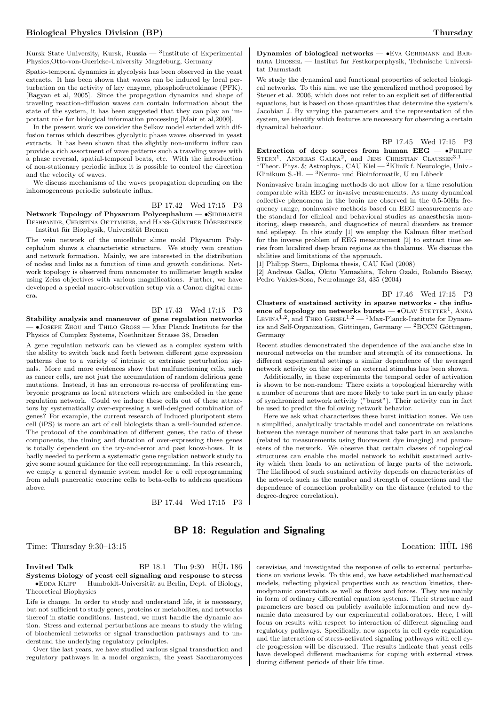Kursk State University, Kursk, Russia —  ${}^{3}$ Institute of Experimental Physics,Otto-von-Guericke-University Magdeburg, Germany

Spatio-temporal dynamics in glycolysis has been observed in the yeast extracts. It has been shown that waves can be induced by local perturbation on the activity of key enzyme, phosphofructokinase (PFK). [Bagyan et al, 2005]. Since the propagation dynamics and shape of traveling reaction-diffusion waves can contain information about the state of the system, it has been suggested that they can play an important role for biological information processing [Mair et al,2000].

In the present work we consider the Selkov model extended with diffusion terms which describes glycolytic phase waves observed in yeast extracts. It has been shown that the slightly non-uniform influx can provide a rich assortment of wave patterns such a traveling waves with a phase reversal, spatial-temporal beats, etc. With the introduction of non-stationary periodic influx it is possible to control the direction and the velocity of waves.

We discuss mechanisms of the waves propagation depending on the inhomogeneous periodic substrate influx.

BP 17.42 Wed 17:15 P3

Network Topology of Physarum Polycephalum — · SIDDHARTH DESHPANDE, CHRISTINA OETTMEIER, and HANS-GÜNTHER DÖBEREINER — Institut für Biophysik, Universität Bremen

The vein network of the unicellular slime mold Physarum Polycephalum shows a characteristic structure. We study vein creation and network formation. Mainly, we are interested in the distribution of nodes and links as a function of time and growth conditions. Network topology is observed from nanometer to millimeter length scales using Zeiss objectives with various magnifications. Further, we have developed a special macro-observation setup via a Canon digital camera.

BP 17.43 Wed 17:15 P3 Stability analysis and maneuver of gene regulation networks — •Joseph Zhou and Thilo Gross — Max Planck Institute for the Physics of Complex Systems, Noethnitzer Strasse 38, Dresden

A gene regulation network can be viewed as a complex system with the ability to switch back and forth between different gene expression patterns due to a variety of intrinsic or extrinsic perturbation signals. More and more evidences show that malfunctioning cells, such as cancer cells, are not just the accumulation of random delirious gene mutations. Instead, it has an erroneous re-access of proliferating embryonic programs as local attractors which are embedded in the gene regulation network. Could we induce these cells out of these attractors by systematically over-expressing a well-designed combination of genes? For example, the current research of Induced pluripotent stem cell (iPS) is more an art of cell biologists than a well-founded science. The protocol of the combination of different genes, the ratio of these components, the timing and duration of over-expressing these genes is totally dependent on the try-and-error and past know-hows. It is badly needed to perform a systematic gene regulation network study to give some sound guidance for the cell reprogramming. In this research, we emply a general dynamic system model for a cell reprogramming from adult pancreatic exocrine cells to beta-cells to address questions above.

BP 17.44 Wed 17:15 P3

Dynamics of biological networks — •Eva Gehrmann and Barbara Drossel — Institut fur Festkorperphysik, Technische Universitat Darmstadt

We study the dynamical and functional properties of selected biological networks. To this aim, we use the generalized method proposed by Steuer et al. 2006, which does not refer to an explicit set of differential equations, but is based on those quantities that determine the system's Jacobian J. By varying the parameters and the representation of the system, we identify which features are necessary for observing a certain dynamical behaviour.

BP 17.45 Wed 17:15 P3

Extraction of deep sources from human  $EEG - \bullet$ PHILIPP  $STERN<sup>1</sup>$ , ANDREAS GALKA<sup>2</sup>, and JENS CHRISTIAN CLAUSSEN<sup>3,1</sup> -<sup>1</sup>Theor. Phys. & Astrophys., CAU Kiel — <sup>2</sup>Klinik f. Neurologie, Univ.-Klinikum S.-H. —  ${}^{3}$ Neuro- und Bioinformatik, U zu Lübeck

Noninvasive brain imaging methods do not allow for a time resolution comparable with EEG or invasive measurements. As many dynamical collective phenomena in the brain are observed in the 0.5-50Hz frequency range, noninvasive methods based on EEG measurements are the standard for clinical and behavioral studies as anaesthesia monitoring, sleep research, and diagnostics of neural disorders as tremor and epilepsy. In this study [1] we employ the Kalman filter method for the inverse problem of EEG measurement [2] to extract time series from localized deep brain regions as the thalamus. We discuss the abilities and limitations of the approach.

[1] Philipp Stern, Diploma thesis, CAU Kiel (2008)

[2] Andreas Galka, Okito Yamashita, Tohru Ozaki, Rolando Biscay, Pedro Valdes-Sosa, NeuroImage 23, 435 (2004)

BP 17.46 Wed 17:15 P3

Clusters of sustained activity in sparse networks - the influence of topology on networks bursts  $\bullet$ OLAV STETTER<sup>1</sup>, ANNA LEVINA<sup>1,2</sup>, and THEO GEISEL<sup>1,2</sup> - <sup>1</sup>Max-Planck-Institute for Dynamics and Self-Organization, Göttingen, Germany —  ${}^{2}$ BCCN Göttingen, Germany

Recent studies demonstrated the dependence of the avalanche size in neuronal networks on the number and strength of its connections. In different experimental settings a similar dependence of the averaged network activity on the size of an external stimulus has been shown.

Additionally, in these experiments the temporal order of activation is shown to be non-random: There exists a topological hierarchy with a number of neurons that are more likely to take part in an early phase of synchronized network activity ("burst"). Their activity can in fact be used to predict the following network behavior.

Here we ask what characterizes these burst initiation zones. We use a simplified, analytically tractable model and concentrate on relations between the average number of neurons that take part in an avalanche (related to measurements using fluorescent dye imaging) and parameters of the network. We observe that certain classes of topological structures can enable the model network to exhibit sustained activity which then leads to an activation of large parts of the network. The likelihood of such sustained activity depends on characteristics of the network such as the number and strength of connections and the dependence of connection probability on the distance (related to the degree-degree correlation).

## BP 18: Regulation and Signaling

Time: Thursday 9:30–13:15 Location: HÜL 186

Invited Talk BP  $18.1$  Thu  $9.30$  HUL  $186$ Systems biology of yeast cell signaling and response to stress  $\bullet$  EDDA KLIPP — Humboldt-Universität zu Berlin, Dept. of Biology, Theoretical Biophysics

Life is change. In order to study and understand life, it is necessary, but not sufficient to study genes, proteins or metabolites, and networks thereof in static conditions. Instead, we must handle the dynamic action. Stress and external perturbations are means to study the wiring of biochemical networks or signal transduction pathways and to understand the underlying regulatory principles.

Over the last years, we have studied various signal transduction and regulatory pathways in a model organism, the yeast Saccharomyces

cerevisiae, and investigated the response of cells to external perturbations on various levels. To this end, we have established mathematical models, reflecting physical properties such as reaction kinetics, thermodynamic constraints as well as fluxes and forces. They are mainly in form of ordinary differential equation systems. Their structure and parameters are based on publicly available information and new dynamic data measured by our experimental collaborators. Here, I will focus on results with respect to interaction of different signaling and regulatory pathways. Specifically, new aspects in cell cycle regulation and the interaction of stress-activated signaling pathways with cell cycle progression will be discussed. The results indicate that yeast cells have developed different mechanisms for coping with external stress during different periods of their life time.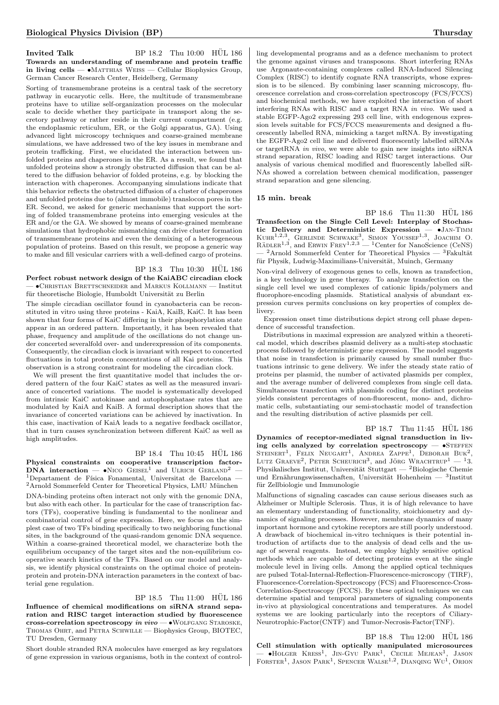#### Invited Talk BP  $18.2$  Thu  $10:00$  HUL  $186$ Towards an understanding of membrane and protein traffic in living cells —  $\bullet$ Matthias Weiss — Cellular Biophysics Group, German Cancer Research Center, Heidelberg, Germany

Sorting of transmembrane proteins is a central task of the secretory pathway in eucaryotic cells. Here, the multitude of transmembrane proteins have to utilize self-organization processes on the molecular scale to decide whether they participate in transport along the secretory pathway or rather reside in their current compartment (e.g. the endoplasmic reticulum, ER, or the Golgi apparatus, GA). Using advanced light microscopy techniques and coarse-grained membrane simulations, we have addressed two of the key issues in membrane and protein trafficking. First, we elucidated the interaction between unfolded proteins and chaperones in the ER. As a result, we found that unfolded proteins show a strongly obstructed diffusion that can be altered to the diffusion behavior of folded proteins, e.g. by blocking the interaction with chaperones. Accompanying simulations indicate that this behavior reflects the obstructed diffusion of a cluster of chaperones and unfolded proteins due to (almost immobile) translocon pores in the ER. Second, we asked for generic mechanisms that support the sorting of folded transmembrane proteins into emerging vesicules at the ER and/or the GA. We showed by means of coarse-grained membrane simulations that hydrophobic mismatching can drive cluster formation of transmembrane proteins and even the demixing of a heterogeneous population of proteins. Based on this result, we propose a generic way to make and fill vesicular carriers with a well-defined cargo of proteins.

# BP 18.3 Thu 10:30 HUL 186

Perfect robust network design of the KaiABC circadian clock — •Christian Brettschneider and Markus Kollmann — Institut für theoretische Biologie, Humboldt Universität zu Berlin

The simple circadian oscillator found in cyanobacteria can be reconstituted in vitro using three proteins - KaiA, KaiB, KaiC. It has been shown that four forms of KaiC differing in their phosphorylation state appear in an ordered pattern. Importantly, it has been revealed that phase, frequency and amplitude of the oscillations do not change under concerted severalfold over- and underexpression of its components. Consequently, the circadian clock is invariant with respect to concerted fluctuations in total protein concentrations of all Kai proteins. This observation is a strong constraint for modeling the circadian clock.

We will present the first quantitative model that includes the ordered pattern of the four KaiC states as well as the measured invariance of concerted variations. The model is systematically developed from intrinsic KaiC autokinase and autophosphatase rates that are modulated by KaiA and KaiB. A formal description shows that the invariance of concerted variations can be achieved by inactivation. In this case, inactivation of KaiA leads to a negative feedback oscillator, that in turn causes synchronization between different KaiC as well as high amplitudes.

#### BP 18.4 Thu 10:45 HÜL 186

Physical constraints on cooperative transcription factor- $DNA$  interaction  $\bullet$ Nico Geisel<sup>1</sup> and Ulrich Gerland<sup>2</sup>  $-$ <sup>1</sup>Departament de Física Fonamental, Universitat de Barcelona —  $2A$ rnold Sommerfeld Center for Theoretical Physics, LMU München DNA-binding proteins often interact not only with the genomic DNA, but also with each other. In particular for the case of transcription factors (TFs), cooperative binding is fundamental to the nonlinear and combinatorial control of gene expression. Here, we focus on the simplest case of two TFs binding specifically to two neighboring functional sites, in the background of the quasi-random genomic DNA sequence. Within a coarse-grained theoretical model, we characterize both the equilibrium occupancy of the target sites and the non-equilibrium cooperative search kinetics of the TFs. Based on our model and analysis, we identify physical constraints on the optimal choice of proteinprotein and protein-DNA interaction parameters in the context of bacterial gene regulation.

BP 18.5 Thu 11:00 HUL 186

Influence of chemical modifications on siRNA strand separation and RISC target interaction studied by fluorescence cross-correlation spectroscopy in  $vivo - \bullet$ WOLFGANG STAROSKE, Thomas Ohrt, and Petra Schwille — Biophysics Group, BIOTEC, TU Dresden, Germany

Short double stranded RNA molecules have emerged as key regulators of gene expression in various organisms, both in the context of control-

ling developmental programs and as a defence mechanism to protect the genome against viruses and transposons. Short interfering RNAs use Argonaute-containing complexes called RNA-Induced Silencing Complex (RISC) to identify cognate RNA transcripts, whose expression is to be silenced. By combining laser scanning microscopy, fluorescence correlation and cross-correlation spectroscopy (FCS/FCCS) and biochemical methods, we have exploited the interaction of short interfering RNAs with RISC and a target RNA in vivo. We used a stable EGFP-Ago2 expressing 293 cell line, with endogenous expression levels suitable for FCS/FCCS measurements and designed a fluorescently labelled RNA, mimicking a target mRNA. By investigating the EGFP-Ago2 cell line and delivered fluorescently labelled siRNAs or target RNA *in vivo*, we were able to gain new insights into signal strand separation, RISC loading and RISC target interactions. Our analysis of various chemical modified and fluorescently labelled siR-NAs showed a correlation between chemical modification, passenger strand separation and gene silencing.

#### 15 min. break

BP 18.6 Thu 11:30 HÜL 186 Transfection on the Single Cell Level: Interplay of Stochastic Delivery and Deterministic Expression — •JAN-TIMM<br>KUHR<sup>1,2,3</sup>, GERLINDE SCHWAKE<sup>3</sup>, SIMON YOUSSEF<sup>1,3</sup>, JOACHIM O.<br>RÄDLER<sup>1,3</sup>, and ERWIN FREY<sup>1,2,3</sup> — <sup>1</sup>Center for NanoScience (CeNS)  $-$ <sup>2</sup>Arnold Sommerfeld Center for Theoretical Physics — <sup>3</sup>Fakultät für Physik, Ludwig-Maximilians-Universität, Muinch, Germany

Non-viral delivery of exogenous genes to cells, known as transfection, is a key technology in gene therapy. To analyze transfection on the single cell level we used complexes of cationic lipids/polymers and fluorophore-encoding plasmids. Statistical analysis of abundant expression curves permits conclusions on key properties of complex delivery.

Expression onset time distributions depict strong cell phase dependence of successful transfection.

Distributions in maximal expression are analyzed within a theoretical model, which describes plasmid delivery as a multi-step stochastic process followed by deterministic gene expression. The model suggests that noise in transfection is primarily caused by small number fluctuations intrinsic to gene delivery. We infer the steady state ratio of proteins per plasmid, the number of activated plasmids per complex, and the average number of delivered complexes from single cell data. Simultaneous transfection with plasmids coding for distinct proteins yields consistent percentages of non-fluorescent, mono- and, dichromatic cells, substantiating our semi-stochastic model of transfection and the resulting distribution of active plasmids per cell.

BP 18.7 Thu 11:45 HÜL 186 Dynamics of receptor-mediated signal transduction in living cells analyzed by correlation spectroscopy  $-$  •STEFFEN STEINERT<sup>1</sup>, FELIX NEUGART<sup>1</sup>, ANDREA ZAPPE<sup>1</sup>, DEBORAH BUK<sup>2</sup>, LUTZ GRAEVE<sup>2</sup>, PETER SCHEURICH<sup>3</sup>, and JÖRG WRACHTRUP<sup>1</sup> - <sup>1</sup>3. Physikalisches Institut, Universität Stuttgart — <sup>2</sup>Biologische Chemie und Ernährungswissenschaften, Universität Hohenheim — 3Institut für Zellbiologie und Immunologie

Malfunctions of signaling cascades can cause serious diseases such as Alzheimer or Multiple Sclerosis. Thus, it is of high relevance to have an elementary understanding of functionality, stoichiometry and dynamics of signaling processes. However, membrane dynamics of many important hormone and cytokine receptors are still poorly understood. A drawback of biochemical in-vitro techniques is their potential introduction of artifacts due to the analysis of dead cells and the usage of several reagents. Instead, we employ highly sensitive optical methods which are capable of detecting proteins even at the single molecule level in living cells. Among the applied optical techniques are pulsed Total-Internal-Reflection-Fluorescence-microscopy (TIRF), Fluorescence-Correlation-Spectroscopy (FCS) and Fluorescence-Cross-Correlation-Spectroscopy (FCCS). By these optical techniques we can determine spatial and temporal parameters of signaling components in-vivo at physiological concentrations and temperatures. As model systems we are looking particularly into the receptors of Ciliary-Neurotrophic-Factor(CNTF) and Tumor-Necrosis-Factor(TNF).

## $BP$  18.8 Thu 12:00  $HÜL$  186

Cell stimulation with optically manipulated microsources — •Holger Kress<sup>1</sup> , Jin-Gyu Park<sup>1</sup> , Cecile Mejean<sup>1</sup> , Jason FORSTER<sup>1</sup>, JASON PARK<sup>1</sup>, SPENCER WALSE<sup>1,2</sup>, DIANQING WU<sup>1</sup>, ORION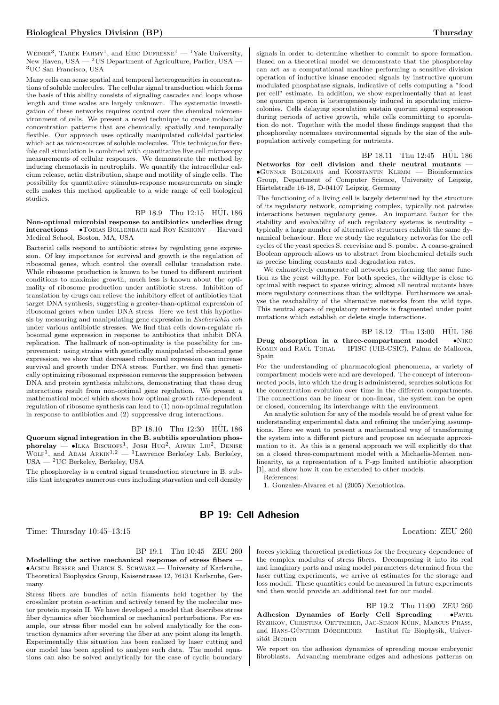WEINER<sup>3</sup>, TAREK FAHMY<sup>1</sup>, and ERIC DUFRESNE<sup>1</sup> — <sup>1</sup>Yale University, New Haven, USA — <sup>2</sup>US Department of Agriculture, Parlier, USA — <sup>3</sup>UC San Francisco, USA

Many cells can sense spatial and temporal heterogeneities in concentrations of soluble molecules. The cellular signal transduction which forms the basis of this ability consists of signaling cascades and loops whose length and time scales are largely unknown. The systematic investigation of these networks requires control over the chemical microenvironment of cells. We present a novel technique to create molecular concentration patterns that are chemically, spatially and temporally flexible. Our approach uses optically manipulated colloidal particles which act as microsources of soluble molecules. This technique for flexible cell stimulation is combined with quantitative live cell microscopy measurements of cellular responses. We demonstrate the method by inducing chemotaxis in neutrophils. We quantify the intracellular calcium release, actin distribution, shape and motility of single cells. The possibility for quantitative stimulus-response measurements on single cells makes this method applicable to a wide range of cell biological studies.

#### BP 18.9 Thu 12:15 HUL 186

Non-optimal microbial response to antibiotics underlies drug interactions — •Tobias Bollenbach and Roy Kishony — Harvard Medical School, Boston, MA, USA

Bacterial cells respond to antibiotic stress by regulating gene expression. Of key importance for survival and growth is the regulation of ribosomal genes, which control the overall cellular translation rate. While ribosome production is known to be tuned to different nutrient conditions to maximize growth, much less is known about the optimality of ribosome production under antibiotic stress. Inhibition of translation by drugs can relieve the inhibitory effect of antibiotics that target DNA synthesis, suggesting a greater-than-optimal expression of ribosomal genes when under DNA stress. Here we test this hypothesis by measuring and manipulating gene expression in Escherichia coli under various antibiotic stresses. We find that cells down-regulate ribosomal gene expression in response to antibiotics that inhibit DNA replication. The hallmark of non-optimality is the possibility for improvement: using strains with genetically manipulated ribosomal gene expression, we show that decreased ribosomal expression can increase survival and growth under DNA stress. Further, we find that genetically optimizing ribosomal expression removes the suppression between DNA and protein synthesis inhibitors, demonstrating that these drug interactions result from non-optimal gene regulation. We present a mathematical model which shows how optimal growth rate-dependent regulation of ribosome synthesis can lead to (1) non-optimal regulation in response to antibiotics and (2) suppressive drug interactions.

#### BP 18.10 Thu 12:30 HUL 186

Quorum signal integration in the B. subtilis sporulation phos**phorelay — •I**LKA BISCHOFS<sup>1</sup>, JOSH HUG<sup>2</sup>, AIWEN LIU<sup>2</sup>, DENISE WOLF<sup>1</sup>, and ADAM ARKIN<sup>1,2</sup> — <sup>1</sup>Lawrence Berkeley Lab, Berkeley, USA — <sup>2</sup>UC Berkeley, Berkeley, USA

The phosphorelay is a central signal transduction structure in B. subtilis that integrates numerous cues including starvation and cell density

signals in order to determine whether to commit to spore formation. Based on a theoretical model we demonstrate that the phosphorelay can act as a computational machine performing a sensitive division operation of inductive kinase encoded signals by instructive quorum modulated phosphatase signals, indicative of cells computing a "food per cell" estimate. In addition, we show experimentally that at least one quorum operon is heterogeneously induced in sporulating microcolonies. Cells delaying sporulation sustain quorum signal expression during periods of active growth, while cells committing to sporulation do not. Together with the model these findings suggest that the phosphorelay normalizes environmental signals by the size of the subpopulation actively competing for nutrients.

BP 18.11 Thu 12:45 HUL 186 Networks for cell division and their neutral mutants — •Gunnar Boldhaus and Konstantin Klemm — Bioinformatics Group, Department of Computer Science, University of Leipzig, Härtelstraße 16-18, D-04107 Leipzig, Germany

The functioning of a living cell is largely determined by the structure of its regulatory network, comprising complex, typically not pairwise interactions between regulatory genes. An important factor for the stability and evolvability of such regulatory systems is neutrality – typically a large number of alternative structures exhibit the same dynamical behaviour. Here we study the regulatory networks for the cell cycles of the yeast species S. cerevisiae and S. pombe. A coarse-grained Boolean approach allows us to abstract from biochemical details such as precise binding constants and degradation rates.

We exhaustively enumerate all networks performing the same function as the yeast wildtype. For both species, the wildtype is close to optimal with respect to sparse wiring; almost all neutral mutants have more regulatory connections than the wildtype. Furthermore we analyse the reachability of the alternative networks from the wild type. This neutral space of regulatory networks is fragmented under point mutations which establish or delete single interactions.

 $BP_18.12$  Thu  $13:00$  HUL 186 Drug absorption in a three-compartment model  $- \cdot$ NIKO KOMIN and RAÚL TORAL — IFISC (UIB-CSIC), Palma de Mallorca, Spain

For the understanding of pharmacological phenomena, a variety of compartment models were and are developed. The concept of interconnected pools, into which the drug is administered, searches solutions for the concentration evolution over time in the different compartments. The connections can be linear or non-linear, the system can be open or closed, concerning its interchange with the environment.

An analytic solution for any of the models would be of great value for understanding experimental data and refining the underlying assumptions. Here we want to present a mathematical way of transforming the system into a different picture and propose an adequate approximation to it. As this is a general approach we will explicitly do that on a closed three-compartment model with a Michaelis-Menten nonlinearity, as a representation of a P-gp limited antibiotic absorption [1], and show how it can be extended to other models. References:

1. Gonzalez-Alvarez et al (2005) Xenobiotica.

## BP 19: Cell Adhesion

Time: Thursday  $10:45-13:15$  Location: ZEU 260

BP 19.1 Thu 10:45 ZEU 260

Modelling the active mechanical response of stress fibers — •Achim Besser and Ulrich S. Schwarz — University of Karlsruhe, Theoretical Biophysics Group, Kaiserstrasse 12, 76131 Karlsruhe, Germany

Stress fibers are bundles of actin filaments held together by the crosslinker protein  $\alpha$ -actinin and actively tensed by the molecular motor protein myosin II. We have developed a model that describes stress fiber dynamics after biochemical or mechanical perturbations. For example, our stress fiber model can be solved analytically for the contraction dynamics after severing the fiber at any point along its length. Experimentally this situation has been realized by laser cutting and our model has been applied to analyze such data. The model equations can also be solved analytically for the case of cyclic boundary

forces yielding theoretical predictions for the frequency dependence of the complex modulus of stress fibers. Decomposing it into its real and imaginary parts and using model parameters determined from the laser cutting experiments, we arrive at estimates for the storage and loss moduli. These quantities could be measured in future experiments and then would provide an additional test for our model.

BP 19.2 Thu 11:00 ZEU 260 Adhesion Dynamics of Early Cell Spreading -  $\bullet$ PAVEL RYZHKOV, CHRISTINA OETTMEIER, JAC-SIMON KÜHN, MARCUS PRASS, and HANS-GÜNTHER DÖBEREINER — Institut für Biophysik, Universität Bremen

We report on the adhesion dynamics of spreading mouse embryonic fibroblasts. Advancing membrane edges and adhesions patterns on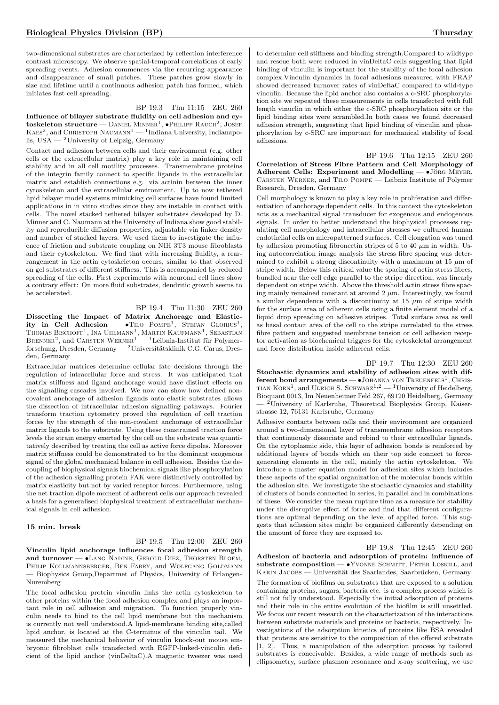two-dimensional substrates are characterized by reflection interference contrast microscopy. We observe spatial-temporal correlations of early spreading events. Adhesion commences via the recurring appearance and disappearance of small patches. These patches grow slowly in size and lifetime until a continuous adhesion patch has formed, which initiates fast cell spreading.

BP 19.3 Thu 11:15 ZEU 260 Influence of bilayer substrate fluidity on cell adhesion and cy- $\text{toskeleton structure} - \text{Daniel Minner}^1, \bullet \text{PHILIPP RAUCH}^2, \text{JOSEF}$  $\mathrm{K}$ AES<sup>2</sup>, and CHRISTOPH  $\mathrm{N}$ AUMANN<sup>1</sup> — <sup>1</sup>Indiana University, Indianapolis, USA — <sup>2</sup>University of Leipzig, Germany

Contact and adhesion between cells and their environment (e.g. other cells or the extracellular matrix) play a key role in maintaining cell stability and in all cell motility processes. Transmembrane proteins of the integrin family connect to specific ligands in the extracellular matrix and establish connections e.g. via actinin between the inner cytoskeleton and the extracellular environment. Up to now tethered lipid bilayer model systems mimicking cell surfaces have found limited applications in in vitro studies since they are instable in contact with cells. The novel stacked tethered bilayer substrates developed by D. Minner and C. Naumann at the University of Indiana show good stability and reproducible diffusion properties, adjustable via linker density and number of stacked layers. We used them to investigate the influence of friction and substrate coupling on NIH 3T3 mouse fibroblasts and their cytoskeleton. We find that with increasing fluidity, a rearrangement in the actin cytoskeleton occurs, similar to that observed on gel substrates of different stiffness. This is accompanied by reduced spreading of the cells. First experiments with neuronal cell lines show a contrary effect: On more fluid substrates, dendritic growth seems to be accelerated.

BP 19.4 Thu 11:30 ZEU 260 Dissecting the Impact of Matrix Anchorage and Elasticity in Cell Adhesion —  $\bullet$ Tilo Pompe<sup>1</sup>, Stefan Glorius<sup>1</sup>, Thomas Bischoff<sup>1</sup>, Ina Uhlmann<sup>1</sup>, Martin Kaufmann<sup>1</sup>, Sebastian BRENNER<sup>2</sup>, and CARSTEN WERNER<sup>1</sup> — <sup>1</sup>Leibniz-Institut für Polymerforschung, Dresden, Germany —  $^{2}$ Universitätsklinik C.G. Carus, Dresden, Germany

Extracellular matrices determine cellular fate decisions through the regulation of intracellular force and stress. It was anticipated that matrix stiffness and ligand anchorage would have distinct effects on the signalling cascades involved. We now can show how defined noncovalent anchorage of adhesion ligands onto elastic substrates allows the dissection of intracellular adhesion signalling pathways. Fourier transform traction cytometry proved the regulation of cell traction forces by the strength of the non-covalent anchorage of extracellular matrix ligands to the substrate. Using these constrained traction force levels the strain energy exerted by the cell on the substrate was quantitatively described by treating the cell as active force dipoles. Moreover matrix stiffness could be demonstrated to be the dominant exogenous signal of the global mechanical balance in cell adhesion. Besides the decoupling of biophysical signals biochemical signals like phosphorylation of the adhesion signalling protein FAK were distinctively controlled by matrix elasticity but not by varied receptor forces. Furthermore, using the net traction dipole moment of adherent cells our approach revealed a basis for a generalised biophysical treatment of extracellular mechanical signals in cell adhesion.

### 15 min. break

BP 19.5 Thu 12:00 ZEU 260 Vinculin lipid anchorage influences focal adhesion strength and turnover - •LANG NADINE, GEROLD DIEZ, THORSTEN BLOEM, Philip Kollmannsberger, Ben Fabry, and Wolfgang Goldmann — Biophysics Group,Departmet of Physics, University of Erlangen-Nuremberg

The focal adhesion protein vinculin links the actin cytoskeleton to other proteins within the focal adhesion complex and plays an important role in cell adhesion and migration. To function properly vinculin needs to bind to the cell lipid membrane but the mechanism is currently not well understood.A lipid-membrane binding site,called lipid anchor, is located at the C-terminus of the vinculin tail. We measured the mechanical behavior of vinculin knock-out mouse embryonic fibroblast cells transfected with EGFP-linked-vinculin deficient of the lipid anchor (vinDeltaC).A magnetic tweezer was used

to determine cell stiffness and binding strength.Compared to wildtype and rescue both were reduced in vinDeltaC cells suggesting that lipid binding of vinculin is important for the stability of the focal adhesion complex.Vinculin dynamics in focal adhesions measured with FRAP showed decreased turnover rates of vinDeltaC compared to wild-type vinculin. Because the lipid anchor also contains a c-SRC phosphorylation site we repeated these measurements in cells transfected with full length vinuclin in which either the c-SRC phosphorylation site or the lipid binding sites were scrambled.In both cases we found decreased adhesion strength, suggesting that lipid binding of vinculin and phosphorylation by c-SRC are important for mechanical stability of focal adhesions.

BP 19.6 Thu 12:15 ZEU 260 Correlation of Stress Fibre Pattern and Cell Morphology of Adherent Cells: Experiment and Modelling  $-$  •Jörg Meyer Carsten Werner, and Tilo Pompe — Leibniz Institute of Polymer Research, Dresden, Germany

Cell morphology is known to play a key role in proliferation and differentiation of anchorage dependent cells. In this context the cytoskeleton acts as a mechanical signal transducer for exogenous and endogenous signals. In order to better understand the biophysical processes regulating cell morphology and intracellular stresses we cultured human endothelial cells on micropatterned surfaces. Cell elongation was tuned by adhesion promoting fibronectin stripes of 5 to 40  $\mu$ m in width. Using autocorrelation image analysis the stress fibre spacing was determined to exhibit a strong discontinuity with a maximum at 15  $\mu$ m of stripe width. Below this critical value the spacing of actin stress fibres, bundled near the cell edge parallel to the stripe direction, was linearly dependent on stripe width. Above the threshold actin stress fibre spacing mainly remained constant at around  $2 \mu$ m. Interestingly, we found a similar dependence with a discontinuity at  $15 \mu m$  of stripe width for the surface area of adherent cells using a finite element model of a liquid drop spreading on adhesive stripes. Total surface area as well as basal contact area of the cell to the stripe correlated to the stress fibre pattern and suggested membrane tension or cell adhesion receptor activation as biochemical triggers for the cytoskeletal arrangement and force distribution inside adherent cells.

BP 19.7 Thu 12:30 ZEU 260 Stochastic dynamics and stability of adhesion sites with different bond arrangements - JOHANNA VON TREUENFELS<sup>1</sup>, CHRIS-TIAN  $K$ ORN<sup>1</sup>, and ULRICH S. SCHWARZ<sup>1,2</sup> — <sup>1</sup>University of Heidelberg, Bioquant 0013, Im Neuenheimer Feld 267, 69120 Heidelberg, Germany - <sup>2</sup>University of Karlsruhe, Theoretical Biophysics Group, Kaiserstrasse 12, 76131 Karlsruhe, Germany

Adhesive contacts between cells and their environment are organized around a two-dimensional layer of transmembrane adhesion receptors that continuously dissociate and rebind to their extracellular ligands. On the cytoplasmic side, this layer of adhesion bonds is reinforced by additional layers of bonds which on their top side connect to forcegenerating elements in the cell, mainly the actin cytoskeleton. We introduce a master equation model for adhesion sites which includes these aspects of the spatial organization of the molecular bonds within the adhesion site. We investigate the stochastic dynamics and stability of clusters of bonds connected in series, in parallel and in combinations of these. We consider the mean rupture time as a measure for stability under the disruptive effect of force and find that different configurations are optimal depending on the level of applied force. This suggests that adhesion sites might be organized differently depending on the amount of force they are exposed to.

BP 19.8 Thu 12:45 ZEU 260 Adhesion of bacteria and adsorption of protein: influence of substrate composition  $\bullet$ Yvonne Schmitt, Peter Loskill, and KARIN JACOBS — Universität des Saarlandes, Saarbrücken, Germany The formation of biofilms on substrates that are exposed to a solution containing proteins, sugars, bacteria etc. is a complex process which is still not fully understood. Especially the initial adsorption of proteins and their role in the entire evolution of the biofilm is still unsettled. We focus our recent research on the characterization of the interactions between substrate materials and proteins or bacteria, respectively. Investigations of the adsorption kinetics of proteins like BSA revealed that proteins are sensitive to the composition of the offered substrate [1, 2]. Thus, a manipulation of the adsorption process by tailored substrates is conceivable. Besides, a wide range of methods such as ellipsometry, surface plasmon resonance and x-ray scattering, we use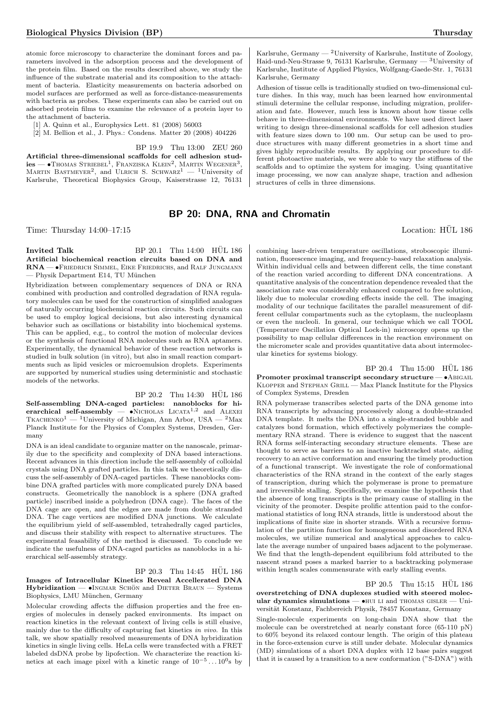atomic force microscopy to characterize the dominant forces and parameters involved in the adsorption process and the development of the protein film. Based on the results described above, we study the influence of the substrate material and its composition to the attachment of bacteria. Elasticity measurements on bacteria adsorbed on model surfaces are performed as well as force-distance-measurements with bacteria as probes. These experiments can also be carried out on adsorbed protein films to examine the relevance of a protein layer to the attachment of bacteria.

[1] A. Quinn et al., Europhysics Lett. 81 (2008) 56003

[2] M. Bellion et al., J. Phys.: Condens. Matter 20 (2008) 404226

BP 19.9 Thu 13:00 ZEU 260

Artificial three-dimensional scaffolds for cell adhesion stud- ${\rm lies}\,{-\bullet}{\rm ThOMAS}\,$  Striebel<sup>1</sup>, Franziska Klein<sup>2</sup>, Martin Wegener<sup>3</sup>, MARTIN BASTMEYER<sup>2</sup>, and ULRICH S. SCHWARZ<sup>1</sup> — <sup>1</sup>University of Karlsruhe, Theoretical Biophysics Group, Kaiserstrasse 12, 76131

Karlsruhe, Germany — <sup>2</sup>University of Karlsruhe, Institute of Zoology, Haid-und-Neu-Strasse 9, 76131 Karlsruhe, Germany — <sup>3</sup>University of Karlsruhe, Institute of Applied Physics, Wolfgang-Gaede-Str. 1, 76131 Karlsruhe, Germany

Adhesion of tissue cells is traditionally studied on two-dimensional culture dishes. In this way, much has been learned how environmental stimuli determine the cellular response, including migration, proliferation and fate. However, much less is known about how tissue cells behave in three-dimensional environments. We have used direct laser writing to design three-dimensional scaffolds for cell adhesion studies with feature sizes down to 100 nm. Our setup can be used to produce structures with many different geometries in a short time and gives highly reproducible results. By applying our procedure to different photoactive materials, we were able to vary the stiffness of the scaffolds and to optimize the system for imaging. Using quantitative image processing, we now can analyze shape, traction and adhesion structures of cells in three dimensions.

## BP 20: DNA, RNA and Chromatin

Time: Thursday  $14:00-17:15$  Location: HÜL 186

Invited Talk BP  $20.1$  Thu  $14:00$  HUL  $186$ Artificial biochemical reaction circuits based on DNA and RNA — •Friedrich Simmel, Eike Friedrichs, and Ralf Jungmann — Physik Department E14, TU München

Hybridization between complementary sequences of DNA or RNA combined with production and controlled degradation of RNA regulatory molecules can be used for the construction of simplified analogues of naturally occurring biochemical reaction circuits. Such circuits can be used to employ logical decisions, but also interesting dynamical behavior such as oscillations or bistability into biochemical systems. This can be applied, e.g., to control the motion of molecular devices or the synthesis of functional RNA molecules such as RNA aptamers. Experimentally, the dynamical behavior of these reaction networks is studied in bulk solution (in vitro), but also in small reaction compartments such as lipid vesicles or microemulsion droplets. Experiments are supported by numerical studies using deterministic and stochastic models of the networks.

 $BP 20.2$  Thu  $14:30$  HUL  $186$ Self-assembling DNA-caged particles: nanoblocks for hierarchical self-assembly —  $\bullet$ NICHOLAS LICATA<sup>1,2</sup> and ALEXEI TKACHENKO<sup>1</sup> — <sup>1</sup>University of Michigan, Ann Arbor, USA — <sup>2</sup>Max Planck Institute for the Physics of Complex Systems, Dresden, Germany

DNA is an ideal candidate to organize matter on the nanoscale, primarily due to the specificity and complexity of DNA based interactions. Recent advances in this direction include the self-assembly of colloidal crystals using DNA grafted particles. In this talk we theoretically discuss the self-assembly of DNA-caged particles. These nanoblocks combine DNA grafted particles with more complicated purely DNA based constructs. Geometrically the nanoblock is a sphere (DNA grafted particle) inscribed inside a polyhedron (DNA cage). The faces of the DNA cage are open, and the edges are made from double stranded DNA. The cage vertices are modified DNA junctions. We calculate the equilibrium yield of self-assembled, tetrahedrally caged particles, and discuss their stability with respect to alternative structures. The experimental feasability of the method is discussed. To conclude we indicate the usefulness of DNA-caged particles as nanoblocks in a hierarchical self-assembly strategy.

BP 20.3 Thu 14:45 HÜL 186 Images of Intracellular Kinetics Reveal Accellerated DNA  $Hvbridization - \bullet INGMAR$  SCHÖN and DIETER BRAUN — Systems Biophysics, LMU München, Germany

Molecular crowding affects the diffusion properties and the free energies of molecules in densely packed environments. Its impact on reaction kinetics in the relevant context of living cells is still elusive, mainly due to the difficulty of capturing fast kinetics in vivo. In this talk, we show spatially resolved measurements of DNA hybridization kinetics in single living cells. HeLa cells were transfected with a FRET labeled dsDNA probe by lipofection. We characterize the reaction kinetics at each image pixel with a kinetic range of  $10^{-5} \dots 10^{0}$  s by

combining laser-driven temperature oscillations, stroboscopic illumination, fluorescence imaging, and frequency-based relaxation analysis. Within individual cells and between different cells, the time constant of the reaction varied according to different DNA concentrations. A quantitative analysis of the concentration dependence revealed that the association rate was considerably enhanced compared to free solution, likely due to molecular crowding effects inside the cell. The imaging modality of our technique facilitates the parallel measurement of different cellular compartments such as the cytoplasm, the nucleoplasm or even the nucleoli. In general, our technique which we call TOOL (Temperature Oscillation Optical Lock-in) microscopy opens up the possibility to map cellular differences in the reaction environment on the micrometer scale and provides quantitative data about intermolecular kinetics for systems biology.

 $BP 20.4$  Thu  $15:00$  HUL  $186$ Promoter proximal transcript secondary structure —  $\bullet$ ABIGAIL Klopper and Stephan Grill — Max Planck Institute for the Physics of Complex Systems, Dresden

RNA polymerase transcribes selected parts of the DNA genome into RNA transcripts by advancing processively along a double-stranded DNA template. It melts the DNA into a single-stranded bubble and catalyzes bond formation, which effectively polymerizes the complementary RNA strand. There is evidence to suggest that the nascent RNA forms self-interacting secondary structure elements. These are thought to serve as barriers to an inactive backtracked state, aiding recovery to an active conformation and ensuring the timely production of a functional transcript. We investigate the role of conformational characteristics of the RNA strand in the context of the early stages of transcription, during which the polymerase is prone to premature and irreversible stalling. Specifically, we examine the hypothesis that the absence of long transcripts is the primary cause of stalling in the vicinity of the promoter. Despite prolific attention paid to the conformational statistics of long RNA strands, little is understood about the implications of finite size in shorter strands. With a recursive formulation of the partition function for homogeneous and disordered RNA molecules, we utilize numerical and analytical approaches to calculate the average number of unpaired bases adjacent to the polymerase. We find that the length-dependent equilibrium fold attributed to the nascent strand poses a marked barrier to a backtracking polymerase within length scales commensurate with early stalling events.

#### $BP$  20.5 Thu 15:15  $HÜL$  186

overstretching of DNA duplexes studied with steered molecular dynamics simulations  $\bullet$ HUI LI and THOMAS GISLER  $-$  Universität Konstanz, Fachbereich Physik, 78457 Konstanz, Germany

Single-molecule experiments on long-chain DNA show that the molecule can be overstretched at nearly constant force (65-110 pN) to 60% beyond its relaxed contour length. The origin of this plateau in the force-extension curve is still under debate. Molecular dynamics (MD) simulations of a short DNA duplex with 12 base pairs suggest that it is caused by a transition to a new conformation ("S-DNA") with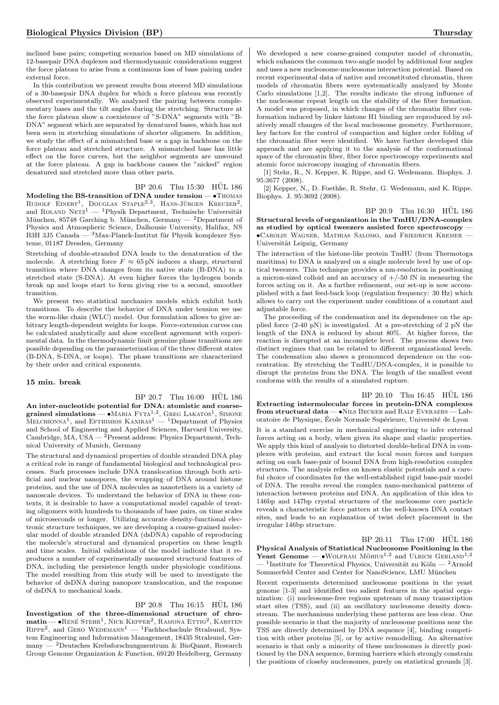inclined base pairs; competing scenarios based on MD simulations of 12-basepair DNA duplexes and thermodynamic considerations suggest the force plateau to arise from a continuous loss of base pairing under external force.

In this contribution we present results from steered MD simulations of a 30-basepair DNA duplex for which a force plateau was recently observed experimentally. We analyzed the pairing between complementary bases and the tilt angles during the stretching. Structure at the force plateau show a coexistence of "S-DNA" segments with "B-DNA" segment which are separated by denatured bases, which has not been seen in stretching simulations of shorter oligomers. In addition, we study the effect of a mismatched base or a gap in backbone on the force plateau and stretched structure. A mismatched base has little effect on the force curves, but the neighbor segments are unwound at the force plateau. A gap in backbone causes the "nicked" region denatured and stretched more than other parts.

#### BP 20.6 Thu 15:30 HUL 186

Modeling the BS-transition of DNA under tension — • Thomas Rudolf Einert<sup>1</sup>, Douglas Staple<sup>2,3</sup>, Hans-Jürgen Kreuzer<sup>2</sup>, and ROLAND NETZ<sup>1</sup> — <sup>1</sup>Physik Department, Technische Universität München, 85748 Garching b. München, Germany — <sup>2</sup>Department of Physics and Atmospheric Science, Dalhousie University, Halifax, NS B3H 3J5 Canada —  $3$ Max-Planck-Institut für Physik komplexer Systeme, 01187 Dresden, Germany

Stretching of double-stranded DNA leads to the denaturation of the molecule. A stretching force  $F \approx 65 \text{ pN}$  induces a sharp, structural transition where DNA changes from its native state (B-DNA) to a stretched state (S-DNA). At even higher forces the hydrogen bonds break up and loops start to form giving rise to a second, smoother transition.

We present two statistical mechanics models which exhibit both transitions. To describe the behavior of DNA under tension we use the worm-like chain (WLC) model. Our formulation allows to give arbitrary length-dependent weights for loops. Force-extension curves can be calculated analytically and show excellent agreement with experimental data. In the thermodynamic limit genuine phase transitions are possible depending on the parameterization of the three different states (B-DNA, S-DNA, or loops). The phase transitions are characterized by their order and critical exponents.

#### 15 min. break

BP 20.7 Thu 16:00 HUL 186 An inter-nucleotide potential for DNA: atomistic and coarsegrained simulations —  $\bullet$ Maria Fyta<sup>1,2</sup>, Greg Lakatos<sup>1</sup>, Simone<br>Melchionna<sup>1</sup>, and Efthimios Kaxiras<sup>1</sup> — <sup>1</sup>Department of Physics and School of Engineering and Applied Sciences, Harvard University, Cambridge, MA, USA — <sup>2</sup>Present address: Physics Department, Technical University of Munich, Germany

The structural and dynamical properties of double stranded DNA play a critical role in range of fundamental biological and technological processes. Such processes include DNA translocation through both artificial and nuclear nanopores, the wrapping of DNA around histone proteins, and the use of DNA molecules as nanotethers in a variety of nanoscale devices. To understand the behavior of DNA in these contexts, it is desirable to have a computational model capable of treating oligomers with hundreds to thousands of base pairs, on time scales of microseconds or longer. Utilizing accurate density-functional electronic structure techniques, we are developing a coarse-grained molecular model of double stranded DNA (dsDNA) capable of reproducing the molecule's structural and dynamical properties on these length and time scales. Initial validations of the model indicate that it reproduces a number of experimentally measured structural features of DNA, including the persistence length under physiologic conditions. The model resulting from this study will be used to investigate the behavior of dsDNA during nanopore translocation, and the response of dsDNA to mechanical loads.

BP 20.8 Thu 16:15 HÜL 186 Investigation of the three-dimensional structure of chro- $\text{matin} = \bullet$ René Stehr<sup>1</sup>, Nick Kepper<sup>2</sup>, Ramona Ettig<sup>2</sup>, Karsten  $R$ IPPE<sup>2</sup>, and GERO WEDEMANN<sup>1</sup> — <sup>1</sup>Fachhochschule Stralsund, System Engineering and Information Management, 18435 Stralsund, Germany — <sup>2</sup>Deutsches Krebsforschungszentrum & BioQuant, Research Group Genome Organization & Function, 69120 Heidelberg, Germany

We developed a new coarse-grained computer model of chromatin, which enhances the common two-angle model by additional four angles and uses a new nucleosome-nucleosome interaction potential. Based on recent experimental data of native and reconstituted chromatin, three models of chromatin fibers were systematically analyzed by Monte Carlo simulations [1,2]. The results indicate the strong influence of the nucleosome repeat length on the stability of the fiber formation. A model was proposed, in which changes of the chromatin fiber conformation induced by linker histone H1 binding are reproduced by relatively small changes of the local nucleosome geometry. Furthermore, key factors for the control of compaction and higher order folding of the chromatin fiber were identified. We have further developed this approach and are applying it to the analysis of the conformational space of the chromatin fiber, fiber force spectroscopy experiments and atomic force microscopy imaging of chromatin fibers.

[1] Stehr, R., N. Kepper, K. Rippe, and G. Wedemann. Biophys. J. 95:3677 (2008).

[2] Kepper, N., D. Foethke, R. Stehr, G. Wedemann, and K. Rippe. Biophys. J. 95:3692 (2008).

 $BP 20.9$  Thu  $16:30$  HUL  $186$ Structural levels of organization in the TmHU/DNA-complex as studied by optical tweezers assisted force spectroscopy — •Carolin Wagner, Mathias Salomo, and Friedrich Kremer — Universität Leipzig, Germany

The interaction of the histone-like protein TmHU (from Thermotoga maritima) to DNA is analyzed on a single molecule level by use of optical tweezers. This technique provides a nm-resolution in positioning a micron-sized colloid and an accuracy of  $+/-50$  fN in measuring the forces acting on it. As a further refinement, our set-up is now accomplished with a fast feed-back loop (regulation frequency: 30 Hz) which allows to carry out the experiment under conditions of a constant and adjustable force.

The proceeding of the condensation and its dependence on the applied force (2-40 pN) is investigated. At a pre-stretching of 2 pN the length of the DNA is reduced by about 80%. At higher forces, the reaction is disrupted at an incomplete level. The process shows two distinct regimes that can be related to different organizational levels. The condensation also shows a pronounced dependence on the concentration. By stretching the TmHU/DNA-complex, it is possible to disrupt the proteins from the DNA. The length of the smallest event conforms with the results of a simulated rupture.

 $BP 20.10$  Thu  $16:45$  HUL  $186$ Extracting intermolecular forces in protein-DNA complexes from structural data  $-\bullet$ NILS BECKER and RALF EVERAERS — Laboratoire de Physique, École Normale Supérieure, Université de Lyon It is a standard exercise in mechanical engineering to infer external forces acting on a body, when given its shape and elastic properties. We apply this kind of analysis to distorted double-helical DNA in complexes with proteins, and extract the local mean forces and torques acting on each base-pair of bound DNA from high-resolution complex structures. The analysis relies on known elastic potentials and a careful choice of coordinates for the well-established rigid base-pair model of DNA. The results reveal the complex nano-mechanical patterns of interaction between proteins and DNA. An application of this idea to 146bp and 147bp crystal structures of the nucleosome core particle reveals a characteristic force pattern at the well-known DNA contact sites, and leads to an explanation of twist defect placement in the irregular 146bp structure.

BP 20.11 Thu 17:00 HUL 186 Physical Analysis of Statistical Nucleosome Positioning in the Yeast Genome —  $\bullet$ WOLFRAM MÖBIUS<sup>1,2</sup> and ULRICH GERLAND<sup>1,2</sup>  $-$ <sup>1</sup>Institute for Theoretical Physics, Universität zu Köln  $-$ <sup>2</sup>Arnold Sommerfeld Center and Center for NanoScience, LMU München

Recent experiments determined nucleosome positions in the yeast genome [1-3] and identified two salient features in the spatial organization: (i) nucleosome-free regions upstream of many transcription start sites (TSS), and (ii) an oscillatory nucleosome density downstream. The mechanisms underlying these patterns are less clear. One possible scenario is that the majority of nucleosome positions near the TSS are directly determined by DNA sequence [4], binding competition with other proteins [5], or by active remodelling. An alternative scenario is that only a minority of these nucleosomes is directly positioned by the DNA sequence, forming barriers which strongly constrain the positions of closeby nucleosomes, purely on statistical grounds [3].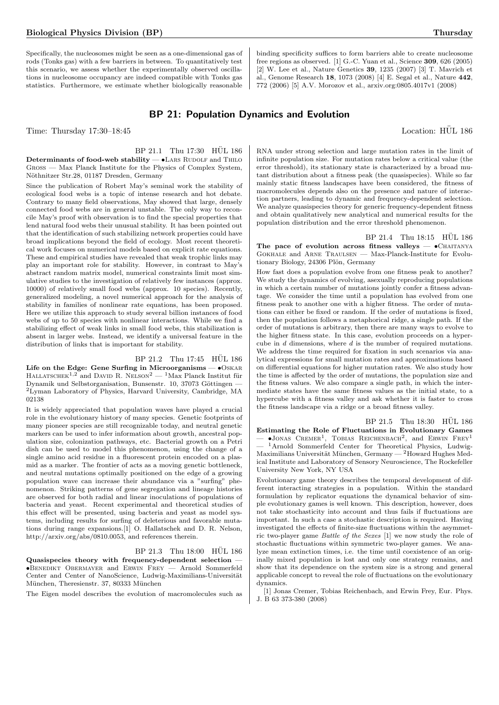Specifically, the nucleosomes might be seen as a one-dimensional gas of rods (Tonks gas) with a few barriers in between. To quantitatively test this scenario, we assess whether the experimentally observed oscillations in nucleosome occupancy are indeed compatible with Tonks gas statistics. Furthermore, we estimate whether biologically reasonable

binding specificity suffices to form barriers able to create nucleosome free regions as observed. [1] G.-C. Yuan et al., Science 309, 626 (2005) [2] W. Lee et al., Nature Genetics 39, 1235 (2007) [3] T. Mavrich et al., Genome Research 18, 1073 (2008) [4] E. Segal et al., Nature 442, 772 (2006) [5] A.V. Morozov et al., arxiv.org:0805.4017v1 (2008)

## BP 21: Population Dynamics and Evolution

Time: Thursday 17:30–18:45 Location: HÜL 186

## BP 21.1 Thu 17:30 HÜL 186

Determinants of food-web stability  $-$  •LARS RUDOLF and THILO Gross — Max Planck Institute for the Physics of Complex System, Nöthnitzer Str.28, 01187 Dresden, Germany

Since the publication of Robert May's seminal work the stability of ecological food webs is a topic of intense research and hot debate. Contrary to many field observations, May showed that large, densely connected food webs are in general unstable. The only way to reconcile May's proof with observation is to find the special properties that lend natural food webs their unusual stability. It has been pointed out that the identification of such stabilizing network properties could have broad implications beyond the field of ecology. Most recent theoretical work focuses on numerical models based on explicit rate equations. These and empirical studies have revealed that weak trophic links may play an important role for stability. However, in contrast to May's abstract random matrix model, numerical constraints limit most simulative studies to the investigation of relatively few instances (approx. 10000) of relatively small food webs (approx. 10 species). Recently, generalized modeling, a novel numerical approach for the analysis of stability in families of nonlinear rate equations, has been proposed. Here we utilize this approach to study several billion instances of food webs of up to 50 species with nonlinear interactions. While we find a stabilizing effect of weak links in small food webs, this stabilization is absent in larger webs. Instead, we identify a universal feature in the distribution of links that is important for stability.

#### BP 21.2 Thu 17:45 HUL 186

Life on the Edge: Gene Surfing in Microorganisms — •Oskar HALLATSCHEK<sup>1,2</sup> and DAVID R. NELSON<sup>2</sup> — <sup>1</sup>Max Planck Institut für Dynamik und Selbstorganisation, Bunsenstr. 10, 37073 Göttingen -<sup>2</sup>Lyman Laboratory of Physics, Harvard University, Cambridge, MA 02138

It is widely appreciated that population waves have played a crucial role in the evolutionary history of many species. Genetic footprints of many pioneer species are still recognizable today, and neutral genetic markers can be used to infer information about growth, ancestral population size, colonization pathways, etc. Bacterial growth on a Petri dish can be used to model this phenomenon, using the change of a single amino acid residue in a fluorescent protein encoded on a plasmid as a marker. The frontier of acts as a moving genetic bottleneck, and neutral mutations optimally positioned on the edge of a growing population wave can increase their abundance via a "surfing" phenomenon. Striking patterns of gene segregation and lineage histories are observed for both radial and linear inoculations of populations of bacteria and yeast. Recent experimental and theoretical studies of this effect will be presented, using bacteria and yeast as model systems, including results for surfing of deleterious and favorable mutations during range expansions.[1] O. Hallatschek and D. R. Nelson, http://arxiv.org/abs/0810.0053, and references therein.

### BP 21.3 Thu 18:00 HÜL 186

Quasispecies theory with frequency-dependent selection — •Benedikt Obermayer and Erwin Frey — Arnold Sommerfeld Center and Center of NanoScience, Ludwig-Maximilians-Universität München, Theresienstr. 37, 80333 München

The Eigen model describes the evolution of macromolecules such as

RNA under strong selection and large mutation rates in the limit of infinite population size. For mutation rates below a critical value (the error threshold), its stationary state is characterized by a broad mutant distribution about a fitness peak (the quasispecies). While so far mainly static fitness landscapes have been considered, the fitness of macromolecules depends also on the presence and nature of interaction partners, leading to dynamic and frequency-dependent selection. We analyze quasispecies theory for generic frequency-dependent fitness and obtain qualitatively new analytical and numerical results for the population distribution and the error threshold phenomenon.

 $BP$  21.4 Thu 18:15  $HÜL$  186 The pace of evolution across fitness valleys  $\bullet$ CHAITANYA Gokhale and Arne Traulsen — Max-Planck-Institute for Evolutionary Biology, 24306 Plön, Germany

How fast does a population evolve from one fitness peak to another? We study the dynamics of evolving, asexually reproducing populations in which a certain number of mutations jointly confer a fitness advantage. We consider the time until a population has evolved from one fitness peak to another one with a higher fitness. The order of mutations can either be fixed or random. If the order of mutations is fixed, then the population follows a metaphorical ridge, a single path. If the order of mutations is arbitrary, then there are many ways to evolve to the higher fitness state. In this case, evolution proceeds on a hypercube in d dimensions, where d is the number of required mutations. We address the time required for fixation in such scenarios via analytical expressions for small mutation rates and approximations based on differential equations for higher mutation rates. We also study how the time is affected by the order of mutations, the population size and the fitness values. We also compare a single path, in which the intermediate states have the same fitness values as the initial state, to a hypercube with a fitness valley and ask whether it is faster to cross the fitness landscape via a ridge or a broad fitness valley.

 $BP$  21.5 Thu 18:30  $H\ddot{U}L$  186 Estimating the Role of Fluctuations in Evolutionary Games  $-$  •Jonas Cremer<sup>1</sup>, Tobias Reichenbach<sup>2</sup>, and Erwin Frey<sup>1</sup> <sup>1</sup>Arnold Sommerfeld Center for Theoretical Physics, Ludwig-Maximilians Universität München, Germany —  $^{2}$ Howard Hughes Medical Institute and Laboratory of Sensory Neuroscience, The Rockefeller University New York, NY USA

Evolutionary game theory describes the temporal development of different interacting strategies in a population. Within the standard formulation by replicator equations the dynamical behavior of simple evolutionary games is well known. This description, however, does not take stochasticity into account and thus fails if fluctuations are important. In such a case a stochastic description is required. Having investigated the effects of finite-size fluctuations within the asymmetric two-player game Battle of the Sexes [1] we now study the role of stochastic fluctuations within symmetric two-player games. We analyze mean extinction times, i.e. the time until coexistence of an originally mixed population is lost and only one strategy remains, and show that its dependence on the system size is a strong and general applicable concept to reveal the role of fluctuations on the evolutionary dynamics.

[1] Jonas Cremer, Tobias Reichenbach, and Erwin Frey, Eur. Phys. J. B 63 373-380 (2008)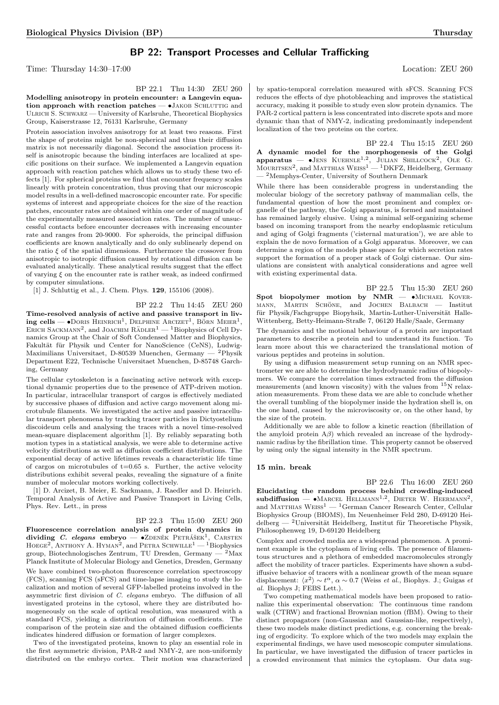## BP 22: Transport Processes and Cellular Trafficking

Time: Thursday 14:30–17:00 Location: ZEU 260

BP 22.1 Thu 14:30 ZEU 260 Modelling anisotropy in protein encounter: a Langevin equation approach with reaction patches  $\bullet$  JAKOB SCHLUTTIG and Ulrich S. Schwarz — University of Karlsruhe, Theoretical Biophysics Group, Kaiserstrasse 12, 76131 Karlsruhe, Germany

Protein association involves anisotropy for at least two reasons. First the shape of proteins might be non-spherical and thus their diffusion matrix is not necessarily diagonal. Second the association process itself is anisotropic because the binding interfaces are localized at specific positions on their surface. We implemented a Langevin equation approach with reaction patches which allows us to study these two effects [1]. For spherical proteins we find that encounter frequency scales linearly with protein concentration, thus proving that our microscopic model results in a well-defined macroscopic encounter rate. For specific systems of interest and appropriate choices for the size of the reaction patches, encounter rates are obtained within one order of magnitude of the experimentally measured association rates. The number of unsuccessful contacts before encounter decreases with increasing encounter rate and ranges from 20-9000. For spheroids, the principal diffusion coefficients are known analytically and do only sublinearly depend on the ratio  $\xi$  of the spatial dimensions. Furthermore the crossover from anisotropic to isotropic diffusion caused by rotational diffusion can be evaluated analytically. These analytical results suggest that the effect of varying  $\xi$  on the encounter rate is rather weak, as indeed confirmed by computer simulations.

[1] J. Schluttig et al., J. Chem. Phys. **129**, 155106 (2008).

## BP 22.2 Thu 14:45 ZEU 260

Time-resolved analysis of active and passive transport in liv- $\text{ing cells} \longrightarrow \text{DORS HENRICH}^1$ , DELPHINE ARCIZET<sup>1</sup>, BÖRN MEIER<sup>1</sup>, ERICH SACKMANN<sup>2</sup>, and JOACHIM RADLER<sup>1</sup> — <sup>1</sup>Biophysics of Cell Dynamics Group at the Chair of Soft Condensed Matter and Biophysics, Fakultät für Physik und Center for NanoScience (CeNS), Ludwig-Maximilians Universitaet, D-80539 Muenchen, Germany — <sup>2</sup>Physik Department E22, Technische Universitaet Muenchen, D-85748 Garching, Germany

The cellular cytoskeleton is a fascinating active network with exceptional dynamic properties due to the presence of ATP-driven motion. In particular, intracellular transport of cargos is effectively mediated by successive phases of diffusion and active cargo movement along microtubule filaments. We investigated the active and passive intracellular transport phenomena by tracking tracer particles in Dictyostelium discoideum cells and analysing the traces with a novel time-resolved mean-square displacement algorithm [1]. By reliably separating both motion types in a statistical analysis, we were able to determine active velocity distributions as well as diffusion coefficient distributions. The exponential decay of active lifetimes reveals a characteristic life time of cargos on microtubules of  $t=0.65$  s. Further, the active velocity distributions exhibit several peaks, revealing the signature of a finite number of molecular motors working collectively.

[1] D. Arcizet, B. Meier, E. Sackmann, J. Raedler and D. Heinrich. Temporal Analysis of Active and Passive Transport in Living Cells, Phys. Rev. Lett., in press

#### BP 22.3 Thu 15:00 ZEU 260

Fluorescence correlation analysis of protein dynamics in dividing C. elegans embryo  $\bullet$ ZDENEK PETRÁŠEK<sup>1</sup>, CARSTEN  $H$ OEGE<sup>2</sup>, ANTHONY A. HYMAN<sup>2</sup>, and PETRA SCHWILLE<sup>1</sup> — <sup>1</sup>Biophysics group, Biotechnologisches Zentrum, TU Dresden, Germany — <sup>2</sup>Max Planck Institute of Molecular Biology and Genetics, Dresden, Germany We have combined two-photon fluorescence correlation spectroscopy (FCS), scanning FCS (sFCS) and time-lapse imaging to study the localization and motion of several GFP-labelled proteins involved in the asymmetric first division of C. elegans embryo. The diffusion of all investigated proteins in the cytosol, where they are distributed homogeneously on the scale of optical resolution, was measured with a standard FCS, yielding a distribution of diffusion coefficients. The comparison of the protein size and the obtained diffusion coefficients indicates hindered diffusion or formation of larger complexes.

Two of the investigated proteins, known to play an essential role in the first asymmetric division, PAR-2 and NMY-2, are non-uniformly distributed on the embryo cortex. Their motion was characterized

by spatio-temporal correlation measured with sFCS. Scanning FCS reduces the effects of dye photobleaching and improves the statistical accuracy, making it possible to study even slow protein dynamics. The PAR-2 cortical pattern is less concentrated into discrete spots and more dynamic than that of NMY-2, indicating predominantly independent localization of the two proteins on the cortex.

BP 22.4 Thu 15:15 ZEU 260 A dynamic model for the morphogenesis of the Golgi **apparatus** — •JENS KUEHNLE<sup>1,2</sup>, JULIAN SHILLCOCK<sup>2</sup>, OLE G.<br>MOURITSEN<sup>2</sup>, and MATTHIAS WEISS<sup>1</sup> — <sup>1</sup>DKFZ, Heidelberg, Germany — <sup>2</sup>Memphys-Center, University of Southern Denmark

While there has been considerable progress in understanding the molecular biology of the secretory pathway of mammalian cells, the fundamental question of how the most prominent and complex organelle of the pathway, the Golgi apparatus, is formed and maintained has remained largely elusive. Using a minimal self-organizing scheme based on incoming transport from the nearby endoplasmic reticulum and aging of Golgi fragments ('cisternal maturation'), we are able to explain the de novo formation of a Golgi apparatus. Moreover, we can determine a region of the models phase space for which secretion rates support the formation of a proper stack of Golgi cisternae. Our simulations are consistent with analytical considerations and agree well with existing experimental data.

BP 22.5 Thu 15:30 ZEU 260  ${\bf Spot\,\,biopolymer\,\,\, motion\,\,\, by\,\,\,NMR\,\, -\,\, \bullet\!\!MICHAEL\,\,\, KOVER-}$ MANN, MARTIN SCHÖNE, and JOCHEN BALBACH — Institut für Physik/Fachgruppe Biopyhsik, Martin-Luther-Universität Halle-Wittenberg, Betty-Heimann-Straße 7, 06120 Halle/Saale, Germany

The dynamics and the motional behaviour of a protein are important parameters to describe a protein and to understand its function. To learn more about this we characterized the translational motion of various peptides and proteins in solution.

By using a diffusion measurement setup running on an NMR spectrometer we are able to determine the hydrodynamic radius of biopolymers. We compare the correlation times extracted from the diffusion measurements (and known viscosity) with the values from <sup>15</sup>N relaxation measurements. From these data we are able to conclude whether the overall tumbling of the biopolymer inside the hydration shell is, on the one hand, caused by the microviscosity or, on the other hand, by the size of the protein.

Additionally we are able to follow a kinetic reaction (fibrillation of the amyloid protein  $A\beta$ ) which revealed an increase of the hydrodynamic radius by the fibrillation time. This property cannot be observed by using only the signal intensity in the NMR spectrum.

#### 15 min. break

BP 22.6 Thu 16:00 ZEU 260 Elucidating the random process behind crowding-induced  $\text{subdiffusion} \longrightarrow \text{MARGE HELMANN}^{1,2}$ , DIETER W. HEERMANN<sup>2</sup>, and MATTHIAS  $\mathrm{WESS}^1$  —  $^1\mathrm{German}$  Cancer Research Center, Cellular Biophysics Group (BIOMS), Im Neuenheimer Feld 280, D-69120 Heidelberg — <sup>2</sup>Universität Heidelberg, Institut für Theoretische Physik, Philosophenweg 19, D-69120 Heidelberg

Complex and crowded media are a widespread phenomenon. A prominent example is the cytoplasm of living cells. The presence of filamentous structures and a plethora of embedded macromolecules strongly affect the mobility of tracer particles. Experiments have shown a subdiffusive behavior of tracers with a nonlinear growth of the mean square displacement:  $\langle x^2 \rangle \sim t^{\alpha}$ ,  $\alpha \sim 0.7$  (Weiss *et al.*, Biophys. J.; Guigas *et* al. Biophys J; FEBS Lett.).

Two competing mathematical models have been proposed to rationalize this experimental observation: The continuous time random walk (CTRW) and fractional Brownian motion (fBM). Owing to their distinct propagators (non-Gaussian and Gaussian-like, respectively), these two models make distinct predictions, e.g. concerning the breaking of ergodicity. To explore which of the two models may explain the experimental findings, we have used mesoscopic computer simulations. In particular, we have investigated the diffusion of tracer particles in a crowded environment that mimics the cytoplasm. Our data sug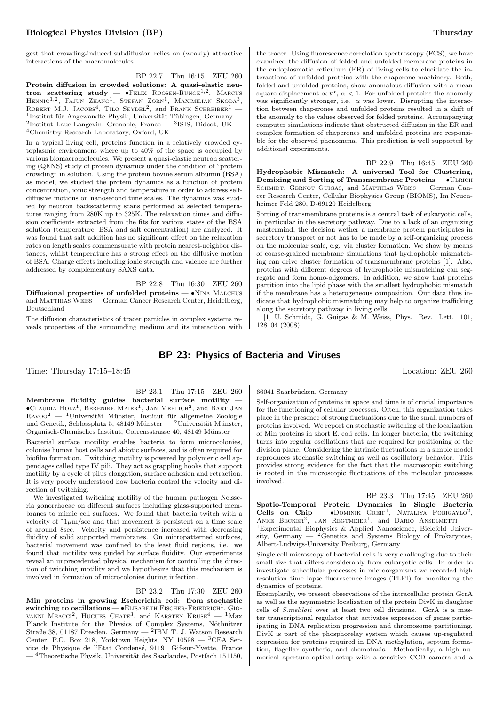gest that crowding-induced subdiffusion relies on (weakly) attractive interactions of the macromolecules.

BP 22.7 Thu 16:15 ZEU 260 Protein diffusion in crowded solutions: A quasi-elastic neutron scattering study  $-$  •Felix ROOSEN-RUNGE<sup>1,2</sup>, MARCUS HENNIG<sup>1,2</sup>, FAJUN ZHANG<sup>1</sup>, STEFAN ZORN<sup>1</sup>, MAXIMILIAN SKODA<sup>3</sup>, ROBERT M.J. JACOBS<sup>4</sup>, TILO SEYDEL<sup>2</sup>, and FRANK SCHREIBER<sup>1</sup> –  $1$ Institut für Angewandte Physik, Universität Tübingen, Germany — <sup>2</sup>Institut Laue-Langevin, Grenoble, France — <sup>3</sup>ISIS, Didcot, UK — <sup>4</sup>Chemistry Research Laboratory, Oxford, UK

In a typical living cell, proteins function in a relatively crowded cytoplasmic environment where up to 40% of the space is occupied by various biomacromolecules. We present a quasi-elastic neutron scattering (QENS) study of protein dynamics under the condition of "protein crowding" in solution. Using the protein bovine serum albumin (BSA) as model, we studied the protein dynamics as a function of protein concentration, ionic strength and temperature in order to address selfdiffusive motions on nanosecond time scales. The dynamics was studied by neutron backscattering scans performed at selected temperatures ranging from 280K up to 325K. The relaxation times and diffusion coefficients extracted from the fits for various states of the BSA solution (temperature, BSA and salt concentration) are analyzed. It was found that salt addition has no significant effect on the relaxation rates on length scales commensurate with protein nearest-neighbor distances, whilst temperature has a strong effect on the diffusive motion of BSA. Charge effects including ionic strength and valence are further addressed by complementary SAXS data.

BP 22.8 Thu 16:30 ZEU 260 Diffusional properties of unfolded proteins — •NINA MALCHUS and MATTHIAS WEISS — German Cancer Research Center, Heidelberg, Deutschland

The diffusion characteristics of tracer particles in complex systems reveals properties of the surrounding medium and its interaction with the tracer. Using fluorescence correlation spectroscopy (FCS), we have examined the diffusion of folded and unfolded membrane proteins in the endoplasmatic reticulum (ER) of living cells to elucidate the interactions of unfolded proteins with the chaperone machinery. Both, folded and unfolded proteins, show anomalous diffusion with a mean square displacement  $\alpha t^{\alpha}$ ,  $\alpha < 1$ . For unfolded proteins the anomaly was significantly stronger, i.e.  $\alpha$  was lower. Disrupting the interaction between chaperones and unfolded proteins resulted in a shift of the anomaly to the values observed for folded proteins. Accompanying computer simulations indicate that obstructed diffusion in the ER and complex formation of chaperones and unfolded proteins are responsible for the observed phenomena. This prediction is well supported by additional experiments.

BP 22.9 Thu 16:45 ZEU 260 Hydrophobic Mismatch: A universal Tool for Clustering, Demixing and Sorting of Transmembrane Proteins —  $\bullet$ ULRICH SCHMIDT, GERNOT GUIGAS, and MATTHIAS WEISS - German Cancer Research Center, Cellular Biophysics Group (BIOMS), Im Neuenheimer Feld 280, D-69120 Heidelberg

Sorting of transmembrane proteins is a central task of eukaryotic cells, in particular in the secretory pathway. Due to a lack of an organizing mastermind, the decision wether a membrane protein participates in secretory transport or not has to be made by a self-organizing process on the molecular scale, e.g. via cluster formation. We show by means of coarse-grained membrane simulations that hydrophobic mismatching can drive cluster formation of transmembrane proteins [1]. Also, proteins with different degrees of hydrophobic mismatching can segregate and form homo-oligomers. In addition, we show that proteins partition into the lipid phase with the smallest hydrophobic mismatch if the membrane has a heterogeneous composition. Our data thus indicate that hydrophobic mismatching may help to organize trafficking along the secretory pathway in living cells.

[1] U. Schmidt, G. Guigas & M. Weiss, Phys. Rev. Lett. 101, 128104 (2008)

## BP 23: Physics of Bacteria and Viruses

Time: Thursday 17:15–18:45 Location: ZEU 260

BP 23.1 Thu 17:15 ZEU 260 Membrane fluidity guides bacterial surface motility —  $\bullet$ CLAUDIA HOLZ<sup>1</sup>, BERENIKE MAIER<sup>1</sup>, JAN MEHLICH<sup>2</sup>, and BART JAN  $\rm RAVOO<sup>2</sup>$  — <sup>1</sup>Universität Münster, Institut für allgemeine Zoologie und Genetik, Schlossplatz 5, 48149 Münster — <sup>2</sup>Universität Münster,

Organisch-Chemisches Institut, Corrensstrasse 40, 48149 Münster Bacterial surface motility enables bacteria to form microcolonies, colonise human host cells and abiotic surfaces, and is often required for biofilm formation. Twitching motility is powered by polymeric cell appendages called type IV pili. They act as grappling hooks that support motility by a cycle of pilus elongation, surface adhesion and retraction. It is very poorly understood how bacteria control the velocity and direction of twitching.

We investigated twitching motility of the human pathogen Neisseria gonorrhoeae on different surfaces including glass-supported membranes to mimic cell surfaces. We found that bacteria twitch with a velocity of  $\tilde{\text{1}\mu\text{m}}$ /sec and that movement is persistent on a time scale of around 8sec. Velocity and persistence increased with decreasing fluidity of solid supported membranes. On micropatterned surfaces, bacterial movement was confined to the least fluid regions, i.e. we found that motility was guided by surface fluidity. Our experiments reveal an unprecedented physical mechanism for controlling the direction of twitching motility and we hypothesize that this mechanism is involved in formation of microcolonies during infection.

#### BP 23.2 Thu 17:30 ZEU 260

Min proteins in growing Escherichia coli: from stochastic  $s$ witching to oscillations  $\bullet$  ELISABETH FISCHER-FRIEDRICH<sup>1</sup>, GIO-VANNI MEACCI<sup>2</sup>, HUGUES CHATE<sup>3</sup>, and KARSTEN KRUSE<sup>4</sup> - <sup>1</sup>Max Planck Institute for the Physics of Complex Systems, Nöthnitzer Straße 38, 01187 Dresden, Germany — <sup>2</sup>IBM T. J. Watson Research Center, P.O. Box 218, Yorktown Heights, NY 10598 — <sup>3</sup>CEA Service de Physique de l'Etat Condensé, 91191 Gif-sur-Yvette, France <sup>4</sup>Theoretische Physik, Universität des Saarlandes, Postfach 151150, 66041 Saarbrücken, Germany

Self-organization of proteins in space and time is of crucial importance for the functioning of cellular processes. Often, this organization takes place in the presence of strong fluctuations due to the small numbers of proteins involved. We report on stochastic switching of the localization of Min proteins in short E. coli cells. In longer bacteria, the switching turns into regular oscillations that are required for positioning of the division plane. Considering the intrinsic fluctuations in a simple model reproduces stochastic switching as well as oscillatory behavior. This provides strong evidence for the fact that the macroscopic switching is rooted in the microscopic fluctuations of the molecular processes involved.

BP 23.3 Thu 17:45 ZEU 260 Spatio-Temporal Protein Dynamics in Single Bacteria Cells on  $Chip$  - DOMINIK GREIF<sup>1</sup>, NATALIYA POBIGAYLO<sup>2</sup>, ANKE BECKER<sup>2</sup>, JAN REGTMEIER<sup>1</sup>, and DARIO ANSELMETTI<sup>1</sup> -<sup>1</sup>Experimental Biophysics & Applied Nanoscience, Bielefeld University, Germany  $-$  <sup>2</sup>Genetics and Systems Biology of Prokaryotes, Albert-Ludwigs-University Freiburg, Germany

Single cell microscopy of bacterial cells is very challenging due to their small size that differs considerably from eukaryotic cells. In order to investigate subcellular processes in microorganisms we recorded high resolution time lapse fluorescence images (TLFI) for monitoring the dynamics of proteins.

Exemplarily, we present observations of the intracellular protein GcrA as well as the asymmetric localization of the protein DivK in daughter cells of S.meliloti over at least two cell divisions. GcrA is a master transcriptional regulator that activates expression of genes participating in DNA replication progression and chromosome partitioning. DivK is part of the phosphorelay system which causes up-regulated expression for proteins required in DNA methylation, septum formation, flagellar synthesis, and chemotaxis. Methodically, a high numerical aperture optical setup with a sensitive CCD camera and a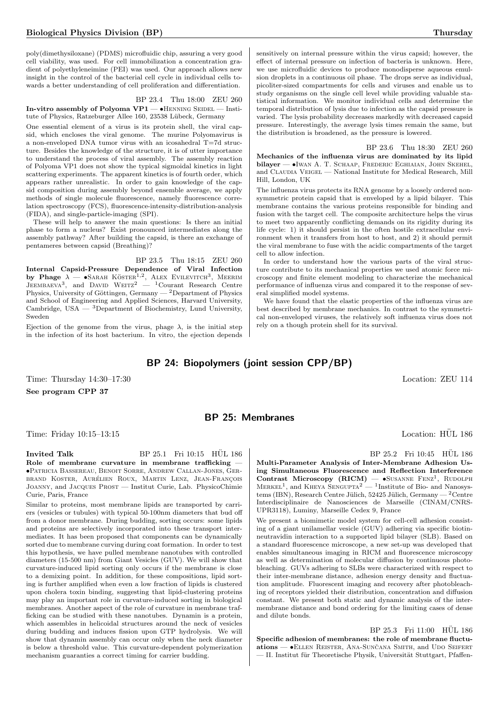poly(dimethysiloxane) (PDMS) microfluidic chip, assuring a very good cell viability, was used. For cell immobilization a concentration gradient of polyethyleneimine (PEI) was used. Our approach allows new insight in the control of the bacterial cell cycle in individual cells towards a better understanding of cell proliferation and differentiation.

BP 23.4 Thu 18:00 ZEU 260 In-vitro assembly of Polyoma  $VP1 - \bullet$ HENNING SEIDEL — Institute of Physics, Ratzeburger Allee 160, 23538 Lübeck, Germany

One essential element of a virus is its protein shell, the viral capsid, which encloses the viral genome. The murine Polyomavirus is a non-enveloped DNA tumor virus with an icosahedral T=7d structure. Besides the knowledge of the structure, it is of utter importance to understand the process of viral assembly. The assembly reaction of Polyoma VP1 does not show the typical sigmoidal kinetics in light scattering experiments. The apparent kinetics is of fourth order, which appears rather unrealistic. In order to gain knowledge of the capsid composition during assembly beyond ensemble average, we apply methods of single molecule fluorescence, namely fluorescence correlation spectroscopy (FCS), fluorescence-intensity-distribution-analysis (FIDA), and single-particle-imaging (SPI).

These will help to answer the main questions: Is there an initial phase to form a nucleus? Exist pronounced intermediates along the assembly pathway? After building the capsid, is there an exchange of pentameres between capsid (Breathing)?

BP 23.5 Thu 18:15 ZEU 260 Internal Capsid-Pressure Dependence of Viral Infection by Phage  $\lambda$  — •Sarah Köster<sup>1,2</sup>, Alex Evilevitch<sup>3</sup>, Meerim Jeembaeva<sup>3</sup>, and David Weitz<sup>2</sup> — <sup>1</sup>Courant Research Centre Physics, University of Göttingen, Germany —  $^2$ Department of Physics and School of Engineering and Applied Sciences, Harvard University, Cambridge,  $USA - 3$ Department of Biochemistry, Lund University, Sweden

Ejection of the genome from the virus, phage  $\lambda$ , is the initial step in the infection of its host bacterium. In vitro, the ejection depends sensitively on internal pressure within the virus capsid; however, the effect of internal pressure on infection of bacteria is unknown. Here, we use microfluidic devices to produce monodisperse aqueous emulsion droplets in a continuous oil phase. The drops serve as individual, picoliter-sized compartments for cells and viruses and enable us to study organisms on the single cell level while providing valuable statistical information. We monitor individual cells and determine the temporal distribution of lysis due to infection as the capsid pressure is varied. The lysis probability decreases markedly with decreased capsid pressure. Interestingly, the average lysis times remain the same, but the distribution is broadened, as the pressure is lowered.

BP 23.6 Thu 18:30 ZEU 260 Mechanics of the influenza virus are dominated by its lipid bilayer — •Iwan A. T. Schaap, Frederic Eghiaian, John Skehel, and CLAUDIA VEIGEL — National Institute for Medical Research, Mill Hill, London, UK

The influenza virus protects its RNA genome by a loosely ordered nonsymmetric protein capsid that is enveloped by a lipid bilayer. This membrane contains the various proteins responsible for binding and fusion with the target cell. The composite architecture helps the virus to meet two apparently conflicting demands on its rigidity during its life cycle: 1) it should persist in the often hostile extracellular environment when it transfers from host to host, and 2) it should permit the viral membrane to fuse with the acidic compartments of the target cell to allow infection.

In order to understand how the various parts of the viral structure contribute to its mechanical properties we used atomic force microscopy and finite element modeling to characterize the mechanical performance of influenza virus and compared it to the response of several simplified model systems.

We have found that the elastic properties of the influenza virus are best described by membrane mechanics. In contrast to the symmetrical non-enveloped viruses, the relatively soft influenza virus does not rely on a though protein shell for its survival.

## BP 24: Biopolymers (joint session CPP/BP)

Time: Thursday  $14:30-17:30$  Location: ZEU 114

See program CPP 37

## BP 25: Membranes

Time: Friday 10:15–13:15 is a control of the control of the control of the Location: HUL 186

Invited Talk  $BP\ 25.1\$  Fri  $10:15\$  HUL 186 Role of membrane curvature in membrane trafficking -•Patricia Bassereau, Benoit Sorre, Andrew Callan-Jones, Gerbrand Koster, Aurélien Roux, Martin Lenz, Jean-François Joanny, and Jacques Prost — Institut Curie, Lab. PhysicoChimie Curie, Paris, France

Similar to proteins, most membrane lipids are transported by carriers (vesicles or tubules) with typical 50-100nm diameters that bud off from a donor membrane. During budding, sorting occurs: some lipids and proteins are selectively incorporated into these transport intermediates. It has been proposed that components can be dynamically sorted due to membrane curving during coat formation. In order to test this hypothesis, we have pulled membrane nanotubes with controlled diameters (15-500 nm) from Giant Vesicles (GUV). We will show that curvature-induced lipid sorting only occurs if the membrane is close to a demixing point. In addition, for these compositions, lipid sorting is further amplified when even a low fraction of lipids is clustered upon cholera toxin binding, suggesting that lipid-clustering proteins may play an important role in curvature-induced sorting in biological membranes. Another aspect of the role of curvature in membrane trafficking can be studied with these nanotubes. Dynamin is a protein, which assembles in helicoidal structures around the neck of vesicles during budding and induces fission upon GTP hydrolysis. We will show that dynamin assembly can occur only when the neck diameter is below a threshold value. This curvature-dependent polymerization mechanism guaranties a correct timing for carrier budding.

BP 25.2 Fri 10:45 HÜL 186

Multi-Parameter Analysis of Inter-Membrane Adhesion Using Simultaneous Fluorescence and Reflection Interference Contrast Microscopy (RICM) - SUSANNE FENZ<sup>1</sup>, RUDOLPH  $MERKEL<sup>1</sup>$ , and KHEYA SENGUPTA<sup>2</sup> — <sup>1</sup>Institute of Bio- and Nanosystems (IBN), Research Centre Jülich, 52425 Jülich, Germany —  $^2$ Centre Interdisciplinaire de Nanosciences de Marseille (CINAM/CNRS-UPR3118), Luminy, Marseille Cedex 9, France

We present a biomimetic model system for cell-cell adhesion consisting of a giant unilamellar vesicle (GUV) adhering via specific biotinneutravidin interaction to a supported lipid bilayer (SLB). Based on a standard fluorescence microscope, a new set-up was developed that enables simultaneous imaging in RICM and fluorescence microscopy as well as determination of molecular diffusion by continuous photobleaching. GUVs adhering to SLBs were characterized with respect to their inter-membrane distance, adhesion energy density and fluctuation amplitude. Fluorescent imaging and recovery after photobleaching of receptors yielded their distribution, concentration and diffusion constant. We present both static and dynamic analysis of the intermembrane distance and bond ordering for the limiting cases of dense and dilute bonds.

 $BP$  25.3 Fri 11:00 HUL 186 Specific adhesion of membranes: the role of membrane fluctuations — •ELLEN REISTER, ANA-SUNČANA SMITH, and UDO SEIFERT — II. Institut für Theoretische Physik, Universität Stuttgart, Pfaffen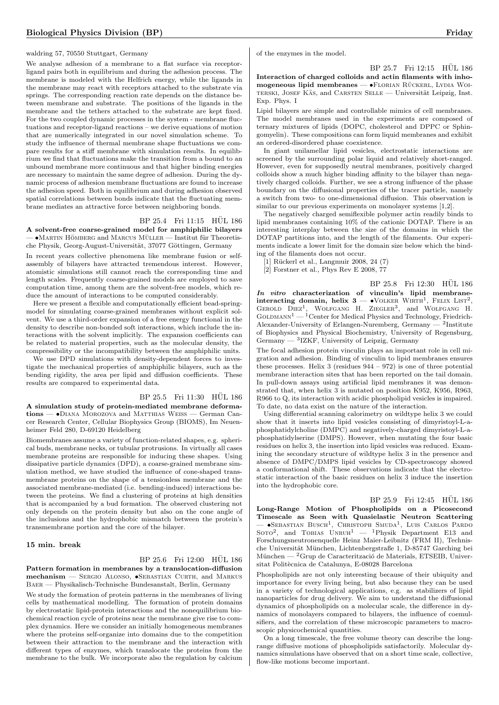waldring 57, 70550 Stuttgart, Germany

We analyse adhesion of a membrane to a flat surface via receptorligand pairs both in equilibrium and during the adhesion process. The membrane is modeled with the Helfrich energy, while the ligands in the membrane may react with receptors attached to the substrate via springs. The corresponding reaction rate depends on the distance between membrane and substrate. The positions of the ligands in the membrane and the tethers attached to the substrate are kept fixed. For the two coupled dynamic processes in the system - membrane fluctuations and receptor-ligand reactions – we derive equations of motion that are numerically integrated in our novel simulation scheme. To study the influence of thermal membrane shape fluctuations we compare results for a stiff membrane with simulation results. In equilibrium we find that fluctuations make the transition from a bound to an unbound membrane more continuous and that higher binding energies are necessary to maintain the same degree of adhesion. During the dynamic process of adhesion membrane fluctuations are found to increase the adhesion speed. Both in equilibrium and during adhesion observed spatial correlations between bonds indicate that the fluctuating membrane mediates an attractive force between neighboring bonds.

#### BP 25.4 Fri 11:15 HUL 186

A solvent-free coarse-grained model for amphiphilic bilayers  $-$  •Martin HÖMBERG and MARCUS MÜLLER — Institut für Theoretische Physik, Georg-August-Universität, 37077 Göttingen, Germany

In recent years collective phenomena like membrane fusion or selfassembly of bilayers have attracted tremendous interest. However, atomistic simulations still cannot reach the corresponding time and length scales. Frequently coarse-grained models are employed to save computation time, among them are the solvent-free models, which reduce the amount of interactions to be computed considerably.

Here we present a flexible and computationally efficient bead-springmodel for simulating coarse-grained membranes without explicit solvent. We use a third-order expansion of a free energy functional in the density to describe non-bonded soft interactions, which include the interactions with the solvent implicitly. The expansion coefficients can be related to material properties, such as the molecular density, the compressibility or the incompatibility between the amphiphilic units.

We use DPD simulations with density-dependent forces to investigate the mechanical properties of amphiphilic bilayers, such as the bending rigidity, the area per lipid and diffusion coefficients. These results are compared to experimental data.

BP 25.5 Fri 11:30 HÜL 186 A simulation study of protein-mediated membrane deformations — •Diana Morozova and Matthias Weiss — German Cancer Research Center, Cellular Biophysics Group (BIOMS), Im Neuenheimer Feld 280, D-69120 Heidelberg

Biomembranes assume a variety of function-related shapes, e.g. spherical buds, membrane necks, or tubular protrusions. In virtually all cases membrane proteins are responsible for inducing these shapes. Using dissipative particle dynamics (DPD), a coarse-grained membrane simulation method, we have studied the influence of cone-shaped transmembrane proteins on the shape of a tensionless membrane and the associated membrane-mediated (i.e. bending-induced) interactions between the proteins. We find a clustering of proteins at high densities that is accompanied by a bud formation. The observed clustering not only depends on the protein density but also on the cone angle of the inclusions and the hydrophobic mismatch between the protein's transmembrane portion and the core of the bilayer.

#### 15 min. break

BP 25.6 Fri 12:00 HÜL 186 Pattern formation in membranes by a translocation-diffusion mechanism — Sergio Alonso, •Sebastian Curth, and Markus Baer — Physikalisch-Technische Bundesanstalt, Berlin, Germany

We study the formation of protein patterns in the membranes of living cells by mathematical modelling. The formation of protein domains by electrostatic lipid-protein interactions and the nonequilibrium biochemical reaction cycle of proteins near the membrane give rise to complex dynamics. Here we consider an initially homogeneous membranes where the proteins self-organize into domains due to the competition between their attraction to the membrane and the interaction with different types of enzymes, which translocate the proteins from the membrane to the bulk. We incorporate also the regulation by calcium

of the enzymes in the model.

BP 25.7 Fri 12:15 HÜL 186

Interaction of charged colloids and actin filaments with inho $m$ ogeneous lipid membranes —  $\bullet$ FLORIAN RÜCKERL, LYDIA WOI-TERSKI, JOSEF KÄS, and CARSTEN SELLE — Universität Leipzig, Inst. Exp. Phys. I

Lipid bilayers are simple and controllable mimics of cell membranes. The model membranes used in the experiments are composed of ternary mixtures of lipids (DOPC, cholesterol and DPPC or Sphingomyelin). These compositions can form liquid membranes and exhibit an ordered-disordered phase coexistence.

In giant unilamellar lipid vesicles, electrostatic interactions are screened by the surrounding polar liquid and relatively short-ranged. However, even for supposedly neutral membranes, positively charged colloids show a much higher binding affinity to the bilayer than negatively charged colloids. Further, we see a strong influence of the phase boundary on the diffusional properties of the tracer particle, namely a switch from two- to one-dimensional diffusion. This observation is similar to our previous experiments on monolayer systems [1,2].

The negatively charged semiflexible polymer actin readily binds to lipid membranes containing 10% of the cationic DOTAP. There is an interesting interplay between the size of the domains in which the DOTAP partitions into, and the length of the filaments. Our experiments indicate a lower limit for the domain size below which the binding of the filaments does not occur.

[1] Rückerl et al., Langmuir 2008, 24 $(7)$ 

[2] Forstner et al., Phys Rev E 2008, 77

BP 25.8 Fri 12:30 HÜL 186 In vitro characterization of vinculin's lipid membraneinteracting domain, helix  $3 - \cdot$  VOLKER WIRTH<sup>1</sup>, FELIX LIST<sup>2</sup>, GEROLD  $DIEZ<sup>1</sup>$ , WOLFGANG H. ZIEGLER<sup>3</sup>, and WOLFGANG H.  $G$ OLDMANN<sup>1</sup> — <sup>1</sup>Center for Medical Physics and Technology, Friedrich-Alexander-University of Erlangen-Nuremberg, Germany — <sup>2</sup> Institute of Biophysics and Physical Biochemistry, University of Regensburg, Germany  $-$  <sup>3</sup>IZKF, University of Leipzig, Germany

The focal adhesion protein vinculin plays an important role in cell migration and adhesion. Binding of vinculin to lipid membranes ensures these processes. Helix 3 (residues  $944 - 972$ ) is one of three potential membrane interaction sites that has been reported on the tail domain. In pull-down assays using artificial lipid membranes it was demonstrated that, when helix 3 is mutated on position K952, K956, R963, R966 to Q, its interaction with acidic phospholipid vesicles is impaired. To date, no data exist on the nature of the interaction.

Using differential scanning calorimetry on wildtype helix 3 we could show that it inserts into lipid vesicles consisting of dimyristoyl-L-aphosphatidylcholine (DMPC) and negatively-charged dimyristoyl-L-aphosphatidylserine (DMPS). However, when mutating the four basic residues on helix 3, the insertion into lipid vesicles was reduced. Examining the secondary structure of wildtype helix 3 in the presence and absence of DMPC/DMPS lipid vesicles by CD-spectroscopy showed a conformational shift. These observations indicate that the electrostatic interaction of the basic residues on helix 3 induce the insertion into the hydrophobic core.

BP 25.9 Fri 12:45 HÜL 186 Long-Range Motion of Phospholipids on a Picosecond Timescale as Seen with Quasielastic Neutron Scattering — •Sebastian Busch<sup>1</sup> , Christoph Smuda<sup>1</sup> , Luis Carlos Pardo SOTO<sup>2</sup>, and TOBIAS  $UNRUH^1$  - <sup>1</sup>Physik Department E13 and Forschungsneutronenquelle Heinz Maier-Leibnitz (FRM II), Technische Universität München, Lichtenbergstraße 1, D-85747 Garching bei München —  ${}^{2}$ Grup de Caracterització de Materials, ETSEIB, Universitat Politècnica de Catalunya, E-08028 Barcelona

Phospholipids are not only interesting because of their ubiquity and importance for every living being, but also because they can be used in a variety of technological applications, e.g. as stabilizers of lipid nanoparticles for drug delivery. We aim to understand the diffusional dynamics of phospholipids on a molecular scale, the difference in dynamics of monolayers compared to bilayers, the influence of coemulsifiers, and the correlation of these microscopic parameters to macroscopic physicochemical quantities.

On a long timescale, the free volume theory can describe the longrange diffusive motions of phospholipids satisfactorily. Molecular dynamics simulations have observed that on a short time scale, collective, flow-like motions become important.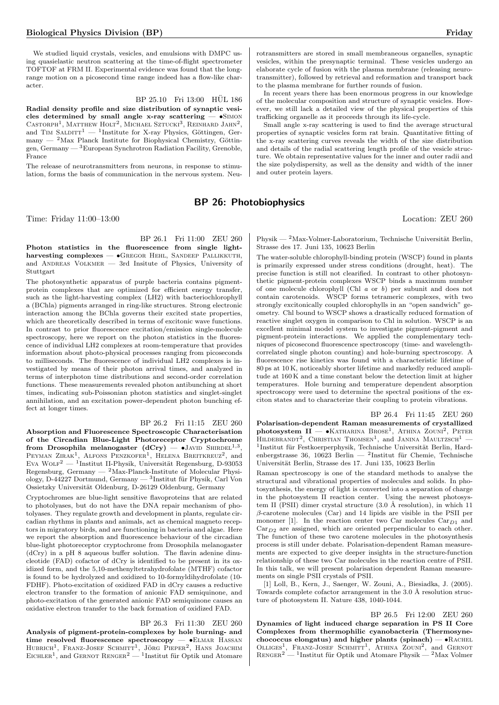We studied liquid crystals, vesicles, and emulsions with DMPC using quasielastic neutron scattering at the time-of-flight spectrometer TOFTOF at FRM II. Experimental evidence was found that the longrange motion on a picosecond time range indeed has a flow-like character.

BP 25.10 Fri 13:00 HÜL 186

Radial density profile and size distribution of synaptic vesicles determined by small angle x-ray scattering  $-$  •SIMON CASTORPH<sup>1</sup>, MATTHEW HOLT<sup>2</sup>, MICHAEL SZTUCKI<sup>3</sup>, REINHARD JAHN<sup>2</sup>, and TIM SALDITT<sup>1</sup> — <sup>1</sup>Institute for X-ray Physics, Göttingen, Germany  $-$  <sup>2</sup>Max Planck Institute for Biophysical Chemistry, Göttingen, Germany — <sup>3</sup>European Synchrotron Radiation Facility, Grenoble, France

The release of neurotransmitters from neurons, in response to stimulation, forms the basis of communication in the nervous system. Neurotransmitters are stored in small membraneous organelles, synaptic vesicles, within the presynaptic terminal. These vesicles undergo an elaborate cycle of fusion with the plasma membrane (releasing neurotransmitter), followed by retrieval and reformation and transport back to the plasma membrane for further rounds of fusion.

In recent years there has been enormous progress in our knowledge of the molecular composition and structure of synaptic vesicles. However, we still lack a detailed view of the physical properties of this trafficking organelle as it proceeds through its life-cycle.

Small angle x-ray scattering is used to find the average structural properties of synaptic vesicles form rat brain. Quantitative fitting of the x-ray scattering curves reveals the width of the size distribution and details of the radial scattering length profile of the vesicle structure. We obtain representative values for the inner and outer radii and the size polydispersity, as well as the density and width of the inner and outer protein layers.

## BP 26: Photobiophysics

Time: Friday 11:00–13:00 Location: ZEU 260

BP 26.1 Fri 11:00 ZEU 260

Photon statistics in the fluorescence from single lightharvesting complexes —  $\bullet$ Gregor Hehl, SANDEEP PALLIKKUTH, and ANDREAS VOLKMER  $-$  3rd Insitute of Physics, University of Stuttgart

The photosynthetic apparatus of purple bacteria contains pigmentprotein complexes that are optimized for efficient energy transfer, such as the light-harvesting complex (LH2) with bacteriochlorophyll a (BChla) pigments arranged in ring-like structures. Strong electronic interaction among the BChla governs their excited state properties, which are theoretically described in terms of excitonic wave functions. In contrast to prior fluorescence excitation/emission single-molecule spectroscopy, here we report on the photon statistics in the fluorescence of individual LH2 complexes at room-temperature that provides information about photo-physical processes ranging from picoseconds to milliseconds. The fluorescence of individual LH2 complexes is investigated by means of their photon arrival times, and analyzed in terms of interphoton time distributions and second-order correlation functions. These measurements revealed photon antibunching at short times, indicating sub-Poissonian photon statistics and singlet-singlet annihilation, and an excitation power-dependent photon bunching effect at longer times.

BP 26.2 Fri 11:15 ZEU 260

Absorption and Fluorescence Spectroscopic Characterisation of the Circadian Blue-Light Photoreceptor Cryptochrome from Drosophila melanogaster  $(dCry)$   $\bullet$  JAVID SHIRDEL<sup>1,3</sup>, PEYMAN ZIRAK<sup>1</sup>, ALFONS PENZKOFER<sup>1</sup>, HELENA BREITKREUZ<sup>2</sup>, and Eva Wolfr<sup>2</sup> — <sup>1</sup>Institut II-Physik, Universität Regensburg, D-93053 Regensburg, Germany — <sup>2</sup>Max-Planck-Institute of Molecular Physiology, D-44227 Dortmund, Germany — <sup>3</sup>Institut für Physik, Carl Von Ossietzky Universität Oldenburg, D-26129 Oldenburg, Germany

Cryptochromes are blue-light sensitive flavoproteins that are related to photolyases, but do not have the DNA repair mechanism of photolyases. They regulate growth and development in plants, regulate circadian rhythms in plants and animals, act as chemical magneto receptors in migratory birds, and are functioning in bacteria and algae. Here we report the absorption and fluorescence behaviour of the circadian blue-light photoreceptor cryptochrome from Drosophila melanogaster (dCry) in a pH 8 aqueous buffer solution. The flavin adenine dinucleotide (FAD) cofactor of dCry is identified to be present in its oxidized form, and the 5,10-methenyltetrahydrofolate (MTHF) cofactor is found to be hydrolyzed and oxidized to 10-formyldihydrofolate (10- FDHF). Photo-excitation of oxidized FAD in dCry causes a reductive electron transfer to the formation of anionic FAD semiquinone, and photo-excitation of the generated anionic FAD semiquinone causes an oxidative electron transfer to the back formation of oxidized FAD.

#### BP 26.3 Fri 11:30 ZEU 260

Analysis of pigment-protein-complexes by hole burning- and time resolved fluorescence spectroscopy — • ELMAR HASSAN HUBRICH<sup>1</sup>, FRANZ-JOSEF SCHMITT<sup>1</sup>, JÖRG PIEPER<sup>2</sup>, HANS JOACHIM<br>EICHLER<sup>1</sup>, and GERNOT RENGER<sup>2</sup> — <sup>1</sup>Institut für Optik und Atomare

Physik —  $2$ Max-Volmer-Laboratorium, Technische Universität Berlin, Strasse des 17. Juni 135, 10623 Berlin

The water-soluble chlorophyll-binding protein (WSCP) found in plants is primarily expressed under stress conditions (drought, heat). The precise function is still not clearified. In contrast to other photosynthetic pigment-protein complexes WSCP binds a maximum number of one molecule chlorophyll (Chl a or b) per subunit and does not contain carotenoids. WSCP forms tetrameric complexes, with two strongly excitonically coupled chlorophylls in an "open sandwich" geometry. Chl bound to WSCP shows a drastically reduced formation of reactive singlet oxygen in comparison to Chl in solution. WSCP is an excellent minimal model system to investigate pigment-pigment and pigment-protein interactions. We applied the complementary techniques of picosecond fluorescence spectroscopy (time- and wavelengthcorrelated single photon counting) and hole-burning spectroscopy. A fluorescence rise kinetics was found with a characteristic lifetime of 80 ps at 10 K, noticeably shorter lifetime and markedly reduced amplitude at 160 K and a time constant below the detection limit at higher temperatures. Hole burning and temperature dependent absorption spectroscopy were used to determine the spectral positions of the exciton states and to characterize their coupling to protein vibrations.

BP 26.4 Fri 11:45 ZEU 260 Polarisation-dependent Raman measurements of crystallized  $photosystem$   $II$   $\rightarrow$  KATHARINA BROSE<sup>1</sup>, ATHINA ZOUNI<sup>2</sup>, PETER HILDEBRANDT<sup>2</sup>, CHRISTIAN THOMSEN<sup>1</sup>, and JANINA MAULTZSCH<sup>1</sup> -<sup>1</sup>Institut für Festkoerperphysik, Technische Universität Berlin, Hardenbergstrasse 36, 10623 Berlin — <sup>2</sup>Institut für Chemie, Technische Universität Berlin, Strasse des 17. Juni 135, 10623 Berlin

Raman spectroscopy is one of the standard methods to analyse the structural and vibrational properties of molecules and solids. In photosynthesis, the energy of light is converted into a separation of charge in the photosystem II reaction center. Using the newest photosystem II (PSII) dimer crystal structure  $(3.0 \text{ Å resolution})$ , in which 11  $β$ -carotene molecules (Car) and 14 lipids are visible in the PSII per monomer [1]. In the reaction center two Car molecules  $Car_{D1}$  and  $Car_{D2}$  are assigned, which are oriented perpendicular to each other. The function of these two carotene molecules in the photosynthesis process is still under debate. Polarisation-dependent Raman measurements are expected to give deeper insights in the structure-function relationship of these two Car molecules in the reaction centre of PSII. In this talk, we will present polarisation dependent Raman measurements on single PSII crystals of PSII.

[1] Loll, B., Kern, J., Saenger, W. Zouni, A., Biesiadka, J. (2005). Towards complete cofactor arrangement in the  $3.0 \text{ Å}$  resolution structure of photosystem II. Nature 438, 1040-1044.

BP 26.5 Fri 12:00 ZEU 260 Dynamics of light induced charge separation in PS II Core Complexes from thermophilic cyanobacteria (Thermosynechococcus elongatus) and higher plants (spinach) —  $\bullet$ RACHEL OLLIGES<sup>1</sup>, FRANZ-JOSEF SCHMITT<sup>1</sup>, ATHINA ZOUNI<sup>2</sup>, and GERNOT  $\text{RENGER}^2$  — <sup>1</sup>Institut für Optik und Atomare Physik — <sup>2</sup>Max Volmer